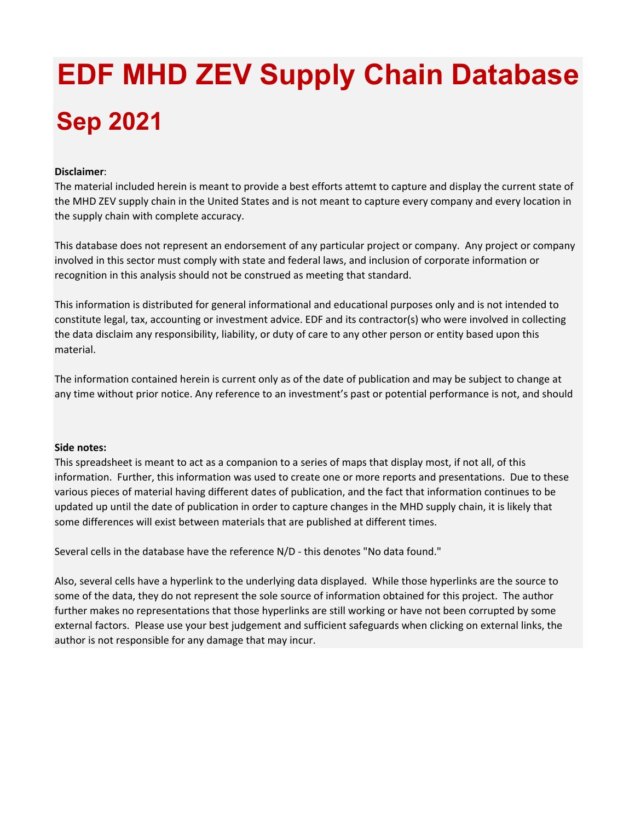## **EDF MHD ZEV Supply Chain Database Sep 2021**

## **Disclaimer**:

The material included herein is meant to provide a best efforts attemt to capture and display the current state of the MHD ZEV supply chain in the United States and is not meant to capture every company and every location in the supply chain with complete accuracy.

This database does not represent an endorsement of any particular project or company. Any project or company involved in this sector must comply with state and federal laws, and inclusion of corporate information or recognition in this analysis should not be construed as meeting that standard.

This information is distributed for general informational and educational purposes only and is not intended to constitute legal, tax, accounting or investment advice. EDF and its contractor(s) who were involved in collecting the data disclaim any responsibility, liability, or duty of care to any other person or entity based upon this material.

The information contained herein is current only as of the date of publication and may be subject to change at any time without prior notice. Any reference to an investment's past or potential performance is not, and should

## **Side notes:**

This spreadsheet is meant to act as a companion to a series of maps that display most, if not all, of this information. Further, this information was used to create one or more reports and presentations. Due to these various pieces of material having different dates of publication, and the fact that information continues to be updated up until the date of publication in order to capture changes in the MHD supply chain, it is likely that some differences will exist between materials that are published at different times.

Several cells in the database have the reference N/D ‐ this denotes "No data found."

Also, several cells have a hyperlink to the underlying data displayed. While those hyperlinks are the source to some of the data, they do not represent the sole source of information obtained for this project. The author further makes no representations that those hyperlinks are still working or have not been corrupted by some external factors. Please use your best judgement and sufficient safeguards when clicking on external links, the author is not responsible for any damage that may incur.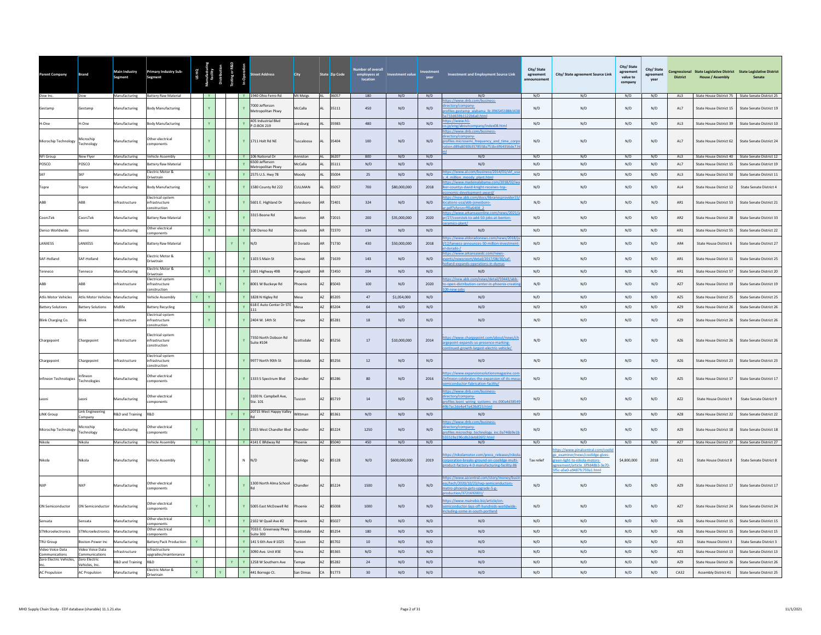| Parent Company                        | <b>Brand</b>                       | Main Industry<br>Segment    | <b>Primary Industry Sub-</b><br>Segment                          |     | us нo<br>hacturi<br>facility<br>tribution | sting or R&D |              | treet Address                       | <b>City</b>       |     | State Zip Code | ber of overal<br>employees at<br>location | <b>Investment value</b> |      | <b>Investment and Employment Source Link</b>                                                                                                   | City/ State<br>agreement<br>announcement | City/ State agreement Source Link                                                                                                                                | City/ State<br>agreement<br>value to<br>company | City/State<br>agreement<br>vear | <b>District</b> | Congressional State Legislative District State Legislative District<br><b>House / Assembly</b> | <b>Senate</b>            |
|---------------------------------------|------------------------------------|-----------------------------|------------------------------------------------------------------|-----|-------------------------------------------|--------------|--------------|-------------------------------------|-------------------|-----|----------------|-------------------------------------------|-------------------------|------|------------------------------------------------------------------------------------------------------------------------------------------------|------------------------------------------|------------------------------------------------------------------------------------------------------------------------------------------------------------------|-------------------------------------------------|---------------------------------|-----------------|------------------------------------------------------------------------------------------------|--------------------------|
| Dow Inc.                              | Dow                                |                             | Manufacturing Battery Raw Material                               |     | $\mathbf{Y}$                              |              |              | Y 1940 Ohio Ferro Rd                | Mt Meigs          |     | AL 36057       | 180                                       | N/D                     | N/D  | N/D<br>ttps://www.dnb.com/business-                                                                                                            | N/D                                      | N/D                                                                                                                                                              | N/D                                             | N/D                             | AL3             | State House District 75 State Senate District 25                                               |                          |
| Gestamp                               | Gestamp                            | Manufacturing               | <b>Body Manufacturing</b>                                        |     | $\mathbf{Y}$                              |              |              | 7000 Jefferson<br>Metropolitan Pkwy | McCalla           | AL  | 35111          | 450                                       | N/D                     | N/D  | ectory/company-<br>Files.gestamp_alabama_llc.096545188b163<br>33d659b1122b6a0.html                                                             | N/D                                      | N/D                                                                                                                                                              | N/D                                             | N/D                             | AL7             | State House District 15                                                                        | State Senate District 19 |
| H-One                                 | H-One                              | Manufacturing               | <b>Body Manufacturing</b>                                        |     | $\mathbf{Y}$ .                            |              | $\mathbf{Y}$ | 405 Industrial Blvd<br>P.O.BOX 219  | Leesburg          |     | 35983          | 480                                       | N/D                     | N/D  | ps://www.h1-<br>ny/index08.htm<br>/eng/abouto                                                                                                  | N/D                                      | N/D                                                                                                                                                              | N/D                                             | N/D                             | AL3             | State House District 39                                                                        | State Senate District 10 |
| Microchip Technology                  | Microchip<br>Technology            | Manufacturing               | Other electrical<br>omponents                                    |     | $\mathbf{v}$                              |              | $\mathbf{v}$ | 1711 Holt Rd NE                     | Tuscaloosa        |     | 35404          | 100                                       | N/D                     | N/D  | ps://www.dnb.com/business-<br>ectory/company-<br>ofiles.microsemi frequency and time corp<br>tion.d89a8030b3578558a751bc6f64356de7.l           | N/D                                      | N/D                                                                                                                                                              | N/D                                             | N/D                             | AL7             | State House District 62                                                                        | State Senate District 24 |
| NFI Group                             | New Flyer                          | Manufacturing               | Vehicle Assembly                                                 |     | <b>Y</b>                                  |              |              | Y 106 National Dr<br>6500 Jefferson | Anniston          |     | 36207          | 800                                       | N/D                     | N/D  | N/D                                                                                                                                            | N/D                                      | N/D                                                                                                                                                              | N/D                                             | N/D                             | AL3             | State House District 40                                                                        | State Senate District 12 |
| POSCO                                 | POSCO                              | Manufacturing               | <b>Battery Raw Material</b><br>Electric Motor &                  |     |                                           |              | $\mathbf{v}$ | Metropolitan Pkwy                   | McCalla           | AL  | 35111          | N/D                                       | N/D                     | N/D  | N/D<br>tps://www.al.com/business/2014/01/skf u                                                                                                 | N/D                                      | N/D                                                                                                                                                              | N/D                                             | N/D                             | AL7             | State House District 15                                                                        | State Senate District 19 |
|                                       | SKF                                | Manufacturing               | Drivetrain                                                       |     | $\mathbf{Y}$                              |              | $\mathbf{Y}$ | 2575 U.S. Hwy 78                    | Moody             |     | 35004          | 25                                        | N/D                     | N/D  | 4 million moody plant.htr                                                                                                                      | N/D                                      | N/D                                                                                                                                                              | N/D                                             | N/D                             | AL3             | State House District 50                                                                        | State Senate District 11 |
|                                       | l'opre                             | Manufacturing               | ody Manufacturing<br>lectrical system                            |     | $\mathbf{Y}$                              |              |              | 1580 County Rd 222                  | CULLMAN           |     | 35057          | $700\,$                                   | \$80,000,000            | 2018 | ps://www.madeinalabama.com/2018<br>r-countys-david-knight-receives-top-<br>mic-development-award/<br>ps://new.abb.com/docs/librariesprovider15 | $\rm N/D$                                | $\rm N/D$                                                                                                                                                        | $\mathrm{N}/\mathrm{D}$                         | N/D                             | AL4             | State House District 12                                                                        | State Senate District 4  |
| ARR                                   | ARR                                | Infrastructure              | infrastructure<br>nstruction                                     |     | $\mathbf{Y}$ .                            |              | $\mathbf{v}$ | 5601 E. Highland Dr                 | onesbord          | AR  | 72401          | 324                                       | N/D                     | N/D  | ations-usa/abb-jonesboro-<br>odf?sfvrsn=ff0a6408 2                                                                                             | N/D                                      | N/D                                                                                                                                                              | N/D                                             | N/D                             | AR1             | State House District 53                                                                        | State Senate District 21 |
| CoorsTek                              | CoorsTek                           | Manufacturing               | sattery Raw Material                                             |     | $\mathbf{v}$                              |              |              | 3315 Boone Rd                       | <b>Benton</b>     | AR  | 72015          | 200                                       | \$35,000,000            | 2020 | ps://www.arkansa<br>line.com/news/2021<br>/27/coorstek-to-add-50-jobs-at-benton-                                                               | N/D                                      | N/D                                                                                                                                                              | N/D                                             | N/D                             | AR <sub>2</sub> | State House District 28                                                                        | State Senate District 33 |
| Denso Worldwide                       | Denso                              | Manufacturing               | Other electrical<br>mponents                                     |     | $\mathbf{Y}$                              |              | $\mathbf{Y}$ | 100 Denso Rd                        | Osceola           |     | AR 72370       | 134                                       | N/D                     | N/D  | N/D                                                                                                                                            | N/D                                      | N/D                                                                                                                                                              | N/D                                             | N/D                             | AR1             | State House District 55                                                                        | State Senate District 22 |
| ANXESS                                | ANXESS                             | Aanufacturing               | sattery Raw Material                                             |     |                                           |              |              | $\sqrt{D}$                          | I Dorado          |     | 71730          | 430                                       | \$50,000,000            | 2018 | ps://www.eldoradonews.com/news/2018<br>2/lanxess-announces-50-million-investmen                                                                | $\mathsf{N}/\mathsf{D}$                  | N/D                                                                                                                                                              | N/D                                             | N/D                             | AR4             | <b>State House District 6</b>                                                                  | State Senate District 27 |
| hnslinH-3A2                           | SAF-Holland                        | Manufacturing               | Electric Motor &<br><b>Orivetrain</b>                            |     | $\mathbf{Y}$                              |              |              | 1103 S Main St                      | Dumas             | AR  | 71639          | 143                                       | N/D                     | N/D  | ps://www.arkansasedc.com/news-<br>ents/newsroom/detail/2017/08/30/saf-<br>and-expands-operations-in-dumas                                      | N/D                                      | N/D                                                                                                                                                              | N/D                                             | N/D                             | AR1             | State House District 11                                                                        | State Senate District 25 |
| enneco                                | enneco                             | Manufacturing               | lectric Motor &<br>Drivetrain                                    |     | $\mathbf{Y}$                              |              |              | 1601 Highway 49B                    | aragould          |     | 72450          | 204                                       | N/D                     | N/D  | N/D                                                                                                                                            | N/D                                      | N/D                                                                                                                                                              | N/D                                             | N/D                             | AR1             | State House District 57                                                                        | State Senate District 20 |
| ARR                                   | ARR                                | Infrastructure              | Electrical system<br>nfrastructure<br>onstruction                |     |                                           |              |              | 8001 W Buckeye Rd                   | hoenix            | A7  | 85043          | 100                                       | N/D                     | 2020 | tps://new.abb.com/news/detail/59443/abb<br>open-distribution-center-in-phoenix-crea                                                            | N/D                                      | N/D                                                                                                                                                              | N/D                                             | N/D                             | AZ7             | State House District 19                                                                        | State Senate District 19 |
| <b>Atlis Motor Vehicles</b>           | Atlis Motor Vehicles Manufacturing |                             | Vehicle Assembly                                                 | Y.  | $\mathbf{Y}$                              |              | $\mathbf{v}$ | 1828 N Higley Rd                    | Mesa              |     | AZ 85205       | 47                                        | \$1,054,000             | N/D  | N/D                                                                                                                                            | N/D                                      | N/D                                                                                                                                                              | N/D                                             | N/D                             | AZ5             | State House District 25                                                                        | State Senate District 25 |
| <b>Battery Solutions</b>              | Battery Solutions                  | Midlife                     | Battery Recycling                                                |     | $\mathbf{Y}$ .                            |              | $\mathbf{v}$ | 618 E Auto Center Dr STE<br>111     | Mesa              | AZ. | 85204          | 64                                        | N/D                     | N/D  | N/D                                                                                                                                            | N/D                                      | N/D                                                                                                                                                              | N/D                                             | N/D                             | AZ9             | State House District 26                                                                        | State Senate District 26 |
| Blink Charging Co.                    |                                    | Infrastructure              | Electrical system<br>nfrastructure                               |     | $\mathbf{Y}$                              |              |              | 2404 W. 14th St                     | empe              | AZ  | 85281          | 18                                        | N/D                     | N/D  | N/D                                                                                                                                            | N/D                                      | N/D                                                                                                                                                              | N/D                                             | N/D                             | AZ9             | State House District 26                                                                        | State Senate District 26 |
| Chargepoint                           | Chargepoint                        | Infrastructure              | onstruction<br>lectrical system<br>infrastructure<br>onstruction |     |                                           |              | Ÿ            | 7350 North Dobson Rd<br>Suite #104  | <b>Scottsdale</b> | AZ. | 85256          | $17\,$                                    | \$10,000,000            | 2014 | s://www.chargepoint.com/about/news/ch<br>epoint-expands-us-presence-marking-<br>tinued-growth-largest-electric-vehicle/                        | N/D                                      | N/D                                                                                                                                                              | N/D                                             | N/D                             | AZ6             | State House District 26                                                                        | State Senate District 26 |
| Chargepoint                           | hargepoint                         | nfrastructure               | lectrical syster<br>infrastructure                               |     |                                           |              | $\mathbf{Y}$ | 9977 North 90th St                  | :ottsdale         | AZ  | 85256          | 12                                        | N/D                     | N/D  | N/D                                                                                                                                            | N/D                                      | N/D                                                                                                                                                              | N/D                                             | N/D                             | AZ6             | State House District 23                                                                        | State Senate District 23 |
| Infineon Technologies                 | finenn<br>Technologies             | <b>Manufacturing</b>        | onstruction<br>Other electrical<br>omponents                     |     |                                           |              |              | 1333 S Spectrum Blvd                | handler           | AZ. | 85286          | 80                                        | N/D                     | 2016 | ps://www.expansionsolutionsmagazine.co<br>neon-celebrates-the-expansion-of-its-mes<br>conductor-fabrication-facility/                          | N/D                                      | N/D                                                                                                                                                              | N/D                                             | N/D                             | AZ5             | State House District 17                                                                        | State Senate District 17 |
|                                       | .eoni                              | Manufacturing               | Other electrical<br>omponents                                    |     |                                           |              | Y            | 3100 N. Campbell Ave,<br>Ste. 101   | Tuscon            |     | AZ 85719       | 14                                        | N/D                     | N/D  | tps://www.dnb.com/business-<br>ectory/company-<br>Files.leoni wiring systems inc.000a4d3854                                                    | N/D                                      | N/D                                                                                                                                                              | N/D                                             | N/D                             | AZ2             | State House District 9                                                                         | State Senate District 9  |
| <b>LINK Group</b>                     | Link Engineering                   | R&D and Training            | R&D                                                              |     |                                           | $\mathbf{Y}$ | $\mathbf{v}$ | 20715 West Happy Valley             | Wittman           |     | AZ 85361       | N/D                                       | N/D                     | N/D  | ac2de4e47a428df23.h<br>N/D                                                                                                                     | N/D                                      | N/D                                                                                                                                                              | N/D                                             | N/D                             | AZ8             | State House District 22                                                                        | State Senate District 22 |
| Microchip Technology                  | ompany<br>Microchin<br>Technology  | Manufacturing               | Other electrical<br>omponents                                    |     |                                           |              |              | 2355 West Chandler Blvd             | Chandler          | AZ  | 85224          | 1250                                      | N/D                     | N/D  | os://www.dnb.com/business-<br>ectory/company-<br>ofiles.microchip_technology_inc.0a746b9e1b                                                    | N/D                                      | N/D                                                                                                                                                              | N/D                                             | N/D                             | AZ9             | State House District 18                                                                        | State Senate District 18 |
| Nikola                                | Nikola                             | Manufacturing               | Vehicle Assembly                                                 | Y Y |                                           |              |              | Y 4141 E BRdway Rd                  | Phoenix           |     | AZ 85040       | 450                                       | N/D                     | N/D  | 519a196cdb2deb826f2.html<br>N/D                                                                                                                | N/D                                      | N/D                                                                                                                                                              | N/D                                             | N/D                             | AZ7             | State House District 27 State Senate District 27                                               |                          |
| Nikola                                | Nikola                             | Manufacturing               | <b>Vehicle Assembly</b>                                          |     | $\mathbf{v}$                              |              |              | $N$ $N/D$                           | coolidge.         | A7  | 85128          | N/D                                       | \$600,000,000           | 2019 | tps://nikolamotor.com/press_releases/niko<br>prporation-breaks-ground-on-coolidge-multi-<br>duct-factory-4-0-manufacturing-facility-86         | Tax relief                               | os://www.pinalcentral.com/coo<br>e examiner/news/coolidge-gives-<br>zreen-light-to-nikola-motors-<br>ement/article 6f9d48b3-3e70-<br>Sf5c-a5e0-a9487fc759a1.html | \$4,800,000                                     | 2018                            | A71             | State House District 8                                                                         | State Senate District 8  |
|                                       | <b>VXP</b>                         | Manufacturing               | Other electrical<br>omponents                                    |     | Ÿ                                         |              |              | 1300 North Alma School              | handler           | AZ  | 85224          | 1500                                      | N/D                     | N/D  | ps://www.azcentral.com/story/money/<br>is/tech/2020/10/23/nxp-semiconductors-<br>etro-phoenix-gets-upgrade-5-g-<br>luction/3721692001/         | N/D                                      | N/D                                                                                                                                                              | N/D                                             | N/D                             | AZ9             | State House District 17                                                                        | State Senate District 17 |
| ON Semiconductor                      | ON Semiconductor                   | Manufacturing               | Other electrical<br>components                                   |     |                                           |              |              | 5005 East McDowell Rd               | hoenb             | AZ  | 85008          | 1000                                      | N/D                     | N/D  | ps://www.mainebiz.biz/article/on-<br>niconductor-lays-off-hundreds-worldwid<br>luding-some-in-south-portland                                   | N/D                                      | N/D                                                                                                                                                              | N/D                                             | N/D                             | AZ7             | State House District 24                                                                        | State Senate District 24 |
| Sensata                               | Sensata                            | Manufacturing               | Other electrical<br>mponents                                     |     | $\mathbf{Y}$                              |              | $\mathbf{v}$ | 2102 W Quail Ave #2                 | <b>Phoenix</b>    |     | A7 85027       | N/D                                       | N/D                     | N/D  | N/D                                                                                                                                            | N/D                                      | N/D                                                                                                                                                              | N/D                                             | N/D                             | AZ6             | State House District 15                                                                        | State Senate District 15 |
| STMicroelectronics                    | <b>STMicroelectronics</b>          | Manufacturing               | ther electrical<br>mponents                                      |     |                                           |              |              | 7033 E. Greenway Pkwy<br>uite 300   | Scottsdale        | AZ. | 85254          | 180                                       | N/D                     | N/D  | N/D                                                                                                                                            | N/D                                      | N/D                                                                                                                                                              | N/D                                             | N/D                             | AZ6             | State House District 15                                                                        | State Senate District 15 |
| TRU Group                             | Boston-Power Inc                   | Manufacturing               | <b>Battery Pack Production</b>                                   |     |                                           |              |              | 141 S 6th Ave # 1025                | <b>Tucson</b>     | AZ  | 85702          | 10                                        | N/D                     | N/D  | N/D                                                                                                                                            | N/D                                      | N/D                                                                                                                                                              | N/D                                             | N/D                             | AZ3             | State House District 3                                                                         | State Senate District 3  |
| Video Voice Data<br>Communications    | Video Voice Data<br>Communications | Infrastructure              | nfrastructure<br>pgrades/maintenance                             |     |                                           |              |              | 3090 Ave. Unit #3E                  | ama               | AZ  | 85365          | N/D                                       | N/D                     | N/D  | N/D                                                                                                                                            | N/D                                      | N/D                                                                                                                                                              | N/D                                             | N/D                             | AZ3             | State House District 13                                                                        | State Senate District 13 |
| Zero Electric Vehicles. Zero Electric | /ehicles, Inc.                     | <b>R&amp;D and Training</b> | R&D                                                              |     |                                           |              |              | 1258 W Southern Ave                 | empe              | AZ  | 85282          | 24                                        | N/D                     | N/D  | N/D                                                                                                                                            | N/D                                      | N/D                                                                                                                                                              | N/D                                             | N/D                             | AZ9             | State House District 26                                                                        | State Senate District 26 |
| <b>AC Propulsion</b>                  | <b>AC Propulsion</b>               | Manufacturing               | lectric Motor &<br>Drivetrain                                    |     |                                           |              |              | 441 Borrego Ct.                     | San Dimas         | CA  | 91773          | 30                                        | N/D                     | N/D  | N/D                                                                                                                                            | N/D                                      | N/D                                                                                                                                                              | N/D                                             | N/D                             | CA32            | Assembly District 41                                                                           | State Senate District 25 |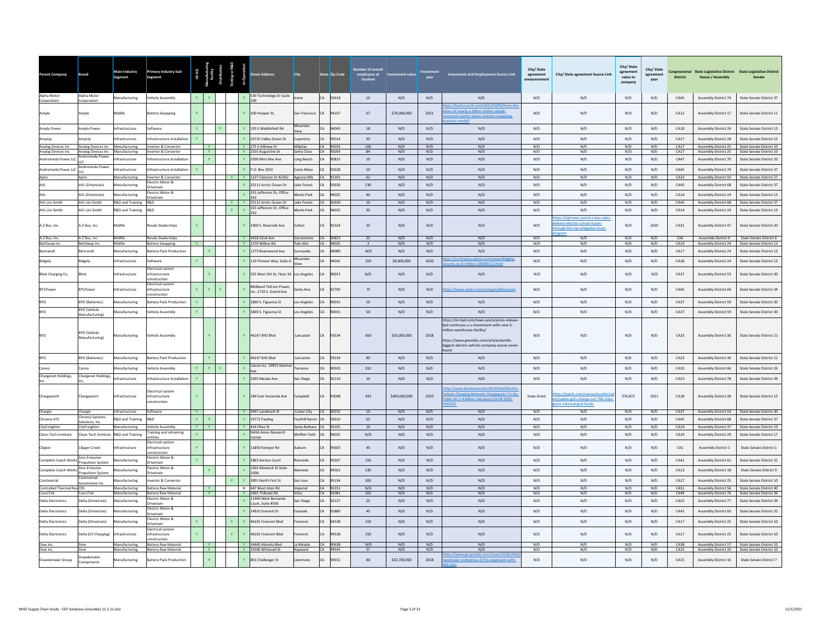| <b>Parent Company</b>                    | Brand                                     | Main Industry<br>Segment          | <b>Primary Industry Sub-</b><br>Segment                    | USHQ         |               |              |              | <b>Street Address</b>                                 | City                                    |                        | State Zip Code       | <b>Number of overal</b><br>employees at<br>location | ment value    |            | <b>Investment and Employment Source Link</b>                                                                                                                                                                               | City/State<br>agreement<br>announcement | City/ State agreement Source Link                                                               | City/ State<br>agreement<br>value to<br>company | City/State<br>agreement<br>vear | <b>District</b> | <b>House / Assembly</b>                             | Congressional State Legislative District State Legislative District |
|------------------------------------------|-------------------------------------------|-----------------------------------|------------------------------------------------------------|--------------|---------------|--------------|--------------|-------------------------------------------------------|-----------------------------------------|------------------------|----------------------|-----------------------------------------------------|---------------|------------|----------------------------------------------------------------------------------------------------------------------------------------------------------------------------------------------------------------------------|-----------------------------------------|-------------------------------------------------------------------------------------------------|-------------------------------------------------|---------------------------------|-----------------|-----------------------------------------------------|---------------------------------------------------------------------|
| Alpha Motor<br>Corporation               | Alpha Motor<br>Corporation                | Manufacturing                     | /ehicle Assembly                                           | Y.           |               |              |              | 530 Technology Dr Suite<br>100                        | Irvine                                  |                        | CA 92618             | 10                                                  | N/D           | N/D        | N/D                                                                                                                                                                                                                        | N/D                                     | N/D                                                                                             | N/D                                             | N/D                             | CA45            | Assembly District 74                                | State Senate District 37                                            |
| Ample                                    | Ample                                     | Midlife                           | sattery Swapping                                           |              |               |              |              | Y 100 Hooper St,                                      | San Francisco                           | CA                     | 94107                | 67                                                  | \$70,000,000  | 2021       | m/2021/03/03/from<br>les-of-nearly-a-billion-dollars-ample-<br>urrects-better-places-battery-swapping-                                                                                                                     | N/D                                     | N/D                                                                                             | N/D                                             | N/D                             | CA12            | Assembly District 17                                | State Senate District 11                                            |
| Amply Power                              | Amply Power                               | nfrastructure                     | oftware                                                    | Y            |               |              |              | 335 E Middlefield Rd                                  | Mountain<br>fiour                       | CA                     | 94043                | 18                                                  | N/D           | N/D        | N/D                                                                                                                                                                                                                        | N/D                                     | N/D                                                                                             | N/D                                             | N/D                             | CA18            | <b>Assembly District 24</b>                         | State Senate District 13                                            |
| AmpUp                                    | <b>\mpUp</b>                              | <b>nfrastructure</b>              | nfrastructure installatio                                  |              |               |              |              | 20725 Valley Green Dr                                 | Cupertino                               | CA                     | 95014                | 30                                                  | N/D           | N/D        | N/D                                                                                                                                                                                                                        | N/D                                     | N/D                                                                                             | N/D                                             | N/D                             | CA17            | <b>Assembly District 28</b>                         | <b>State Senate District 15</b>                                     |
| Analog Devices Inc<br>Analog Devices Inc | Analog Devices Inc<br>Analog Devices Inc. | Manufacturing<br>Manufacturing    | Inverter & Converter<br>Inverter & Converter               |              | Y<br>Y        |              |              | Y 275 S Hillview Dr<br>Y 2555 Augustine Dr            | <b>Milpitas</b><br>Santa Clara          |                        | CA 95035<br>CA 95054 | 106<br>84                                           | N/D<br>N/D    | N/D<br>N/D | N/D<br>N/D                                                                                                                                                                                                                 | N/D<br>N/D                              | N/D<br>N/D                                                                                      | N/D<br>N/D                                      | N/D<br>N/D                      | CA17<br>CA17    | <b>Assembly District 25</b><br>Assembly District 25 | State Senate District 10<br>State Senate District 10                |
| Andromeda Power LLC                      | Andromeda Power                           | ifrastructure                     | nfrastructure installatio                                  |              | Y             |              |              | Y 2500 Mira Mar Ave                                   | Long Beach                              | CA                     | 90815                | $10\,$                                              | N/D           | N/D        | N/D                                                                                                                                                                                                                        | N/D                                     | N/D                                                                                             | N/D                                             | N/D                             | CA47            | Assembly District 70                                | <b>State Senate District 33</b>                                     |
| Andromeda Power LLC                      | Andromeda Power                           | nfrastructure                     | nfrastructure installation                                 |              |               |              |              | P.O. Box 1933                                         | Costa Mesa                              | CA                     | 92628                | 10                                                  | N/D           | N/D        | N/D                                                                                                                                                                                                                        | N/D                                     | N/D                                                                                             | N/D                                             | N/D                             | CA45            | <b>Assembly District 74</b>                         | State Senate District 37                                            |
| Aptiv                                    | Aptiv                                     | Manufacturing                     | Inverter & Converter                                       |              |               |              |              | Y   Y 5137 Clareton Dr #220v Agoura Hills             |                                         |                        | CA 91301             | 62                                                  | N/D           | N/D        | N/D                                                                                                                                                                                                                        | N/D                                     | N/D                                                                                             | N/D                                             | N/D                             | CA33            | Assembly District 50                                | State Senate District 27                                            |
| AVL                                      | AVL (Drivetrain)                          | <b>Manufacturing</b>              | lectric Motor &                                            |              |               |              |              | 25111 Arctic Ocean Dr                                 | Lake Forest                             | CA                     | 92630                | 130                                                 | N/D           | N/D        | N/D                                                                                                                                                                                                                        | N/D                                     | N/D                                                                                             | N/D                                             | N/D                             | CA45            | <b>Assembly District 68</b>                         | <b>State Senate District 37</b>                                     |
| AVL                                      | <b>AVL</b> (Drivetrain)                   | <b>Manufacturing</b>              | <b>Orivetrain</b><br>lectric Motor &                       |              |               |              |              | 101 Jefferson Dr. Office                              | Menlo Park                              | $\mathcal{C}$ $\Delta$ | 94025                | 40                                                  | N/D           | N/D        | N/D                                                                                                                                                                                                                        | N/D                                     | N/D                                                                                             | N/D                                             | N/D                             | CA14            | <b>Assembly District 24</b>                         | State Senate District 13                                            |
| AVL List Gmbh                            | AVL List Gmbh                             | R&D and Training                  | <b>Orivetrain</b><br>R&D                                   |              |               | $\mathbf{Y}$ |              | 242<br>Y 25111 Arctic Ocean Dr                        | Lake Forest                             | CA.                    | 92630                | 10                                                  | N/D           | N/D        | N/D                                                                                                                                                                                                                        | N/D                                     | N/D                                                                                             | N/D                                             | N/D                             | CA45            | Assembly District 68                                | State Senate District 37                                            |
| <b>AVI List Gmbh</b>                     | AVI List Gmbh                             | R&D and Training                  | <b>R&amp;D</b>                                             |              |               | $\mathbf{Y}$ | $\mathbf{v}$ | 101 Jefferson Dr, Office<br>242                       | Menlo Park                              | CA                     | 94025                | 30                                                  | N/D           | N/D        | N/D                                                                                                                                                                                                                        | N/D                                     | N/D                                                                                             | N/D                                             | N/D                             | CA14            | <b>Assembly District 24</b>                         | State Senate District 13                                            |
| A-Z Bus, Inc.                            | A-Z Bus, Inc.                             | Midlife                           | esale Dealerships                                          |              |               |              |              | Y 1900 S. Riverside Ave                               | Colton                                  |                        | 92324                | 25                                                  | N/D           | N/D        | N/D                                                                                                                                                                                                                        | N/D                                     | tps://ngtnews.com/a-z-bus-sales-<br>vers-electric-school-buses-<br>ough-the-vw-mitigation-trust | N/D                                             | 2020                            | CA31            | Assembly District 47                                | State Senate District 20                                            |
| A-Z Bus, Inc.                            | A-Z Bus, Inc.                             | Midlife                           | <b>Resale Dealerships</b>                                  |              |               |              |              | Y 3418 52nd Ave                                       | Sacramento                              |                        | CA 95823             | 25                                                  | N/D           | N/D        | N/D                                                                                                                                                                                                                        | N/D                                     | N/D                                                                                             | N/D                                             | N/D                             | CA6             | <b>Assembly District 9</b>                          | State Senate District 6                                             |
| BattSwap Inc<br>Bertrandt                | BattSwap Inc<br>Bertrandt                 | <b>Midlife</b><br>Manufacturing   | <b>Battery Swapping</b><br>attery Pack Production          |              |               |              |              | Y 1370 Willow Rd<br>1273 Reamwood Ave                 | Palo Alto<br>Sunnvyale                  | CA                     | CA 94025<br>94089    | $\overline{\mathbf{3}}$<br>N/D                      | N/D<br>N/D    | N/D<br>N/D | N/D<br>N/D                                                                                                                                                                                                                 | N/D<br>N/D                              | N/D<br>N/D                                                                                      | N/D<br>N/D                                      | N/D<br>N/D                      | CA14<br>CA17    | <b>Assembly District 24</b><br>Assembly District 24 | State Senate District 13<br>State Senate District 13                |
|                                          |                                           |                                   |                                                            |              |               |              |              |                                                       |                                         |                        |                      |                                                     |               |            | ance.yahoo.co                                                                                                                                                                                                              |                                         |                                                                                                 |                                                 |                                 |                 |                                                     |                                                                     |
| Bidgely                                  | <b>Sidgely</b>                            | nfrastructure                     | ioftware<br>lectrical system                               |              |               |              |              | 110 Pioneer Way, Suite G                              |                                         | CA                     | 94041                | 159                                                 | \$8,000,000   | 2020       | res-us-8-million-130000112.html                                                                                                                                                                                            | N/D                                     | N/D                                                                                             | N/D                                             | N/D                             | CA18            | Assembly District 24                                | State Senate District 13                                            |
| Blink Charging Co.                       | <b>ilink</b>                              | ifrastructure                     | nfrastructure<br>onstruction<br>lectrical system           |              |               |              |              | 555 West 5th St, Floor 34 Los Angeles                 |                                         |                        | 90013                | N/D                                                 | N/D           | N/D        | N/D                                                                                                                                                                                                                        | N/D                                     | N/D                                                                                             | N/D                                             | N/D                             | CA37            | Assembly District 53                                | State Senate District 30                                            |
| <b>BTCPower</b>                          | <b>BTCPower</b>                           | frastructure                      | nfrastructure<br>nstruction                                | Y            |               |              |              | <b>BRdband TelCom Power</b><br>Inc. 1719 S. Grand Ave | Santa Ana                               | CA                     | 92705                | 75                                                  | N/D           | N/D        | ps://www.owler.com/company/btcpower                                                                                                                                                                                        | N/D                                     | N/D                                                                                             | N/D                                             | N/D                             | CA45            | Assembly District 69                                | State Senate District 34                                            |
|                                          | <b>BYD (Batteries)</b>                    | lanufacturing                     | attery Pack Production                                     |              |               |              |              | 1800 S. Figueroa St                                   | Los Angeles                             |                        | 90015                | 10                                                  | N/D           | N/D        | N/D                                                                                                                                                                                                                        | N/D                                     | N/D                                                                                             | N/D                                             | N/D                             | CA37            | <b>Assembly District 59</b>                         | State Senate District 30                                            |
| <b>BYD</b>                               | <b>RYD (Vehicle</b><br>Manufacturing)     | Manufacturing                     | ehicle Assembly                                            |              |               |              |              | 1800 S. Figueroa St                                   | Los Angeles                             |                        | 90015                | 50                                                  | N/D           | N/D        | N/D                                                                                                                                                                                                                        | N/D                                     | N/D                                                                                             | N/D                                             | N/D                             | CA37            | <b>Assembly District 59</b>                         | State Senate District 30                                            |
|                                          | <b>BYD (Vehicle</b><br>Manufacturing)     | Manufacturing                     | Vehicle Assembly                                           |              |               |              |              | Y 46147 BYD Blvd                                      | Lancaster                               | CA                     | 93534                | 650                                                 | \$53,000,000  | 2018       | https://en.byd.com/news-posts/press-release<br>byd-continues-u-s-investment-with-new-5-<br>illion-warehouse-facility/<br>https://www.greenbiz.com/article/worlds-<br>biggest-electric-vehicle-company-youve-never<br>heard | N/D                                     | N/D                                                                                             | N/D                                             | N/D                             | $C_A23$         | Assembly District 36                                | State Senate District 21                                            |
|                                          | <b>BYD (Batteries)</b>                    | Manufacturing                     | attery Pack Production                                     |              | Y             |              |              | 46147 BYD Blvd                                        | Lancaster                               | CA                     | 93534                | 90                                                  | N/D           | N/D        | N/D                                                                                                                                                                                                                        | N/D                                     | N/D                                                                                             | N/D                                             | N/D                             | CA23            | <b>Assembly District 36</b>                         | State Senate District 21                                            |
| Canoo                                    | Canoo                                     | Manufacturing                     | ehicle Assembly                                            | $\mathbf{Y}$ | Y             |              |              | Canoo Inc. 19951 Marine                               | Torrance                                | CA                     | 90503                | 310                                                 | N/D           | N/D        | N/D                                                                                                                                                                                                                        | N/D                                     | N/D                                                                                             | N/D                                             | N/D                             | CA33            | Assembly District 66                                | State Senate District 26                                            |
| Chargenet Holdings,                      | Chargenet Holdings,                       | Infrastructure                    | nfrastructure installation                                 | Y            |               |              |              | Y 3295 Meade Ave                                      | San Diego                               | CA                     | 92116                | 10                                                  | N/D           | N/D        | N/D                                                                                                                                                                                                                        | N/D                                     | N/D                                                                                             | N/D                                             | N/D                             | CA53            | <b>Assembly District 78</b>                         | State Senate District 39                                            |
| Chargepoint                              | Chargepoint                               | nfrastructure                     | lectrical system<br>nfrastructure<br>onstruction           |              |               |              |              | Y 240 East Hacienda Ave                               | Campbell                                | CA                     | 95008                | 433                                                 | \$493,000,000 | 2020       | tp://www.businessworld.iN/Drticle/Electric<br>hicle-Charging-Network-Chargepoint-To-Go<br>ublic-At-2-4-Billion-Valuation/24-09-2020-<br>24210/                                                                             | State Grant                             | s://patch.com/massachu<br>n/salem-gets-charge-out-76k-state<br>ant-national-grid-funds          | \$76,872                                        | 2021                            | CA18            | <b>Assembly District 28</b>                         | State Senate District 15                                            |
| Chargie                                  | Chargie<br>Chroma Systems                 | nfrastructure                     | Software                                                   | Y            |               |              | Y .          | 3947 Landmark St                                      | Culver City                             |                        | CA 90232             | 10                                                  | N/D           | N/D        | N/D                                                                                                                                                                                                                        | N/D                                     | N/D                                                                                             | N/D                                             | N/D                             | CA37            | Assembly District 54                                | State Senate District 30                                            |
| Chroma ATE                               | iolutions, Inc.                           | R&D and Training                  | R&D<br><b>Vehicle Assembly</b>                             | Y<br>Y       | $\mathbf{Y}$  |              | Y            | 19772 Pauling<br>Y 414 Olive St                       | Foothill Ranch CA                       |                        | 92610                | 62<br>10                                            | N/D<br>N/D    | N/D<br>N/D | N/D<br>N/D                                                                                                                                                                                                                 | N/D<br>N/D                              | N/D<br>N/D                                                                                      | N/D<br>N/D                                      | N/D<br>N/D                      | CA45<br>CA24    | Assembly District 68                                | State Senate District 37<br>State Senate District 19                |
| CityFreighter<br>Clean Tech Institute    | CityFreighter<br>Clean Tech Institute     | Manufacturing<br>R&D and Training | raining and retraining                                     |              |               |              |              | NASA Ames Research                                    | Santa Barbara CA 93101<br>Moffett Field | CA                     | 94035                | N/D                                                 | N/D           | N/D        | N/D                                                                                                                                                                                                                        | N/D                                     | N/D                                                                                             | N/D                                             | N/D                             | CA19            | Assembly District 37<br>Assembly District 29        | State Senate District 17                                            |
| Clippe                                   | Clipper Creek                             | rastructure                       | ntities<br>ectrical syster<br>ifrastructure                |              |               |              |              | Center<br>11850 Kemper Rd                             | uburn                                   | CA                     | 95603                | 45                                                  | N/D           | N/D        | N/D                                                                                                                                                                                                                        | $\rm N/D$                               | N/D                                                                                             | N/D                                             | N/D                             | CA1             | Assembly District 1                                 | <b>State Senate District 1</b>                                      |
| Complete Coach Works                     | Zero Emission<br>Propulsion System        | <b>Manufacturing</b>              | onstruction<br>lectric Motor &<br>rivetrain                | Y.           |               |              |              | 1863 Service Court                                    | Riverside                               | CA                     | 92507                | 150                                                 | N/D           | N/D        | N/D                                                                                                                                                                                                                        | N/D                                     | N/D                                                                                             | N/D                                             | N/D                             | CA41            | Assembly District 61                                | State Senate District 31                                            |
| Complete Coach Works                     | Zero Emissio                              | <b>Manufacturing</b>              | lectric Motor &                                            |              |               |              |              | 2301 Monarch St Suite                                 | <b>Alameda</b>                          | CA                     | 94501                | 130                                                 | N/D           | N/D        | N/D                                                                                                                                                                                                                        | N/D                                     | N/D                                                                                             | N/D                                             | N/D                             | CA13            | Assembly District 18                                | State Senate District 9                                             |
| Continental                              | ropulsion System<br>Continental           | <b>Manufacturing</b>              | <b>Drivetrain</b><br>werter & Converter                    |              |               |              |              | 1004<br>3901 North First St                           | San Jose                                | CA                     | 95134                | 300                                                 | N/D           | N/D        | N/D                                                                                                                                                                                                                        | N/D                                     | N/D                                                                                             | N/D                                             | N/D                             | CA17            | Assembly District 25                                | State Senate District 10                                            |
| Controlled Thermal ResiCRS               | Automotive Inc                            | Manufacturing                     | <b>Battery Raw Material</b>                                |              |               |              |              | N 447 West Aten Rd                                    | Imperial                                |                        | CA 92251             | N/D                                                 | N/D           | N/D        | N/D                                                                                                                                                                                                                        | N/D                                     | N/D                                                                                             | N/D                                             | N/D                             | CA51            | <b>Assembly District 56</b>                         | State Senate District 40                                            |
| CoorsTek                                 | CoorsTek                                  | Manufacturing                     | <b>Battery Raw Material</b><br>Electric Motor &            |              | <b>V</b>      |              |              | Y 2065 Thibodo Rd<br>11440 West Bernardo              | Vista                                   |                        | CA 92081             | 101                                                 | N/D           | N/D        | N/D                                                                                                                                                                                                                        | N/D                                     | N/D                                                                                             | N/D                                             | N/D                             | CA49            | Assembly District 76                                | State Senate District 36                                            |
| <b>Delta Electronics</b>                 | Delta (Drivetrain)                        | anufacturing                      | <b>Inivetrain</b>                                          |              |               |              |              | ourt. Suite #356                                      | San Diego                               |                        | 92127                | 25                                                  | N/D           | N/D        | N/D                                                                                                                                                                                                                        | $\rm N/D$                               | N/D                                                                                             | N/D                                             | $\rm N/D$                       | CA52            | <b>Assembly District 77</b>                         | State Senate District 39                                            |
| <b>Delta Electronics</b>                 | Delta (Drivetrain)                        | lanufacturing                     | lectric Motor &<br><b>Orivetrain</b>                       |              |               |              |              | 14910 Summit Dr                                       | Eastvale                                |                        | 2880                 | 45                                                  | N/D           | N/D        | N/D                                                                                                                                                                                                                        | N/D                                     | N/D                                                                                             | N/D                                             | N/D                             | CA42            | <b>Assembly District 60</b>                         | State Senate District 31                                            |
| <b>Delta Electronics</b>                 | Delta (Drivetrain)                        | <b>Manufacturing</b>              | lectric Motor &<br><b>Drivetrain</b>                       |              |               |              |              | 46101 Fremont Blvd                                    | remont                                  |                        | 94538                | 150                                                 | N/D           | N/D        | N/D                                                                                                                                                                                                                        | N/D                                     | N/D                                                                                             | N/D                                             | $\rm N/D$                       | CA17            | Assembly District 25                                | State Senate District 10                                            |
| <b>Delta Electronics</b>                 | Delta (EV Charging)                       | nfrastructure                     | lectrical system<br>nfrastructure<br>onstruction           |              |               |              |              | 46101 Fremont Rlvd                                    | <b>Pmont</b>                            | CA                     | 94538                | 150                                                 | N/D           | N/D        | N/D                                                                                                                                                                                                                        | N/D                                     | N/D                                                                                             | N/D                                             | N/D                             | CA17            | <b>Assembly District 25</b>                         | State Senate District 10                                            |
| Dow Inc.<br>Dow Inc.                     | Dow<br>Dow                                | Manufacturing<br>Manufacturing    | <b>Battery Raw Material</b><br><b>Battery Raw Material</b> |              | Y<br><b>Y</b> |              |              | Y 14445 Alondra Blyd<br>Y 25500 Whitesell St          | La Mirada<br>Hayward                    |                        | CA 90638<br>CA 94545 | N/D<br>57                                           | N/D<br>N/D    | N/D<br>N/D | N/D<br>N/D                                                                                                                                                                                                                 | N/D<br>N/D                              | N/D<br>N/D                                                                                      | N/D<br>N/D                                      | N/D<br>N/D                      | CA38<br>CA15    | Assembly District 57<br>Assembly District 20        | State Senate District 32<br>State Senate District 10                |
| Draexlemaier Group                       | Draexlemaier<br>Components                | <b>Ianufacturing</b>              | <b>Sattery Pack Production</b>                             |              |               |              |              | Y 801 Challenger St                                   | vermore                                 | CA                     | 94551                | 80                                                  | \$42,700,000  | 2018       | ://www.eo<br>tate.com/<br>:/20181204<br>Imaier-completes-427m-expansion-with-                                                                                                                                              | N/D                                     | N/D                                                                                             | N/D                                             | N/D                             | CA15            | Assembly District 16                                | State Senate District 7                                             |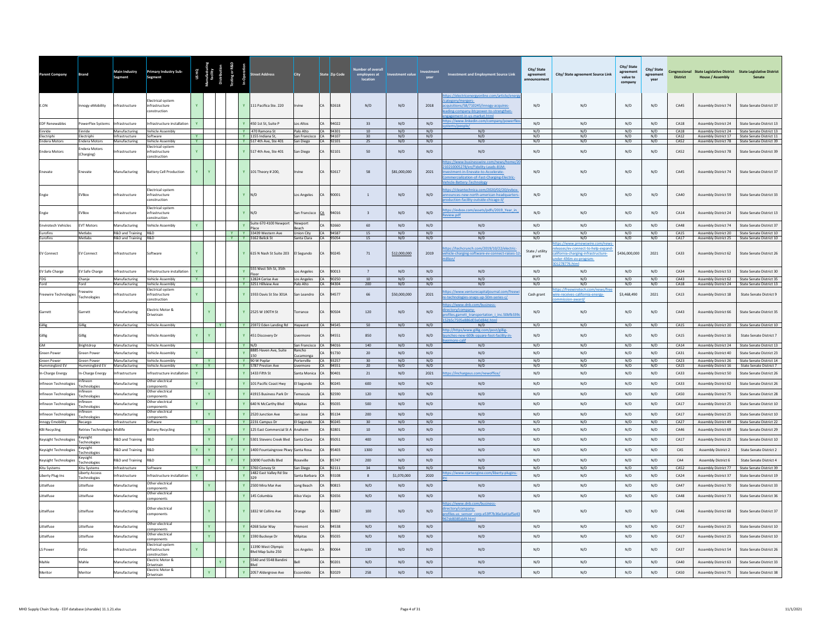| Parent Company                       | Brand                           | Main Industry<br>Segment                     | <b>Primary Industry Sub-</b><br>Segment            |              | US HQ<br>Tanufacturin<br>facility<br>Distribution | esting or R&D<br>In-Operation |              | .<br>treet Address                      | <b>City</b>                         |           | State <mark>Zip Code</mark> | ber of overa<br>employees at<br>location | stment valu  | vear       | <b>Investment and Employment Source Link</b>                                                                                                   | City/State<br>agreement  | City/ State agreement Source Link                                                                                                   | City/ State<br>agreement<br>value to<br>company | City/State<br>agreement<br>year | <b>District</b> | <b>House / Assembly</b>                      | Congressional State Legislative District State Legislative District<br>Senate |
|--------------------------------------|---------------------------------|----------------------------------------------|----------------------------------------------------|--------------|---------------------------------------------------|-------------------------------|--------------|-----------------------------------------|-------------------------------------|-----------|-----------------------------|------------------------------------------|--------------|------------|------------------------------------------------------------------------------------------------------------------------------------------------|--------------------------|-------------------------------------------------------------------------------------------------------------------------------------|-------------------------------------------------|---------------------------------|-----------------|----------------------------------------------|-------------------------------------------------------------------------------|
| E.ON                                 | Innogy eMobility                | ifrastructure                                | ectrical system<br>infrastructure<br>instruction   |              |                                                   |                               |              | Y 111 Pacifica Ste. 220                 | Irvine                              | CA        | 92618                       | N/D                                      | N/D          | 2018       | tegory/mergers-<br>isitions/58/710245/innogy-acquires-<br>ling-company-btcpower-to-strengthen-<br>ent-in-us-market.html                        | $\mathsf{N}/\mathsf{D}$  | N/D                                                                                                                                 | N/D                                             | N/D                             | CA45            | Assembly District 74                         | State Senate District 37                                                      |
| <b>EDF Renewables</b>                | owerFlex Systems                | ifrastructure                                | nfrastructure installation                         |              |                                                   |                               |              | 450 1st St, Suite P                     | Los Altos                           | CA        | 94022                       | 33                                       | N/D          | N/D        | ps://www.linkedin.com/com                                                                                                                      | N/D                      | N/D                                                                                                                                 | N/D                                             | N/D                             | CA18            | Assembly District 24                         | State Senate District 13                                                      |
| Einride<br>Electriphi                | Einride<br>Electriphi           | Manufacturing<br>nfrastructure               | <b>Vehicle Assembly</b><br>Software                | <b>Y</b>     |                                                   |                               |              | Y 470 Ramona St<br>Y 1155 Indiana St.   | Palo Alto<br>San Francisco CA 94107 |           | CA 94301                    | 10<br>30 <sup>°</sup>                    | N/D<br>N/D   | N/D<br>N/D | N/D<br>N/D                                                                                                                                     | N/D<br>N/D               | N/D<br>N/D                                                                                                                          | N/D<br>N/D                                      | N/D<br>N/D                      | CA18<br>CA12    | Assembly District 17                         | Assembly District 24 State Senate District 13<br>State Senate District 11     |
| <b>Endera Motors</b>                 | <b>Endera Motors</b>            | Manufacturing                                | Vehicle Assembly                                   | Y.           |                                                   |                               |              | Y 517 4th Ave, Ste 401                  | San Diego                           |           | CA 92101                    | 25                                       | N/D          | N/D        | N/D                                                                                                                                            | N/D                      | N/D                                                                                                                                 | N/D                                             | N/D                             | CA52            |                                              | Assembly District 78 State Senate District 39                                 |
| <b>Endera Motors</b>                 | ndera Motors<br>(Charging)      | frastructure                                 | lectrical system<br>ifrastructure<br>onstruction   | Y            |                                                   |                               |              | Y 517 4th Ave, Ste 401                  | San Diego                           |           | 92101                       | 50                                       | N/D          | N/D        | N/D<br>os://www.businesswire.cor                                                                                                               | N/D                      | N/D                                                                                                                                 | N/D                                             | N/D                             | CA52            | <b>Assembly District 78</b>                  | State Senate District 39                                                      |
| Enevate                              | Enevate                         | Manufacturing                                | Battery Cell Production                            | Y.           |                                                   |                               |              | Y 101 Theory # 200,                     | rvine                               | <b>CA</b> | 92617                       | $^{\rm 58}$                              | \$81,000,000 | 2021       | 0210005278/en/Fidelity-Leads-81M-<br>estment-in-Enevate-to-Accelerat<br>nmercialization-of-Fast-Charging-Electric-<br>hicle-Battery-Technology | N/D                      | $\rm N/D$                                                                                                                           | N/D                                             | N/D                             | CA45            | Assembly District 74                         | State Senate District 37                                                      |
| Engie                                | EVBox                           | frastructure                                 | lectrical system<br>nfrastructure<br>nstruction    |              |                                                   |                               | $Y$ N/D      |                                         | Los Angeles                         |           | 0001                        | $\,$ 1 $\,$                              | N/D          | N/D        | tps://cleantechnica.com/2020/02/20/evbox<br>ounces-new-north-american-headquarte<br>duction-facility-outside-chicago-il/                       | N/D                      | N/D                                                                                                                                 | N/D                                             | N/D                             | CA40            | <b>Assembly District 59</b>                  | <b>State Senate District 33</b>                                               |
| Engie                                | EVBox                           | frastructure                                 | lectrical system<br>nfrastructure<br>onstruction   |              |                                                   |                               | $Y$ N/D      | uite 670 4100 Newpor                    | San Francisco                       | CA        | 94016                       | $\overline{\mathbf{3}}$                  | N/D          | N/D        | tps://evbox.com/assets/pdfs/2019 Year in<br>view.pdf                                                                                           | N/D                      | N/D                                                                                                                                 | N/D                                             | N/D                             | CA14            | Assembly District 24                         | State Senate District 13                                                      |
| <b>Envirotech Vehicles</b>           | <b>EVT Motors</b>               | Manufacturing                                | /ehicle Assembly                                   |              |                                                   |                               |              |                                         | Newport                             | CA        | 92660                       | 60                                       | N/D          | N/D        | N/D                                                                                                                                            | N/D                      | N/D                                                                                                                                 | N/D                                             | N/D                             | CA48            | Assembly District 74                         | State Senate District 37                                                      |
| Eurofins<br>Eurofins                 | Metlabs<br>Metlabs              | R&D and Training R&D<br>R&D and Training R&D |                                                    |              |                                                   | Y                             |              | Y 33439 Western Ave<br>Y 3162 Belick St | Union City<br>Santa Clara           |           | CA 94587<br>CA 95054        | 15<br>15                                 | N/D<br>N/D   | N/D<br>N/D | N/D<br>N/D                                                                                                                                     | N/D<br>N/D               | N/D<br>N/D                                                                                                                          | N/D<br>N/D                                      | N/D<br>N/D                      | CA15<br>CA17    | Assembly District 20                         | State Senate District 10<br>Assembly District 25 State Senate District 10     |
| <b>EV Connect</b>                    | <b>EV Connect</b>               | nfrastructure                                | Software                                           |              |                                                   |                               |              | Y 615 N Nash St Suite 203               | El Segundo                          | CA        | 90245                       | 71                                       | \$12,000,000 | 2019       | ps://techcrunch.com/2019/10/22/electric<br>ehicle-charging-software-ev-connect-raises-12<br>lion/                                              | State / utility<br>grant | s://www.pmewswire.c<br>leases/ev-connect-to-help-expand<br>lifornia-charging-infrastructure-<br>der-436m-ev-program-<br>278776.html | \$436,000,000                                   | 2021                            | CA33            | Assembly District 62                         | State Senate District 26                                                      |
| <b>EV Safe Charge</b>                | EV Safe Charge                  | nfrastructure                                | Infrastructure installatior                        | $\mathbf{v}$ |                                                   |                               |              | 555 West 5th St, 35th                   | Los Angeles                         | CA        | 90013                       | $\overline{7}$                           | N/D          | N/D        | N/D                                                                                                                                            | N/D                      | N/D                                                                                                                                 | N/D                                             | N/D                             | CA34            | Assembly District 53                         | State Senate District 30                                                      |
| FDG                                  | Chanje                          | Manufacturing                                | <b>Vehicle Assembly</b>                            | <b>Y</b>     |                                                   |                               |              | Y 12824 Cerise Ave                      | Los Angeles CA 90250                |           |                             | 10                                       | N/D          | N/D        | N/D                                                                                                                                            | N/D                      | N/D                                                                                                                                 | N/D                                             | N/D                             | CA43            |                                              | Assembly District 62 State Senate District 35                                 |
| Ford                                 | Ford<br>Freewire                | Manufacturing                                | Vehicle Assembly<br>lectrical system               |              |                                                   |                               |              | Y 3251 Hillview Ave                     | Palo Alto                           |           | CA 94304                    | 200                                      | N/D          | N/D        | N/D<br>os://www.venturecapitaljournal.com/freev                                                                                                | N/D                      | N/D<br>://freewiretech.com                                                                                                          | N/D                                             | N/D                             | CA18            |                                              | Assembly District 24 State Senate District 13                                 |
| Freewire Technologies                | Technologies                    | frastructure                                 | nfrastructure<br>instruction                       | Y            |                                                   |                               |              | 1933 Davis St Ste 301A                  | San Leandro                         | <b>CA</b> | 94577                       | 66                                       | \$50,000,000 | 2021       | technologies-snaps-up-50m-series-c/<br>ps://www.dnb.com/business                                                                               | Cash grant               | e-receives-california-energy-<br>/bnsward                                                                                           | \$3,468,490                                     | 2021                            | CA13            | <b>Assembly District 18</b>                  | State Senate District 9                                                       |
| Garrett                              | Garrett                         | Manufacturing                                | lectric Motor &<br>rivetrain                       |              |                                                   |                               |              | 2525 W 190TH St                         | Torrance                            | CA        | 90504                       | 120                                      | N/D          | N/D        | ectory/company-<br>ofiles.garrett_transportation_i_inc.50bfb339<br>d03e0d84d.html                                                              | N/D                      | N/D                                                                                                                                 | N/D                                             | N/D                             | CA43            | <b>Assembly District 66</b>                  | State Senate District 35                                                      |
| Gillie                               | Gillig                          | Manufacturing                                | Vehicle Assembly                                   |              | <b>I</b> Y                                        |                               |              | Y 25972 Eden Landing Rd Hayward         |                                     |           | CA 94545                    | 50                                       | N/D          | N/D        | N/D<br>p://https/www.gillig.com/post/gillig-                                                                                                   | N/D                      | N/D                                                                                                                                 | N/D                                             | N/D                             | CA15            | Assembly District 20                         | State Senate District 10                                                      |
| Gillig                               | Gillie                          | <b>Manufacturing</b>                         | ehicle Assembly                                    | Y            |                                                   |                               |              | 451 Discovery Dr                        | vermore                             | CA        | 94551                       | 850                                      | N/D          | N/D        | nches-new-600k-square-foot-facility-in-                                                                                                        | N/D                      | N/D                                                                                                                                 | N/D                                             | N/D                             | CA15            | Assembly District 16                         | State Senate District 7                                                       |
| GM                                   | Brightdrop                      | <b>Manufacturing</b>                         | ehicle Assembly                                    |              |                                                   |                               |              |                                         | San Francisco                       |           | 94016                       | 140                                      | N/D          | N/D        | N/D                                                                                                                                            | N/D                      | N/D                                                                                                                                 | N/D                                             | N/D                             | CA14            | Assembly District 24                         | State Senate District 13                                                      |
| <b>Green Power</b>                   | <b>Green Power</b>              | <b>Manufacturing</b>                         | /ehicle Assembly                                   |              |                                                   |                               |              | 8885 Haven Ave, Suite<br>150            | Rancho<br>Cucamonga                 | CA        | 91730                       | 20                                       | N/D          | N/D        | N/D                                                                                                                                            | N/D                      | N/D                                                                                                                                 | N/D                                             | N/D                             | CA31            | Assembly District 40                         | State Senate District 23                                                      |
| <b>Green Power</b><br>Hummingbird EV | Green Power<br>Hummingbird EV   | Manufacturing<br>Manufacturing               | <b>Vehicle Assembly</b><br><b>Vehicle Assembly</b> | $-92$        | <b>Y</b>                                          |                               |              | Y 90 W Poplar<br>Y 5787 Preston Ave     | Porterville<br>Livermore            |           | CA 93257<br>CA 94551        | 30<br>20                                 | N/D<br>N/D   | N/D<br>N/D | N/D<br>N/D                                                                                                                                     | N/D<br>N/D               | N/D<br>N/D                                                                                                                          | N/D<br>N/D                                      | N/D<br>N/D                      | CA23<br>CA15    | Assembly District 26<br>Assembly District 16 | State Senate District 14<br>State Senate District 7                           |
| In-Charge Energy                     | n-Charge Energy                 | rastructure                                  | nfrastructure installatio                          |              |                                                   |                               |              | 1433 Fifth St                           | anta Monica                         | CA        | 90401                       | 21                                       | N/D          | 2021       | s://inchargeus.com/newoffice/                                                                                                                  | N/D                      | N/D                                                                                                                                 | N/D                                             | N/D                             | CA33            | Assembly District 50                         | State Senate District 26                                                      |
| Infineon Technologies                | Infineon                        | <b>Manufacturing</b>                         | ther electrical                                    |              |                                                   |                               |              | 101 Pacific Coast Hwy                   | El Segundo                          |           | 90245                       | 600                                      | N/D          | N/D        | N/D                                                                                                                                            | N/D                      | N/D                                                                                                                                 | N/D                                             | N/D                             | CA33            | Assembly District 62                         | State Senate District 26                                                      |
|                                      | Technologies<br>nfineor         |                                              | omponents<br>ther electrical                       |              |                                                   |                               |              |                                         |                                     |           |                             |                                          |              |            |                                                                                                                                                |                          |                                                                                                                                     |                                                 |                                 |                 |                                              |                                                                               |
| Infineon Technologies                | Technologies<br>fineor          | Manufacturing                                | omponents<br>ther electrical                       |              |                                                   |                               |              | 41915 Business Park Dr                  | <b>Temecula</b>                     | CA        | 92590                       | 120                                      | N/D          | N/D        | N/D                                                                                                                                            | N/D                      | N/D                                                                                                                                 | N/D                                             | N/D                             | CA50            | <b>Assembly District 75</b>                  | State Senate District 28                                                      |
| Infineon Technologies                | Technologies                    | Manufacturing                                | omponents                                          |              |                                                   |                               |              | 640 N McCarthy Blyd                     | Milpitas                            | CA        | 95035                       | 500                                      | N/D          | N/D        | N/D                                                                                                                                            | N/D                      | N/D                                                                                                                                 | N/D                                             | N/D                             | CA17            | <b>Assembly District 25</b>                  | State Senate District 10                                                      |
| Infineon Technologies                | ıfineor<br>Technologies         | Manufacturing                                | ther electrical<br>mponents                        |              |                                                   |                               |              | 2520 Junction Ave                       | San Jose                            | CA        | 95134                       | 200                                      | N/D          | N/D        | N/D                                                                                                                                            | N/D                      | N/D                                                                                                                                 | N/D                                             | N/D                             | CA17            | <b>Assembly District 25</b>                  | State Senate District 10                                                      |
| <b>Innogy Emobility</b>              | Recargo                         | Infrastructure                               | ioftware                                           | $\mathbf{v}$ |                                                   |                               |              | Y 2231 Campus Dr                        | El Segundo                          |           | CA 90245                    | 30                                       | N/D          | N/D        | N/D                                                                                                                                            | N/D                      | N/D                                                                                                                                 | N/D                                             | N/D                             | CA27            | Assembly District 49                         | State Senate District 22                                                      |
| <b>KBI Recycling</b>                 | letriev Technologie<br>Keysight | <b>Aidlife</b>                               | attery Recycling                                   |              |                                                   |                               |              | 125 East Commercial St A                | Anaheim                             | CA        | 92801                       | $10\,$                                   | N/D          | N/D        | N/D                                                                                                                                            | N/D                      | N/D                                                                                                                                 | N/D                                             | N/D                             | CA46            | <b>Assembly District 69</b>                  | State Senate District 29                                                      |
| Keysight Technologies                | <b>Technologies</b>             | &D and Training                              | R&D                                                |              |                                                   |                               |              | 5301 Stevens Creek Blvd                 | Santa Clara                         |           | 5051                        | 400                                      | N/D          | N/D        | N/D                                                                                                                                            | N/D                      | N/D                                                                                                                                 | N/D                                             | N/D                             | CA17            | <b>Assembly District 25</b>                  | State Senate District 10                                                      |
| Keysight Technologies                | Keysight<br>Technologies        | R&D and Training                             | R&D                                                |              |                                                   |                               |              | 1400 Fountaingrove Pkv                  | Santa Rosa                          | CA        | 95403                       | 1300                                     | N/D          | N/D        | N/D                                                                                                                                            | N/D                      | N/D                                                                                                                                 | N/D                                             | N/D                             | CA5             | Assembly District 2                          | <b>State Senate District 2</b>                                                |
| Keysight Technologies                | Keysight<br>Technologies        | R&D and Training                             | R&D                                                |              |                                                   | $\mathbf{Y}$                  | $\mathbf{Y}$ | 10090 Foothills Blvd                    | toseville                           | CA        | 95747                       | 200                                      | N/D          | N/D        | N/D                                                                                                                                            | N/D                      | N/D                                                                                                                                 | N/D                                             | N/D                             | CA4             | Assembly District 6                          | State Senate District 4                                                       |
| Kitu Systems                         | Kitu Systems                    | frastructure                                 | Software                                           |              |                                                   |                               |              | Y 3760 Convoy St                        | San Diego                           | CA        | 92111                       | 34                                       | N/D          | N/D        | N/D                                                                                                                                            | N/D                      | N/D                                                                                                                                 | N/D                                             | N/D                             | <b>CA52</b>     | <b>Assembly District 77</b>                  | State Senate District 39                                                      |
| Liberty Plug-Ins                     | Liberty Acces<br>Technologies   | nfrastructure                                | nfrastructure installation                         | $\mathbf{v}$ |                                                   |                               |              | 1482 East Valley Rd Ste<br>329          | Santa Barbara                       | CA        | 93108                       | 8                                        | \$1,070,000  | 2020       | ://www.sta<br><u>tengine.c</u>                                                                                                                 | N/D                      | N/D                                                                                                                                 | N/D                                             | N/D                             | CA24            | Assembly District 37                         | State Senate District 19                                                      |
| Littelfuse                           | Littelfuse                      | Manufacturing                                | ther electrical<br>mponents                        |              |                                                   |                               |              | 2500 Mira Mar Ave                       | Long Beach                          |           | 90815                       | N/D                                      | N/D          | N/D        | N/D                                                                                                                                            | N/D                      | N/D                                                                                                                                 | N/D                                             | N/D                             | CA47            | Assembly District 70                         | State Senate District 33                                                      |
| Littelfuse                           | ittelfuse                       | lanufacturing                                | Other electrical                                   |              |                                                   |                               |              | 145 Columbia                            | liso Viejo                          |           | 2656                        | N/D                                      | N/D          | N/D        | N/D                                                                                                                                            | N/D                      | N/D                                                                                                                                 | N/D                                             | N/D                             | CA48            | <b>Assembly District 73</b>                  | State Senate District 36                                                      |
| Littelfuse                           | littelfuse                      | Manufacturing                                | omponents<br>Other electrical<br>omponents         |              |                                                   |                               |              | Y 1832 W Collins Ave                    | Orange                              | CA        | 92867                       | 100                                      | N/D          | N/D        | tps://www.dnb.com/business-<br>ectory/co<br>files.us sensor corp.e53ff7b36e3a41af5e43                                                          | N/D                      | N/D                                                                                                                                 | N/D                                             | N/D                             | CAA6            | Assembly District 68                         | State Senate District 37                                                      |
| Littelfuse                           | Littelfuse                      | Manufacturing                                | ther electrical                                    |              |                                                   |                               |              | 4268 Solar Way                          | remont                              | CA        | 94538                       | N/D                                      | N/D          | N/D        | N/D                                                                                                                                            | N/D                      | N/D                                                                                                                                 | N/D                                             | N/D                             | CA17            | <b>Assembly District 25</b>                  | State Senate District 10                                                      |
| Littelfuse                           | Littelfuse                      | Manufacturing                                | ther electrical<br>mponents                        |              |                                                   |                               |              | 1590 Buckeye Dr                         | Milpitas                            | CA        | 95035                       | N/D                                      | N/D          | N/D        | N/D                                                                                                                                            | N/D                      | N/D                                                                                                                                 | N/D                                             | N/D                             | CA17            | <b>Assembly District 25</b>                  | State Senate District 10                                                      |
| LS Power                             | <b>FVGo</b>                     | nfrastructure                                | lectrical system<br>nfrastructure<br>onstruction   | Y            |                                                   |                               |              | 11390 West Olympic<br>Ivd Map Suite 250 | Los Angeles                         | CA        | 90064                       | 130                                      | N/D          | N/D        | N/D                                                                                                                                            | N/D                      | N/D                                                                                                                                 | N/D                                             | N/D                             | $C_A37$         | <b>Assembly District 54</b>                  | State Senate District 26                                                      |
| Mahle                                | Mahle                           | <b>Manufacturing</b>                         | lectric Motor &                                    |              |                                                   |                               |              | 5540 and 5548 Bandini                   | Bell                                |           | 90201                       | N/D                                      | N/D          | N/D        | N/D                                                                                                                                            | N/D                      | N/D                                                                                                                                 | N/D                                             | N/D                             | CA40            | Assembly District 63                         | State Senate District 33                                                      |
|                                      | Meritor                         |                                              | rivetrain<br>lectric Motor &                       |              |                                                   |                               |              | Blvd                                    | Escondido                           | CA        | 92029                       | 258                                      |              | N/D        | N/D                                                                                                                                            |                          | N/D                                                                                                                                 | N/D                                             |                                 | CA50            |                                              |                                                                               |
| Meritor                              |                                 | Manufacturing                                | <b>Orivetrain</b>                                  |              |                                                   |                               |              | 2057 Aldergrove Ave                     |                                     |           |                             |                                          | N/D          |            |                                                                                                                                                | N/D                      |                                                                                                                                     |                                                 | N/D                             |                 | Assembly District 75                         | State Senate District 38                                                      |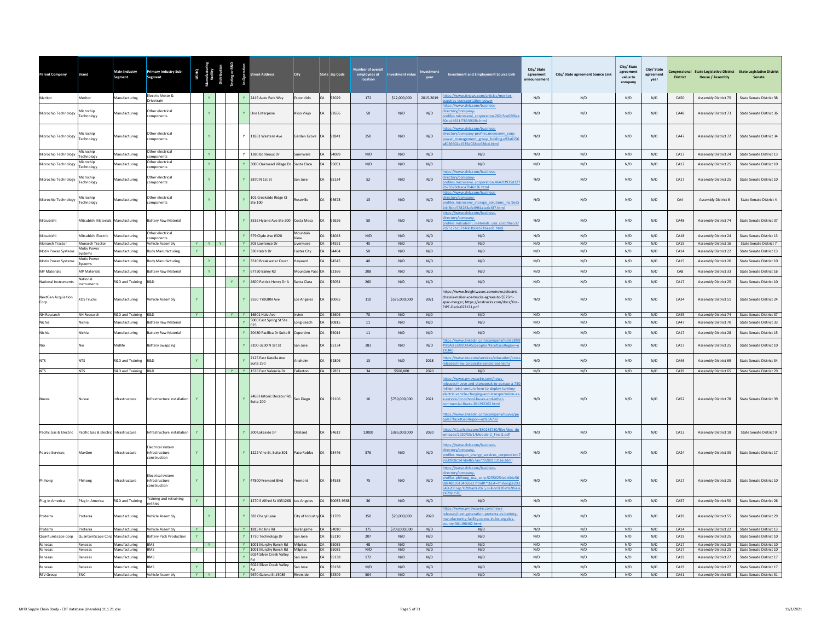| Parent Company                | <b>Brand</b>                               | Main Industry<br>Segment               | <b>Primary Industry Sub-</b><br>Segment          |              |   |    | treet Address                                                           | City                |           | State Zip Code    | employees at<br>location | nvestment value            | year         | <b>Investment and Employment Source Link</b>                                                                                                                                                                                                                                                                                 | City/State<br>agreement<br><b>Innouncemen</b> | City/ State agreement Source Link | City/ State<br>ment<br>agre<br>value to<br>company | City/State<br>agreement<br>year | <b>District</b>     | <b>House / Assembly</b>                      | Congressional State Legislative District State Legislative District<br>Senate |
|-------------------------------|--------------------------------------------|----------------------------------------|--------------------------------------------------|--------------|---|----|-------------------------------------------------------------------------|---------------------|-----------|-------------------|--------------------------|----------------------------|--------------|------------------------------------------------------------------------------------------------------------------------------------------------------------------------------------------------------------------------------------------------------------------------------------------------------------------------------|-----------------------------------------------|-----------------------------------|----------------------------------------------------|---------------------------------|---------------------|----------------------------------------------|-------------------------------------------------------------------------------|
| Meritor                       | Meritor                                    | Manufacturing                          | Electric Motor &<br>Drivetrain                   |              |   |    | Y 2415 Auto Park Way                                                    | Escondido           |           | CA 92029          | 172                      | \$12,000,000               | 2015-2019    | tps://www.ttnews.com/articles/meritor-                                                                                                                                                                                                                                                                                       | N/D                                           | N/D                               | N/D                                                | N/D                             | CA50                | Assembly District 75                         | State Senate District 38                                                      |
| Microchip Technology          | Microchip<br>Technology                    | Manufacturing                          | ther electrical<br>mponents                      |              |   |    | Y One Enterprise                                                        | Aliso Viejo         | CA        | 92656             | 50                       | N/D                        | N/D          | s://www.dnb.com/business-<br>ctory/company-<br>lles.microsemi_corporation.262c5ce08f6ea<br>a14921f7833f60fb.html                                                                                                                                                                                                             | N/D                                           | N/D                               | N/D                                                | N/D                             | CA48                | Assembly District 73                         | State Senate District 36                                                      |
| Microchip Technology          | Microchip<br>Technology                    | Manufacturing                          | ther electrical<br>mponents                      |              |   |    | Y 11861 Western Ave                                                     | Garden Grove CA     |           | 92841             | 250                      | N/D                        | N/D          | tps://www.dnb.com/business-<br>ectory/company-profiles.microsemi corp-<br>ver management group holding.e93a6156<br>26602e1535d028dc626c4.html                                                                                                                                                                                | N/D                                           | N/D                               | N/D                                                | N/D                             | CA47                | Assembly District 72                         | State Senate District 34                                                      |
| Microchip Technology          | Microchip<br>Technology                    | Manufacturing                          | Other electrical<br>omponents                    |              | Y |    | Y 1380 Bordeaux Dr                                                      | Sunnyvale           | CA        | 94089             | N/D                      | N/D                        | N/D          | N/D                                                                                                                                                                                                                                                                                                                          | N/D                                           | N/D                               | N/D                                                | N/D                             | CA17                | Assembly District 24                         | State Senate District 13                                                      |
| Microchip Technology          | Microchip<br><b>Fechnology</b>             | Manufacturing                          | ther electrical<br>omponents                     |              |   |    | 3000 Oakmead Village Dr Santa Clara                                     |                     | CA        | 95051             | N/D                      | N/D                        | N/D          | N/D                                                                                                                                                                                                                                                                                                                          | N/D                                           | N/D                               | N/D                                                | N/D                             | CA17                | <b>Assembly District 25</b>                  | State Senate District 10                                                      |
| Microchip Technology          | Microchip<br>Technology                    | <b>Aanufacturing</b>                   | ther electrical<br>mponents                      |              |   |    | Y 3870 N 1st St                                                         | San Jose            | CA        | 95134             | 52                       | N/D                        | N/D          | ps://www.dnb.com/b<br>ctory/company-<br>ofiles.microsemi_corporation.46491f935d121<br>178378daaca7h46d36.html                                                                                                                                                                                                                | N/D                                           | N/D                               | N/D                                                | N/D                             | CA17                | <b>Assembly District 25</b>                  | State Senate District 10                                                      |
| Microchip Technology          | Microchin<br>Technology                    | Aanufacturing                          | ther electrical<br>omponents                     |              |   |    | 101 Creekside Ridge Ct<br>Ste 100                                       | seville             | CA        | 95678             | 13                       | N/D                        | N/D          | tps://www.dnb.com/business<br>ectory/company-<br>ofiles.microsemi storage solutions inc.9ea!<br>c3bbc578283e6c89f4a1e0c6f7.html                                                                                                                                                                                              | N/D                                           | N/D                               | N/D                                                | N/D                             | CA4                 | Assembly District 6                          | <b>State Senate District 4</b>                                                |
| Mitsubishi                    | Mitsubishi Materials Manufacturing         |                                        | <b>Battery Raw Material</b><br>Other electrical  |              |   |    | Y 3535 Hyland Ave Ste 200 Costa Mesa                                    | Mountain            | CA        | 92626             | 50                       | N/D                        | N/D          | tps://www.dnb.com/business-<br>ectory/company-<br>files.mitsubishi materials usa corp.fbe537<br>7517hc5714601h0eh71haed1.html                                                                                                                                                                                                | N/D                                           | N/D                               | N/D                                                | N/D                             | CAA8                | Assembly District 74                         | State Senate District 37                                                      |
| Mitsubishi<br>Monarch Tractor | Mitsubishi Electric<br>Monarch Tractor     | Manufacturing<br>Manufacturing         | omponents<br><b>Vehicle Assembly</b>             | <b>Y</b> Y Y |   |    | Y 579 Clyde Ave #320<br>Y 203 Lawrence Dr                               | Livermore           | CA        | 94043<br>CA 94551 | N/D<br>45                | N/D<br>N/D                 | N/D<br>N/D   | N/D<br>N/D                                                                                                                                                                                                                                                                                                                   | N/D<br>N/D                                    | N/D<br>N/D                        | N/D<br>N/D                                         | N/D<br>N/D                      | CA18<br>CA15        | Assembly District 24<br>Assembly District 16 | State Senate District 13<br>State Senate District 7                           |
| Motiv Power Systems           | Motiv Power<br>Systems                     | anufacturing                           | ody Manufacturing                                |              |   |    | 330 Hatch Dr                                                            | Foster City         |           | 94404             | 50                       | N/D                        | N/D          | N/D                                                                                                                                                                                                                                                                                                                          | N/D                                           | N/D                               | N/D                                                | N/D                             | CA14                | <b>Assembly District 22</b>                  | State Senate District 13                                                      |
| Motiv Power Systems           | Motiv Power<br>Systems                     | <b>Manufacturing</b>                   | ody Manufacturing                                |              |   |    | 3510 Breakwater Court                                                   | Hayward             |           | 4545              | 40                       | N/D                        | N/D          | N/D                                                                                                                                                                                                                                                                                                                          | N/D                                           | N/D                               | N/D                                                | N/D                             | CA15                | Assembly District 20                         | State Senate District 10                                                      |
| <b>MP Materials</b>           | <b>MP Materials</b>                        | Manufacturing                          | attery Raw Material                              |              |   |    | Y 67750 Bailey Rd                                                       | Mountain Pass       | <b>CA</b> | 92366             | 208                      | N/D                        | N/D          | N/D                                                                                                                                                                                                                                                                                                                          | N/D                                           | N/D                               | N/D                                                | N/D                             | CA8                 | Assembly District 33                         | State Senate District 16                                                      |
| National Instruments          | National<br>nstruments                     | <b>R&amp;D</b> and Training            | R&D                                              |              |   |    | Y 4600 Patrick Henry Dr A                                               | Santa Clara         |           | 95054             | 260                      | N/D                        | N/D          | N/D                                                                                                                                                                                                                                                                                                                          | N/D                                           | N/D                               | N/D                                                | N/D                             | CA17                | <b>Assembly District 25</b>                  | State Senate District 10                                                      |
| NextGen Acquisition<br>Corp.  | <b>XOS Trucks</b>                          | Manufacturing                          | <b>Vehicle Assembly</b>                          |              |   |    | Y 3550 TYBURN Ave                                                       | Los Angeles         | CA        | 90065             | 110                      | \$575,000,000              | 2021         | https://www.freightwaves.com/news/electric<br>chassis-maker-xos-trucks-agrees-to-\$575m-<br>spac-merger; https://xostrucks.com/docs/Xos<br>PIPE-Deck-022121.pdf                                                                                                                                                              | N/D                                           | N/D                               | N/D                                                | N/D                             | CA34                | Assembly District 51                         | State Senate District 24                                                      |
| NH Research                   | NH Research                                | R&D and Training R&D                   |                                                  | Y            |   |    | Y Y 16601 Hale Ave<br>5000 East Spring St Ste                           | Irvine              |           | CA 92606          | 70                       | N/D                        | N/D          | N/D                                                                                                                                                                                                                                                                                                                          | N/D                                           | N/D                               | N/D                                                | N/D                             | CA45                | <b>Assembly District 74</b>                  | State Senate District 37                                                      |
| Nichia                        | Nichia                                     | Manufacturing                          | attery Raw Material                              |              |   | Y. | 625                                                                     | Long Beach          | CA        | 90815             | 11                       | N/D                        | N/D          | N/D                                                                                                                                                                                                                                                                                                                          | N/D                                           | N/D                               | N/D                                                | N/D                             | CA47                | Assembly District 70                         | State Senate District 33                                                      |
| Nichia                        | Nichia                                     | Manufacturing                          | <b>Battery Raw Material</b>                      |              |   |    | Y 20480 Pacifica Dr Suite B Cupertino                                   |                     | CA        | 95014             | 11                       | N/D                        | N/D          | N/D                                                                                                                                                                                                                                                                                                                          | N/D                                           | N/D                               | N/D                                                | N/D                             | CA17                | <b>Assembly District 28</b>                  | State Senate District 15                                                      |
| <b>NTS</b>                    | <b>NTS</b>                                 | Aidlife                                | attery Swapping<br>R&D                           |              |   |    | 3100-3200 N 1st St<br>2125 East Katella Ave                             | San Jose<br>Anaheim | CA        | 95134<br>92806    | 283<br>13                | N/D                        | N/D<br>2018  | 69A%E6%9D%A5/people/?facetGeoRegion<br>ps://www.nts.com/services/education/pre                                                                                                                                                                                                                                               | N/D                                           | $\rm N/D$                         | N/D<br>N/D                                         | $\mathsf{N}/\mathsf{D}$         | CA17<br>CAA6        | Assembly District 25                         | State Senate District 10                                                      |
| <b>NTS</b>                    | <b>NTS</b>                                 | R&D and Training                       |                                                  |              |   |    | Suite 250                                                               | Fullerton           |           |                   | 34                       | N/D                        |              | ases/new-corporate-center-anaheim/<br>N/D                                                                                                                                                                                                                                                                                    | N/D<br>N/D                                    | N/D<br>N/D                        | N/D                                                | N/D                             |                     | Assembly District 69                         | State Senate District 34                                                      |
|                               |                                            | R&D and Training R&D<br>Infrastructure | Infrastructure installation                      | Y            |   |    | Y Y 1536 East Valencia Dr<br>2468 Historic Decatur Rd,<br>$Y$ Suite 200 | San Diego           | CA        | CA 92831<br>92106 | 16                       | \$500,000<br>\$750,000,000 | 2020<br>2021 | tps://www.prnewswire.com/news-<br>leases/nuvve-and-stonepeak-to-pursue-a-75<br>illion-joint-venture-levo-to-deploy-turnkey-<br>ectric-vehicle-charging-and-transportation-a<br>a-service-for-school-buses-and-other-<br>mercial-fleets-301292262.html<br>s://www.linkedin.com/company/nuwe/pe<br>le/?facetGeoRegion=us%3A732 | N/D                                           | N/D                               | N/D                                                | N/D<br>N/D                      | <b>CA39</b><br>CA52 | Assembly District 78                         | Assembly District 65 State Senate District 29<br>State Senate District 39     |
| Pacific Gas & Electric        | Pacific Gas & Electric Infrastructure      |                                        | nfrastructure installation                       | Y.           |   |    | Y 300 Lakeside Dr                                                       | <b>Jakland</b>      | CA        | 94612             | 12000                    | \$385,000,000              | 2020         | ps://s1.q4cdn.com/880135780/files/doc_d<br>loads/2020/05/1/Module-2 Final2.pdf                                                                                                                                                                                                                                               | N/D                                           | N/D                               | N/D                                                | N/D                             | CA13                | Assembly District 18                         | <b>State Senate District 9</b>                                                |
| Pearce Services               | MaxGen                                     | nfrastructure                          | lectrical system<br>infrastructure<br>nstruction | Y            |   |    | Y 1222 Vine St, Suite 301                                               | Paso Robles         | CA        | 93446             | 376                      | N/D                        | N/D          | tps://www.dnb.com/business-<br>rectory/company-<br>ofiles.maxgen energy services corporation<br>609b8c147da4b57aa77928011316e.html                                                                                                                                                                                           | N/D                                           | N/D                               | N/D                                                | N/D                             | CA24                | Assembly District 35                         | State Senate District 17                                                      |
| Phihong                       | Phihong                                    | nfrastructure                          | lectrical system<br>infrastructure<br>nstruction | Y            |   |    | Y 47800 Fremont Blvd                                                    | emont               | CA        | 94538             | 75                       | N/D                        | N/D          | ps://www.dnb.com/busines<br>ectory/company-<br>ofiles.phihong_usa_corp.52556254e1d44e56<br>8e48b35134c60e2.html#:~:text=Phihong%20<br>A%20Corp.%20has%2075.million%20in%20s                                                                                                                                                  | N/D                                           | N/D                               | N/D                                                | N/D                             | CA17                | Assembly District 25                         | State Senate District 10                                                      |
| Plug In America               | Plug In America                            | R&D and Training                       | raining and retraining<br>ntities                | Y            |   |    | Y 1270 S Alfred St #351268 Los Angeles                                  |                     | CA        | 90035-9668        | 36                       | N/D                        | N/D          | N/D                                                                                                                                                                                                                                                                                                                          | N/D                                           | N/D                               | N/D                                                | N/D                             | CA37                | Assembly District 50                         | State Senate District 26                                                      |
| Proterra                      | roterra                                    | Manufacturing                          | ehicle Assembly                                  |              |   |    | Y 383 Chervl Lane                                                       | City of Industry CA |           | 91789             | 150                      | \$20,000,000               | 2020         | ps://www.prnewswire.com/news-<br>eases/next-generation-proterra-ev-battery-<br>anufacturing-facility-opens-in-los-angeles-<br>htv-301190402.html                                                                                                                                                                             | N/D                                           | N/D                               | N/D                                                | N/D                             | CA39                | <b>Assembly District 55</b>                  | State Senate District 29                                                      |
| Proterra                      | Proterra                                   | Manufacturing                          | Vehicle Assembly                                 | $\mathbf{Y}$ |   |    | Y 1815 Rollins Rd                                                       | Burlingame          |           | CA 94010          | 175                      | \$700,000,000              | N/D          | N/D                                                                                                                                                                                                                                                                                                                          | N/D                                           | N/D                               | N/D                                                | N/D                             | CA14                | Assembly District 22                         | State Senate District 13                                                      |
| QuantumScape Corp<br>Renesas  | QuantumScape Corp Manufacturing<br>Renesas | Manufacturing                          | Battery Pack Production<br><b>BMS</b>            | Y            | Y |    | Y 1730 Technology Dr<br>Y 1001 Murphy Ranch Rd Milpitas                 | San Jose            | CA        | 95110<br>CA 95035 | 207<br>48                | N/D<br>N/D                 | N/D<br>N/D   | N/D<br>N/D                                                                                                                                                                                                                                                                                                                   | N/D<br>N/D                                    | N/D<br>N/D                        | N/D<br>N/D                                         | N/D<br>N/D                      | CA19<br>CA17        | Assembly District 25                         | State Senate District 10<br>Assembly District 25 State Senate District 10     |
| Renesas                       | Renesas                                    | Manufacturing                          | <b>BMS</b>                                       | <b>Y</b>     |   |    | Y 1001 Murphy Ranch Rd Milpitas                                         |                     |           | CA 95035          | N/D                      | N/D                        | N/D          | N/D                                                                                                                                                                                                                                                                                                                          | N/D                                           | N/D                               | N/D                                                | N/D                             | CA17                | <b>Assembly District 25</b>                  | State Senate District 10                                                      |
| Renesas                       | Renesas                                    | Manufacturing                          | <b>BMS</b>                                       |              |   | Y. | 6024 Silver Creek Valley                                                | San Jose            | CA        | 95138             | 172                      | N/D                        | N/D          | N/D                                                                                                                                                                                                                                                                                                                          | N/D                                           | N/D                               | N/D                                                | N/D                             | CA19                | Assembly District 27                         | State Senate District 17                                                      |
| Renesas                       | Renesas                                    | Manufacturing                          | <b>BMS</b>                                       | Y.           |   |    | Y 6024 Silver Creek Valley                                              | San Jose            | CA        | 95138             | N/D                      | N/D                        | N/D          | N/D                                                                                                                                                                                                                                                                                                                          | N/D                                           | N/D                               | N/D                                                | N/D                             | CA19                | Assembly District 27                         | State Senate District 17                                                      |
| <b>REV</b> Group              | ENC                                        |                                        | Manufacturing Vehicle Assembly                   | $Y = Y$      |   |    | Y 9670 Galena St #3089 Riverside                                        |                     |           | CA 92509          | 304                      | N/D                        | N/D          | N/D                                                                                                                                                                                                                                                                                                                          | N/D                                           | N/D                               | N/D                                                | N/D                             | CA41                |                                              | Assembly District 60 State Senate District 31                                 |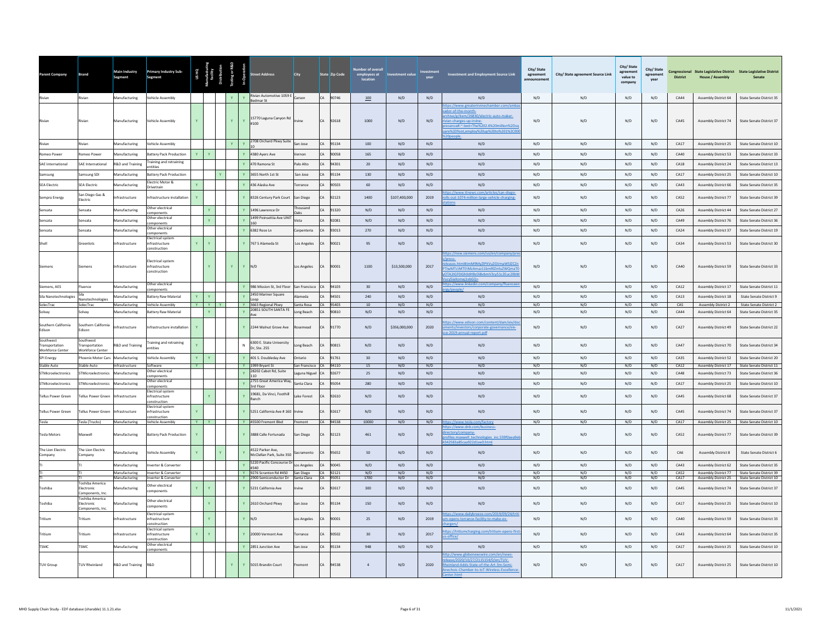| Parent Company                                                | <b>Brand</b>                                          | Main Industry<br>Segment | <b>Primary Industry Sub-</b><br>Segment                          | <b>USHQ</b>    |              |                              |              | eet Address                                   | City                       |    | State Zip Code | employees at<br>location | stment value  | vear | <b>Investment and Employment Source Link</b>                                                                                                                                                             | City/State<br>agreement<br><b>Innouncemen</b> | City/ State agreement Source Link | City/ State<br>agreement<br>value to<br>compan | City/State<br>agreement<br>year | <b>District</b>  | <b>House / Assembly</b>     | Congressional State Legislative District State Legislative District<br>Senate |
|---------------------------------------------------------------|-------------------------------------------------------|--------------------------|------------------------------------------------------------------|----------------|--------------|------------------------------|--------------|-----------------------------------------------|----------------------------|----|----------------|--------------------------|---------------|------|----------------------------------------------------------------------------------------------------------------------------------------------------------------------------------------------------------|-----------------------------------------------|-----------------------------------|------------------------------------------------|---------------------------------|------------------|-----------------------------|-------------------------------------------------------------------------------|
|                                                               | Rivian                                                | Manufacturing            | Vehicle Assembly                                                 |                |              | $\mathbf{Y}$                 | Y            | Rivian Automotive 1059 E Carson<br>Bedmar St  |                            | CA | 90746          | 100                      | N/D           | N/D  | N/D                                                                                                                                                                                                      | N/D                                           | N/D                               | $\mathrm{N}/\mathrm{D}$                        | N/D                             | CA44             | Assembly District 64        | State Senate District 35                                                      |
|                                                               |                                                       | Manufacturing            | /ehicle Assembly                                                 |                |              | $\mathbf{Y}$                 | Y            | 15770 Laguna Canyon Rd<br>#100                | Irvine                     | CA | 92618          | 1000                     | N/D           | N/D  | tps://www.greaterirvinechamber.com/ar<br>or-of-the-month<br>ive/p/item/26830/electric-auto-maker-<br>n-charges-up-irvine-<br>ence#:":text=The%202.6%20million%2Ds<br>re%2Dfoot,employ%20up%20to%201%2C00 | N/D                                           | N/D                               | N/D                                            | N/D                             | CA45             | Assembly District 74        | State Senate District 37                                                      |
| Rivian                                                        | tivian                                                | Manufacturing            | ehicle Assembly                                                  |                |              | $\mathbf{Y}$<br>$\mathbf{v}$ |              | 2708 Orchard Pkwy Suite                       | San Jose                   | CA | 95134          | 100                      | N/D           | N/D  | N/D                                                                                                                                                                                                      | N/D                                           | N/D                               | N/D                                            | N/D                             | CA17             | Assembly District 25        | State Senate District 10                                                      |
| Romeo Power                                                   | omeo Power                                            | Manufacturing            | <b>Battery Pack Production</b>                                   | $\mathbf{Y}$   | $\mathbf{Y}$ |                              |              | 4380 Ayers Ave                                | Vernon                     | CA | 90058          | 165                      | N/D           | N/D  | N/D                                                                                                                                                                                                      | N/D                                           | N/D                               | $\mathrm{N}/\mathrm{D}$                        | N/D                             | CA40             | Assembly District 53        | State Senate District 33                                                      |
| <b>SAF International</b>                                      | <b>SAF International</b>                              | R&D and Training         | raining and retraining<br>ntities                                |                |              |                              |              | 470 Ramona St                                 | Palo Alto                  | CA | 94301          | 20                       | N/D           | N/D  | N/D                                                                                                                                                                                                      | N/D                                           | N/D                               | N/D                                            | N/D                             | C <sub>A18</sub> | <b>Assembly District 24</b> | State Senate District 13                                                      |
| Samsung                                                       | samsung SDI                                           | Manufacturing            | <b>Battery Pack Production</b>                                   |                |              |                              |              | 3655 North 1st St                             | San Jose                   | CA | 95134          | 130                      | N/D           | N/D  | N/D                                                                                                                                                                                                      | N/D                                           | N/D                               | N/D                                            | N/D                             | CA17             | Assembly District 25        | State Senate District 10                                                      |
| <b>SEA Electric</b>                                           | <b>SEA Electric</b>                                   | Manufacturing            | lectric Motor &<br>Drivetrain                                    | $\mathbf{v}$   |              |                              |              | 436 Alaska Ave                                | Torrance                   |    | 90503          | 60                       | N/D           | N/D  | N/D                                                                                                                                                                                                      | N/D                                           | N/D                               | N/D                                            | N/D                             | CA43             | Assembly District 66        | State Senate District 35                                                      |
| Sempra Energy                                                 | San Diego Gas &<br>lectric                            | nfrastructure            | Infrastructure installation                                      | $\mathbf{Y}$   |              |                              |              | 8326 Century Park Court                       | San Diego                  |    | 92123          | 1400                     | \$107,400,000 | 2019 | s://www.ttnews.com/articles/san-diego<br>Ils-out-1074-million-large-vehicle-charging-                                                                                                                    | N/D                                           | N/D                               | N/D                                            | N/D                             | <b>CA52</b>      | Assembly District 77        | State Senate District 39                                                      |
| Sensata                                                       | ensata                                                | Manufacturing            | Other electrical                                                 |                | Y            |                              | $\mathbf{v}$ | 1496 Lawrence Dr                              | Thousand                   | CA | 91320          | $\mathrm{N}/\mathrm{D}$  | N/D           | N/D  | N/D                                                                                                                                                                                                      | N/D                                           | N/D                               | $\mathrm{N}/\mathrm{D}$                        | N/D                             | CA26             | Assembly District 44        | State Senate District 27                                                      |
| ensata                                                        | ensata                                                | Manufacturing            | omponents<br>Ither electrical                                    |                |              |                              |              | 1499 Poinsettia Ave UNIT                      | Oaks<br>Vista              | CA | 92081          | N/D                      | N/D           | N/D  | N/D                                                                                                                                                                                                      | N/D                                           | N/D                               | $\mathrm{N}/\mathrm{D}$                        | N/D                             | CA49             | Assembly District 76        | State Senate District 36                                                      |
| ensata                                                        | Sensata                                               | Manufacturing            | omponents<br>ther electrica                                      |                |              |                              | $\mathbf{Y}$ | 160<br>6382 Rose In                           |                            | CA | 93013          | 270                      | N/D           | N/D  | N/D                                                                                                                                                                                                      | N/D                                           | N/D                               | N/D                                            | N/D                             | $C_A24$          | Assembly District 37        | State Senate District 19                                                      |
|                                                               | ireenlots                                             | frastructure             | mponents<br>lectrical system<br>nfrastructure                    | $\mathbf Y$    |              |                              |              | 767 S Alameda St                              | Carpenteria<br>Los Angeles |    | 0021           | 95                       | N/D           | N/D  | N/D                                                                                                                                                                                                      | $\rm N/D$                                     | N/D                               | N/D                                            | N/D                             | CA34             | Assembly District 53        | <b>State Senate District 30</b>                                               |
| Siemens                                                       | iemens                                                | Infrastructure           | onstruction<br>lectrical system<br>infrastructure<br>onstruction |                |              | $\mathbf{Y}$                 | $Y$ N/D      |                                               | Los Angeles                |    | 90001          | 1100                     | \$13,500,000  | 2017 | <b>nress</b><br>eleases.html#JmM9MyZIPXVuZGVmaW5IZCZ<br>TIwMTctMTEtMzAmaz11bmRlZmluZWQmaTI<br>OTA2IGF0IGh0dHBzOi8vbmV3cy51c2Euc2llb                                                                      | $\mathsf{N}/\mathsf{D}$                       | N/D                               | $\mathrm{N}/\mathrm{D}$                        | N/D                             | CA40             | Assembly District 59        | State Senate District 33                                                      |
| Siemens, AES                                                  | luence                                                | Manufacturing            | Other electrical                                                 |                |              |                              | $\mathbf{Y}$ | 986 Mission St. 3rd Floor                     | San Francisco              | CA | 94103          | 30                       | N/D           | N/D  | ps://www.linkedin.com/company/fluencee                                                                                                                                                                   | N/D                                           | N/D                               | N/D                                            | N/D                             | CA12             | Assembly District 17        | State Senate District 11                                                      |
| Sila Nanotechnologies                                         |                                                       | Manufacturing            | omponents<br>Battery Raw Material                                | $\mathbf{Y}$   | $\mathbf{v}$ |                              |              | 2450 Mariner Square                           | Alameda                    | CA | 94501          | 240                      | N/D           | N/D  | N/D                                                                                                                                                                                                      | N/D                                           | N/D                               | N/D                                            | N/D                             | CA13             | <b>Assembly District 18</b> | State Senate District 9                                                       |
| SolecTrac                                                     | lanotechnologies<br>SolecTrac                         | Manufacturing            | <b>Vehicle Assembly</b>                                          |                | $Y = Y + Y$  |                              |              | Y 3663 Regional Pkwy                          | Santa Rosa                 |    | CA 95403       | $10\,$                   | N/D           | N/D  | N/D                                                                                                                                                                                                      | N/D                                           | N/D                               | N/D                                            | N/D                             | CAS              | <b>Assembly District 2</b>  | State Senate District 2                                                       |
| Solvay                                                        | solvay                                                | Manufacturing            | <b>Battery Raw Material</b>                                      |                | Y            |                              | $\mathbf{Y}$ | 20851 SOUTH SANTA FE<br>Ave                   | Long Beach                 | CA | 90810          | N/D                      | N/D           | N/D  | N/D                                                                                                                                                                                                      | N/D                                           | N/D                               | N/D                                            | N/D                             | CA44             | Assembly District 64        | State Senate District 35                                                      |
| Southern California<br>Edison                                 | Southern California<br>Edison                         | <b>nfrastructure</b>     | nfrastructure installatior                                       |                |              |                              |              | Y 2244 Walnut Grove Ave                       | Rosemead                   | CA | 91770          | N/D                      | \$356,000,000 | 2020 | tps://www.edison.com/content/dam/eix/di<br>ents/investors/corporate-gove<br>nance/eix-<br>e-2019-annual-report.pdf                                                                                       | N/D                                           | N/D                               | N/D                                            | N/D                             | CA27             | Assembly District 49        | <b>State Senate District 22</b>                                               |
| Southwest<br><b>Transportation</b><br><b>Workforce Center</b> | Southwest<br>ransportation<br>Workforce Center        | R&D and Training         | raining and retraining<br>ntities                                |                |              |                              | $\mathbb{N}$ | 6300 E. State University<br>Dr, Ste. 255      | Long Beach                 |    | 90815          | N/D                      | N/D           | N/D  | N/D                                                                                                                                                                                                      | N/D                                           | N/D                               | N/D                                            | N/D                             | CA47             | Assembly District 70        | State Senate District 34                                                      |
| SPI Energy                                                    | hoenix Motor Cars Manufacturing                       |                          | /ehicle Assembly                                                 | $\mathbf{Y}$   |              |                              |              | 401 S. Doubleday Ave                          | Ontario                    | CA | 91761          | 30                       | N/D           | N/D  | N/D                                                                                                                                                                                                      | N/D                                           | N/D                               | N/D                                            | N/D                             | CA35             | Assembly District 52        | State Senate District 20                                                      |
| <b>Stable Auto</b>                                            | Stable Auto                                           | Infrastructure           | Software<br>Other electrical                                     | $\overline{Y}$ |              |                              |              | Y 1999 Bryant St<br>28202 Cabot Rd, Suite     | San Francisco              |    | CA 94110       | 15                       | N/D           | N/D  | N/D                                                                                                                                                                                                      | N/D                                           | N/D                               | N/D                                            | N/D                             | CA12             | Assembly District 17        | State Senate District 11                                                      |
| STMicroelectronics                                            | STMicroelectronics                                    | Manufacturing            | omponents<br>Other electrical                                    |                |              |                              |              | 110<br>2755 Great America Way                 | Laguna Niguel              | CA | 92677          | 25                       | N/D           | N/D  | N/D                                                                                                                                                                                                      | N/D                                           | N/D                               | N/D                                            | N/D                             | CA48             | Assembly District 73        | State Senate District 36                                                      |
| STMicroelectronics                                            | TMicroelectronics                                     | Manufacturing            | omponents<br>Electrical system                                   |                |              |                              |              | 3rd Floor<br>19681, Da Vinci, Foothill        | Santa Clara                |    | 5054           | 280                      | N/D           | N/D  | N/D                                                                                                                                                                                                      | N/D                                           | N/D                               | N/D                                            | N/D                             | CA17             | Assembly District 25        | State Senate District 10                                                      |
| <b>Tellus Power Green</b>                                     | Fellus Power Green                                    | Infrastructure           | infrastructure<br>construction<br>Electrical system              |                |              |                              |              | Ranch                                         | Lake Forest                | CA | 92610          | N/D                      | N/D           | N/D  | N/D                                                                                                                                                                                                      | N/D                                           | N/D                               | N/D                                            | N/D                             | CA45             | Assembly District 68        | State Senate District 37                                                      |
| Tellus Power Green                                            | ellus Power Green                                     | Infrastructure           | infrastructure<br>onstruction                                    | $\mathbf{Y}$   |              |                              |              | Y 5251 California Ave # 160 Irvine            |                            |    | 92617          | N/D                      | N/D           | N/D  | N/D                                                                                                                                                                                                      | N/D                                           | N/D                               | N/D                                            | N/D                             | CA45             | Assembly District 74        | <b>State Senate District 37</b>                                               |
| Tesla                                                         | esla (Trucks)                                         | Manufacturing            | Vehicle Assembly                                                 | $Y =$          | $Y =$        |                              |              | Y 45500 Fremont Blvd                          | Fremont                    |    | CA 94538       | 10000                    | N/D           | N/D  |                                                                                                                                                                                                          | N/D                                           | N/D                               | N/D                                            | N/D                             | CA17             | <b>Assembly District 25</b> | State Senate District 10                                                      |
| <b>Tesla Motors</b>                                           | Maxwell                                               | Manufacturing            | <b>Battery Pack Production</b>                                   | $\mathbf{Y}$   |              |                              |              | Y 3888 Calle Fortunada                        | San Diego                  | CA | 92123          | 461                      | N/D           | N/D  | :://www.dnb.co<br>ectory/company-<br>ofiles.maxwell_technologies_inc.559f0aea9e<br>342583a85caa922d1ee0.html                                                                                             | N/D                                           | N/D                               | N/D                                            | N/D                             | CA52             | <b>Assembly District 77</b> | State Senate District 39                                                      |
| The Lion Electric<br>Company                                  | The Lion Electric<br>Company                          | Manufacturing            | Vehicle Assembly                                                 | $\mathbf{Y}$   | Ÿ            |                              |              | 4522 Parker Ave<br>McClellan Park, Suite 350  | acramento                  | CA | 95652          | 50                       | N/D           | N/D  | N/D                                                                                                                                                                                                      | N/D                                           | N/D                               | N/D                                            | N/D                             | CA6              | Assembly District 8         | State Senate District 6                                                       |
|                                                               |                                                       | Manufacturing            | nverter & Converter                                              |                |              |                              |              | 5220 Pacific Concourse Dr Los Angeles<br>#340 |                            | CA | 90045          | N/D                      | N/D           | N/D  | N/D                                                                                                                                                                                                      | N/D                                           | N/D                               | N/D                                            | N/D                             | CAA3             | <b>Assembly District 62</b> | State Senate District 35                                                      |
|                                                               |                                                       | Manufacturing            | Inverter & Converter                                             |                |              |                              |              | Y 9276 Scranton Rd #450 San Diego             |                            |    | CA 92121       | N/D                      | N/D           | N/D  | N/D                                                                                                                                                                                                      | N/D                                           | N/D                               | N/D                                            | N/D                             | CA52             |                             | Assembly District 77 State Senate District 39                                 |
|                                                               | l'oshiba America                                      | Manufacturing            | <b>Inverter &amp; Converter</b><br>Other electrical              |                |              |                              |              | Y 2900 Semiconductor Dr Santa Clara           |                            |    | CA 95051       | 1700                     | N/D           | N/D  | N/D                                                                                                                                                                                                      | N/D                                           | N/D                               | N/D                                            | N/D                             | CA17             | Assembly District 25        | State Senate District 10                                                      |
| 'oshiba                                                       | lectronic<br>Components, In<br><b>Toshiba America</b> | nufacturing              | components                                                       | $\mathbf Y$    |              |                              |              | Y 5231 California Ave                         |                            |    | 32617          | 300                      | N/D           | N/D  | N/D                                                                                                                                                                                                      | N/D                                           | N/D                               | N/D                                            | N/D                             | CA45             | <b>Assembly District 74</b> | State Senate District 37                                                      |
| Toshiha                                                       | lectronic<br>omponents, Inc                           | Manufacturing            | Other electrica<br>components<br>Electrical system               |                |              |                              |              | Y 2610 Orchard Pkwy                           | San Jose                   | CA | 95134          | 150                      | N/D           | N/D  | N/D<br>ps://www.dailybreeze.com/2019/09/24/ti                                                                                                                                                            | N/D                                           | N/D                               | N/D                                            | N/D                             | CA17             | <b>Assembly District 25</b> | State Senate District 10                                                      |
| <b>Tritium</b>                                                | <b>ritium</b>                                         | nfrastructure            | infrastructure<br>onstruction                                    |                |              |                              | $Y$ N/D      |                                               | Los Angeles                | CA | 90001          | 25                       | N/D           | 2019 | -opens-torrance-facility-to-make-ev-                                                                                                                                                                     | N/D                                           | N/D                               | N/D                                            | N/D                             | CA40             | <b>Assembly District 59</b> | <b>State Senate District 33</b>                                               |
| 'ritium                                                       | ritium                                                | <b>nfrastructure</b>     | lectrical system<br>infrastructure<br>construction               | $\mathbf{Y}$   |              |                              |              | 20000 Vermont Ave                             | Torrance                   |    | 90502          | 30                       | N/D           | 2017 | tps://tritiumcharging.com/tritium-opens-firs<br>-office/                                                                                                                                                 | N/D                                           | N/D                               | N/D                                            | N/D                             | CA43             | Assembly District 64        | State Senate District 35                                                      |
| TSMC                                                          | <b>SMC</b>                                            | Manufacturing            | Other electrical<br>mponents                                     |                |              |                              |              | 2851 Junction Ave                             | San Jose                   | CA | 95134          | 948                      | N/D           | N/D  | N/D                                                                                                                                                                                                      | N/D                                           | N/D                               | N/D                                            | N/D                             | CA17             | <b>Assembly District 25</b> | State Senate District 10                                                      |
| <b>TUV Group</b>                                              | <b>TUV Rheinland</b>                                  | R&D and Training R&D     |                                                                  |                |              | Y                            |              | Y 5015 Brandin Court                          | remont                     | CA | 94538          | $\overline{4}$           | N/D           | 2020 | tp://www.globenewswire.com/en/news<br>ease/2020/10/27/2115154/0/en/TUV-<br>heinland-Adds-State-of-the-Art-3m-Semi-<br>echoic-Chamber-to-IoT-Wireless-Excellence                                          | N/D                                           | N/D                               | N/D                                            | N/D                             | CA17             | Assembly District 25        | State Senate District 10                                                      |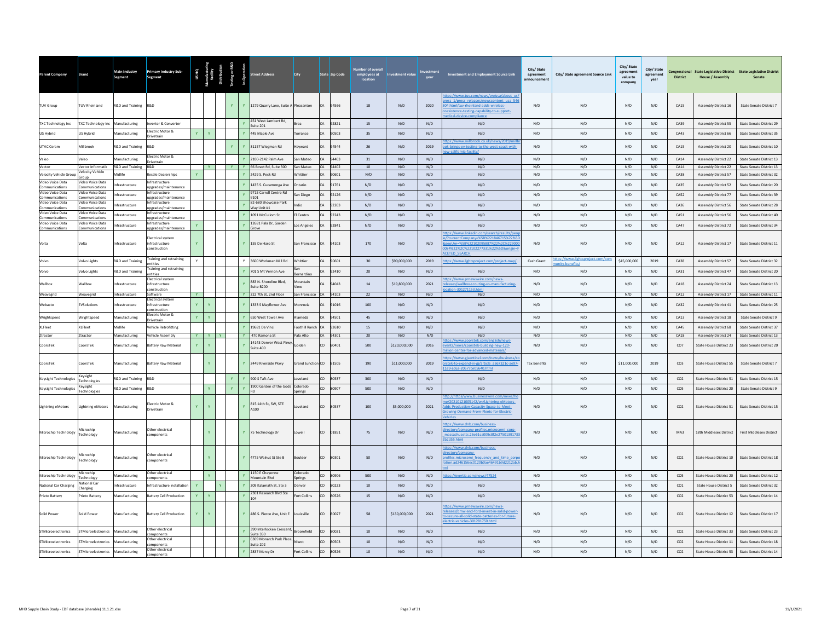| Parent Company                     | Brand                                 | Main Industry<br>Segment       | <b>Primary Industry Sub-</b><br>Segment           |              | US HQ<br>Masturin<br>facility<br>stribution | esting or R&D<br>sting or R&D<br>In-Operation |              | reet Address                                          | City                  |               | State Zip Code    | Number of overal<br>employees at<br>location | <b>Investment value</b> | vear        | Investment and Employment Source Link                                                                                                                                                           | City/State<br>agreement | City/ State agreement Source Link             | City/ State<br>agreement<br>value to<br>company | City/State<br>agreement<br>year | <b>District</b> | <b>House / Assembly</b>                                    | Congressional State Legislative District State Legislative District<br>Senate |
|------------------------------------|---------------------------------------|--------------------------------|---------------------------------------------------|--------------|---------------------------------------------|-----------------------------------------------|--------------|-------------------------------------------------------|-----------------------|---------------|-------------------|----------------------------------------------|-------------------------|-------------|-------------------------------------------------------------------------------------------------------------------------------------------------------------------------------------------------|-------------------------|-----------------------------------------------|-------------------------------------------------|---------------------------------|-----------------|------------------------------------------------------------|-------------------------------------------------------------------------------|
| TUV Group                          | <b>TUV Rheinland</b>                  | R&D and Training R&D           |                                                   |              |                                             | $\mathbf{Y}$                                  |              | Y 1279 Quarry Lane, Suite A Pleasanton                |                       |               | CA 94566          | 18                                           | N/D                     | 2020        | ps://www.tuv.com/news/en/usa/about_us<br>ess 1/press releases/newscontent usa 54<br>04.html/tuv-rheinland-adds-wireless-<br>existence-testing-capability-to-support-<br>dical-device-compliance | N/D                     | N/D                                           | N/D                                             | N/D                             | C A 15          | <b>Assembly District 16</b>                                | <b>State Senate District 7</b>                                                |
| <b>TXC Technology Inc</b>          | <b>TXC Technology Inc</b>             | Manufacturing                  | werter & Converte                                 |              |                                             |                                               |              | 451 West Lambert Rd.<br>Suite 201                     |                       | CA            | 92821             | 15                                           | N/D                     | N/D         | N/D                                                                                                                                                                                             | N/D                     | N/D                                           | N/D                                             | N/D                             | CA39            | <b>Assembly District 55</b>                                | State Senate District 29                                                      |
| US Hybrid                          | US Hybrid                             | Manufacturing                  | Flectric Motor &<br>Drivetrain                    | Y.           | $\mathbf{Y}$                                |                                               |              | 445 Maple Ave                                         | Torrance              | CA            | 90503             | 35                                           | N/D                     | N/D         | N/D                                                                                                                                                                                             | N/D                     | N/D                                           | N/D                                             | N/D                             | CA43            | Assembly District 66                                       | <b>State Senate District 35</b>                                               |
| <b>UTAC Ceram</b>                  | Millhrook                             | R&D and Training               | R&D                                               |              |                                             | $\mathbf{Y}$                                  | $\mathbf{v}$ | 31157 Wiegman Rd                                      | hawward               | CA            | 94544             | 26                                           | N/D                     | 2019        | tps://www.millbrook.co.uk/news/2019/n<br>ok-brings-ev-testing-to-the-west-coast-with-                                                                                                           | N/D                     | N/D                                           | N/D                                             | N/D                             | C A 15          | <b>Assembly District 20</b>                                | State Senate District 10                                                      |
| Valeo                              | Valeo                                 | Manufacturing                  | Electric Motor &<br>Drivetrain                    |              |                                             |                                               |              | 2100-2142 Palm Ave                                    | San Mateo             |               | 94403             | 31                                           | N/D                     | N/D         | N/D                                                                                                                                                                                             | N/D                     | N/D                                           | N/D                                             | N/D                             | CA14            | Assembly District 22                                       | State Senate District 13                                                      |
| Vector<br>Velocity Vehicle Group   | Vector Informatik<br>Velocity Vehicle | R&D and Training<br>Midlife    | R&D<br><b>Resale Dealerships</b>                  | Y.           | $-$ Y $-$                                   | Y.                                            | $\mathbf{v}$ | Y 66 Bovet Rd, Suite 300<br>2429 S. Peck Rd           | San Mateo<br>Whittier | CA            | CA 94402<br>90601 | 10<br>N/D                                    | N/D<br>N/D              | N/D<br>N/D  | N/D<br>N/D                                                                                                                                                                                      | N/D<br>N/D              | N/D<br>N/D                                    | N/D<br>N/D                                      | N/D<br>N/D                      | CA14<br>CA38    | <b>Assembly District 22</b><br><b>Assembly District 57</b> | State Senate District 13<br>State Senate District 32                          |
| Video Voice Data                   | Group<br>Video Voice Data             |                                | rastructure                                       |              |                                             |                                               |              |                                                       |                       |               |                   |                                              |                         |             |                                                                                                                                                                                                 |                         |                                               |                                                 |                                 |                 |                                                            |                                                                               |
| Communications<br>Video Voice Data | Communications<br>Video Voice Data    | Infrastructure                 | upgrades/maintenance<br>nfrastructure             |              |                                             |                                               |              | 1435 S. Cucamonga Ave<br>9715 Carroll Centre Rd       | Ontario               |               | CA 91761          | N/D                                          | N/D                     | N/D         | N/D                                                                                                                                                                                             | N/D                     | N/D                                           | N/D                                             | N/D                             | CA35            | <b>Assembly District 52</b>                                | State Senate District 20                                                      |
| Communications<br>Video Voice Data | Communications<br>Video Voice Data    | Infrastructure                 | pgrades/maintenance<br>rastructure                |              |                                             |                                               |              | #101<br>82-680 Showcase Park                          | san Diego             | CA            | 92126             | N/D                                          | N/D                     | N/D         | N/D                                                                                                                                                                                             | N/D                     | N/D                                           | N/D                                             | N/D                             | CAS2            | Assembly District 77                                       | State Senate District 39                                                      |
| Communications<br>Video Voice Data | Communications<br>/ideo Voice Data    | Infrastructure                 | pgrades/maintenance<br>ifrastructure              |              |                                             |                                               |              | Way Unit #1                                           | ndin                  |               | CA 92203          | N/D                                          | N/D                     | N/D         | N/D                                                                                                                                                                                             | N/D                     | N/D                                           | N/D                                             | N/D                             | CA36            | <b>Assembly District 56</b>                                | State Senate District 28                                                      |
| Communications                     | ommunications                         | Infrastructure                 | pgrades/maintenance                               |              |                                             |                                               | $\mathbf{v}$ | 1091 McCullom St                                      | I Centro              | CA            | 92243             | N/D                                          | N/D                     | N/D         | N/D                                                                                                                                                                                             | N/D                     | N/D                                           | N/D                                             | N/D                             | CA51            | <b>Assembly District 56</b>                                | State Senate District 40                                                      |
| Video Voice Data<br>Communications | Video Voice Data<br>Communications    | Infrastructure                 | ifrastructure<br>ipgrades/maintenance             |              |                                             |                                               |              | 12681 Pala Dr, Garden<br>Grove                        | os Angeles            |               | 92841             | N/D                                          | N/D                     | N/D         | N/D                                                                                                                                                                                             | N/D                     | N/D                                           | N/D                                             | N/D                             | CA47            | <b>Assembly District 72</b>                                | State Senate District 34                                                      |
| Volta                              | Volta                                 | Infrastructure                 | lectrical system<br>infrastructure<br>onstruction |              |                                             |                                               |              | Y 155 De Harn St                                      | San Francisco         | CA            | 94103             | 170                                          | N/D                     | N/D         | tps://www.linkedin.com/search/results/pr<br>/?currentCompany=%5B%221846715%22%5<br>ent1rn=%58%22102095887%22%2C%22900<br>084%22%2C%22102277331%22%5D&origin=<br><b>FTED SEARCH</b>              | N/D                     | N/D                                           | N/D                                             | N/D                             | $C_A12$         | <b>Assembly District 17</b>                                | State Senate District 11                                                      |
| Volvo                              | <b>Volvo Lights</b>                   | R&D and Training               | <b>Training and retraining</b><br>ntities         |              |                                             |                                               | Y            | 3600 Workman Mill Rd                                  | Whittier              |               | 90601             | 30                                           | \$90,000,000            | 2019        | tps://www.lightsproject.com/project-map/                                                                                                                                                        | Cash Grant              | tps://www.lightsproject.com/d<br>ity-henefits | \$45,000,000                                    | 2019                            | CA38            | <b>Assembly District 57</b>                                | <b>State Senate District 32</b>                                               |
| Volvo                              | Volvo Lights                          | R&D and Training               | raining and retraining<br>ntities                 |              |                                             |                                               |              | 701 S Mt Vernon Ave                                   | <b>Remardino</b>      | CA            | 92410             | 20                                           | N/D                     | N/D         | N/D                                                                                                                                                                                             | N/D                     | N/D                                           | N/D                                             | N/D                             | CA31            | Assembly District 47                                       | State Senate District 20                                                      |
| Wallbox                            | <b>Nallbox</b>                        | Infrastructure                 | lectrical system<br>infrastructure<br>nstruction  |              |                                             |                                               |              | 883 N. Shoreline Blvd,<br>Suite B200                  | Mountain<br>View      |               | 94043             | 14                                           | \$19,800,000            | 2021        | bs://www.prnewswire.com/news-<br>eases/wallbox-scouting-us-manufacturing-<br>tion-301271153.html                                                                                                | N/D                     | N/D                                           | N/D                                             | N/D                             | CA18            | Assembly District 24                                       | State Senate District 13                                                      |
| Weavegrid                          | Weavegrid                             | Infrastructure                 | Software<br>lectrical syste                       | Y.           |                                             |                                               |              | Y 222 7th St, 2nd Floor                               | San Francisco         |               | CA 94103          | 22                                           | N/D                     | N/D         | N/D                                                                                                                                                                                             | N/D                     | N/D                                           | N/D                                             | N/D                             | CA12            | <b>Assembly District 17</b>                                | State Senate District 11                                                      |
| Webasto                            | <b>EVSolutions</b>                    | Infrastructure                 | nfrastructure<br>nstruction<br>lectric Motor &    |              | Y.                                          |                                               |              | 1333 S Mayflower Ave                                  | <b>Monrovia</b>       |               | 91016             | 100                                          | N/D                     | N/D         | N/D                                                                                                                                                                                             | N/D                     | N/D                                           | N/D                                             | N/D                             | CA32            | Assembly District 41                                       | <b>State Senate District 25</b>                                               |
| Wrightspeed                        | Wrightspeed                           | Manufacturing                  | <b>Orivetrain</b>                                 | Y.           | $\mathbf{Y}$                                |                                               | $\mathbf{v}$ | 650 West Tower Ave                                    | Alameda               | CA            | 94501             | 45                                           | N/D                     | N/D         | N/D                                                                                                                                                                                             | N/D                     | N/D                                           | N/D                                             | N/D                             | CA13            | <b>Assembly District 18</b>                                | State Senate District 9                                                       |
| XI Fleet                           | <b>XI Fleet</b>                       | Midlife                        | Vehicle Retrofitting                              |              |                                             |                                               |              | 19681 Da Vinci                                        | Foothill Ranch        |               | CA 92610          | 15                                           | N/D                     | N/D         | N/D                                                                                                                                                                                             | N/D                     | N/D                                           | N/D                                             | N/D                             | CAA5            | <b>Assembly District 68</b>                                | State Senate District 37                                                      |
| Ztractor<br>CoorsTek               | Ztractor<br>CoorsTek                  | Manufacturing<br>Manufacturing | <b>Vehicle Assembly</b><br>Battery Raw Material   |              | YYY<br>$\mathbf{Y}$                         |                                               |              | Y 470 Ramona St<br>14143 Denver West Pkw<br>Suite 400 | Palo Alto<br>Golden   | CO            | CA 94301<br>80401 | 20<br>500                                    | N/D<br>\$120,000,000    | N/D<br>2016 | N/D<br>ps://www.coorstek.com/english/news-<br>nts/news/coorstek-building-new-120-<br>n-center-for-advanced-materials/                                                                           | N/D<br>N/D              | N/D<br>N/D                                    | N/D<br>N/D                                      | N/D<br>N/D                      | CA18<br>CO7     | Assembly District 24<br>State House District 23            | State Senate District 13<br>State Senate District 20                          |
| CoorsTek                           | corsTek                               | Manufacturing                  | Battery Raw Material                              |              |                                             |                                               |              | 2449 Riverside Pkwy                                   | Grand Junction        | co            | 81505             | 190                                          | \$11,000,000            | 2019        | ps://www.gjsentinel.com/news/business/<br>stek-to-expand-in-gi/article aa67321c-ae97-<br>e9-ac62-20677ce05640.html                                                                              | <b>Tax Benefits</b>     | N/D                                           | \$11,000,000                                    | 2019                            | CO <sub>3</sub> | State House District 55                                    | State Senate District 7                                                       |
| Keysight Technologies              | Keysight<br>Technologies              | R&D and Training               | <b>R&amp;D</b>                                    |              |                                             | $\mathbf{Y}$                                  | $\mathbf{Y}$ | 900 S Taft Ave                                        | veland                | co            | 80537             | 300                                          | N/D                     | N/D         | N/D                                                                                                                                                                                             | N/D                     | N/D                                           | N/D                                             | N/D                             | CO <sub>2</sub> | State House District 51                                    | State Senate District 15                                                      |
| <b>Keysight Technologies</b>       | Keysight<br>Technologies              | R&D and Training R&D           |                                                   |              | $\mathbf{Y}$                                | $\mathbf{Y}$                                  |              | 1900 Garden of the Gods                               | Colorado<br>Springs   | co            | 80907             | 500                                          | N/D                     | N/D         | N/D                                                                                                                                                                                             | N/D                     | N/D                                           | N/D                                             | N/D                             | CO <sub>5</sub> | State House District 20                                    | State Senate District 9                                                       |
| <b>Lightning eMotors</b>           | Lightning eMotors                     | Manufacturing                  | Electric Motor &<br>Drivetrain                    |              |                                             |                                               |              | 815 14th St, SW, STE<br>A100                          | oveland               | co            | 80537             | 100                                          | \$5,000,000             | 2021        | tp://https/www.businesswire.com/news/h<br>2/20210121005142/en/Lightning-eMotors-<br>Ids-Production-Capacity-Space-to-Meet-<br>wing-Demand-From-Fleets-for-Electric-                             | N/D                     | N/D                                           | N/D                                             | N/D                             | CO <sub>2</sub> | State House District 51                                    | State Senate District 15                                                      |
| Microchip Technology               | Microchip<br>Technology               | Manufacturing                  | Other electrical<br>components                    |              | $\mathbf{Y}$                                |                                               |              | Y 75 Technology Dr                                    | Lowell                | co            | 01851             | 75                                           | N/D                     | N/D         | tps://www.dnb.com/business-<br>rectory/company-profiles.microsemi_corp-<br>massachusetts 26e61ca009c8f2e2750139173<br>b2d55.html                                                                | N/D                     | N/D                                           | N/D                                             | N/D                             | MA3             | 18th Middlesex District                                    | First Middlesex District                                                      |
| Microchip Technology               | Microchin<br>Technology               | Manufacturing                  | Other electrical<br>omnonents                     |              | Ÿ                                           |                                               | Y            | 4775 Walnut St Ste B                                  | <b>Soulder</b>        | co            | 80301             | 50                                           | N/D                     | N/D         | tps://www.dnb.com/business-<br>ectory/company-<br>ofiles.microsemi frequency and time corp<br>ion.ad246156ec0120b0ae46491b9d2212ab.                                                             | N/D                     | N/D                                           | N/D                                             | N/D                             | CO <sub>2</sub> | State House District 10                                    | State Senate District 18                                                      |
| Microchip Technology               | Microchip<br>Technology               | Manufacturing                  | Other electrical<br>omponents                     |              | $\mathbf{Y}$                                |                                               |              | 1150 E Cheyenne<br>Mountain Blvd                      | Colorado<br>prings    | $\infty$      | 80906             | 500                                          | N/D                     | N/D         | tps://evertig.com/news/47524                                                                                                                                                                    | N/D                     | N/D                                           | N/D                                             | N/D                             | CO <sub>5</sub> | State House District 20                                    | State Senate District 12                                                      |
| National Car Charging              | <b>Vational Car</b><br>Charging       | Infrastructure                 | nfrastructure installatio                         | $\mathbf{v}$ |                                             |                                               | $\mathbf{v}$ | 209 Kalamath St. Ste 3                                | Denver                | co            | 80223             | $10\,$                                       | N/D                     | N/D         | N/D                                                                                                                                                                                             | N/D                     | N/D                                           | N/D                                             | N/D                             | CO <sub>1</sub> | <b>State House District 5</b>                              | State Senate District 32                                                      |
| Prieto Battery                     | rieto Batter                          | Manufacturing                  | <b>Battery Cell Production</b>                    | Y.           | $-{\bf Y}$                                  |                                               |              | 2301 Research Blvd Ste<br>104                         | Fort Collins          | co            | 80526             | 15                                           | N/D                     | N/D         | N/D                                                                                                                                                                                             | N/D                     | N/D                                           | N/D                                             | N/D                             | CO <sub>2</sub> | State House District 53                                    | State Senate District 14                                                      |
| Solid Power                        | Solid Power                           | Manufacturing                  | <b>Battery Cell Production</b>                    | Y.           | $\mathbf{Y}$                                |                                               | $\mathbf{v}$ | 486 S. Pierce Ave. Unit E                             | Inuisville            | <sub>co</sub> | 80027             | 58                                           | \$130,000,000           | 2021        | tps://www.prnewswire.com/news-<br>ases/bmw-and-ford-invest-in-solid-power<br>secure-all-solid-state-batteries-for-future-<br>ctric-vehicles-301281750.html                                      | N/D                     | N/D                                           | N/D                                             | N/D                             | 0 <sup>2</sup>  | State House District 12                                    | State Senate District 17                                                      |
| STMicroelectronics                 | STMicroelectronics                    | Manufacturing                  | Other electrical<br>mponents                      |              |                                             |                                               |              | 390 Interlocken Crescent<br>Suite 350                 | roomfield             | CO            | 80021             | 10                                           | N/D                     | N/D         | N/D                                                                                                                                                                                             | N/D                     | N/D                                           | N/D                                             | N/D                             | CO <sub>2</sub> | State House District 33                                    | State Senate District 23                                                      |
| STMicroelectronics                 | STMicroelectronics                    | Manufacturing                  | Other electrical<br>mponents                      |              |                                             |                                               |              | 6309 Monarch Park Place<br>suite 202                  | Niwot                 | CO            | 80503             | 10                                           | N/D                     | N/D         | N/D                                                                                                                                                                                             | N/D                     | N/D                                           | N/D                                             | N/D                             | CO <sub>2</sub> | State House District 11                                    | State Senate District 18                                                      |
| STMicroelectronics                 | STMicroelectronics Manufacturing      |                                | Other electrical                                  |              |                                             |                                               |              | 2837 Mercy Dr                                         | Fort Collins          | co            | 80526             | $10\,$                                       | N/D                     | N/D         | N/D                                                                                                                                                                                             | N/D                     | N/D                                           | N/D                                             | N/D                             | CO <sub>2</sub> | State House District 53                                    | State Senate District 14                                                      |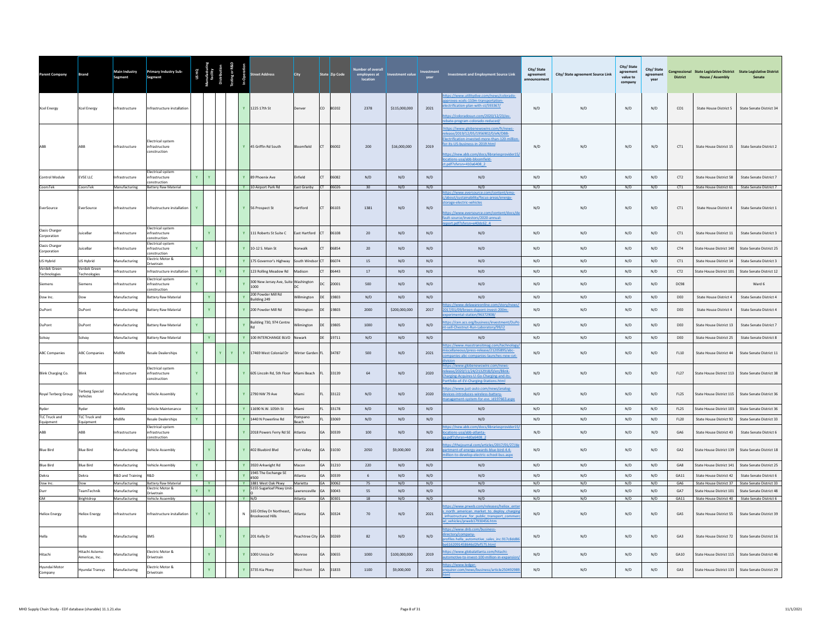| <b>Parent Company</b>               | <b>Brand</b>                        | Main Industry<br>Segment       | <b>Primary Industry Sub-</b><br>Segment                         |              |              |    |    |              |                                                 | City                      |           | State Zip Code       | employees at<br>location | nvestment value | vear       | <b>Investment and Employment Source Link</b>                                                                                                                                                                                                                 | City/State<br>agreement<br><b>Inouncemen</b> | City/ State agreement Source Link | City/ State<br>agreement<br>value to<br>company | City/State<br>agreement<br>year | <b>District</b>  | Congressional State Legislative District State Legislative District<br><b>House / Assembly</b> | Senate                                               |
|-------------------------------------|-------------------------------------|--------------------------------|-----------------------------------------------------------------|--------------|--------------|----|----|--------------|-------------------------------------------------|---------------------------|-----------|----------------------|--------------------------|-----------------|------------|--------------------------------------------------------------------------------------------------------------------------------------------------------------------------------------------------------------------------------------------------------------|----------------------------------------------|-----------------------------------|-------------------------------------------------|---------------------------------|------------------|------------------------------------------------------------------------------------------------|------------------------------------------------------|
| <b>Xcel Energy</b>                  | <b>Xcel Energy</b>                  | Infrastructure                 | Infrastructure installation                                     |              |              |    |    |              | Y 1225 17th St                                  | Denver                    |           | CO 80202             | 2378                     | \$115,000,000   | 2021       | tps://www.utilitydive.com/news/colorado<br>oves-xcels-110m-transportation<br>trification-plan-with-st/593367/<br>os://coloradosun.com/2020/12/23/ev-<br>Neouber-obsoloo-mspone-ets                                                                           | N/D                                          | N/D                               | N/D                                             | N/D                             | CO1              | State House District 5                                                                         | State Senate District 34                             |
|                                     | ABB                                 | nfrastructure                  | lectrical system<br><b>nfrastructure</b><br>onstruction         |              |              |    |    |              | Y 45 Griffin Rd South                           | <b>Bloomfield</b>         | CT        | 06002                | 200                      | \$16,000,000    | 2019       | tps://www.globenewswire.com/fr/news-<br>ase/2019/12/05/1956902/0/eN/DBB-<br>ctrification-invested-more-than-120-mil<br>r-its-US-business-in-2019.html<br>tps://new.abb.com/docs/librariesprovider15<br>cations-usa/abb-bloomfield-<br>.pdf?sfyrsn=410a6408 2 | N/D                                          | N/D                               | N/D                                             | N/D                             | CT1              | State House District 15                                                                        | State Senate District 2                              |
| Control Module                      | EVSE LLC                            | ifrastructure                  | lectrical system<br>nfrastructure<br>onstruction                |              |              |    |    |              | 89 Phoenix Ave                                  | Enfield                   |           | 06082                | N/D                      | N/D             | N/D        | N/D                                                                                                                                                                                                                                                          | N/D                                          | N/D                               | N/D                                             | N/D                             | CT <sub>2</sub>  | State House District 58                                                                        | State Senate District 7                              |
| CoorsTek                            | CoorsTek                            | Manufacturing                  | Battery Raw Material                                            |              |              |    |    |              | Y 10 Airport Park Rd                            | East Granby CT 06026      |           |                      | 30                       | N/D             | N/D        | N/D<br>tps://www.eversource.com/content/ema                                                                                                                                                                                                                  | N/D                                          | N/D                               | N/D                                             | N/D                             | CT <sub>1</sub>  | State House District 61 State Senate District 7                                                |                                                      |
| EverSource                          | EverSource                          | Infrastructure                 | Infrastructure installation                                     |              |              |    |    |              | Y 56 Prospect St                                | Hartford                  | CT.       | 06103                | 1381                     | N/D             | N/D        | about/sustainability/focus-areas/energy-<br>rage-electric-vehicles<br>tps://www.eversource.com/content/docs/d<br>ult-source/investors/2020-annual-<br>rt.pdf?sfvrsn=e40dc62_4                                                                                | N/D                                          | N/D                               | N/D                                             | N/D                             | CT1              | State House District 4                                                                         | State Senate District 1                              |
| <b>Oasis Charger</b><br>Corporation | uiceBar                             | frastructure                   | lectrical system<br>ifrastructure<br>nstruction                 |              |              |    |    |              | 111 Roberts St Suite C                          | East Hartford             |           | 06108                | 20                       | N/D             | N/D        | N/D                                                                                                                                                                                                                                                          | N/D                                          | N/D                               | N/D                                             | N/D                             | CT1              | State House District 11                                                                        | State Senate District 3                              |
| <b>Oasis Charger</b><br>Corporation | luice Bar                           | nfrastructure                  | <b>Electrical system</b><br>nfrastructure<br>onstruction        | Y            |              |    |    |              | Y 10-12 S. Main St                              | Norwalk                   |           | 06854                | 20 <sup>°</sup>          | N/D             | N/D        | N/D                                                                                                                                                                                                                                                          | N/D                                          | N/D                               | N/D                                             | N/D                             | CT4              | State House District 140                                                                       | State Senate District 25                             |
| US Hybrid                           | US Hybrid                           | <b>Aanufacturing</b>           | lectric Motor &<br>rivetrain                                    |              |              |    |    |              | Y 175 Governor's Highway                        | South Windso              |           | 06074                | 15                       | N/D             | N/D        | N/D                                                                                                                                                                                                                                                          | N/D                                          | N/D                               | N/D                                             | N/D                             | CT1              | State House District 14                                                                        | State Senate District 3                              |
| Verdek Green<br>Technologies        | <b>/erdek</b> Green<br>Technologies | nfrastructure                  | nfrastructure installation                                      | $\mathbf{Y}$ |              |    |    |              | 123 Rolling Meadow Rd                           | Madison                   |           | 06443                | 17                       | N/D             | N/D        | N/D                                                                                                                                                                                                                                                          | N/D                                          | N/D                               | N/D                                             | N/D                             | CT <sub>2</sub>  | State House District 101                                                                       | State Senate District 12                             |
| Siemens                             | iemens                              | frastructure                   | lectrical system<br>ifrastructure<br>onstruction                | $\mathbf{v}$ |              |    |    |              | 300 New Jersey Ave, Suite Washington<br>1000    | DC.                       |           | 20001                | 500                      | N/D             | N/D        | N/D                                                                                                                                                                                                                                                          | $\mathsf{N}/\mathsf{D}$                      | N/D                               | $\mathrm{N}/\mathrm{D}$                         | $\rm N/D$                       | <b>DC98</b>      |                                                                                                | Ward 6                                               |
| Dow Inc.                            | <b>VOC</b>                          | Manufacturing                  | attery Raw Material                                             |              |              |    |    |              | 200 Powder Mill Rd<br>Building 249              | Willmington               |           | 19803                | N/D                      | N/D             | N/D        | N/D                                                                                                                                                                                                                                                          | N/D                                          | N/D                               | N/D                                             | N/D                             | DEO              | State House District 4                                                                         | State Senate District 4                              |
| DuPont                              | DuPont                              | Manufacturing                  | attery Raw Material                                             |              | $\mathbf{Y}$ |    |    |              | Y 200 Powder Mill Rd                            | Wilmington                | DF        | 19803                | 2000                     | \$200,000,000   | 2017       | os://www.delawareonline.com/story/news<br>17/01/09/breen-dupont-invest-200m-<br>ental-station/96372908/                                                                                                                                                      | N/D                                          | N/D                               | N/D                                             | N/D                             | DE0              | State House District 4                                                                         | State Senate District 4                              |
| DuPont                              | <b>DuPont</b>                       | <b>Aanufacturing</b>           | attery Raw Material                                             | Y            |              |    |    |              | Building 730, 974 Centre                        | Wilmington                | DF        | 19805                | 1000                     | N/D             | N/D        | os://cen.acs.org/business/investment/DuPc<br>sell-Chestnut-Run-Laboratory/99/i2                                                                                                                                                                              | N/D                                          | N/D                               | N/D                                             | N/D                             | DEO              | State House District 13                                                                        | State Senate District 7                              |
| Solvay                              | Solvay                              | Manufacturing                  | attery Raw Material                                             |              |              |    |    | <b>Y</b>     | 100 INTERCHANGE BLVD                            | Newark                    | DF        | 19711                | N/D                      | N/D             | N/D        | N/D                                                                                                                                                                                                                                                          | N/D                                          | N/D                               | N/D                                             | N/D                             | DE0              | State House District 25                                                                        | State Senate District 8                              |
| <b>ABC Companies</b>                | <b>ABC Companies</b>                | Midlife                        | Resale Dealerships                                              | Y            |              | Y. | Y. |              | Y 17469 West Colonial Dr                        | Winter Garden FL          |           | 34787                | 500                      | N/D             | 2021       | ps://www.masstransitmag.com/tech<br>cellaneous/press-release/21205895/abc<br>panies-abc-companies-launches-new-svt-                                                                                                                                          | N/D                                          | N/D                               | N/D                                             | N/D                             | FL10             | State House District 44                                                                        | State Senate District 11                             |
| Blink Charging Co.                  | Blink                               | ifrastructure                  | lectrical system<br>ifrastructure<br>onstruction                | Y            |              |    |    |              | 605 Lincoln Rd, 5th Floor                       | Miami Beach               |           | 33139                | 64                       | N/D             | 2020       | s://www.globenewswire.com/new<br>lease/2020/11/24/2132918/0/en/Blink-<br>arging-Acquires-U-Go-Charging-and-its-<br>o-of-EV-Charging-Stations.html                                                                                                            | N/D                                          | N/D                               | N/D                                             | N/D                             | FL27             | State House District 113                                                                       | State Senate District 38                             |
| Royal Terberg Group                 | Ferberg Special<br>/ehicles         | Manufacturing                  | ehicle Assembly                                                 | $\mathbf{Y}$ |              |    |    |              | Y 2790 NW 79 Ave                                | Miami                     |           | 33122                | N/D                      | N/D             | 2020       | tps://www.just-auto.com/news/analog-<br>vices-introduces-wireless-battery-<br>nagement-system-for-eys id197663.aspx                                                                                                                                          | N/D                                          | N/D                               | N/D                                             | N/D                             | FL25             | State House District 115                                                                       | State Senate District 36                             |
| Ryder                               | Ryder                               | Midlife                        | ehicle Maintenance                                              | $\mathbf{Y}$ |              |    |    |              | 11690 N.W. 105th St                             | Miami                     |           | 33178                | N/D                      | N/D             | N/D        | N/D                                                                                                                                                                                                                                                          | N/D                                          | N/D                               | N/D                                             | N/D                             | <b>FL25</b>      | State House District 103                                                                       | State Senate District 36                             |
| <b>TLC Truck and</b><br>Equipment   | <b>TLC Truck and</b><br>Equipment   | <b>lidlife</b>                 | lesale Dealerships                                              |              |              |    |    |              | 1440 N Powerline Rd                             | Pompano<br>Beach          |           | 33069                | N/D                      | N/D             | N/D        | N/D                                                                                                                                                                                                                                                          | N/D                                          | N/D                               | N/D                                             | N/D                             | <b>FL20</b>      | State House District 92                                                                        | State Senate District 33                             |
| ABB                                 | ABB                                 | <b>nfrastructure</b>           | <b>Electrical system</b><br><b>nfrastructure</b><br>onstruction |              |              |    |    |              | Y 2018 Powers Ferry Rd SE                       | Atlanta                   | GA        | 30339                | 100                      | N/D             | N/D        | tps://new.abb.com/docs/librariesprovider15<br>ations-usa/abb-atlanta-<br>df?sfyrsn=4d0a6408_2                                                                                                                                                                | N/D                                          | N/D                               | N/D                                             | N/D                             | GA6              | State House District 43                                                                        | State Senate District 6                              |
| <b>Blue Bird</b>                    | <b>Blue Bird</b>                    | Manufacturing                  | ehicle Assembly                                                 |              |              |    |    |              | 402 Bluebird Blvd                               | Fort Valley               | GA        | 31030                | 2050                     | \$9,000,000     | 2018       | ps://thejournal.com/articles/2017/01/27/d<br>rtment-of-energy-awards-blue-bird-4.4-<br>lion-to-develop-electric-school-bus.aspx                                                                                                                              | N/D                                          | N/D                               | N/D                                             | N/D                             | GA <sub>2</sub>  | State House District 139                                                                       | State Senate District 18                             |
| <b>Blue Bird</b>                    | <b>Blue Bird</b>                    | Manufacturing                  | ehicle Assembly                                                 | Y            |              |    |    |              | 3920 Arkwright Rd                               | Macon                     | GA        | 31210                | 220                      | N/D             | N/D        | N/D                                                                                                                                                                                                                                                          | N/D                                          | N/D                               | N/D                                             | N/D                             | GA8              | State House District 141                                                                       | State Senate District 25                             |
| Dekra                               | Dekra                               | R&D and Training               | <b>R&amp;D</b>                                                  |              |              |    |    | $\mathbf{v}$ | 1945 The Exchange SE<br>#300                    | Atlanta                   | <b>GA</b> | 30339                | 6                        | N/D             | N/D        | N/D                                                                                                                                                                                                                                                          | N/D                                          | N/D                               | N/D                                             | N/D                             | GA11             | State House District 42                                                                        | State Senate District 6                              |
| Dow Inc.<br>Durr                    | Dow<br>eamTechnik                   | Manufacturing<br>lanufacturing | <b>Battery Raw Material</b><br>Electric Motor &                 |              | $\mathbf{Y}$ |    |    | $\mathbf{v}$ | Y 1881 West Oak Pkwy<br>5155 Sugarloaf Pkwy Uni | Marietta<br>Lawrenceville |           | GA 30062<br>GA 30043 | 75<br>55                 | N/D<br>N/D      | N/D<br>N/D | N/D<br>N/D                                                                                                                                                                                                                                                   | N/D<br>N/D                                   | N/D<br>N/D                        | N/D<br>N/D                                      | N/D<br>N/D                      | GA6<br>GA7       | State House District 37<br>State House District 101                                            | State Senate District 33<br>State Senate District 48 |
| <b>GM</b>                           | Brightdrop                          | Manufacturing                  | rivetrain<br>Vehicle Assembly                                   |              |              |    |    | Y N/D        |                                                 | Atlanta                   |           | GA 30301             | 18                       | N/D             | N/D        | N/D                                                                                                                                                                                                                                                          | N/D                                          | N/D                               | N/D                                             | N/D                             | GA11             |                                                                                                | State House District 40 State Senate District 6      |
| <b>Heliox Energy</b>                | <b>Heliox Energy</b>                | Infrastructure                 | nfrastructure installation                                      | Y            | Y.           |    |    | $\mathsf{N}$ | 165 Ottley Dr Northeast,<br>Brookwood Hills     | Atlanta                   |           | GA 30324             | 70                       | N/D             | 2021       | tps://www.prweb.com/releases/heliox_ent<br>north american market to deploy chargin<br>nfrastructure for public transport comme<br>I vehicles/prweb17930456.htm                                                                                               | N/D                                          | N/D                               | N/D                                             | N/D                             | GA5              | State House District 55                                                                        | State Senate District 39                             |
| Hella                               | Hella                               | Manufacturing                  | <b>BMS</b>                                                      |              |              |    |    |              | Y 201 Kelly Dr                                  | Peachtree City GA 30269   |           |                      | 82                       | N/D             | N/D        | tps://www.dnb.com/business-<br>ectory/company-<br>files.hella automotive sales inc.917c8dd8<br>162091458646d2fef575.html                                                                                                                                     | N/D                                          | N/D                               | N/D                                             | N/D                             | GA3              | State House District 72                                                                        | State Senate District 16                             |
| Hitachi                             | Hitachi Astemo<br>Americas, Inc.    | <b>Aanufacturing</b>           | lectric Motor &<br>Drivetrain                                   |              |              |    |    |              | Y 1000 Unisia Dr                                | Monroe                    |           | 30655                | 1000                     | \$100,000,000   | 2019       | os://www.globalatlanta.com/hitachi-<br>omotive-to-invest-100-million-in-expai                                                                                                                                                                                | N/D                                          | N/D                               | N/D                                             | N/D                             | GA <sub>10</sub> | State House District 115                                                                       | State Senate District 46                             |
| Hvundai Motor<br>Company            | lyundai Transys                     | Manufacturing                  | lectric Motor &<br><b>Drivetrain</b>                            |              |              |    |    |              | 3735 Kia Pkwy                                   | West Point                |           | 31833                | 1100                     | \$9,000,000     | 2021       | tps://www.ledger-<br>quirer.com/news/business/article25049298                                                                                                                                                                                                | N/D                                          | N/D                               | N/D                                             | N/D                             | GA3              | State House District 133                                                                       | State Senate District 29                             |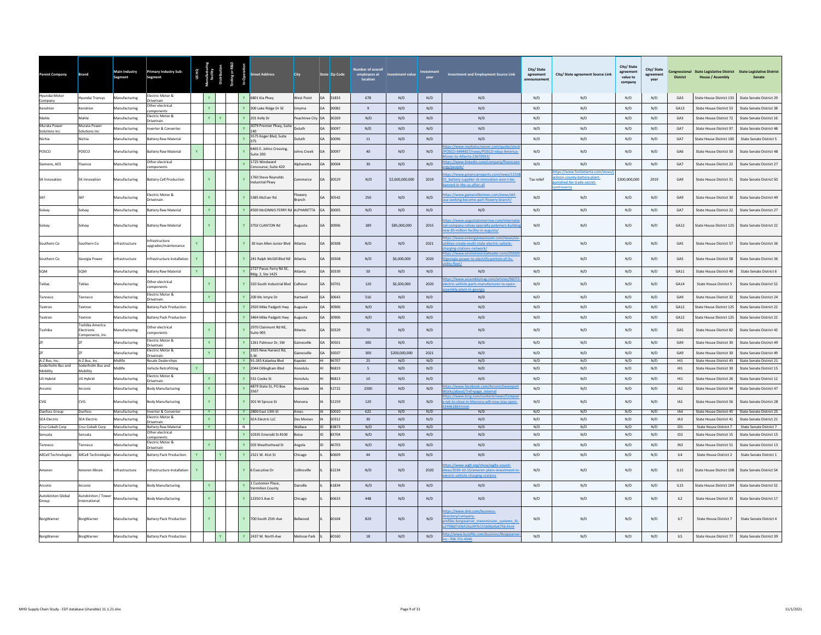| <b>Parent Company</b>                | <b>Brand</b>                                     | <b>Main Industry</b><br>Segment | Primary Industry Sub-<br>Segment         | <b>US HQ</b> |              |              | reet Address                                 | <b>City</b>        | State Zip Code     | nber of overall<br>employees at<br>Incation | nvestment value |            | <b>Investment and Employment Source Link</b>                                                                                        | City/State<br>agreement<br><b>Innouncement</b> | City/ State agreement Source Link                                                       | City/ State<br>ament<br>agr<br>value to<br>company | City/State<br>agreement<br>year | <b>District</b> | <b>House / Assembly</b>                            | Congressional State Legislative District State Legislative District<br>Senate |
|--------------------------------------|--------------------------------------------------|---------------------------------|------------------------------------------|--------------|--------------|--------------|----------------------------------------------|--------------------|--------------------|---------------------------------------------|-----------------|------------|-------------------------------------------------------------------------------------------------------------------------------------|------------------------------------------------|-----------------------------------------------------------------------------------------|----------------------------------------------------|---------------------------------|-----------------|----------------------------------------------------|-------------------------------------------------------------------------------|
| Hyundai Motor<br>Company             | Ivundai Transys                                  | Manufacturing                   | Electric Motor &<br>rivetrain            |              |              |              | 6801 Kia Pkwy                                | <b>Nest Point</b>  | GA 31833           | 678                                         | N/D             | N/D        | N/D                                                                                                                                 | N/D                                            | N/D                                                                                     | N/D                                                | N/D                             | GA3             | State House District 133                           | State Senate District 29                                                      |
| Kendrion                             | Cendrion                                         | Manufacturing                   | ther electrical<br>mponents              |              | Y.           |              | 300 Lake Ridge Dr SE                         | Smyrna             | 30082<br>GA        | 9                                           | N/D             | N/D        | N/D                                                                                                                                 | N/D                                            | N/D                                                                                     | N/D                                                | N/D                             | GA13            | State House District 53                            | State Senate District 38                                                      |
| Mahle                                | Mahle                                            | Manufacturing                   | ectric Motor &<br>ivetrain               |              | Y            |              | 201 Kelly Dr                                 | Peachtree City GA  | 30269              | N/D                                         | N/D             | N/D        | N/D                                                                                                                                 | N/D                                            | N/D                                                                                     | N/D                                                | N/D                             | GA3             | State House District 72                            | State Senate District 16                                                      |
| Murata Power<br>Solutions Inc.       | Murata Power<br>olutions Inc                     | Manufacturing                   | verter & Converter                       |              |              |              | 3079 Premier Pkwy, Suite                     | Duluth             | GA<br>30097        | N/D                                         | N/D             | N/D        | N/D                                                                                                                                 | N/D                                            | N/D                                                                                     | N/D                                                | N/D                             | GA7             | State House District 97                            | State Senate District 48                                                      |
| Nichia                               | <b>Vichia</b>                                    | Manufacturing                   | attery Raw Material                      |              |              |              | 3575 Koger Blvd, Suite<br>375                | uluth              | 30096              | $11\,$                                      | N/D             | N/D        | N/D                                                                                                                                 | N/D                                            | N/D                                                                                     | N/D                                                | N/D                             | GA7             | State House District 100                           | <b>State Senate District 5</b>                                                |
|                                      |                                                  |                                 |                                          |              |              |              | 6465 E. Johns Crossing.                      |                    |                    |                                             |                 |            | ps://www.marketscreener.com/quote/                                                                                                  |                                                |                                                                                         |                                                    |                                 |                 |                                                    |                                                                               |
| POSCO                                | OSCO                                             | Aanufacturing                   | attery Raw Material                      |              |              |              | Suite 200                                    | ohns Creek         | 30097              | 40                                          | N/D             | N/D        | OSCO-6494927/news/POSCO-nbsp-America-<br>es-to-Atlanta-23670933                                                                     | N/D                                            | N/D                                                                                     | N/D                                                | N/D                             | GA6             | State House District 50                            | State Senate District 48                                                      |
| Siemens, AES                         | luence                                           | Manufacturing                   | ther electrical<br>mponents              |              |              |              | 1725 Windward<br>Concourse, Suite 420        | Alpharetta         | GA<br>30004        | 30                                          | N/D             | N/D        | ps://www.linkedin.com/company/fluencee                                                                                              | N/D                                            | N/D                                                                                     | N/D                                                | N/D                             | GA7             | State House District 22                            | State Senate District 27                                                      |
| SK Innovation                        | SK Innovation                                    | Manufacturing                   | <b>Battery Cell Production</b>           |              | $\mathbf{Y}$ |              | 1760 Steve Reynolds<br>ndustrial Pkwy        | ommerce            | 30529<br><b>GA</b> | N/D                                         | \$2,600,000,000 | 2019       | tps://www.greencarreports.com/news/1131<br>1 battery-supplier-sk-innovation-won-t-be-<br>ined-in-the-us-after-all                   | Tax relief                                     | tps://www.fox5atlanta.com/n<br>ckson-county-battery-plant-<br>inished-for-trade-secret- | \$300,000,000                                      | 2019                            | GA9             | State House District 31                            | State Senate District 50                                                      |
|                                      | <b>KF</b>                                        | <b>Manufacturing</b>            | lectric Motor &<br>rivetrain             |              | <b>Y</b>     |              | 5385 McEver Rd                               | lowery<br>kranch   | 30542              | 250                                         | N/D             | N/D        | tps://www.gainesvilletimes.com/news/skf-<br>sa-seeking-become-part-flowery-branch/                                                  | N/D                                            | N/D                                                                                     | N/D                                                | N/D                             | GA9             | State House District 30                            | State Senate District 49                                                      |
| Solvay                               | Solvay                                           | Manufacturing                   | attery Raw Materia                       |              | Y.           |              | 4500 McGINNIS FERRY R                        | ALPHARETTA         | 30005<br>GA        | N/D                                         | N/D             | N/D        | N/D                                                                                                                                 | N/D                                            | N/D                                                                                     | N/D                                                | N/D                             | GA7             | State House District 22                            | State Senate District 27                                                      |
| Solvay                               | Solvay                                           | Manufacturing                   | <b>Battery Raw Material</b>              |              | $\mathbf{v}$ | $\mathbf{v}$ | 3702 CLANTON Rd                              | Augusta            | <b>GA</b><br>30906 | 189                                         | \$85,000,000    | 2015       | tps://www.augustatomorrow.com/interna<br>al-company-solvay-specialty-polymers-buildin<br>w-85-million-facility-in-augusta/          | N/D                                            | N/D                                                                                     | N/D                                                | N/D                             | GA12            | State House District 125                           | State Senate District 22                                                      |
| Southern Co.                         | Southern Co.                                     | nfrastructure                   | frastructure<br>pgrades/maintenance      |              |              |              | 30 Ivan Allen Junior Blyd                    | Atlanta            | 30308<br><b>GA</b> | N/D                                         | N/D             | 2021       | tps://www.entergynewsroom.com/news/six<br>ilities-create-multi-state-electric-vehicle-<br>ging-stations-network/                    | N/D                                            | N/D                                                                                     | N/D                                                | N/D                             | GA5             | State House District 57                            | State Senate District 36                                                      |
| Southern Co                          | Seorgia Power                                    | nfrastructure                   | nfrastructure installation               | Y            |              |              | 241 Ralph McGill Blvd NE                     | Atlanta            | 30308              | N/D                                         | \$6,000,000     | 2020       | tps://www.environmentalleader.com/20<br>georgia-power-to-electrify-portion-of-its-                                                  | N/D                                            | N/D                                                                                     | N/D                                                | N/D                             | GA5             | State House District 58                            | State Senate District 36                                                      |
| SOM                                  | SOM                                              | Manufacturing                   | attery Raw Material                      | $\mathbf{v}$ |              |              | 2727 Paces Ferry Rd SE,<br>Bldg. 2, Ste 1425 | Atlanta            | GA<br>30339        | 50                                          | N/D             | N/D        | N/D                                                                                                                                 | N/D                                            | N/D                                                                                     | N/D                                                | N/D                             | GA11            | State House District 40                            | State Senate District 6                                                       |
| Teklas                               | Teklas                                           | Manufacturing                   | ther electrical<br>omponents             |              |              |              | 320 South Industrial Blvd                    | Calhoun            | 30701<br><b>GA</b> | 120                                         | \$6,500,000     | 2020       | tps://www.assemblymag.com/articles/96072<br>ectric-vehicle-parts-manufacturer-to-open-<br>nhlu nlant-in-georgia                     | N/D                                            | N/D                                                                                     | N/D                                                | N/D                             | GA14            | <b>State House District 5</b>                      | State Senate District 52                                                      |
| Tenneco                              | Tenneco                                          | Manufacturing                   | ectric Motor &<br>rivetrain              |              | Y.           |              | 200 Mc Intyre Dr                             | Hartwell           | GA<br>30643        | 516                                         | N/D             | N/D        | N/D                                                                                                                                 | N/D                                            | N/D                                                                                     | N/D                                                | N/D                             | GA9             | State House District 32                            | State Senate District 24                                                      |
| Textron                              | extron                                           | Manufacturing                   | attery Pack Production                   |              |              |              | 920 Mike Padgett Hwy                         | ugusta             | 30906<br><b>GA</b> | N/D                                         | N/D             | N/D        | N/D                                                                                                                                 | N/D                                            | N/D                                                                                     | N/D                                                | N/D                             | GA12            | State House District 125                           | State Senate District 22                                                      |
| Textron                              | extron                                           | Aanufacturing                   | attery Pack Production                   |              |              |              | 464 Mike Padgett Hwy                         | Augusta            | 30906              | N/D                                         | N/D             | N/D        | N/D                                                                                                                                 | N/D                                            | N/D                                                                                     | N/D                                                | N/D                             | GA12            | State House District 125                           | State Senate District 22                                                      |
| Toshiba                              | Toshiba America<br>lectronic<br>Components, Inc. | lanufacturing                   | ther electrical<br>omponents             |              |              |              | 2970 Clairmont Rd NE.<br>Suite 905           | tlanta             | 30329              | 70                                          | N/D             | N/D        | N/D                                                                                                                                 | N/D                                            | N/D                                                                                     | N/D                                                | N/D                             | GA5             | State House District 82                            | State Senate District 42                                                      |
|                                      |                                                  | Manufacturing                   | lectric Motor &<br>rivetrain             |              |              |              | 1261 Palmour Dr. SW                          | <b>iainesville</b> | <b>GA</b><br>30501 | $300 -$                                     | N/D             | N/D        | N/D                                                                                                                                 | N/D                                            | N/D                                                                                     | N/D                                                | N/D                             | GA9             | State House District 30                            | State Senate District 49                                                      |
|                                      |                                                  | <b>Aanufacturing</b>            | lectric Motor &<br>rivetrain             |              |              |              | 1925 New Harvest Rd.<br>S.W.                 | inesville          | 30507              | 300                                         | \$200,000,000   | 2021       | N/D                                                                                                                                 | N/D                                            | N/D                                                                                     | N/D                                                | N/D                             | GA9             | State House District 30                            | State Senate District 49                                                      |
| A-Z Bus, Inc.                        | A-Z Bus, Inc.                                    | Midlife                         | Resale Dealerships                       |              |              |              | Y 91-265 Kalaeloa Blvd                       | Kapolei            | 96707              | 25                                          | N/D             | N/D        | N/D                                                                                                                                 | N/D                                            | N/D                                                                                     | N/D                                                | N/D                             | H11             | State House District 43                            | State Senate District 21                                                      |
| Soderholm Bus and<br>Mobility        | oderholm Bus and<br><b>Aobility</b>              | Midlife                         | ehicle Retrofitting                      |              |              |              | 2044 Dillingham Blvd                         | Ionolulu           | 96819              | 5                                           | N/D             | N/D        | N/D                                                                                                                                 | N/D                                            | N/D                                                                                     | N/D                                                | N/D                             | H11             | State House District 30                            | State Senate District 15                                                      |
| US Hybrid                            | JS Hybrid                                        | Manufacturing                   | lectric Motor &<br>rivetrain             |              | Y.           |              | 531 Cooke St                                 | onolulu            | 96813              | 10                                          | N/D             | N/D        | N/D                                                                                                                                 | N/D                                            | N/D                                                                                     | N/D                                                | N/D                             | H11             | <b>State House District 26</b>                     | State Senate District 12                                                      |
| Arconic                              | Arconic                                          | Aanufacturing                   | ody Manufacturing                        |              |              |              | 4879 State St. PO Box<br>3567                | verdale            | 52722              | 2500                                        | N/D             | N/D        | ps://www.facebook.com/ArconicDa<br>rks/about/?ref=nage_internal                                                                     | N/D                                            | N/D                                                                                     | N/D                                                | N/D                             | IA <sub>2</sub> | State House District 94                            | State Senate District 47                                                      |
| CVG                                  | CVG                                              | Manufacturing                   | ody Manufacturing                        |              | $\mathbf{v}$ |              | 301 W Spruce St                              | Monona             | 52159              | 120                                         | N/D             | N/D        | ps://www.kcrg.com/content<br>set-to-close-in-Monona-will-now-stay-open<br>461864.htm                                                | N/D                                            | N/D                                                                                     | N/D                                                | N/D                             | IA1             | State House District 56                            | State Senate District 28                                                      |
| Danfoss Group<br><b>SEA Electric</b> | Danfoss<br><b>SEA Electric</b>                   | Manufacturing                   | Inverter & Converter<br>ectric Motor &   |              | Y<br>Y       | Y            | 2800 East 13th St<br>SEA Electric LLC        | Ames<br>Des Moines | 50010<br>50312     | 622<br>30                                   | N/D<br>N/D      | N/D        | N/D<br>N/D                                                                                                                          | N/D<br>N/D                                     | N/D<br>N/D                                                                              | N/D<br>N/D                                         | N/D<br>N/D                      | IA4<br>IA3      | State House District 45<br>State House District 41 | State Senate District 23<br>State Senate District 21                          |
| Cruz Cobalt Corp                     | Cruz Cobalt Corp                                 | Manufacturing<br>Manufacturing  | rivetrain<br><b>Rattery Raw Material</b> |              | <b>Y</b>     | N            |                                              | <b>Wallace</b>     | ID<br>83873        | N/D                                         | N/D             | N/D<br>N/D | N/D                                                                                                                                 | N/D                                            | N/D                                                                                     | N/D                                                | N/D                             | ID1             | State House District 7                             | State Senate District 7                                                       |
| Sensata                              | Sensata                                          | Manufacturing                   | ther electrical<br>mponents              |              |              |              | 10335 Emerald St #100                        | Boise              | 83704              | N/D                                         | N/D             | N/D        | N/D                                                                                                                                 | N/D                                            | N/D                                                                                     | N/D                                                | N/D                             | ID2             | State House District 15                            | State Senate District 15                                                      |
| Tenneco                              | ennero                                           | Manufacturing                   | ectric Motor &                           |              | Y.           |              | 503 Weatherhead St                           | Angola             | 46703              | N/D                                         | N/D             | N/D        | N/D                                                                                                                                 | N/D                                            | N/D                                                                                     | N/D                                                | N/D                             | IN3             | State House District 51                            | State Senate District 13                                                      |
| <b>AllCell Technologies</b>          | AllCell Technologies                             | Manufacturing                   | rivetrain<br>attery Pack Production      | $\mathbf{Y}$ |              |              | 2321 W. 41st St                              | Chicago            | 60609              | 44                                          | N/D             | N/D        | N/D                                                                                                                                 | N/D                                            | N/D                                                                                     | N/D                                                | N/D                             | IL4             | State House District 2                             | <b>State Senate District 1</b>                                                |
| Ameren                               | Ameren Illinois                                  | <b>nfrastructure</b>            | nfrastructure installation               |              |              |              | 6 Executive Dr                               | ollinsville        | 62234              | N/D                                         | N/D             | 2020       | tps://www.wglt.org/show/wglts-sound-<br>eas/2020-10-15/ameren-plans-investment-in                                                   | N/D                                            | N/D                                                                                     | N/D                                                | N/D                             | <b>IL15</b>     | <b>State House District 108</b>                    | State Senate District 54                                                      |
|                                      |                                                  |                                 |                                          |              |              |              | Customer Place,                              |                    |                    |                                             |                 |            | ectric-vehicle-charging-stations                                                                                                    |                                                |                                                                                         |                                                    |                                 |                 |                                                    |                                                                               |
| Arconic                              | Arconic                                          | Manufacturing                   | ody Manufacturing                        |              |              |              | ermilion County                              | Danville           | 61834              | N/D                                         | N/D             | N/D        | N/D                                                                                                                                 | N/D                                            | N/D                                                                                     | N/D                                                | N/D                             | IL15            | State House District 104                           | State Senate District 52                                                      |
| Autokiniton Global<br>Group          | utokiniton / Tower<br>ternational                | Manufacturing                   | Body Manufacturing                       |              | Y.           |              | 12350 S Ave O                                | hicago             | 60633              | 448                                         | N/D             | N/D        | N/D                                                                                                                                 | N/D                                            | N/D                                                                                     | N/D                                                | N/D                             | IL2             | State House District 33                            | State Senate District 17                                                      |
| BorgWarner                           | BorgWarner                                       | Manufacturing                   | attery Pack Production                   |              |              |              | 700 South 25th Ave                           | Bellwood           | 60104              | 820                                         | N/D             | N/D        | tps://www.dnb.com/business-<br>ectory/company-<br>ofiles.borgwarner transmission systems lic<br>7f08d7d3b526a397b131b06a9a675b.html | N/D                                            | N/D                                                                                     | N/D                                                | N/D                             | IL7             | State House District 7                             | State Senate District 4                                                       |
| BorgWarner                           | BorgWarner                                       | Manufacturing                   | <b>Battery Pack Production</b>           |              |              |              | 2437 W. North Ave                            | Melrose Park       | 60160              | 18                                          | N/D             | N/D        | ttp://www.buzzfile.com/business/Borgwarner<br>$-708 - 731 - 4540$                                                                   | N/D                                            | N/D                                                                                     | N/D                                                | N/D                             | IL5             | State House District 77                            | State Senate District 39                                                      |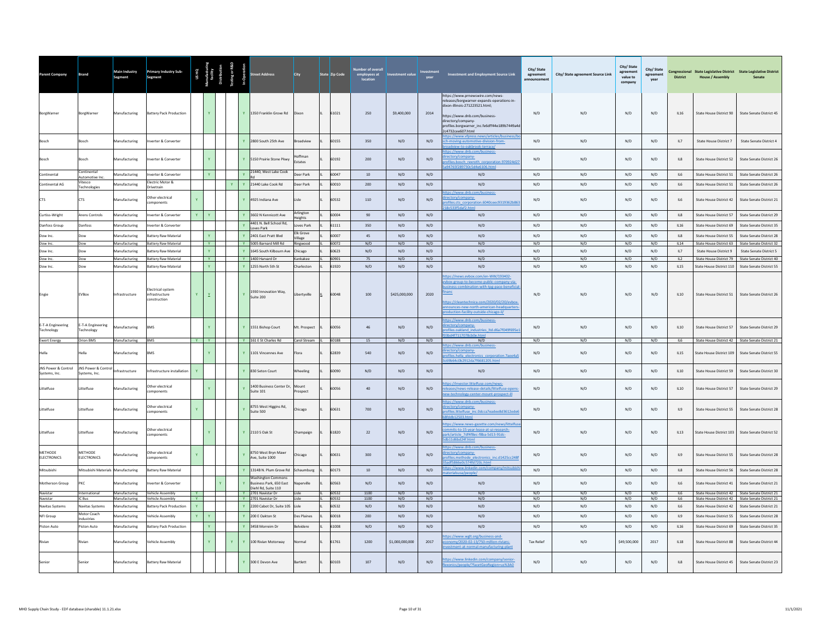| <b>Parent Company</b>                | <b>Brand</b>                        | Main Industry<br>Segment       | <b>Primary Industry Sub-</b><br>Segment                    |                       |                          |              |              |                                                                                    | City                 | State Zip Code | ber of overal<br>employees at<br>location | <b>Investment value</b> |                         | <b>Investment and Employment Source Link</b>                                                                                                                                                                                                                  | City/State<br>agreement<br>announcement | City/ State agreement Source Link | City/ State<br>agreement<br>value to<br>company | City/State<br>agreement<br>vear | <b>District</b>    | <b>House / Assembly</b>                           | Congressional State Legislative District State Legislative District          |
|--------------------------------------|-------------------------------------|--------------------------------|------------------------------------------------------------|-----------------------|--------------------------|--------------|--------------|------------------------------------------------------------------------------------|----------------------|----------------|-------------------------------------------|-------------------------|-------------------------|---------------------------------------------------------------------------------------------------------------------------------------------------------------------------------------------------------------------------------------------------------------|-----------------------------------------|-----------------------------------|-------------------------------------------------|---------------------------------|--------------------|---------------------------------------------------|------------------------------------------------------------------------------|
| BorgWarner                           | BorgWarner                          | Manufacturing                  | Battery Pack Production                                    |                       |                          |              |              | Y 1350 Franklin Grove Rd                                                           | Dixon                | 61021          | 250                                       | \$9,400,000             | 2014                    | https://www.prnewswire.com/news-<br>releases/borgwarner-expands-operations-in-<br>fixon-illinois-271223521.html:<br>https://www.dnb.com/business-<br>directory/company-<br>profiles.borgwarner inc.fe6dff44e189b7449a4d<br>2c4732cee607.html                  | N/D                                     | N/D                               | N/D                                             | N/D                             | <b>IL16</b>        | State House District 90                           | State Senate District 45                                                     |
|                                      | <b>Sosch</b>                        | <b>Manufacturing</b>           | verter & Converter                                         |                       |                          |              |              | Y 2800 South 25th Ave                                                              | Broadview            | 60155          | 350                                       | N/D                     | N/D                     | ps://www.vfpress.news/articles/bu<br>h-moving-automotive-division-from-<br>ew-to-oakbrook-terr                                                                                                                                                                | N/D                                     | N/D                               | N/D                                             | N/D                             | IL7                | State House District 7                            | State Senate District 4                                                      |
| Bosch                                | Bosch                               | Manufacturing                  | werter & Converter                                         |                       |                          |              |              | Y 5150 Prairie Stone Pkwy                                                          | loffman<br>Estates   | 60192          | 200                                       | N/D                     | N/D                     | ps://www.dnb.com/business-<br>ectory/company-<br>files.bosch_rexroth_corporation.970924d27<br>94765f289730c5d4e6106.html                                                                                                                                      | N/D                                     | N/D                               | N/D                                             | N/D                             | IL8                | State House District 52                           | State Senate District 26                                                     |
| Continental                          | Continental<br>Automotive Inc       | Manufacturing                  | werter & Converter                                         |                       |                          |              |              | 21440, West Lake Cook                                                              | Deer Park            | 60047          | 10                                        | N/D                     | N/D                     | N/D                                                                                                                                                                                                                                                           | N/D                                     | N/D                               | N/D                                             | N/D                             | IL6                | State House District 51                           | State Senate District 26                                                     |
| Continental AG                       | Vitesco<br>Technologies             | Manufacturing                  | lectric Motor &<br>Drivetrain                              |                       |                          | $\mathbf{Y}$ |              | Y 21440 Lake Cook Rd                                                               | Deer Park            | 60010          | 200                                       | N/D                     | N/D                     | N/D                                                                                                                                                                                                                                                           | N/D                                     | N/D                               | N/D                                             | N/D                             | IL6                | State House District 51                           | State Senate District 26                                                     |
| CTS                                  | <b>CTS</b>                          | Aanufacturing                  | ther electrical<br>omponents                               |                       |                          |              |              | Y 4925 Indiana Ave                                                                 | Lisle                | 60532          | 110                                       | N/D                     | N/D                     | tps://www.dnb.com/business-<br>rectory/company-<br>rofiles.cts_corporation.6040ceec9319362b86<br>18c533f5daf2.html                                                                                                                                            | N/D                                     | N/D                               | N/D                                             | N/D                             | IL6                | State House District 42                           | State Senate District 21                                                     |
| Curtiss-Wright                       | Arens Controls                      | Manufacturing                  | verter & Converter                                         | $\mathbf{Y}$          | $\mathbf{Y}$             |              |              | Y 3602 N Kennicott Ave                                                             | Arlington<br>Heights | 60004          | 90                                        | N/D                     | N/D                     | N/D                                                                                                                                                                                                                                                           | N/D                                     | N/D                               | N/D                                             | N/D                             | IL8                | State House District 57                           | State Senate District 29                                                     |
| Danfoss Group                        | Danfoss                             | Manufacturing                  | verter & Converter                                         |                       |                          |              |              | 4401 N. Bell School Rd,<br>Loves Park                                              | loves Park           | 61111          | 350                                       | N/D                     | N/D                     | N/D                                                                                                                                                                                                                                                           | N/D                                     | N/D                               | N/D                                             | N/D                             | IL16               | State House District 69                           | State Senate District 35                                                     |
| Dow Inc.                             | Dow                                 | Manufacturing                  | <b>Sattery Raw Material</b>                                |                       | Y.<br>Y                  |              |              | Y 2401 East Pratt Blvd                                                             | Elk Grove<br>Village | 60007          | 45                                        | N/D                     | N/D                     | N/D                                                                                                                                                                                                                                                           | N/D                                     | N/D                               | N/D                                             | N/D                             | $\parallel$ 8      | <b>State House District 55</b>                    | State Senate District 28                                                     |
| Dow Inc.<br>Dow Inc.                 | Dow<br>Dow                          | Manufacturing<br>Manufacturing | <b>Battery Raw Material</b><br><b>Sattery Raw Material</b> |                       | $\mathbf{v}$             |              |              | Y 5005 Barnard Mill Rd<br>Y 1645 South Kilbourn Ave                                | Ringwood<br>Chicago  | 60072<br>60623 | N/D<br>N/D                                | N/D<br>N/D              | N/D<br>N/D              | N/D<br>N/D                                                                                                                                                                                                                                                    | N/D<br>N/D                              | N/D<br>N/D                        | N/D<br>N/D                                      | N/D<br>N/D                      | <b>IL14</b><br>IL7 | State House District 63<br>State House District 9 | State Senate District 32<br><b>State Senate District 5</b>                   |
| Dow Inc.                             | Dow                                 | Manufacturing                  | <b>Battery Raw Material</b>                                |                       | Y                        |              |              | Y 1400 Harvard Dr                                                                  | Kankakee             | 60901          | 75                                        | N/D                     | N/D                     | N/D                                                                                                                                                                                                                                                           | N/D                                     | N/D                               | N/D                                             | N/D                             | IL2                | State House District 79                           | State Senate District 40                                                     |
| Dow Inc.                             | Dow                                 | Manufacturing                  | <b>Sattery Raw Material</b>                                |                       | Y.                       |              |              | Y 1255 North 5th St                                                                | Charleston           | 61920          | N/D                                       | N/D                     | N/D                     | N/D                                                                                                                                                                                                                                                           | N/D                                     | N/D                               | N/D                                             | N/D                             | IL15               | State House District 110                          | State Senate District 55                                                     |
| Engie                                | EVBox                               | Infrastructure                 | lectrical system<br>infrastructure<br>onstruction          | $\mathbf{Y}$          | $\underline{\mathtt{Y}}$ |              | $\mathbf{Y}$ | 1930 Innovation Way,<br>Suite 200                                                  | Libertyville         | 60048          | 100                                       | \$425,000,000           | 2020                    | ps://news.evbox.com/en-WW/193402-<br>box-group-to-become-public-company-via<br>iness-combination-with-tpg-pace-benefici<br>anc<br>ttps://cleantechnica.com/2020/02/20/evbox<br>nounces-new-north-american-headquarter<br>duction-facility-outside-chicago-il/ | N/D                                     | N/D                               | N/D                                             | N/D                             | II 10              | State House District 51                           | State Senate District 26                                                     |
| E-T-A Engineering<br>Technology      | E-T-A Engineering<br>Technology     | Manufacturing                  | <b>BMS</b>                                                 |                       |                          |              |              | 1551 Bishop Court                                                                  | Mt. Prospect         | 60056          | 46                                        | N/D                     | N/D                     | ttps://www.dnb.com/business-<br>irectory/company-<br>rofiles.oakland industries Itd.d6a7f049f695e<br>d4f7117078cb0e.ht                                                                                                                                        | N/D                                     | N/D                               | N/D                                             | N/D                             | IL10               | State House District 57                           | State Senate District 29                                                     |
| <b>Ewert Energy</b>                  | Orion BMS                           | Manufacturing                  | <b>BMS</b>                                                 | <b>Y</b>              | ™ ∴                      |              |              | Y 161 E St Charles Rd                                                              | Carol Stream II      | 60188          | 15                                        | N/D                     | N/D                     | N/D<br>ps://www.dnb.com/business-                                                                                                                                                                                                                             | N/D                                     | N/D                               | N/D                                             | N/D                             | IL6                |                                                   | State House District 42 State Senate District 21                             |
| Hella                                | Hella                               | Manufacturing                  | <b>ZMS</b>                                                 |                       |                          |              |              | Y 1101 Vincennes Ave                                                               | Flora                | 62839          | 540                                       | N/D                     | N/D                     | ctory/company-<br>files.hella electronics corporation.7aee4a5<br>9b64c0b2912da7f6681205.html                                                                                                                                                                  | N/D                                     | N/D                               | N/D                                             | N/D                             | II15               | State House District 109                          | State Senate District 55                                                     |
| JNS Power & Control<br>Systems, Inc. | JNS Power & Contro<br>Systems, Inc. | nfrastructure                  | nfrastructure installation                                 | Y.                    |                          |              |              | Y 830 Seton Court                                                                  | Wheeling             | 60090          | N/D                                       | N/D                     | N/D                     | N/D                                                                                                                                                                                                                                                           | N/D                                     | N/D                               | N/D                                             | N/D                             | IL10               | State House District 59                           | State Senate District 30                                                     |
| Littelfuse                           | Littelfuse                          | Manufacturing                  | Other electrical<br>omponents                              |                       |                          |              |              | 1400 Business Center Dr<br>Suite 101                                               | Mount<br>Prospect    | 60056          | 40                                        | N/D                     | N/D                     | ps://investor.littelfuse.com/news-<br>eases/news-release-details/littelfuse-open<br>ew-technology-center-mount-prospect-ill                                                                                                                                   | N/D                                     | N/D                               | N/D                                             | N/D                             | <b>IL10</b>        | State House District 57                           | State Senate District 29                                                     |
| Littelfuse                           | Littelfuse                          | Manufacturing                  | ther electrical<br>omponents                               | Y                     |                          |              |              | 8755 West Higgins Rd,<br>Suite 500                                                 | Chicago              | 60631          | 700                                       | N/D                     | N/D                     | tps://www.dnb.com/business-<br>ectory/company-<br>ofiles.littelfuse inc.0dcca7eadee8d3612ede6<br>$th12503$ html                                                                                                                                               | N/D                                     | N/D                               | N/D                                             | N/D                             | IL9                | State House District 55                           | State Senate District 28                                                     |
| Littelfuse                           | Littelfuse                          | Manufacturing                  | ther electrical<br>mponents                                |                       |                          |              |              | Y 2110 S Oak St                                                                    | Champaign            | 61820          | 22                                        | N/D                     | N/D                     | tps://www.news-gazette.com/news/littelfu<br>nmits-to-15-year-lease-at-ui-research-<br>rk/article 7df4f8ec-f8ba-5d13-91dc-<br>Imtd 3b Chdaht 1dhi                                                                                                              | N/D                                     | N/D                               | N/D                                             | N/D                             | IL13               | State House District 103                          | State Senate District 52                                                     |
| METHODE<br><b>ELECTRONICS</b>        | METHODE<br><b>ELECTRONICS</b>       | <b>Aanufacturing</b>           | ther electrical<br>mponents                                | $\mathbf{Y}$          |                          |              |              | 8750 West Bryn Mawr<br>Ave, Suite 1000                                             | Chicago              | 60631          | 300                                       | N/D                     | N/D                     | tps://www.dnb.com/business-<br>ectory/company-<br>files.methode electronics inc.d1425cc248<br>df5866e0c574fd720c.html                                                                                                                                         | N/D                                     | N/D                               | N/D                                             | N/D                             | IL9                | State House District 55                           | State Senate District 28                                                     |
| Mitsubishi                           | Mitsubishi Materials Manufacturing  |                                | Battery Raw Material                                       |                       |                          |              |              | 1314B N. Plum Grove Rd Schaumburg                                                  |                      | 60173          | $10\,$                                    | N/D                     | N/D                     | tps://www.linkedin.com/co<br>dalerrea Innonio I                                                                                                                                                                                                               | N/D                                     | N/D                               | N/D                                             | N/D                             | IL8                | State House District 56                           | State Senate District 28                                                     |
| Motherson Group                      | PKC                                 | Manufacturing                  | verter & Converter                                         |                       |                          |              |              | <b>Washington Commons</b><br><b>Business Park, 650 Fast</b><br>Diehl Rd, Suite 110 | anerville            | 60563          | N/D                                       | N/D                     | N/D                     | N/D                                                                                                                                                                                                                                                           | N/D                                     | N/D                               | N/D                                             | N/D                             | II6                | State House District 41                           | State Senate District 21                                                     |
| Navistar<br>Navistar                 | International<br>IC Bus             | Manufacturing<br>Manufacturing | <b>Vehicle Assembly</b><br><b>Vehicle Assembly</b>         | $-92$<br>$\mathbf{Y}$ |                          |              |              | Y 2701 Navistar Dr<br>Y 2701 Navistar Dr                                           | Lisle<br>alzi I      | 60532<br>60532 | 1100<br>1100                              | N/D<br>N/D              | N/D<br>N/D              | N/D<br>N/D                                                                                                                                                                                                                                                    | N/D<br>N/D                              | N/D<br>N/D                        | N/D<br>N/D                                      | N/D<br>N/D                      | II6<br>II6         | State House District 42                           | State Senate District 21<br>State House District 42 State Senate District 21 |
| Navitas Systems                      | Navitas Systems                     | <b>Manufacturing</b>           | attery Pack Production                                     | Y.                    |                          |              |              | Y 2200 Cabot Dr, Suite 105                                                         | Lisle                | 60532          | $\rm N/D$                                 | N/D                     | $\mathrm{N}/\mathrm{D}$ | N/D                                                                                                                                                                                                                                                           | N/D                                     | N/D                               | N/D                                             | $\rm N/D$                       | IL6                | State House District 42                           | State Senate District 21                                                     |
| NFI Group                            | Motor Coach<br>Industries           | Aanufacturing                  | ehicle Assembly                                            | Y.                    |                          |              |              | Y 200 E Oakton St                                                                  | Des Plaines          | 60018          | 200                                       | N/D                     | N/D                     | N/D                                                                                                                                                                                                                                                           | N/D                                     | N/D                               | N/D                                             | N/D                             | IL9                | State House District 55                           | State Senate District 28                                                     |
| Piston Auto                          | Piston Auto                         | Manufacturing                  | <b>Sattery Pack Production</b>                             |                       | Y                        |              |              | Y 3458 Morreim Dr                                                                  | Belvidere            | 61008          | N/D                                       | N/D                     | N/D                     | N/D                                                                                                                                                                                                                                                           | N/D                                     | N/D                               | N/D                                             | N/D                             | IL16               | State House District 69                           | State Senate District 35                                                     |
| Rivian                               | Rivian                              | Manufacturing                  | /ehicle Assembly                                           |                       |                          | Y            |              | Y 100 Rivian Motorway                                                              | Normal               | 61761          | 1200                                      | \$1,000,000,000         | 2017                    | ps://www.wglt.org/business-and-<br>onomy/2020-02-13/750-million-rivians-<br>estment-at-normal-manufacturing-plant                                                                                                                                             | <b>Tax Relief</b>                       | N/D                               | \$49,500,000                                    | 2017                            | IL18               | State House District 88                           | State Senate District 44                                                     |
| Senior                               |                                     | Manufacturing                  | <b>Battery Raw Material</b>                                |                       |                          |              |              | Y 300 E Devon Ave                                                                  | Bartlett             | 60103          | 107                                       | N/D                     | N/D                     | os://www.linkedin.com/company/se<br>xonics/people/?facetGeoRegion=us%3A0                                                                                                                                                                                      | N/D                                     | N/D                               | N/D                                             | N/D                             | IL8                | State House District 45                           | State Senate District 23                                                     |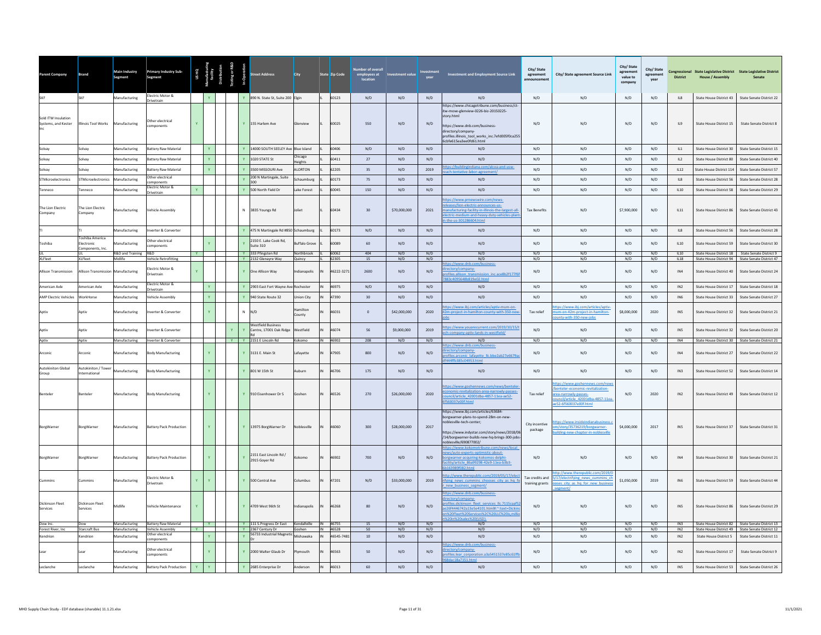| arent Company                              | <b>Brand</b>                                   | Main Industry<br>Segment       | <b>Primary Industry Sub-</b><br>Segment       | <b>USHQ</b> |              |                   | eet Address                                          | City                            |    | State Zip Code | er of overal<br>employees at<br>location | <b>Investment value</b> |            | Investment and Employment Source Link                                                                                                                                                                                                 | City/State<br>agreement<br><b>Innouncemen</b> | City/ State agreement Source Link                                                                                                                      | City/ State<br>agreement<br>value to<br>company | City/State<br>agreement<br>year | <b>District</b> | Congressional State Legislative District State Legislative District<br><b>House / Assembly</b> |                                                                                                      |
|--------------------------------------------|------------------------------------------------|--------------------------------|-----------------------------------------------|-------------|--------------|-------------------|------------------------------------------------------|---------------------------------|----|----------------|------------------------------------------|-------------------------|------------|---------------------------------------------------------------------------------------------------------------------------------------------------------------------------------------------------------------------------------------|-----------------------------------------------|--------------------------------------------------------------------------------------------------------------------------------------------------------|-------------------------------------------------|---------------------------------|-----------------|------------------------------------------------------------------------------------------------|------------------------------------------------------------------------------------------------------|
|                                            | <b>SKF</b>                                     | Manufacturing                  | Electric Motor &<br>Drivetrain                |             |              | $\mathbf{Y}$      | 890 N. State St, Suite 200 Elgin                     |                                 |    | 60123          | N/D                                      | N/D                     | N/D        | N/D                                                                                                                                                                                                                                   | N/D                                           | N/D                                                                                                                                                    | N/D                                             | N/D                             | IL8             | State House District 43                                                                        | State Senate District 22                                                                             |
| Sold ITW Insulation<br>Systems, and Kester | Illinois Tool Works                            | Manufacturing                  | Other electrical<br>omponents                 |             |              |                   | Y 155 Harlem Ave                                     | ilenview                        |    | 60025          | 550                                      | N/D                     | N/D        | https://www.chicagotribune.com/business/ct-<br>tw-move-glenview-0226-biz-20150225-<br>story.html<br>https://www.dnb.com/business-<br>directory/company-<br>profiles.illinois tool works inc.7efd005f0ca25!<br>Scbfe615ea3ee0fd61.html | N/D                                           | N/D                                                                                                                                                    | N/D                                             | N/D                             | IL9             | State House District 15                                                                        | State Senate District 8                                                                              |
| Solvav                                     | Solvay                                         | Manufacturing                  | <b>Battery Raw Material</b>                   |             | $\mathbf{Y}$ |                   | 14000 SOUTH SEELEY Ave Blue Island                   |                                 |    | 60406          | N/D                                      | N/D                     | N/D        | N/D                                                                                                                                                                                                                                   | N/D                                           | N/D                                                                                                                                                    | N/D                                             | N/D                             | IL1             | State House District 30                                                                        | State Senate District 15                                                                             |
| solvay                                     | Solvay                                         | Manufacturing                  | <b>Battery Raw Material</b>                   |             | $\mathbf{Y}$ |                   | 1020 STATE St                                        | hicago<br>eights                |    | 60411          | $27$                                     | N/D                     | N/D        | N/D                                                                                                                                                                                                                                   | N/D                                           | N/D                                                                                                                                                    | N/D                                             | N/D                             | IL2             | State House District 80                                                                        | State Senate District 40                                                                             |
| Solvay                                     | solvay                                         | Manufacturing                  | <b>Battery Raw Material</b>                   |             |              |                   | 3500 MISSOURI Ave                                    | LORTON                          |    | 62205          | 35                                       | N/D                     | 2019       | tps://buildingindiana.com/alcoa-and-usw-<br>ch-tentative-labor-agreement/                                                                                                                                                             | $\rm N/D$                                     | N/D                                                                                                                                                    | N/D                                             | N/D                             | IL12            | State House District 114                                                                       | State Senate District 57                                                                             |
| STMicroelectronics                         | STMicroelectronics                             | Manufacturing                  | Other electrical<br>omponents                 |             |              |                   | 200 N Martingale, Suite<br>300                       | chaumburg                       |    | 60173          | 75                                       | N/D                     | N/D        | N/D                                                                                                                                                                                                                                   | N/D                                           | N/D                                                                                                                                                    | N/D                                             | N/D                             | IL8             | State House District 56                                                                        | State Senate District 28                                                                             |
| enneco                                     | enneco                                         | Aanufacturing                  | lectric Motor &                               |             |              |                   | 500 North Field Dr                                   | ake Forest                      |    | 60045          | 150                                      | N/D                     | N/D        | N/D                                                                                                                                                                                                                                   | N/D                                           | N/D                                                                                                                                                    | N/D                                             | N/D                             | IL10            | <b>State House District 58</b>                                                                 | State Senate District 29                                                                             |
| The Lion Electric<br>Company               | The Lion Electric<br>Company                   | Manufacturing                  | Irivetrain<br><b>Vehicle Assembly</b>         |             |              |                   | N 3835 Youngs Rd                                     | Joliet                          |    | 60434          | 30                                       | \$70,000,000            | 2021       | ps://www.prnewswire.com/news-<br>eases/lion-electric-announces-us-<br>anufacturing-facility-in-illinois-the-largest-all<br>lectric-medium-and-heavy-duty-vehicles-plan<br>-the-us-301286604.html                                      | <b>Tax Benefits</b>                           | N/D                                                                                                                                                    | \$7,900,000                                     | N/D                             | IL11            | State House District 86                                                                        | State Senate District 43                                                                             |
|                                            |                                                | Manufacturing                  | nverter & Converter                           |             |              |                   | 475 N Martingale Rd #850 Schaumburg                  |                                 |    | 60173          | N/D                                      | N/D                     | N/D        | N/D                                                                                                                                                                                                                                   | N/D                                           | N/D                                                                                                                                                    | N/D                                             | N/D                             | IL8             | State House District 56                                                                        | State Senate District 28                                                                             |
| oshiba                                     | Toshiba America<br>Electronic<br>omponents, In | nufacturing                    | Other electrical<br>components                |             |              |                   | 2150 E. Lake Cook Rd.<br>Suite 310                   | uffalo Grov                     |    | 60089          | 60                                       | N/D                     | N/D        | N/D                                                                                                                                                                                                                                   | N/D                                           | N/D                                                                                                                                                    | N/D                                             | N/D                             | IL10            | State House District 59                                                                        | State Senate District 30                                                                             |
| <b>XLFleet</b>                             | <b>XLFleet</b>                                 | R&D and Training<br>Midlife    | <b>R&amp;D</b><br><b>Vehicle Retrofitting</b> |             |              |                   | Y 333 Pfingsten Rd<br>Y 2132 Glenayre Way            | Northbrook<br>Quincy            |    | 60062<br>62305 | 404<br>15                                | N/D<br>N/D              | N/D<br>N/D | N/D<br>N/D                                                                                                                                                                                                                            | N/D<br>N/D                                    | N/D<br>N/D                                                                                                                                             | N/D<br>N/D                                      | N/D<br>N/D                      | IL10<br>IL18    | State House District 18<br>State House District 94                                             | State Senate District 9<br>State Senate District 47                                                  |
| Allison Transmission                       | Allison Transmission Manufacturing             |                                | Electric Motor &<br>Drivetrain                |             |              | $\mathbf{Y}$      | One Allison Way                                      | ndianapolis                     |    | 46222-3271     | 2600                                     | N/D                     | N/D        | s://www.dnb.com/business<br>ectory/company-<br>files.allison transmission inc.ace8b2f177f6<br>10095648b819e02.html                                                                                                                    | N/D                                           | N/D                                                                                                                                                    | N/D                                             | N/D                             | IN4             | State House District 40                                                                        | State Senate District 24                                                                             |
| American Axle                              | American Axle                                  | Manufacturing                  | Electric Motor &<br>rivetrain                 |             |              | $\mathbf{v}$      | 2903 East Fort Wayne Av                              | Rochester                       |    | 46975          | $\rm N/D$                                | N/D                     | N/D        | N/D                                                                                                                                                                                                                                   | N/D                                           | N/D                                                                                                                                                    | N/D                                             | N/D                             | IN2             | State House District 17                                                                        | State Senate District 18                                                                             |
| <b>AMP Electric Vehicles</b>               | WorkHorse                                      | Manufacturing                  | Vehicle Assembly                              |             | $\mathbf{Y}$ | $\mathbf{v}$      | 940 State Route 32                                   | Inion City                      |    | 47390          | 30                                       | N/D                     | N/D        | N/D                                                                                                                                                                                                                                   | N/D                                           | N/D                                                                                                                                                    | N/D                                             | N/D                             | IN <sub>6</sub> | State House District 33                                                                        | State Senate District 27                                                                             |
| Antiv                                      | Antiv                                          | Manufacturing                  | nverter & Converter                           |             | $\mathbf{v}$ | $\mathbb{N}$      | N/D                                                  | amiltor<br>punty                |    | 46031          | $\Omega$                                 | \$42,000,000            | 2020       | tps://www.ibj.com/articles/aptiv-mum-on-<br>2m-project-in-hamilton-county-with-350-nev                                                                                                                                                | Tax relief                                    | ps://www.ibj.com/articles/aptiv-<br>um-on-42m-project-in-hamilton-<br>unty-with-350-new-jobs                                                           | \$8,000,000                                     | 2020                            | IN <sub>5</sub> | State House District 32                                                                        | State Senate District 21                                                                             |
|                                            | Aptiv                                          | Manufacturing                  | verter & Converter                            |             |              | Y<br>$\mathbf{Y}$ | <b>Westfield Business</b><br>Centre, 17001 Oak Ridge | Vestfield                       |    | 46074          | 56                                       | \$9,000,000             | 2019       | tps://www.youarecurrent.com/2019/10/15<br>h-company-aptiv-lands-in-westfield/                                                                                                                                                         | N/D                                           | N/D                                                                                                                                                    | N/D                                             | N/D                             | IN <sub>5</sub> | State House District 32                                                                        | State Senate District 20                                                                             |
| Aptiv                                      | Aptiv                                          | Manufacturing                  | Inverter & Converter                          |             |              |                   | Y   Y   2151 E Lincoln Rd                            | Kokomo                          |    | IN 46902       | 208                                      | N/D                     | N/D        | N/D<br>ps://www.dnb.com/business-                                                                                                                                                                                                     | N/D                                           | N/D                                                                                                                                                    | N/D                                             | N/D                             | IN4             | State House District 30                                                                        | State Senate District 21                                                                             |
| Arconic                                    | Arconic                                        | Manufacturing                  | <b>Body Manufacturing</b>                     |             | Y            |                   | 3131 E. Main St                                      | Lafayette                       |    | 47905          | 800                                      | N/D                     | N/D        | ectory/company-<br>ofiles.arconic lafayette llc.bbe2ab27e6679a<br>144ffb385c04953.html                                                                                                                                                | N/D                                           | N/D                                                                                                                                                    | N/D                                             | N/D                             | IN4             | State House District 27                                                                        | State Senate District 22                                                                             |
| <b>Autokiniton Global</b><br>Group         | Autokiniton / Tower<br>nternational            | Manufacturing                  | <b>Body Manufacturing</b>                     |             | $\mathbf{Y}$ | $\mathbf{v}$      | 801 W 15th St                                        | Auburn                          |    | 46706          | 175                                      | N/D                     | N/D        | N/D                                                                                                                                                                                                                                   | N/D                                           | N/D                                                                                                                                                    | N/D                                             | N/D                             | IN3             | State House District 52                                                                        | State Senate District 14                                                                             |
| Benteler                                   | nteler                                         | Manufacturing                  | <b>Body Manufacturing</b>                     |             | $\mathbf{v}$ |                   | Y 910 Eisenhower Dr S                                | Goshen                          |    | 46526          | 270                                      | \$26,000,000            | 2020       | ps://www.goshennews.com/news/bentele<br>nomic-revitalization-area-narrowly-passes-<br>ncil/article 42001dba-4857-11ea-ae52-<br>60037e00f.html                                                                                         | Tax relief                                    | tps://www.goshennews.com/new<br>enteler-economic-revitalization-<br>rea-narrowly-passes-<br>puncil/article 42001dba-4857-11ea<br>e52-6f560037e00f.html | N/D                                             | 2020                            | IN2             | State House District 49                                                                        | State Senate District 12                                                                             |
| BorgWarner                                 | BorgWarner                                     | Manufacturing                  | <b>Battery Pack Production</b>                |             | $\mathbf{Y}$ |                   | Y 13975 BorgWarner Dr                                | Noblesville                     | IN | 46060          | 300                                      | \$28,000,000            | 2017       | https://www.ibj.com/articles/63684-<br>oorgwarner-plans-to-spend-28m-on-new<br>oblesville-tech-center;<br>https://www.indystar.com/story/news/2018/06<br>/14/borgwarner-builds-new-hq-brings-300-jobs<br>/0blesville/690877002        | City incentive<br>package                     | s://www.insideindianabusiness.<br>m/story/35736219/borgwarner-<br>uilding-new-chapter-in-noblesville                                                   | \$4,000,000                                     | 2017                            | IN5             | State House District 37                                                                        | State Senate District 31                                                                             |
| BorgWarner                                 | <b>BorgWarner</b>                              | Manufacturing                  | <b>Battery Pack Production</b>                |             | Y            | <b>V</b>          | 2151 East Lincoln Rd /<br>2915 Goyer Rd              | okomo                           |    | 46902          | 700                                      | N/D                     | N/D        | ttps://www.kokomotribune.com/news/local<br>ews/auto-experts-optimistic-about-<br>orgwarner-acquiring-kokomos-delphi-<br>ecility/article 86a99298-42e9-11ea-b3b3-                                                                      | N/D                                           | N/D                                                                                                                                                    | N/D                                             | N/D                             | IN4             | State House District 30                                                                        | State Senate District 21                                                                             |
|                                            | ummins                                         | Manufacturing                  | lectric Motor &<br><b>Drivetrain</b>          |             | $\mathbf{v}$ | $\mathbf{v}$      | 500 Central Ave                                      | Columbus                        |    | 47201          | N/D                                      | \$33,000,000            | 2019       | tp://www.therepublic.com/2019/05/17/elec<br>ifying news cummins chooses city as hq fo<br>new business segment/                                                                                                                        | Tax credits and<br>training grants            | http://www.therepublic.com/2019/<br>5/17/electrifying news cummins ch<br>oses city as hq for new business                                              | \$1,050,000                                     | 2019                            | IN <sub>6</sub> | State House District 59                                                                        | State Senate District 44                                                                             |
| Dickinson Fleet<br>Services                | Dickinson Fleet<br>Services                    | Midlife                        | Vehicle Maintenance                           |             |              | $\mathbf{Y}$      | 4709 West 96th St                                    | Indianapolis                    | IN | 46268          | 80                                       | N/D                     | N/D        | tps://www.dnb.com/business-<br>ectory/company-<br>files.dickinson fleet services llc.7115caaf5<br>26f4446742a13e5e4101.html#:":text=Dickin<br>1%20Fleet%20Services%2C%20LLC%20is,milli<br>20in%20sales%20(USD)                        | N/D                                           | N/D                                                                                                                                                    | N/D                                             | N/D                             | IN5             | State House District 86                                                                        | State Senate District 29                                                                             |
| Dow Inc.<br>Forest River, Inc.             | Dow<br>Starcraft Bus                           | Manufacturing<br>Manufacturing | Battery Raw Material<br>Vehicle Assembly      |             | $Y =$        |                   | Y 111 S. Progress Dr East<br>Y 2367 Century Dr       | Kendallville IN 46755<br>Goshen |    | IN 46528       | 15<br>50                                 | N/D<br>N/D              | N/D<br>N/D | N/D<br>N/D                                                                                                                                                                                                                            | N/D<br>N/D                                    | N/D<br>N/D                                                                                                                                             | N/D<br>N/D                                      | N/D<br>N/D                      | IN3<br>IN2      |                                                                                                | State House District 82 State Senate District 13<br>State House District 49 State Senate District 12 |
| Kendrion                                   | Cendrion                                       | Manufacturing                  | Other electrical<br>mponents                  |             |              |                   | 56733 Industrial Magneti                             | <b>Mishawaka</b>                |    | 46545-7481     | $10\,$                                   | N/D                     | N/D        | N/D                                                                                                                                                                                                                                   | N/D                                           | N/D                                                                                                                                                    | N/D                                             | N/D                             | IN2             | <b>State House District 5</b>                                                                  | State Senate District 11                                                                             |
|                                            | ear                                            | Manufacturing                  | Other electrical<br>omponents                 |             | $\mathbf{Y}$ |                   | Y 2000 Walter Glaub Dr                               | Nmouth                          |    | 46563          | 50                                       | N/D                     | N/D        | tps://www.dnb.com/business-<br>ectory/company-<br>files.lear corporation.a3a5451537e85c61ff<br>ac18a7151.html                                                                                                                         | N/D                                           | N/D                                                                                                                                                    | N/D                                             | N/D                             | IN2             | State House District 17                                                                        | State Senate District 9                                                                              |
| Leclanche                                  | Leclanche                                      | Manufacturing                  | <b>Battery Pack Production</b>                |             |              |                   | 2685 Enterprise Dr                                   | Anderson                        |    | 46013          | 60                                       | N/D                     | N/D        | N/D                                                                                                                                                                                                                                   | N/D                                           | N/D                                                                                                                                                    | N/D                                             | N/D                             | IN5             | State House District 53                                                                        | State Senate District 26                                                                             |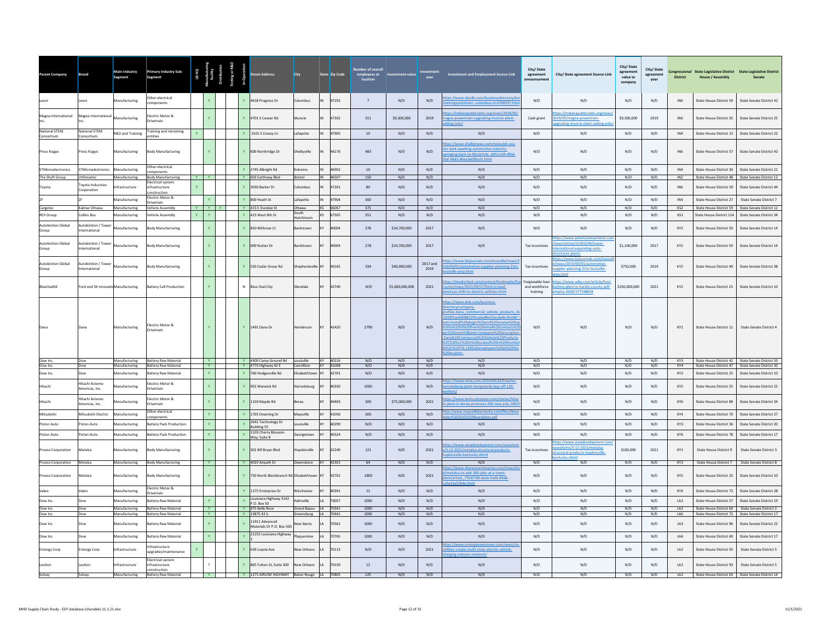| Parent Company                     | Brand                              | <b>Main Industry</b><br>Segment | Primary Industry Sub-<br>Segment                           |    |                          |    |                                              | City                                        |                | State Zip Code       | er of overal<br>employees at<br>location | <b>Investment value</b> |                  | <b>Investment and Employment Source Link</b>                                                                                                                                                                                                                                                                                                                                                      | City/State<br>agreement<br><b>Innouncemen</b> | City/ State agreement Source Link                                                                          | City/ State<br>agreement<br>value to<br>compan | City/State<br>agreement<br>year | <b>District</b> | Congressional State Legislative District State Legislative District<br><b>House / Assembly</b> | Senate                                               |
|------------------------------------|------------------------------------|---------------------------------|------------------------------------------------------------|----|--------------------------|----|----------------------------------------------|---------------------------------------------|----------------|----------------------|------------------------------------------|-------------------------|------------------|---------------------------------------------------------------------------------------------------------------------------------------------------------------------------------------------------------------------------------------------------------------------------------------------------------------------------------------------------------------------------------------------------|-----------------------------------------------|------------------------------------------------------------------------------------------------------------|------------------------------------------------|---------------------------------|-----------------|------------------------------------------------------------------------------------------------|------------------------------------------------------|
| Leoni                              | eoni.                              | Aanufacturing                   | Other electrical<br>omponents                              |    |                          |    | 4618 Progress Dr                             | Columbus                                    |                | 47201                | $\overline{7}$                           | N/D                     | N/D              | os://www.dandb.com/businessdirectory/le<br>ringsystemsinc.-columbus-in-6768397.htm                                                                                                                                                                                                                                                                                                                | N/D                                           | N/D                                                                                                        | N/D                                            | N/D                             | IN <sub>6</sub> | State House District 59                                                                        | State Senate District 41                             |
| Magna International                | Magna International                | Manufacturing                   | lectric Motor &<br>ivetrain                                |    |                          |    | 4701 S Cowan Rd                              | Muncie                                      |                | 47302                | 511                                      | \$9,300,000             | 2019             | s://indianapublicradio.org/news/2019/05<br>ena-powertrain-uperadine-muncie-plant-<br>ling-jobs/                                                                                                                                                                                                                                                                                                   | Cash grant                                    | ps://indianapublicradio.org/ne<br>19/05/magna-powertrain-<br>grading-muncie-plant-adding-jol               | \$9,300,000                                    | 2019                            | IN <sub>6</sub> | State House District 35                                                                        | State Senate District 25                             |
| National STEM<br>Consortium        | Vational STEM<br>`onsortium        | R&D and Training                | raining and retraining<br>antities                         | Y. |                          |    | 3101 S Creasy Ln                             | Lafayette                                   |                | 47905                | 10                                       | N/D                     | N/D              | N/D                                                                                                                                                                                                                                                                                                                                                                                               | N/D                                           | N/D                                                                                                        | N/D                                            | N/D                             | IN4             | State House District 13                                                                        | State Senate District 22                             |
| Press Kogyo                        | Press Kogyo                        | Manufacturing                   | <b>Body Manufacturing</b>                                  |    |                          | Y. | 600 Northridge Dr                            | Shelbwille                                  |                | 46176                | 483                                      | N/D                     | N/D              | ps://www.shelbynews.com/news/pk-usa-<br>-dark-awaiting-automotive-indu<br>ringing-back-to-life/article_e0f1c104-4fbd-<br>af-94d3-96ea3e69bcd1.html                                                                                                                                                                                                                                                | N/D                                           | N/D                                                                                                        | N/D                                            | N/D                             | IN <sub>6</sub> | State House District 57                                                                        | State Senate District 42                             |
| <b>STMicroelectronics</b>          | <b>STMicroelectronics</b>          | Manufacturing                   | ther electrical<br>mponents                                |    |                          |    | 2745 Albright Rd                             | Kokomo                                      | IN             | 46902                | 10                                       | N/D                     | N/D              | N/D                                                                                                                                                                                                                                                                                                                                                                                               | N/D                                           | N/D                                                                                                        | N/D                                            | N/D                             | IN4             | State House District 30                                                                        | State Senate District 21                             |
| The Shyft Group                    | Jtilimaste<br>ovota Industries     | <b>Aanufacturing</b>            | ody Manufacturing<br>ectrical systen                       |    | YY                       |    | Y 603 Earthway Blvd                          | Bristol                                     | $\overline{M}$ | 46507                | 150                                      | N/D                     | N/D              | N/D                                                                                                                                                                                                                                                                                                                                                                                               | N/D                                           | N/D                                                                                                        | N/D                                            | N/D                             | IN2             | State House District 48                                                                        | State Senate District 12                             |
| Toyota                             | corporation                        | frastructure                    | ifrastructure<br>nstruction<br>lectric Motor &             |    |                          |    | 3030 Barker Dr                               | Columbus                                    |                | 47201                | 80                                       | N/D                     | N/D              | N/D                                                                                                                                                                                                                                                                                                                                                                                               | N/D                                           | N/D                                                                                                        | N/D                                            | N/D                             | IN <sub>6</sub> | State House District 59                                                                        | State Senate District 44                             |
|                                    |                                    | <b>Manufacturing</b>            | rivetrain                                                  |    |                          |    | 800 Heath St                                 | Lafayette                                   | IN             | 47904                | 300                                      | N/D                     | N/D<br>N/D       | N/D                                                                                                                                                                                                                                                                                                                                                                                               | N/D<br>N/D                                    | N/D                                                                                                        | N/D                                            | N/D                             | IN4             | State House District 27                                                                        | State Senate District 7                              |
| Cargotec<br><b>REV Group</b>       | Kalmar Ottawa<br>Collins Bus       | Manufacturing<br>Manufacturing  | ehicle Assembly<br>ehicle Assembly                         | Y. | YIYIY<br>$\mathbf{v}$    |    | Y 415 E Dundee St<br>415 West 6th St         | Ottawa<br><b>South</b><br>Hutchinson        | <b>KS</b>      | KS 66067<br>67505    | 375<br>351                               | N/D<br>N/D              | N/D              | N/D<br>N/D                                                                                                                                                                                                                                                                                                                                                                                        | N/D                                           | N/D<br>N/D                                                                                                 | N/D<br>N/D                                     | N/D<br>N/D                      | KS2<br>KS1      | State House District 59<br>State House District 114                                            | State Senate District 12<br>State Senate District 34 |
| <b>Autokiniton Global</b><br>Group | Autokiniton / Towe<br>denoitsonal  | <b>Manufacturing</b>            | ody Manufacturing                                          |    | Y.                       |    | 850 Withrow Ct                               | ardstowr                                    |                | 40004                | 278                                      | \$14,700,000            | 2017             | N/D                                                                                                                                                                                                                                                                                                                                                                                               | N/D                                           | N/D                                                                                                        | N/D                                            | N/D                             | KY <sub>2</sub> | <b>State House District 50</b>                                                                 | <b>State Senate District 14</b>                      |
| Autokiniton Global<br>Group        | utokiniton / Tower<br>ternational  | Manufacturing                   | <b>Body Manufacturing</b>                                  |    | Y.                       | Y  | 900 Nutter Dr                                | Bardstown                                   |                | 40004                | 278                                      | \$14,700,000            | 2017             | N/D                                                                                                                                                                                                                                                                                                                                                                                               | Tax incentives                                | ps://www.americanmachinist.c<br>ws/article/21901249/tower-<br>ernational-expanding-auto-<br>actures-plants | \$1,100,000                                    | 2017                            | KY <sub>2</sub> | <b>State House District 50</b>                                                                 | State Senate District 14                             |
| <b>Autokiniton Global</b><br>Group | utokiniton / Tower<br>ternational  | <b>Aanufacturing</b>            | ody Manufacturing                                          |    | Y.                       |    | 550 Cedar Grove Rd                           | hepherdsvill                                |                | 40165                | 334                                      | \$40,900,000            | 2017 and<br>2019 | bs://www.bizjournals.com/louisville/news/<br>/03/01/automotive-supplier-planning-21m<br>ville-area.html                                                                                                                                                                                                                                                                                           | Tax incentives                                | tps://www.biziournals.com/lo<br>news/2019/03/01/automotive-<br>plier-planning-21m-louisville-              | \$750,000                                      | 2019                            | KY <sub>2</sub> | State House District 49                                                                        | <b>State Senate District 38</b>                      |
| <b>BlueOvalSK</b>                  | Ford and SK InnovatioManufacturing |                                 | <b>Battery Cell Production</b>                             |    | Y.                       | N  | <b>Blue Oval City</b>                        | <b>Slendale</b>                             |                | 42740                | N/D                                      | \$5,600,000,000         | 2021             | s://media.ford.com/content/fordmedia/fr<br>s/en/news/2021/09/27/ford-to-lead-<br>ericas-shift-to-electric-vehicles.html                                                                                                                                                                                                                                                                           | Forgiveable loar<br>and workforce<br>training | tps://www.wlky.com/article/ford<br>battery-plant-in-hardin-county-will-<br>nploy-5000/37754882#            | \$250,000,000                                  | 2021                            | KY <sub>2</sub> | State House District 25                                                                        | State Senate District 10                             |
|                                    |                                    | Manufacturing                   | lectric Motor &<br>rivetrain                               |    |                          |    | Y 1491 Dana Dr                               | enderson                                    |                | 42420                | 2790                                     | $\rm N/D$               | N/D              | tps://www.dnb.com/business-<br>rectory/company-<br>files.dana commercial vehicle products I<br>293f1ae430882291ceba86e52acda4e.html#:<br>nstall%20plugin%20and%20receive%2<br>20to%2050%20free%20email%20contacts%2<br>r%20month!&text=Company%20Descriptic<br>ina%20Commercial%20Vehicle%20Products<br>2C%20LLC%20is%20located%20in%20Humbo<br>%2C%20TN.120%20employees%20at%20thi<br>Olocation. | N/D                                           | N/D                                                                                                        | N/D                                            | N/D                             | KY1             | State House District 11                                                                        | State Senate District 4                              |
| Dow Inc.<br>Dow Inc                | Dow<br>Dow                         | Manufacturing<br>Manufacturing  | <b>Battery Raw Material</b><br><b>Battery Raw Material</b> |    | <b>Y</b><br>$\mathbf{v}$ |    | Y 4300 Camp Ground Rd<br>Y 4770 Highway 42 E | Louisville<br>Carrollton                    |                | KY 40216<br>KY 41008 | N/D<br>N/D                               | N/D<br>N/D              | N/D<br>N/D       | N/D<br>N/D                                                                                                                                                                                                                                                                                                                                                                                        | N/D<br>N/D                                    | N/D<br>N/D                                                                                                 | N/D<br>N/D                                     | N/D<br>N/D                      | KY3<br>KY4      | State House District 42 State Senate District 33<br>State House District 47                    | State Senate District 20                             |
| Dow Inc.                           |                                    | <b>Aanufacturing</b>            | attery Raw Materia                                         |    |                          |    | 760 Hodgenville Rd                           | lizabethtow                                 |                | 42701                | N/D                                      | N/D                     | N/D              | N/D                                                                                                                                                                                                                                                                                                                                                                                               | N/D                                           | N/D                                                                                                        | N/D                                            | N/D                             | KY2             | State House District 25                                                                        | State Senate District 10                             |
| Hitachi                            | Hitachi Astemo<br>Americas, Inc    | <b>Aanufacturing</b>            | ectric Motor 8<br>rivetrain                                |    |                          |    | 955 Warwick Rd                               | <b>Harrodsburg</b>                          |                | 40330                | 1000                                     | N/D                     | N/D              | s://www.wtvq.com/2019<br>dsburg-plant-temporarily-lays-off-120-                                                                                                                                                                                                                                                                                                                                   | N/D                                           | N/D                                                                                                        | N/D                                            | N/D                             | KY <sub>2</sub> | State House District 55                                                                        | State Senate District 22                             |
| Hitachi                            | litachi Astemo<br>Imericas Inc.    | nufacturing                     | lectric Motor &<br>rivetrain                               |    |                          |    | 1150 Mayde Rd                                | erea                                        |                | 40403                | 200                                      | \$75,000,000            | 2021             | ps://www.kentuckytoday.com/stories/hita<br>plant-in-berea-promises-200-new-jobs.3005                                                                                                                                                                                                                                                                                                              | $\mathsf{N}/\mathsf{D}$                       | N/D                                                                                                        | N/D                                            | N/D                             | KY6             | State House District 89                                                                        | State Senate District 34                             |
| Mitsubishi                         | Mitsubishi Electric                | Manufacturing                   | ther electrical<br>nponents                                |    |                          |    | 1705 Downing Dr                              | Mavsville                                   | KY             | 41056                | 500                                      | N/D                     | N/D              | p://www.maysvilleke<br>ucky.ci                                                                                                                                                                                                                                                                                                                                                                    | N/D                                           | N/D                                                                                                        | N/D                                            | N/D                             | KY4             | State House District 70                                                                        | State Senate District 27                             |
| Piston Auto                        | iston Auto                         | <b>Manufacturing</b>            | attery Pack Production                                     |    |                          |    | 2641 Technology Dr<br><b>Building 55</b>     | puisville                                   |                | 40299                | N/D                                      | N/D                     | N/D              | N/D                                                                                                                                                                                                                                                                                                                                                                                               | N/D                                           | N/D                                                                                                        | N/D                                            | N/D                             | KY3             | State House District 36                                                                        | State Senate District 20                             |
| Piston Auto                        | iston Auto                         | Manufacturing                   | attery Pack Production                                     |    | Y.                       |    | 1103 Cherry Blossom<br>Way, Suite B          | Georgetown                                  |                | 40324                | N/D                                      | N/D                     | N/D              | N/D                                                                                                                                                                                                                                                                                                                                                                                               | N/D                                           | N/D                                                                                                        | N/D                                            | N/D                             | KY6             | State House District 78                                                                        | State Senate District 17                             |
| Proeza Corporation                 | Vietalsa                           | Manufacturing                   | ody Manufacturing                                          |    |                          |    | 301 Bill Bryan Blvd                          | opskinville                                 |                | 42240                | 121                                      | N/D                     | 2021             | os://www.areadevelopment.com/newsite<br>3-12-2021/metalsa-structural-products-<br>pkinsville-kentucky.shtml                                                                                                                                                                                                                                                                                       | Tax incentives                                | tos://www.areadevelooment.con<br>sitems/3-12-2021/metalsa-<br>uctural-products-hopkinsville-               | \$100,000                                      | 2021                            | KY1             | State House District 9                                                                         | State Senate District 3                              |
| Proeza Corporation Metalsa         |                                    | Manufacturing                   | <b>Body Manufacturing</b>                                  |    | Y                        |    | Y 4010 Airpark Dr                            | Owensboro KY 42301                          |                |                      | 64                                       | N/D                     | N/D              | N/D                                                                                                                                                                                                                                                                                                                                                                                               | N/D                                           | N/D                                                                                                        | N/D                                            | N/D                             | KY2             |                                                                                                | State House District 7 State Senate District 8       |
| Proeza Corporation                 | Metalsa                            | Manufacturing                   | <b>Sody Manufacturing</b>                                  |    |                          | Y  | 750 North Blackbranch Rd Elizabethtown       |                                             | KY             | 42701                | 1800                                     | N/D                     | 2021             | ps://www.thenewsenterprise.com/news/li<br>etalsa-to-add-300-jobs-at-e-tov<br>nt/article 791bf768-da2a-5ed6-84a8-<br>ed1a32b4e.html                                                                                                                                                                                                                                                                | N/D                                           | N/D                                                                                                        | N/D                                            | N/D                             | KY <sub>2</sub> | State House District 25                                                                        | State Senate District 10                             |
| Valeo                              | /aleo                              | Manufacturing                   | lectric Motor &<br>ivetrain                                |    |                          |    | 1175 Enterprise Dr                           | Winchester                                  | KY             | 40391                | 11                                       | N/D                     | N/D              | N/D                                                                                                                                                                                                                                                                                                                                                                                               | N/D                                           | N/D                                                                                                        | N/D                                            | N/D                             | KY6             | State House District 73                                                                        | State Senate District 28                             |
| Dow Inc.                           | <b>Jow</b>                         | Manufacturing                   | attery Raw Material                                        |    | Y.                       |    | Louisiana Highway 3142<br>P.O. Box 50        | Hahnville                                   | <b>LA</b>      | 70057                | 1000                                     | N/D                     | N/D              | N/D                                                                                                                                                                                                                                                                                                                                                                                               | N/D                                           | N/D                                                                                                        | N/D                                            | N/D                             | LA <sub>2</sub> | State House District 57                                                                        | State Senate District 19                             |
| Dow Inc.<br>Dow Inc.               | Dow<br>Dow                         | Manufacturing<br>Manufacturing  | <b>Battery Raw Material</b><br>Battery Raw Material        |    | Y<br><b>Y</b>            |    | Y 875 Belle Rose<br>Y 13875 43 S.            | Grand Bayou LA 70341<br>Greensburg LA 70441 |                |                      | 1000<br>1000                             | N/D<br>N/D              | N/D<br>N/D       | N/D<br>N/D                                                                                                                                                                                                                                                                                                                                                                                        | N/D<br>N/D                                    | N/D<br>N/D                                                                                                 | N/D<br>N/D                                     | N/D<br>N/D                      | LA2<br>LA6      | State House District 60 State Senate District 2                                                | State House District 72 State Senate District 17     |
| Dow Inc.                           | )ow                                | lanufacturing                   | attery Raw Material                                        |    |                          |    | 11911 Advanced<br>Materials Dr P.O. Box 500  | lew Iberia                                  |                | 70562                | 1000                                     | N/D                     | N/D              | N/D                                                                                                                                                                                                                                                                                                                                                                                               | N/D                                           | N/D                                                                                                        | N/D                                            | N/D                             | LA3             | State House District 96                                                                        | <b>State Senate District 22</b>                      |
| Dow Inc.                           | 0ow                                | Manufacturing                   | Battery Raw Material                                       |    |                          |    | 21255 Louisiana Highway                      | laquemine                                   | 1A             | 70765                | 1000                                     | N/D                     | N/D              | N/D                                                                                                                                                                                                                                                                                                                                                                                               | N/D                                           | N/D                                                                                                        | N/D                                            | N/D                             | LA6             | State House District 60                                                                        | State Senate District 17                             |
| <b>Entergy Corp</b>                | <b>Intergy Corp</b>                | nfrastructure                   | frastructure<br>pgrades/maintenance                        |    |                          |    | 639 Loyola Ave                               | <b>New Orleans</b>                          |                | 70113                | N/D                                      | N/D                     | 2021             | ps://www.entergynewsroom.com/news/<br>ilities-create-multi-state-electric-vehicle-<br>natwork                                                                                                                                                                                                                                                                                                     | N/D                                           | N/D                                                                                                        | N/D                                            | N/D                             | IA2             | State House District 93                                                                        | <b>State Senate District 5</b>                       |
| Leviton                            | eviton.                            | ifrastructure                   | lectrical system<br>ifrastructure<br>onstruction           |    |                          |    | 865 Fulton St, Suite 500                     | New Orleans                                 |                | 70130                | $12\,$                                   | N/D                     | N/D              | N/D                                                                                                                                                                                                                                                                                                                                                                                               | N/D                                           | N/D                                                                                                        | N/D                                            | N/D                             | LA <sub>2</sub> | State House District 93                                                                        | State Senate District 5                              |
| Solvay                             | Solvay                             | Manufacturing                   | Battery Raw Material                                       |    | $\mathbf{r}$             |    | Y 1275 AIRLINE HIGHWAY Baton Rouge LA 70805  |                                             |                |                      | 125                                      | N/D                     | N/D              | N/D                                                                                                                                                                                                                                                                                                                                                                                               | N/D                                           | N/D                                                                                                        | N/D                                            | N/D                             | LA2             |                                                                                                | State House District 63 State Senate District 14     |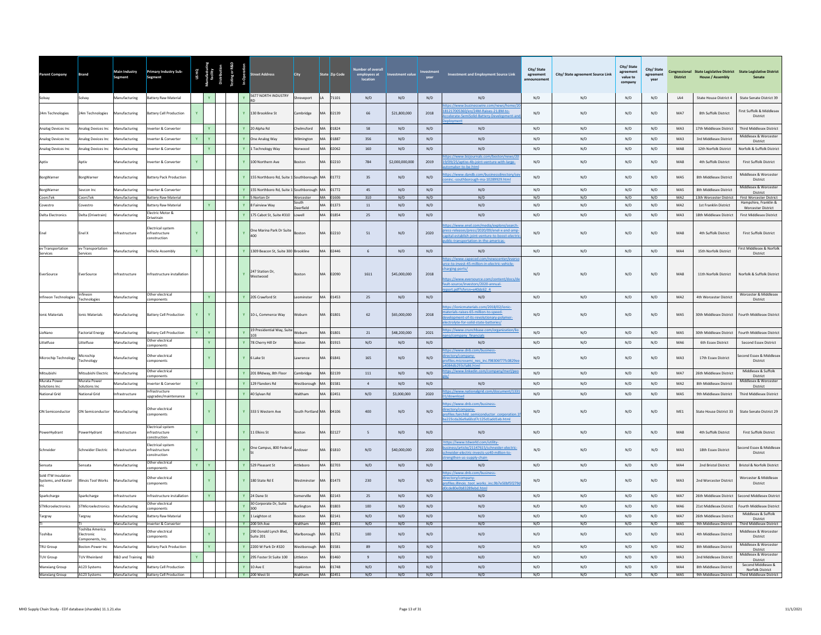| Parent Company                             | <b>Brand</b>                        | Main Industry<br>Segment             | <b>Primary Industry Sub-</b><br>Segment              |              |              |              | reet Address                                                     | City                   |           | State Zip Code    | ber of overal<br>employees at<br>location | stment value    | vear                    | <b>Investment and Employment Source Link</b>                                                                                                                                                                         | City/State<br>agreement<br>innouncemen | City/ State agreement Source Link | City/ State<br>agreement<br>value to<br>company | City/State<br>agreement<br>year | <b>District</b>                    | <b>House / Assembly</b>                           | Congressional State Legislative District State Legislative District<br>Senate |
|--------------------------------------------|-------------------------------------|--------------------------------------|------------------------------------------------------|--------------|--------------|--------------|------------------------------------------------------------------|------------------------|-----------|-------------------|-------------------------------------------|-----------------|-------------------------|----------------------------------------------------------------------------------------------------------------------------------------------------------------------------------------------------------------------|----------------------------------------|-----------------------------------|-------------------------------------------------|---------------------------------|------------------------------------|---------------------------------------------------|-------------------------------------------------------------------------------|
| Solvay                                     | Solvay                              | Manufacturing                        | Battery Raw Material                                 |              |              | $\mathbf{v}$ | 5677 NORTH INDUSTRY                                              | Shreveport             |           | LA 71101          | N/D                                       | N/D             | N/D                     | N/D                                                                                                                                                                                                                  | N/D                                    | N/D                               | N/D                                             | N/D                             | IA4                                | State House District 4                            | State Senate District 39                                                      |
| 24m Technologies                           | 24m Technologies                    | Manufacturing                        | sattery Cell Production                              | Y.           |              |              | Y 130 Brookline St                                               | Cambridge              | MA        | 02139             | 66                                        | \$21,800,000    | 2018                    | os://www.businesswire.com/news/ho<br>81217005360/en/24M-Raises-21.8M-to-<br>celerate-SemiSolid-Battery-Developm                                                                                                      | N/D                                    | N/D                               | N/D                                             | N/D                             | MA7                                | 8th Suffolk District                              | First Suffolk & Middlesex<br>$\sf District$                                   |
| Analog Devices Inc                         | Analog Devices Inc                  | Manufacturing                        | verter & Converter                                   |              |              |              | 20 Alpha Rd                                                      | Chelmsford             | <b>MA</b> | 01824             | 58                                        | N/D             | N/D                     | N/D                                                                                                                                                                                                                  | $\rm N/D$                              | N/D                               | N/D                                             | N/D                             | MA3                                | 17th Middlesex District                           | <b>Third Middlesex District</b>                                               |
| Analog Devices Inc                         | Inalog Devices Inc                  | <b>Manufacturing</b>                 | verter & Converter                                   |              |              |              | One Analog Way                                                   | Vilmington             |           | 01887             | 356                                       | N/D             | N/D                     | N/D                                                                                                                                                                                                                  | $\mathsf{N}/\mathsf{D}$                | N/D                               | N/D                                             | $\rm N/D$                       | MA3                                | 3rd Middlesex District                            | Middlesex & Worcester<br>District                                             |
| Analog Devices Inc                         | nalog Devices Inc.                  | lanufacturing                        | verter & Converte                                    |              |              |              | 1 Technology Way                                                 | orwood                 | MA        | 02062             | 160                                       | N/D             | N/D                     | N/D<br>ps://www.bizjournals.com/boston/news/20                                                                                                                                                                       | N/D                                    | N/D                               | N/D                                             | N/D                             | MA8                                | 12th Norfolk District                             | Norfolk & Suffolk District                                                    |
| Aptiv                                      | Aptiv                               | Manufacturing                        | werter & Converter                                   | $\mathbf{Y}$ |              |              | Y 100 Northern Ave                                               | Boston                 | <b>MA</b> | 02210             | 784                                       | \$2,000,000,000 | 2019                    | 9/09/25/aptivs-4b-joint-venture-with-large-                                                                                                                                                                          | N/D                                    | N/D                               | N/D                                             | N/D                             | MA8                                | 4th Suffolk District                              | <b>First Suffolk District</b>                                                 |
| BorgWarner                                 | orgWarner                           | Aanufacturing                        | <b>Ittery Pack Production</b>                        |              |              |              | 155 Northboro Rd, Suite 1 Southborough                           |                        | MA.       | 01772             | $35\,$                                    | N/D             | N/D                     | tps://www.dandb.com/businessdirectory/se<br>inc.-southborough-ma-10289929.html                                                                                                                                       | N/D                                    | N/D                               | N/D                                             | N/D                             | $\ensuremath{\mathsf{MAS}}\xspace$ | 8th Middlesex District                            | Middlesex & Worcester<br>District<br>Middlesex & Worcester                    |
| BorgWarner<br>CoorsTek                     | Sevcon Inc<br>CoorsTek              | Manufacturing<br>Manufacturing       | werter & Converter<br><b>Battery Raw Material</b>    |              |              | $\mathbf{Y}$ | 155 Northboro Rd, Suite 1 Southborough MA 01772<br>Y 5 Norton Dr | Worcester              |           | MA 01606          | 45<br>310                                 | N/D<br>N/D      | N/D<br>N/D              | N/D<br>N/D                                                                                                                                                                                                           | N/D<br>N/D                             | N/D<br>N/D                        | N/D<br>N/D                                      | N/D<br>N/D                      | MAS<br>MA2                         | 8th Middlesex District<br>13th Worcester District | District<br>First Worcester District                                          |
| Covestro                                   | ovestro                             | lanufacturing                        | attery Raw Material                                  |              |              |              | 8 Fairview Way                                                   | South<br>Deerfield     | MA        | 01373             | $11\,$                                    | N/D             | $\mathsf{N}/\mathsf{D}$ | $\rm N/D$                                                                                                                                                                                                            | N/D                                    | N/D                               | N/D                                             | $\rm N/D$                       | MA2                                | 1st Franklin District                             | Hampshire, Franklin &<br><b>Worcester District</b>                            |
| <b>Delta Electronics</b>                   | Delta (Drivetrain)                  | Manufacturing                        | lectric Motor &<br><b>Orivetrain</b>                 |              |              |              | 175 Cabot St. Suite #310                                         | <b>Ilawoll</b>         | MA        | 01854             | 25                                        | N/D             | N/D                     | N/D                                                                                                                                                                                                                  | N/D                                    | N/D                               | N/D                                             | N/D                             | MA3                                | 18th Middlesex District                           | <b>First Middlesex District</b>                                               |
| Enel                                       | Enel X                              | nfrastructure                        | ectrical system<br>nfrastructure<br>instruction      |              |              |              | One Marina Park Dr Suite<br>400                                  | Boston                 | MA        | 02210             | 51                                        | N/D             | 2020                    | ps://www.enel.com/media/explore/searc<br>ess-releases/press/2020/09/enel-x-and-amr<br>apital-establish-ioint-venture-to-boost-electr<br>blic-transportation-in-the-americas-                                         | N/D                                    | N/D                               | N/D                                             | N/D                             | MA8                                | 4th Suffolk District                              | First Suffolk District                                                        |
| ev Transportation<br>Services              | ev Transportation<br>Services       | lanufacturing                        | /ehicle Assembly                                     |              |              |              | 1309 Beacon St, Suite 300 Brookline                              |                        | MA        | 02446             | $\mathsf{6}$                              | N/D             | N/D                     | N/D                                                                                                                                                                                                                  | N/D                                    | N/D                               | N/D                                             | N/D                             | MA4                                | 15th Norfolk District                             | First Middlesex & Norfolk<br>District                                         |
| EverSource                                 | EverSource                          | nfrastructure                        | nfrastructure installation                           |              |              |              | 247 Station Dr,<br>Westwood                                      | Boston                 | MA        | 02090             | 1611                                      | \$45,000,000    | 2018                    | ps://www.capecod.com/newscenter/ever<br>rce-to-invest-45-million-in-electric-vehicle-<br>harging-ports/<br>tps://www.eversource.com/content/docs/di<br>ult-source/investors/2020-annual-<br>ort.pdf?sfvrsn=e40dc62 4 | N/D                                    | N/D                               | N/D                                             | $\rm N/D$                       | MA8                                | 11th Norfolk District                             | Norfolk & Suffolk District                                                    |
| Infineon Technologies                      | nfineor<br>Technologies             | Aanufacturing                        | Other electrical<br>omponents                        |              |              |              | 205 Crawford St                                                  | eominster              | MA        | 01453             | 25                                        | N/D             | N/D                     | N/D                                                                                                                                                                                                                  | N/D                                    | N/D                               | N/D                                             | N/D                             | MA2                                | 4th Worcester District                            | Worcester & Middlesex<br>District                                             |
| Ionic Materials                            | Ionic Materials                     | Manufacturing                        | <b>Battery Cell Production</b>                       | Y            |              |              | Y 10-L. Commerce Way                                             | Woburn                 | MA        | 01801             | 62                                        | \$65,000,000    | 2018                    | ps://ionicmaterials.com/2018/02/ionic-<br>terials-raises-65-million-to-speed-<br>elopment-of-its-revolutionary-polymer-<br>ectrolyte-for-solid-state-batteries/                                                      | N/D                                    | N/D                               | N/D                                             | N/D                             | MA5                                | 30th Middlesex District                           | Fourth Middlesex District                                                     |
| LioNano                                    | <b>Factorial Energy</b>             | Manufacturing                        | attery Cell Production                               | $\mathbf{v}$ | $\mathbf{Y}$ |              | 19 Presidential Way, Suite Woburn<br>103                         |                        |           | MA 01801          | 21                                        | \$48,200,000    | 2021                    | ttps://www.crunchbase.com/organization/lio                                                                                                                                                                           | N/D                                    | N/D                               | N/D                                             | N/D                             | MA5                                | 30th Middlesex District                           | <b>Fourth Middlesex District</b>                                              |
| Littelfuse                                 | Littelfuse                          | Manufacturing                        | ther electrical<br>omponents                         |              | $\mathbf{Y}$ | Y            | 78 Cherry Hill Dr                                                | Boston                 | MA        | 01915             | N/D                                       | N/D             | N/D                     | N/D                                                                                                                                                                                                                  | N/D                                    | N/D                               | N/D                                             | N/D                             | MA6                                | 6th Essex District                                | Second Essex District                                                         |
| Microchip Technology                       | Microchip<br>Technology             | Manufacturing                        | ther electrical<br>mponents                          |              |              |              | Y 6 Lake St                                                      | Lawrence               | <b>MA</b> | 01841             | 165                                       | N/D             | N/D                     | tps://www.dnb.com/business-<br>ectory/company-<br>ofiles.microsemi_nes_inc.f98306f77fc0829e<br>n84db293cfa86.html                                                                                                    | N/D                                    | N/D                               | N/D                                             | N/D                             | MA3                                | 17th Essex District                               | cond Essex & Middlese<br>${\sf District}$                                     |
| Mitsubishi                                 | Mitsubishi Electric                 | <b>Manufacturing</b>                 | Ther electrical<br>mponents                          |              |              |              | 201 BRdway, 8th Floor                                            | Cambridge              | MA        | 02139             | 111                                       | N/D             | N/D                     | ttps://www.linkedin.com/company/merl/pe                                                                                                                                                                              | N/D                                    | N/D                               | N/D                                             | N/D                             | MA7                                | 26th Middlesex District                           | Middlesex & Suffolk<br>District                                               |
| Murata Power<br>Solutions Inc              | Murata Power<br>Solutions Inc       | lanufacturing                        | verter & Converter                                   |              |              |              | 129 Flanders Rd                                                  | Westborough            | MA        | 01581             | $\mathbf{A}$                              | N/D             | N/D                     | N/D                                                                                                                                                                                                                  | N/D                                    | N/D                               | N/D                                             | N/D                             | MA2                                | 8th Middlesex District                            | Middlesex & Worcester<br>District                                             |
| <b>National Grid</b>                       | <b>Jational Grid</b>                | nfrastructure                        | nfrastructure<br>pgrades/maintenance                 | Y            |              |              | 40 Sylvan Rd                                                     | Waltham                | MA        | 02451             | N/D                                       | \$3,000,000     | 2020                    | ps://www.nationalgrid.com/document/1331                                                                                                                                                                              | N/D                                    | N/D                               | N/D                                             | N/D                             | MA5                                | 9th Middlesex District                            | <b>Third Middlesex District</b>                                               |
| ON Semiconductor                           | ON Semiconductor                    | Manufacturing                        | Other electrical<br>omponents                        |              |              |              | 333 S Western Ave                                                | South Portland MA      |           | 04106             | 400                                       | N/D             | N/D                     | ps://www.dnb.com/business-<br>rectory/company-<br>rofiles.fairchild semiconductor corporation.1<br>a223cda26e9a60cd7c125d1add1eb.html                                                                                | N/D                                    | N/D                               | N/D                                             | N/D                             | ME1                                | State House District 33                           | State Senate District 29                                                      |
| PowerHydrant                               | owerHydrant                         | frastructure                         | Electrical system<br>nfrastructure<br>onstruction    | $\mathbf{Y}$ |              |              | Y 11 Elkins St                                                   | Boston                 | MA.       | 02127             | 5                                         | N/D             | N/D                     | N/D                                                                                                                                                                                                                  | N/D                                    | N/D                               | N/D                                             | N/D                             | MA8                                | 4th Suffolk District                              | <b>First Suffolk District</b>                                                 |
| Schneider                                  | Schneider Electric                  | frastructure                         | lectrical system<br>infrastructure<br>onstruction    |              |              |              | One Campus, 800 Federa                                           | indover                | MA        | 01810             | N/D                                       | \$40,000,000    | 2020                    | ttps://www.tdworld.com/utility-<br>iness/article/21147615/schneider-electric<br>neider-electric-invests-us40-million-to-                                                                                             | N/D                                    | N/D                               | N/D                                             | N/D                             | MA3                                | 18th Essex District                               | Second Essex & Middlesex<br>District                                          |
| Sensata                                    | iensata                             | Manufacturing                        | Other electrical<br>mponents                         | $\mathbf{Y}$ |              |              | 529 Pleasant St                                                  | Attleboro              | <b>MA</b> | 02703             | N/D                                       | N/D             | N/D                     | N/D                                                                                                                                                                                                                  | N/D                                    | N/D                               | N/D                                             | N/D                             | MA4                                | 2nd Bristol District                              | <b>Bristol &amp; Norfolk District</b>                                         |
| Sold ITW Insulation<br>Systems, and Kester | Illinois Tool Works                 | Manufacturing                        | Ther electrical<br>omponents                         |              |              |              | 180 State Rd E                                                   | Westminster            | <b>MA</b> | 01473             | 230                                       | N/D             | N/D                     | tps://www.dnb.com/business-<br>ctory/company-<br>ofiles.illinois tool works inc.9b7e50bf5f279<br>e80e0b83289ebd.html                                                                                                 | N/D                                    | N/D                               | N/D                                             | N/D                             | MA3                                | 2nd Worcester District                            | Worcester & Middlesex<br>District                                             |
| Sparkcharge                                | <b>Sparkcharge</b>                  | nfrastructure                        | nfrastructure installation                           |              |              |              | Y 24 Dane St                                                     | omerville              | <b>MA</b> | 02143             | $25\,$                                    | N/D             | N/D                     | N/D                                                                                                                                                                                                                  | N/D                                    | N/D                               | N/D                                             | N/D                             | MA7                                | 26th Middlesex District                           | Second Middlesex Distric                                                      |
| <b>STMicroelectronics</b>                  | <b>STMicroelectronics</b>           | Manufacturing                        | Other electrical<br>omponents                        |              |              |              | 30 Corporate Dr, Suite<br>300                                    | Burlington             | MA        | 01803             | 100                                       | N/D             | N/D                     | N/D                                                                                                                                                                                                                  | N/D                                    | N/D                               | N/D                                             | N/D                             | MA6                                | 21st Middlesex District                           | <b>Fourth Middlesex District</b>                                              |
| Targray                                    | Targray                             | <b>Aanufacturing</b>                 | <b>Sattery Raw Material</b>                          |              |              | $\mathbf{v}$ | 1 Leighton st                                                    | <b>Boston</b>          | <b>MA</b> | 02141             | N/D                                       | N/D             | N/D                     | N/D                                                                                                                                                                                                                  | N/D                                    | N/D                               | N/D                                             | N/D                             | MA7                                | 26th Middlesex District                           | Middlesex & Suffolk<br>District                                               |
| Toshiba                                    | Toshiba America<br>Electronic       | <b>Manufacturing</b><br>anufacturing | nverter & Converter<br>Other electrical<br>omponents |              |              |              | Y 200 5th Ave<br>290 Donald Lynch Blvd,<br>Suite 201             | Waltham<br>Marlborough | <b>MA</b> | MA 02451<br>01752 | N/D<br>100                                | N/D<br>N/D      | N/D<br>N/D              | N/D<br>N/D                                                                                                                                                                                                           | N/D<br>N/D                             | N/D<br>N/D                        | N/D<br>N/D                                      | N/D<br>N/D                      | MA5<br>MA3                         | 9th Middlesex District<br>4th Middlesex District  | <b>Third Middlesex District</b><br>Middlesex & Worcester<br>District          |
| TRU Group                                  | Components, Inc<br>Boston-Power Inc | Manufacturing                        | attery Pack Production                               |              |              |              | 2200 W Park Dr #320                                              | Westborough            | <b>MA</b> | 01581             | 89                                        | N/D             | N/D                     | $\mathrm{N}/\mathrm{D}$                                                                                                                                                                                              | N/D                                    | N/D                               | N/D                                             | $\rm N/D$                       | MA <sub>2</sub>                    | 8th Middlesex District                            | Middlesex & Worcester                                                         |
| <b>TUV Group</b>                           | <b>TUV Rheinland</b>                | R&D and Training                     | R&D.                                                 |              |              |              | Y 295 Foster St Suite 100                                        | Littleton              | MA        | 01460             | 9                                         | N/D             | N/D                     | N/D                                                                                                                                                                                                                  | N/D                                    | N/D                               | N/D                                             | N/D                             | MA3                                | 2nd Middlesex District                            | District<br>Middlesex & Worcester<br>District                                 |
| <b>Wanxiang Group</b>                      | A123 Systems                        | Manufacturing                        | <b>Battery Cell Production</b>                       |              |              |              | $Y$ 10 Ave F                                                     | Hopkinton              |           | MA 01748          | N/D                                       | N/D             | N/D                     | N/D                                                                                                                                                                                                                  | N/D                                    | N/D                               | N/D                                             | N/D                             | MA4                                | 8th Middlesex District                            | Second Middlesex &<br>Norfolk District                                        |
| <b>Wanxiang Group</b>                      | A123 Systems                        |                                      | Manufacturing Battery Cell Production                |              |              |              | Y 200 West St                                                    | Waltham                |           | MA 02451          | N/D                                       | N/D             | N/D                     | N/D                                                                                                                                                                                                                  | N/D                                    | N/D                               | N/D                                             | N/D                             | MA5                                |                                                   | 9th Middlesex District Third Middlesex District                               |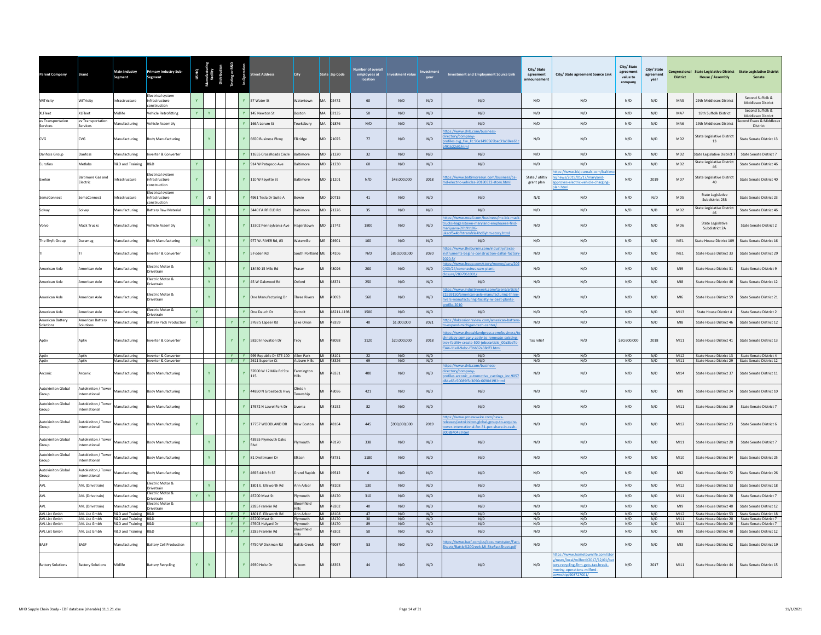| ent Compan                         | rand                                      | Main Industry<br>Segment                     | Primary Industry Sub-<br>Segment                |                |                     |          |              | treet Address                                                                     | <b>City</b>                 | State Zip Code       | employees at<br>location | <b>Investment value</b> | vear       | Investment and Employment Source Link                                                                                                                                | City/State<br>$\!$ agreement<br>announcement | City/ State agreement Source Link                                                                                                                | City/ State<br>agreement<br>value to<br>company | City/State<br>agreement<br>vear | <b>District</b> | <b>House / Assembly</b>              | Congressional State Legislative District State Legislative District<br>Senate                       |
|------------------------------------|-------------------------------------------|----------------------------------------------|-------------------------------------------------|----------------|---------------------|----------|--------------|-----------------------------------------------------------------------------------|-----------------------------|----------------------|--------------------------|-------------------------|------------|----------------------------------------------------------------------------------------------------------------------------------------------------------------------|----------------------------------------------|--------------------------------------------------------------------------------------------------------------------------------------------------|-------------------------------------------------|---------------------------------|-----------------|--------------------------------------|-----------------------------------------------------------------------------------------------------|
| WiTricity                          | WiTricity                                 | Infrastructure                               | lectrical system<br>nfrastructure<br>nstruction |                |                     |          |              | 57 Water St                                                                       | Watertown                   | MA 02472             | 60                       | N/D                     | N/D        | N/D                                                                                                                                                                  | N/D                                          | N/D                                                                                                                                              | N/D                                             | N/D                             | MA5             | 29th Middlesex District              | Second Suffolk &<br>Middlesex District                                                              |
| <b>XLFleet</b>                     | <b>KLFleet</b>                            | Midlife                                      | ehicle Retrofitting                             | Y.             |                     |          |              | 145 Newton St                                                                     | loston                      | MA 02135             | 50                       | N/D                     | N/D        | N/D                                                                                                                                                                  | N/D                                          | N/D                                                                                                                                              | N/D                                             | N/D                             | MA7             | 18th Suffolk District                | Second Suffolk &<br>Middlesex District                                                              |
| ev Transportation<br>Services      | ev Transportation<br>Services             | Manufacturing                                | ehicle Assembly                                 |                |                     |          |              | 166A Lorum St                                                                     | ewksbury                    | <b>MA</b><br>01876   | N/D                      | N/D                     | N/D        | N/D                                                                                                                                                                  | N/D                                          | N/D                                                                                                                                              | N/D                                             | N/D                             | MA6             | 19th Middlesex District              | Second Essex & Middlesex<br>District                                                                |
| <b>CVG</b>                         | CVG                                       | Manufacturing                                | <b>Body Manufacturing</b>                       |                | $\mathbf{Y}$        |          |              | 6650 Business Pkwy                                                                | Elkridge                    | MD 21075             | 77                       | N/D                     | N/D        | tps://www.dnb.com/business-<br>ectory/company-<br>files.cvg fse IIc.90e1496569bac31a18ea61<br>1h22d0.html                                                            | N/D                                          | N/D                                                                                                                                              | N/D                                             | N/D                             | MD2             | State Legislative District<br>13     | State Senate District 13                                                                            |
| Danfoss Group                      | Danfoss                                   | Manufacturing                                | werter & Converter                              |                |                     |          |              | 11655 CrossRoads Circle                                                           | <b>Baltimore</b>            | MD 21220             | 32                       | N/D                     | N/D        | N/D                                                                                                                                                                  | N/D                                          | N/D                                                                                                                                              | N/D                                             | N/D                             | MD2             | <b>State Legislative District 7</b>  | State Senate District 7                                                                             |
| Eurofins                           | detlabs                                   | <b>R&amp;D and Training</b>                  | &D                                              | Y.             |                     |          |              | 914 W Patapsco Ave                                                                | altimore                    | MD 21230             | 60                       | N/D                     | N/D        | N/D                                                                                                                                                                  | N/D                                          | N/D                                                                                                                                              | N/D                                             | N/D                             | MD2             | State Legislative District<br>46     | State Senate District 46                                                                            |
| Exelon                             | <b>Baltimore Gas and</b><br>Electric      | frastructure                                 | ectrical system<br>frastructure<br>onstruction  |                |                     |          |              | 110 W Fayette St                                                                  | altimore                    | MD 21201             | N/D                      | \$48,000,000            | 2018       | tos://www.baltimoresun.com/business/bs-<br>d-electric-vehicles-20180322-story.html                                                                                   | State / utiltiv<br>grant plan                | tps://www.biziournals.com/ba<br>e/news/2019/01/17/maryland-<br>roves-electric-vehicle-charging-                                                  | N/D                                             | 2019                            | MD7             | State Legislative District<br>40     | State Senate District 40                                                                            |
| SemaConnect                        | emaConnect                                | frastructure                                 | lectrical system<br>frastructure<br>nstruction  | Y.             | /D                  |          |              | 4961 Tesla Dr Suite A                                                             | owie                        | 20715<br>MD          | 41                       | N/D                     | N/D        | N/D                                                                                                                                                                  | N/D                                          | N/D                                                                                                                                              | N/D                                             | $\mathsf{N}/\mathsf{D}$         | MD <sub>5</sub> | State Legislative<br>Subdistrict 23B | State Senate District 23                                                                            |
| Solvay                             | Solvay                                    | Manufacturing                                | attery Raw Material                             |                | Y                   |          |              | 3440 FAIRFIELD Rd                                                                 | Baltimore                   | MD 21226             | 35                       | N/D                     | N/D        | N/D                                                                                                                                                                  | N/D                                          | N/D                                                                                                                                              | N/D                                             | N/D                             | MD2             | tate Legislative District<br>46      | State Senate District 46                                                                            |
| Volvo                              | Mack Trucks                               | Manufacturing                                | ehicle Assembly                                 |                |                     |          |              | 13302 Pennsylvania Ave                                                            | Hagerstown                  | MD 21742             | 1800                     | N/D                     | N/D        | ps://www.mcall.com/business/mc-biz-ma<br>ucks-hagerstown-maryland-employees-find-<br>ariiuana-20191106-<br>inf5x4hfhtramfzle4hd6yhm-story.html                       | N/D                                          | N/D                                                                                                                                              | N/D                                             | $\mathsf{N}/\mathsf{D}$         | MD6             | State Legislative<br>Subdistrict 2A  | State Senate District 2                                                                             |
| The Shyft Group                    | <b>Juramag</b>                            | Manufacturing                                | ody Manufacturing                               | $\mathbf{Y}$ . | $\mathbf{Y}$ .      |          |              | 977 W. RIVER Rd. #3                                                               | Naterville                  | ME<br>04901          | 100                      | N/D                     | N/D        | N/D                                                                                                                                                                  | N/D                                          | N/D                                                                                                                                              | N/D                                             | N/D                             | ME1             | State House District 109             | State Senate District 16                                                                            |
|                                    |                                           | Manufacturing                                | verter & Converter                              |                |                     |          |              | Foden Rd                                                                          | South Portland              | ME<br>04106          | N/D                      | \$850,000,000           | 2020       | tps://www.theburnin.com/industry/texas-<br>truments-begins-construction-dallas-factor                                                                                | N/D                                          | N/D                                                                                                                                              | N/D                                             | N/D                             | ME1             | State House District 33              | State Senate District 29                                                                            |
| American Axle                      | <b>Imerican Axle</b>                      | <b>Manufacturing</b>                         | lectric Motor &<br>rivetrain                    |                | $\mathbf{Y}^{\top}$ |          |              | 18450 15 Mile Rd                                                                  | raser                       | 48026                | 200                      | N/D                     | N/D        | s://www.freep.com/story/<br>ney/cars/2<br>03/24/coronavirus-uaw-plant-<br>/ 000130920411                                                                             | N/D                                          | N/D                                                                                                                                              | N/D                                             | N/D                             | M <sub>19</sub> | State House District 31              | State Senate District 9                                                                             |
| American Axle                      | American Axle                             | Manufacturing                                | lectric Motor &<br>rivetrain                    |                | $\mathbf{v}$        |          |              | 45 W Oakwood Rd                                                                   | <b>Dxford</b>               | 48371                | 250                      | N/D                     | N/D        | N/D                                                                                                                                                                  | N/D                                          | N/D                                                                                                                                              | N/D                                             | N/D                             | M18             | State House District 46              | State Senate District 12                                                                            |
| American Axle                      | American Axle                             | Manufacturing                                | lectric Motor &<br>rivetrain                    |                | Y.                  |          | $\mathbf{Y}$ | One Manufacturing Dr                                                              | <b>Three Rivers</b>         | MI<br>49093          | 560                      | N/D                     | N/D        | tps://www.industryweek.com/talent/article<br>1959150/american-axle-manufacturing-three<br>ers-manufacturing-facility-iw-best-plants-                                 | N/D                                          | N/D                                                                                                                                              | N/D                                             | N/D                             | MIG             | State House District 59              | State Senate District 21                                                                            |
| American Axle                      | American Axle                             | Manufacturing                                | lectric Motor &<br>ivetrain                     | Y.             |                     |          |              | One Dauch Dr                                                                      | Detroit                     | MI<br>48211-1198     | 1500                     | N/D                     | N/D        | N/D                                                                                                                                                                  | N/D                                          | N/D                                                                                                                                              | N/D                                             | N/D                             | M13             | State House District 4               | State Senate District 2                                                                             |
| American Battery<br>Solutions      | American Battery<br>olutions              | Manufacturing                                | <b>Battery Pack Production</b>                  | $\mathbf{Y}$   |                     | Y.       |              | 3768 S Lapeer Rd                                                                  | Lake Orion                  | 48359<br>MI          | 40                       | \$1,000,000             | 2021       | ps://lakeorionreview.com/american-batten<br>and-michigan-tech-center/                                                                                                | N/D                                          | N/D                                                                                                                                              | N/D                                             | N/D                             | M18             | State House District 46              | State Senate District 12                                                                            |
| Aptiv                              | Antiv                                     | Manufacturing                                | werter & Converter                              |                |                     |          |              | Y 5820 Innovation Dr                                                              | Troy                        | 48098                | 1120                     | \$20,000,000            | 2018       | ps://www.theoaklandpress.com/business,<br>ology-company-aptiv-to-renovate-existing<br>y-facility-create-500-jobs/article_00a3bd7c<br>344-11e8-9ebc-f3bb32a38df3.html | Tax relief                                   | N/D                                                                                                                                              | \$30,600,000                                    | 2018                            | MI11            | State House District 41              | State Senate District 13                                                                            |
| Aptiv<br>Aptiv                     | Aptiv<br>Aptiv                            | Manufacturing<br>Manufacturing               | Inverter & Converter<br>Inverter & Converter    |                |                     |          |              | Y   Y   999 Republic Dr STE 100   Allen Park   MI   48101<br>Y Y 2611 Superior Ct | Auburn Hills MI 48326       |                      | 22<br>69                 | N/D<br>N/D              | N/D<br>N/D | N/D<br>N/D                                                                                                                                                           | N/D<br>N/D                                   | N/D<br>N/D                                                                                                                                       | N/D<br>N/D                                      | N/D<br>N/D                      | MI12<br>MI11    |                                      | State House District 13 State Senate District 4<br>State House District 29 State Senate District 12 |
| Arconic                            | Arconic                                   | Manufacturing                                | <b>Body Manufacturing</b>                       |                | Y.                  |          |              | 37000 W 12 Mile Rd Ste<br>115                                                     | Farmington<br>tills         | 48331<br>MI          | 400                      | N/D                     | N/D        | tps://www.dnb.com/business-<br>ectory/company-<br>files.arconic automotive castings inc.9057<br>865c50089f5c3090c6690d19f.h                                          | N/D                                          | N/D                                                                                                                                              | N/D                                             | N/D                             | MI14            | State House District 37              | State Senate District 11                                                                            |
| <b>Autokiniton Global</b><br>Group | Autokiniton / Tower<br>nternational       | Manufacturing                                | ody Manufacturing                               |                | $\mathbf{Y}$ .      |          |              | 44850 N Groesbeck Hwy                                                             | Clinton<br>ownship          | 48036                | 421                      | N/D                     | N/D        | N/D                                                                                                                                                                  | N/D                                          | N/D                                                                                                                                              | N/D                                             | N/D                             | M19             | State House District 24              | State Senate District 10                                                                            |
| <b>Autokiniton Global</b><br>Group | utokiniton / Tower<br>ternational         | Manufacturing                                | <b>Body Manufacturing</b>                       |                |                     |          |              | 17672 N Laurel Park Dr                                                            | ivonia                      | 48152                | 82                       | N/D                     | N/D        | N/D                                                                                                                                                                  | N/D                                          | N/D                                                                                                                                              | N/D                                             | N/D                             | M111            | State House District 19              | State Senate District 7                                                                             |
| <b>Autokiniton Global</b><br>Group | Autokiniton / Tower<br>nternational       | Manufacturing                                | <b>Body Manufacturing</b>                       |                |                     |          |              | 17757 WOODLAND DR                                                                 | <b>New Roston</b>           | MI<br>48164          | 445                      | \$900,000,000           | 2019       | ttps://www.prnewswire.com/news-<br>eases/autokiniton-global-group-to-acquire-<br>ver-international-for-31-per-share-in-cash-                                         | N/D                                          | N/D                                                                                                                                              | N/D                                             | N/D                             | MI12            | State House District 23              | State Senate District 6                                                                             |
| Autokiniton Global<br>Group        | Autokiniton / Tower<br>ternational        | Manufacturing                                | ody Manufacturing                               |                |                     |          |              | 43955 Plymouth Oaks<br>Rlvd                                                       | ymouth                      | 48170                | 338                      | N/D                     | N/D        | N/D                                                                                                                                                                  | N/D                                          | N/D                                                                                                                                              | N/D                                             | N/D                             | M111            | State House District 20              | <b>State Senate District 7</b>                                                                      |
| Autokiniton Global<br>Group        | <b>Nutokiniton / Tower</b><br>ternational | Manufacturing                                | <b>Body Manufacturing</b>                       |                | $\mathbf{Y}$        |          |              | 81 Drettmann Dr                                                                   | Fikton                      | MI<br>48731          | 1180                     | N/D                     | N/D        | N/D                                                                                                                                                                  | N/D                                          | N/D                                                                                                                                              | N/D                                             | N/D                             | MI10            | <b>State House District 84</b>       | State Senate District 25                                                                            |
| <b>Autokiniton Global</b><br>Group | Autokiniton / Towe<br>ternational         | Manufacturing                                | <b>Body Manufacturing</b>                       |                |                     |          |              | 4695 44th St SE                                                                   | <b>Grand Rapids</b>         | 49512<br>MI          | $6\overline{6}$          | N/D                     | N/D        | N/D                                                                                                                                                                  | N/D                                          | N/D                                                                                                                                              | N/D                                             | N/D                             | M12             | State House District 72              | State Senate District 26                                                                            |
| AVI                                | AVL (Drivetrain)                          | Manufacturing                                | lectric Motor &<br>rivetrain                    |                | Y                   |          |              | 1801 F. Fllsworth Rd                                                              | Ann Arhor                   | MI<br>48108          | 130                      | N/D                     | N/D        | N/D                                                                                                                                                                  | N/D                                          | N/D                                                                                                                                              | N/D                                             | N/D                             | MI12            | State House District 53              | State Senate District 18                                                                            |
| AVL                                | AVL (Drivetrain)                          | Manufacturing                                | lectric Motor &<br>rivetrain                    | Y              | $\mathbf{Y}$        |          |              | 45700 Mast St                                                                     | <b>Ivmouth</b>              | 48170<br>MI          | 310                      | N/D                     | N/D        | N/D                                                                                                                                                                  | N/D                                          | N/D                                                                                                                                              | N/D                                             | N/D                             | M111            | State House District 20              | State Senate District 7                                                                             |
| AVL                                | VL (Drivetrain)                           | Manufacturing                                | ectric Motor &<br>rivetrain                     |                |                     |          |              | 2285 Franklin Rd                                                                  | <b>Bloomfield</b><br>dille: | MI<br>48302          | $40\,$                   | N/D                     | N/D        | N/D                                                                                                                                                                  | N/D                                          | N/D                                                                                                                                              | N/D                                             | N/D                             | M19             | State House District 40              | State Senate District 12                                                                            |
| AVI List Gmbh<br>AVL List Gmbh     | <b>AVI List Gmbh</b><br>AVL List Gmbh     | R&D and Training R&D<br>R&D and Training R&D |                                                 |                |                     | <b>Y</b> | $-$ Y        | 1801 F. Fllsworth Rd<br>Y   Y   45700 Mast St                                     | Ann Arbor<br>Plymouth       | MI 48108<br>MI 48170 | 47<br>30                 | N/D<br>N/D              | N/D<br>N/D | N/D<br>N/D                                                                                                                                                           | N/D<br>N/D                                   | N/D<br>N/D                                                                                                                                       | N/D<br>N/D                                      | N/D<br>N/D                      | MI12<br>M111    |                                      | State House District 53 State Senate District 18<br>State House District 20 State Senate District 7 |
| AVL List Gmbh                      | AVL List Gmbh                             | R&D and Training                             | R&D                                             | Y              |                     |          |              | Y Y 47603 Halvard Dr                                                              | Plymouth                    | MI 48170             | 89                       | N/D                     | N/D        | N/D                                                                                                                                                                  | N/D                                          | N/D                                                                                                                                              | N/D                                             | N/D                             | M111            |                                      | State House District 20 State Senate District 7                                                     |
| AVL List Gmbh                      | <b>AVL List Gmbh</b>                      | R&D and Training                             | R&D                                             |                |                     | Y        | $\mathbf{v}$ | 2285 Franklin Rd                                                                  | loomfield<br>alliH          | MI<br>48302          | $50\,$                   | N/D                     | N/D        | N/D                                                                                                                                                                  | N/D                                          | N/D                                                                                                                                              | N/D                                             | N/D                             | M19             | State House District 40              | State Senate District 12                                                                            |
| <b>BASF</b>                        | BASF                                      | Manufacturing                                | <b>Battery Cell Production</b>                  |                |                     |          |              | 4750 W Dickman Rd                                                                 | Battle Creek                | 49037<br>MI          | 53                       | N/D                     | N/D        | ps://www.basf.com/us/documents/en/Fact<br>eets/Battle%20Creek-MI-SiteFactSheet.pdf                                                                                   | N/D                                          | N/D                                                                                                                                              | N/D                                             | N/D                             | M13             | State House District 62              | State Senate District 19                                                                            |
| <b>Battery Solutions</b>           | <b>Battery Solutions</b>                  | Midlife                                      | <b>Battery Recycling</b>                        |                | $\mathbf{v}$        |          |              | Y 4930 Holtz Dr                                                                   | Wixom                       | 48393                | 44                       | N/D                     | N/D        | N/D                                                                                                                                                                  | N/D                                          | s://www.hometownlife.co<br>ews/local/milford/2017/12/01/ba<br>tery-recycling-firm-gets-tax-break-<br>wing-operations-milford-<br>shin/908727001/ | N/D                                             | 2017                            | M111            | State House District 44              | State Senate District 15                                                                            |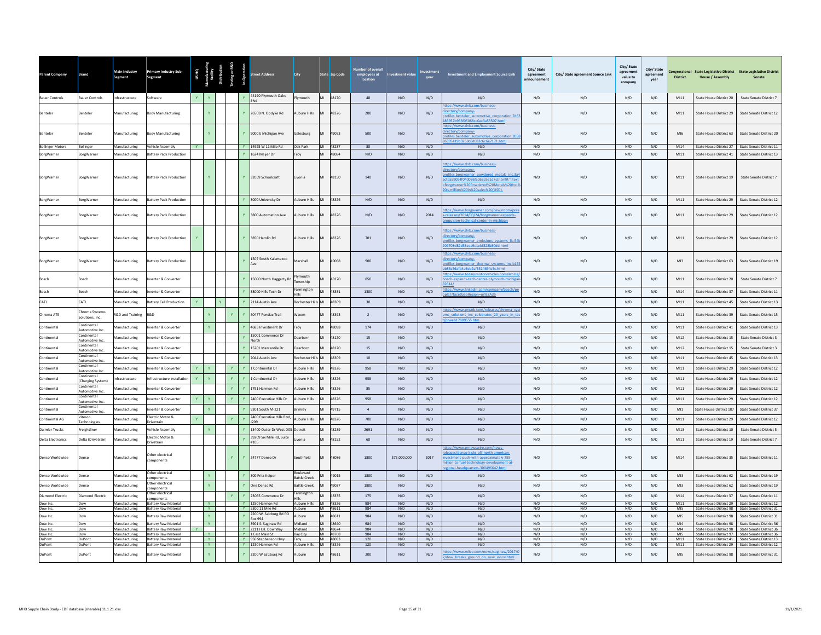| <b>Parent Company</b>                 | Brand                                 | Main Industry<br>Segment       | <b>Primary Industry Sub-</b><br>Segment                    | US HQ<br>Pufacturi<br>facility |                          |              | <b>Street Address</b>                       | <b>City</b>                      |    | State Zip Code       | Number of overal<br>employees at | <b>Investment value</b> |            | <b>Investment and Employment Source Link</b>                                                                                                                                                 | City/State<br>agreement<br>announcemen | City/ State agreement Source Link | City/ State<br>agreement<br>value to<br>company | City/State<br>agr<br>eement<br>vear | <b>District</b>    | Congressional State Legislative District State Legislative District<br><b>House / Assembly</b> | Senate                                                                                               |
|---------------------------------------|---------------------------------------|--------------------------------|------------------------------------------------------------|--------------------------------|--------------------------|--------------|---------------------------------------------|----------------------------------|----|----------------------|----------------------------------|-------------------------|------------|----------------------------------------------------------------------------------------------------------------------------------------------------------------------------------------------|----------------------------------------|-----------------------------------|-------------------------------------------------|-------------------------------------|--------------------|------------------------------------------------------------------------------------------------|------------------------------------------------------------------------------------------------------|
| <b>Bauer Controls</b>                 | <b>Bauer Controls</b>                 | Infrastructure                 | Software                                                   |                                |                          |              | 44190 Plymouth Oaks                         | Plymouth                         |    | MI 48170             | 48                               | N/D                     | N/D        | N/D                                                                                                                                                                                          | N/D                                    | N/D                               | N/D                                             | N/D                                 | MI11               | State House District 20                                                                        | State Senate District 7                                                                              |
| <b>Renteler</b>                       | <b>Renteler</b>                       | Manufacturing                  | Body Manufacturing                                         |                                |                          |              | Y 2650B N. Ondyke Rd                        | Auburn Hills                     | MI | 48326                | 200                              | N/D                     | N/D        | os://www.dnb.com/business-<br>ctory/company-<br>files.benteler automotive corporation.7d6<br>57b963f05068cc0ac3a53507.html                                                                   | N/D                                    | N/D                               | N/D                                             | N/D                                 | MI11               | State House District 29                                                                        | State Senate District 12                                                                             |
| Benteler                              | <b>Renteler</b>                       | Manufacturing                  | Body Manufacturing                                         |                                |                          |              | Y 9000 E Michigan Ave                       | Galesburg                        | MI | 49053                | 500                              | N/D                     | N/D        | tps://www.dnb.com/business-<br>ctory/company-<br>Files.benteler automotive corporation.205<br>95419b3268c6d083c6c6e2171.html                                                                 | N/D                                    | N/D                               | N/D                                             | N/D                                 | MI6                | State House District 63                                                                        | State Senate District 20                                                                             |
| <b>Bollinger Motors</b><br>BorgWarner | Bollinger<br>Borg Warner              | Manufacturing<br>Manufacturing | <b>Vehicle Assembly</b><br>attery Pack Production          |                                |                          |              | Y 14925 W 11 Mile Rd<br>Y 1624 Meiler Dr    | Oak Park<br>Troy                 | MI | MI 48237<br>48084    | 80<br>N/D                        | N/D<br>N/D              | N/D<br>N/D | N/D<br>N/D                                                                                                                                                                                   | N/D<br>N/D                             | N/D<br>N/D                        | N/D<br>N/D                                      | N/D<br>N/D                          | MI14<br>M111       | State House District 27<br>State House District 41                                             | State Senate District 11<br>State Senate District 13                                                 |
|                                       |                                       |                                |                                                            |                                |                          |              |                                             |                                  |    |                      |                                  |                         |            | tps://www.dnb.com/business                                                                                                                                                                   |                                        |                                   |                                                 |                                     |                    |                                                                                                |                                                                                                      |
| BorgWarner                            | BorgWarner                            | Manufacturing                  | Battery Pack Production                                    |                                |                          |              | Y 32059 Schoolcraft                         | Livonia                          | MI | 48150                | 140                              | N/D                     | N/D        | ectory/company-<br>files.borgwarner_powdered_metals_inc.3a4<br>fda59094f040036fa063c9e1d7d.html#:~:text<br>Borgwarner%20Powdered%20Metals%20Inc.<br>is.million%20in%20sales%20(USD).         | N/D                                    | N/D                               | N/D                                             | N/D                                 | M111               | State House District 19                                                                        | State Senate District 7                                                                              |
| BorgWarner                            | BorgWarner                            | Manufacturing                  | Battery Pack Production                                    |                                |                          |              | 3000 University Dr                          | Auburn Hills                     | MI | 48326                | N/D                              | N/D                     | N/D        | N/D                                                                                                                                                                                          | N/D                                    | N/D                               | N/D                                             | N/D                                 | M111               | State House District 29                                                                        | State Senate District 12                                                                             |
| BorgWarner                            | <b>BorgWarner</b>                     | Manufacturing                  | Battery Pack Production                                    |                                |                          |              | Y 3800 Automation Ave                       | Auburn Hills                     | MI | 48326                | N/D                              | N/D                     | 2014       | ps://www.borgwarner.com/newsroom/p<br>eleases/2014/03/24/borgwarner-expands<br>ulsion-technical-center-in-michigan                                                                           | N/D                                    | N/D                               | N/D                                             | N/D                                 | MI11               | State House District 29                                                                        | State Senate District 12                                                                             |
| BorgWarner                            | BorgWarner                            | Manufacturing                  | Battery Pack Production                                    |                                |                          |              | Y 3850 Hamlin Rd                            | Auburn Hills                     | MI | 48326                | 701                              | N/D                     | N/D        | ps://www.dnb.com/business-<br>ectory/company-<br>ofiles.borgwarner emissions systems IIc.54<br>9708d82d58cea9c1ebf828b80dd.html                                                              | N/D                                    | N/D                               | N/D                                             | N/D                                 | M111               | State House District 29                                                                        | State Senate District 12                                                                             |
| BorgWarner                            | <b>SorgWarner</b>                     | Manufacturing                  | attery Pack Production                                     |                                |                          |              | 1507 South Kalamazoo                        | Marshall                         | MI | 49068                | 900                              | N/D                     | N/D        | tps://www.dnb.com/business-<br>ectory/company-<br>files.borgwarner thermal systems inc.b15<br>3c56afb4a6eb2af3514694c5c.html                                                                 | N/D                                    | N/D                               | N/D                                             | N/D                                 | M13                | State House District 63                                                                        | State Senate District 19                                                                             |
| Rosch                                 | Bosch                                 | Manufacturing                  | werter & Converter                                         |                                |                          |              | Y 15000 North Haggerty Rd                   | vmouth<br>ownship                |    | 48170                | 850                              | N/D                     | N/D        | tps://www.todaysmotorvehicles.com/article<br>ch-expands-tech-center-plymouth-michiga<br>141                                                                                                  | N/D                                    | N/D                               | N/D                                             | N/D                                 | M111               | State House District 20                                                                        | State Senate District 7                                                                              |
| Bosch                                 | <b>Sosch</b>                          | Manufacturing                  | verter & Converter                                         |                                |                          |              | 38000 Hills Tech Dr                         | Farmington                       |    | 48331                | 1300                             | N/D                     | N/D        | tps://www.linkedin.com/company/bosch/p<br><b>22A23435</b><br><b>PfaretGeoR</b>                                                                                                               | N/D                                    | N/D                               | N/D                                             | N/D                                 | MI14               | State House District 37                                                                        | State Senate District 11                                                                             |
| CATL                                  | CATL                                  | Manufacturing                  | Battery Cell Production                                    |                                |                          |              | Y 2114 Austin Ave                           | Rochester Hills                  | MI | 48309                | 30                               | N/D                     | N/D        | N/D                                                                                                                                                                                          | N/D                                    | N/D                               | N/D                                             | N/D                                 | M111               | State House District 45                                                                        | State Senate District 13                                                                             |
| Chroma ATE                            | Chroma Systems<br>Solutions, Inc.     | R&D and Training               | R&D                                                        |                                |                          |              | Y 50477 Pontiac Trail                       | Wixom                            |    | 48393                | $\overline{2}$                   | N/D                     | N/D        | tps://www.prweb.com/releases/chroma_sv<br>is solutions inc celebrates 20 years in te<br>h17809555 htm                                                                                        | N/D                                    | N/D                               | N/D                                             | N/D                                 | M111               | State House District 39                                                                        | State Senate District 15                                                                             |
| Continental                           | Continental<br>Automotive Inc.        | Manufacturing                  | werter & Converter                                         |                                |                          |              | 4685 Investment Dr                          | Troy                             |    | 48098                | 174                              | N/D                     | N/D        | N/D                                                                                                                                                                                          | N/D                                    | N/D                               | N/D                                             | N/D                                 | M111               | State House District 41                                                                        | State Senate District 13                                                                             |
| Continental                           | Continental<br>Automotive Inc.        | Manufacturing                  | verter & Converter                                         |                                |                          |              | 15001 Commerce Dr<br>Vorth                  | Dearborn                         | MI | 48120                | 15                               | N/D                     | N/D        | N/D                                                                                                                                                                                          | N/D                                    | N/D                               | N/D                                             | N/D                                 | M12                | State House District 15                                                                        | State Senate District 3                                                                              |
| Continental                           | Continental<br>Automotive Inc.        | <b>Manufacturing</b>           | werter & Converte                                          |                                |                          |              | 15201 Mercantile Dr                         | Dearborn                         | MI | 48120                | 15                               | N/D                     | N/D        | N/D                                                                                                                                                                                          | N/D                                    | N/D                               | N/D                                             | N/D                                 | M12                | State House District 15                                                                        | State Senate District 3                                                                              |
| Continental                           | Continental<br><b>Automotive Inc.</b> | Manufacturing                  | werter & Converte                                          |                                |                          |              | 2044 Austin Ave                             | Rochester Hill:                  | MI | 48309                | 10                               | N/D                     | N/D        | N/D                                                                                                                                                                                          | N/D                                    | N/D                               | N/D                                             | N/D                                 | M111               | State House District 45                                                                        | State Senate District 13                                                                             |
| Continental                           | Continental<br>Automotive Inc.        | Manufacturing                  | verter & Converte                                          |                                | $\mathbf{Y}$             |              | Y 1 Continental Dr                          | Auburn Hills                     |    | 48326                | 958                              | N/D                     | N/D        | N/D                                                                                                                                                                                          | N/D                                    | N/D                               | N/D                                             | N/D                                 | M111               | State House District 29                                                                        | <b>State Senate District 12</b>                                                                      |
| Continental                           | Continental<br>(Charging System)      | <b>nfrastructure</b>           | nfrastructure installation                                 | Y.                             | $\mathbf{Y}$             | Y            | Y 1 Continental Dr                          | Auburn Hills                     |    | 48326                | 958                              | N/D                     | N/D        | N/D                                                                                                                                                                                          | N/D                                    | N/D                               | N/D                                             | N/D                                 | $M111$             | State House District 29                                                                        | State Senate District 12                                                                             |
| Continental                           | Continental<br>Automotive Inc.        | lanufacturing                  | werter & Converter                                         |                                |                          | Y            | Y 1791 Harmon Rd                            | Auburn Hills                     |    | 48326                | 85                               | N/D                     | N/D        | N/D                                                                                                                                                                                          | N/D                                    | N/D                               | N/D                                             | N/D                                 | M111               | <b>State House District 29</b>                                                                 | State Senate District 12                                                                             |
| Continental                           | Continental<br>Automotive Inc.        | <b>Aanufacturing</b>           | werter & Converter                                         | Y                              | $\mathbf{Y}$             |              | Y 2400 Executive Hills Dr                   | Auburn Hills                     |    | 48326                | 958                              | N/D                     | N/D        | N/D                                                                                                                                                                                          | N/D                                    | N/D                               | N/D                                             | N/D                                 | M111               | State House District 29                                                                        | <b>State Senate District 12</b>                                                                      |
| Continental                           | Continental<br>Automotive Inc.        | Manufacturing                  | verter & Converte                                          |                                | $\mathbf{Y}$             |              | Y 9301 South M-221                          | Brimley                          |    | 49715                | $\overline{4}$                   | N/D                     | N/D        | N/D                                                                                                                                                                                          | N/D                                    | N/D                               | N/D                                             | N/D                                 | M11                | State House District 107                                                                       | State Senate District 37                                                                             |
| Continental AG                        | Vitesco<br><b>Fechnologies</b>        | Manufacturing                  | lectric Motor &<br>Irivetrain                              |                                |                          | Y            | 2400 Executive Hills Blvd<br>1209           | Auburn Hills                     |    | 48326                | 700                              | N/D                     | N/D        | N/D                                                                                                                                                                                          | N/D                                    | N/D                               | N/D                                             | N/D                                 | M111               | State House District 29                                                                        | State Senate District 12                                                                             |
| <b>Daimler Trucks</b>                 | reightliner                           | Manufacturing                  | ehicle Assembly                                            |                                | Y                        |              | Y  13400 Outer Dr West D05 Detroit          |                                  |    | 48239                | 2691                             | N/D                     | N/D        | N/D                                                                                                                                                                                          | N/D                                    | N/D                               | N/D                                             | N/D                                 | M13                | State House District 10                                                                        | <b>State Senate District 5</b>                                                                       |
| <b>Delta Electronics</b>              | Delta (Drivetrain)                    | <b>Aanufacturing</b>           | Electric Motor &<br>rivetrain                              |                                |                          |              | 39209 Six Mile Rd, Suite<br>#105            | ivonia                           |    | 48152                | 60                               | N/D                     | N/D        | N/D                                                                                                                                                                                          | N/D                                    | N/D                               | N/D                                             | N/D                                 | M111               | State House District 19                                                                        | State Senate District 7                                                                              |
| Denso Worldwide                       | Denso                                 | Manufacturing                  | ther electrical<br>omponents                               |                                |                          | $\mathbf{Y}$ | Y 24777 Denso Dr                            | Southfield                       | MI | 48086                | 1800                             | \$75,000,000            | 2017       | ps://www.prnewswire.com/news-<br>eases/denso-kicks-off-north-american<br>estment-push-with-approximately-755-<br>lion-to-fuel-technology-development-at-<br>Imal-headquarters-300496642.html | N/D                                    | N/D                               | N/D                                             | N/D                                 | M14                | State House District 35                                                                        | State Senate District 11                                                                             |
| Denso Worldwide                       | enso                                  | <b>Manufacturing</b>           | Ther electrical<br>omponents                               |                                |                          |              | 300 Fritz Keiper                            | Boulevard<br><b>Battle Creek</b> |    | 49015                | 1800                             | N/D                     | N/D        | N/D                                                                                                                                                                                          | N/D                                    | N/D                               | N/D                                             | N/D                                 | M13                | State House District 62                                                                        | State Senate District 19                                                                             |
| Denso Worldwide                       | enso                                  | Aanufacturing                  | ther electrical<br>mponents                                |                                |                          |              | One Denso Rd                                | Battle Creek                     |    | 49037                | 1800                             | N/D                     | N/D        | N/D                                                                                                                                                                                          | N/D                                    | N/D                               | N/D                                             | N/D                                 | M13                | State House District 62                                                                        | State Senate District 19                                                                             |
| <b>Diamond Electric</b>               | Diamond Electric                      | <b>Aanufacturing</b>           | Other electrical<br>mponents                               |                                |                          |              | 23065 Commerce Dr                           | Farmington                       |    | 48335                | 175                              | N/D                     | N/D        | N/D                                                                                                                                                                                          | N/D                                    | N/D                               | N/D                                             | N/D                                 | MI14               | State House District 37                                                                        | State Senate District 11                                                                             |
| Dow Inc.<br>Dow Inc.                  | Dow<br>Dow                            | Manufacturing<br>Manufacturing | <b>Battery Raw Material</b><br><b>Battery Raw Material</b> |                                | <b>Y</b><br>$\mathbf{Y}$ |              | Y 1250 Harmon Rd<br>Y 5300 11 Mile Rd       | Auburn Hills MI 48326<br>Auburn  |    | MI 48611             | 984<br>984                       | N/D<br>N/D              | N/D<br>N/D | N/D<br>N/D                                                                                                                                                                                   | N/D<br>N/D                             | N/D<br>N/D                        | N/D<br>N/D                                      | N/D<br>N/D                          | MI11<br><b>MIS</b> | State House District 98                                                                        | State House District 29 State Senate District 12<br>State Senate District 31                         |
| Dow Inc.                              | Dow                                   | Manufacturing                  | Battery Raw Material                                       |                                | Y                        |              | 2200 W. Salzburg Rd PO<br><b>Box 994</b>    | Auburn                           | MI | 48611                | 984                              | N/D                     | N/D        | N/D                                                                                                                                                                                          | N/D                                    | N/D                               | N/D                                             | N/D                                 | MIS                | State House District 98                                                                        | State Senate District 31                                                                             |
| Dow Inc.<br>Dow Inc.                  | Dow<br>Dow                            | Manufacturing<br>Manufacturing | <b>Battery Raw Material</b><br><b>Battery Raw Material</b> |                                | <b>Y</b>                 |              | Y 3901 S. Saginaw Rd<br>Y 2211 H.H. Dow Way | Midland<br>Midland               |    | MI 48640<br>MI 48674 | 984<br>984                       | N/D<br>N/D              | N/D<br>N/D | N/D<br>N/D                                                                                                                                                                                   | N/D<br>N/D                             | N/D<br>N/D                        | N/D<br>N/D                                      | N/D<br>N/D                          | MI4<br>MI4         |                                                                                                | State House District 98 State Senate District 36<br>State House District 98 State Senate District 36 |
| Dow Inc.<br>DuPont                    | Dow<br>DuPont                         | Manufacturing<br>Manufacturing | <b>Battery Raw Material</b><br><b>Battery Raw Material</b> |                                | <b>V</b><br><b>Y</b>     |              | Y 1 East Main St<br>Y 950 Stephenson Hwy    | Bay City                         |    | MI 48708<br>MI 48083 | 984<br>120                       | N/D<br>N/D              | N/D<br>N/D | N/D<br>N/D                                                                                                                                                                                   | N/D<br>N/D                             | N/D<br>N/D                        | N/D<br>N/D                                      | N/D<br>N/D                          | MI5<br>M111        |                                                                                                | State House District 97 State Senate District 36<br>State House District 41 State Senate District 13 |
| DuPont                                | DuPont                                | Manufacturing                  | Battery Raw Material                                       |                                | $\mathbf{Y}$             |              | Y 1250 Harmon Rd                            | Auburn Hills                     |    | MI 48326             | 120                              | N/D                     | N/D        | N/D                                                                                                                                                                                          | N/D                                    | N/D                               | N/D                                             | N/D                                 | M111               |                                                                                                | State House District 29 State Senate District 12                                                     |
| DuPont                                | DuPont                                | Manufacturing                  | Battery Raw Material                                       |                                |                          |              | Y 2200 W Salzburg Rd                        | Auburn                           | MI | 48611                | 200                              | N/D                     | N/D        | os://www.mlive.com/news/saginaw/2017/<br>low_breaks_ground_on_new_innov.html                                                                                                                 | N/D                                    | N/D                               | N/D                                             | N/D                                 | MI5                | State House District 98                                                                        | State Senate District 31                                                                             |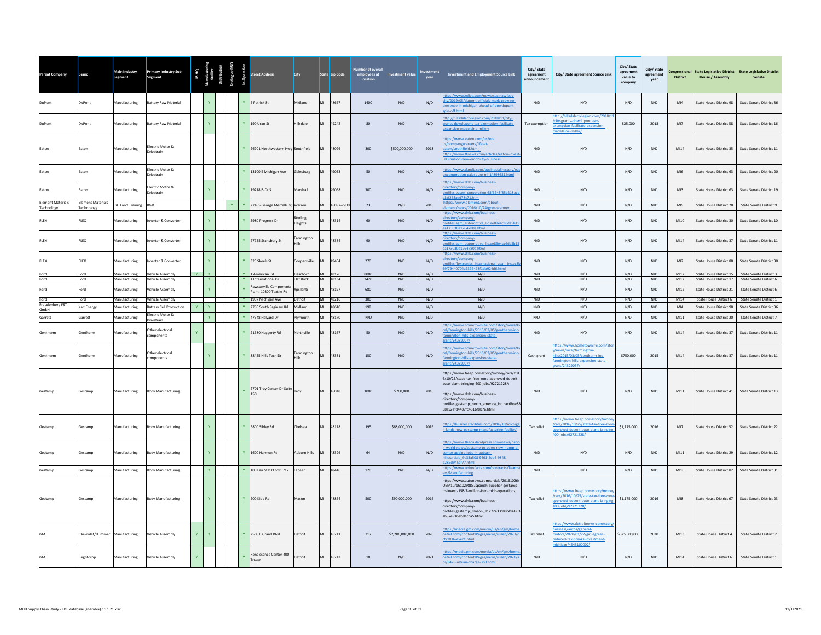| <b>Parent Company</b>                  | <b>Brand</b>                           | <b>Main Industry</b><br>Segment                 | <b>Primary Industry Sub-</b><br>Segment           |              |                              |   |              | treet Address                                    | City                  |    | State <mark>Zip Code</mark> | Number of overal<br>employees at<br>location | vestment value  | vear       | Investment and Employment Source Link                                                                                                                                                                                                                                         | City/State<br>agreement | City/ State agreement Source Link                                                                                                             | City/ State<br>agreement<br>value to<br>company | City/State<br>agreement | <b>District</b> | <b>House / Assembly</b> | Congressional State Legislative District State Legislative District<br>Senate                        |
|----------------------------------------|----------------------------------------|-------------------------------------------------|---------------------------------------------------|--------------|------------------------------|---|--------------|--------------------------------------------------|-----------------------|----|-----------------------------|----------------------------------------------|-----------------|------------|-------------------------------------------------------------------------------------------------------------------------------------------------------------------------------------------------------------------------------------------------------------------------------|-------------------------|-----------------------------------------------------------------------------------------------------------------------------------------------|-------------------------------------------------|-------------------------|-----------------|-------------------------|------------------------------------------------------------------------------------------------------|
| DuPont                                 | DuPont                                 | Manufacturing                                   | <b>Battery Raw Material</b>                       |              |                              |   |              | Y F Patrick St                                   | Midland               | MI | 48667                       | $1400 -$                                     | N/D             | N/D        | s://www.mlive.com/news/saginaw-bay-<br>ity/2019/05/dupont-officials-mark-growing-<br>sence-in-michigan-ahead-of-dowdupont                                                                                                                                                     | N/D                     | N/D                                                                                                                                           | N/D                                             | N/D                     | MI4             | State House District 98 | State Senate District 36                                                                             |
| DuPont                                 | DuPont                                 | Manufacturing                                   | <b>Battery Raw Material</b>                       |              |                              |   |              | Y 190 Uran St                                    | Hillsdale             | MI | 49242                       | 80                                           | N/D             | N/D        | tp://hillsdalecollegian.com/2018/11/city-<br>ants-dowdupont-tax-exemption-facilitate-<br>pansion-madeleine-miller/                                                                                                                                                            | <b>Tax exemption</b>    | tp://hillsdalecollegian.com/2018/1<br>city-grants-dowdupont-tax-<br>mption-facilitate-expansion-<br>deleine-miller/                           | \$25,000                                        | 2018                    | MI7             | State House District 58 | State Senate District 16                                                                             |
| Eaton                                  | Eaton                                  | Manufacturing                                   | Electric Motor &<br>Drivetrain                    |              |                              |   |              | Y 26201 Northwestern Hwy Southfield              |                       | MI | 48076                       | 300                                          | \$500,000,000   | 2018       | tps://www.eaton.com/us/en-<br>s/company/careers/life-at-<br>eaton/southfield.html:<br>ps://www.ttnews.com/articles/eaton-invest<br>00-million-new-emobility-business                                                                                                          | N/D                     | N/D                                                                                                                                           | N/D                                             | N/D                     | M14             | State House District 35 | State Senate District 11                                                                             |
| Eaton                                  | Eaton                                  | Manufacturing                                   | Electric Motor &<br><b>Drivetrain</b>             |              |                              |   |              | Y 13100 E Michigan Ave                           | Galesburg             | MI | 49053                       | 50                                           | N/D             | N/D        | ps://www.dandb.com/businessdirectory/e<br>corporation-galesburg-mi-14898681.html                                                                                                                                                                                              | N/D                     | N/D                                                                                                                                           | N/D                                             | N/D                     | MI6             | State House District 63 | State Senate District 20                                                                             |
| Eaton                                  | Eaton                                  | Manufacturing                                   | Flectric Motor &<br><b>Drivetrain</b>             |              |                              |   |              | Y 19218 B-Dr S                                   | Marshall              | MI | 49068                       | 300                                          | N/D             | N/D        | tps://www.dnb.com/business<br>rectory/company-<br>ofiles.eaton_corporation.68f6243f35e218bc<br>af258apd78c71.html                                                                                                                                                             | N/D                     | N/D                                                                                                                                           | N/D                                             | N/D                     | M13             | State House District 63 | State Senate District 19                                                                             |
| <b>Element Materials</b><br>Technology | Element Materials<br><b>Fechnology</b> | R&D and Training                                | <b>R&amp;D</b>                                    |              |                              | Y |              | Y 27485 George Merrelli Dr, Warren               |                       |    | 18092-2709                  | 23                                           | N/D             | 2016       | ttps://www.element.com/about<br>nent/news/2016/10/24/gom-scanne                                                                                                                                                                                                               | N/D                     | N/D                                                                                                                                           | N/D                                             | N/D                     | Ml9             | State House District 28 | State Senate District 9                                                                              |
| FLEX                                   | FLEX                                   | Manufacturing                                   | nverter & Converter                               |              |                              |   |              | Y 5980 Progress Dr                               | Sterling<br>Heights   |    | 48314                       | 60                                           | N/D             | N/D        | ctps://www.dnb.com/business-<br>ectory/company-<br>ofiles.agm automotive Ilc.ee89e4cc6da5b15<br>a173030e1764780e.html                                                                                                                                                         | N/D                     | N/D                                                                                                                                           | N/D                                             | N/D                     | MI10            | State House District 30 | State Senate District 10                                                                             |
| FLEX                                   | FLEX                                   | Manufacturing                                   | nverter & Converter                               |              |                              |   |              | Y 27755 Stansbury St                             | Farmington            |    | 48334                       | 90                                           | N/D             | N/D        | ttps://www.dnb.com/business-<br>ectory/company-<br>ofiles.agm automotive IIc.ee89e4cc6da5b1<br>a173030e1764780e.html                                                                                                                                                          | N/D                     | N/D                                                                                                                                           | N/D                                             | N/D                     | MI14            | State House District 37 | State Senate District 11                                                                             |
| FLEX                                   | FLEX                                   | Manufacturing                                   | nverter & Converter                               |              |                              |   |              | Y 323 Skeels St                                  | Coopersville          |    | 49404                       | 270                                          | N/D             | N/D        | tps://www.dnb.com/business-<br>ectory/company-<br>ofiles.flextronics international usa inc.cc<br>f79440704a2392473f1db924d6.html                                                                                                                                              | N/D                     | N/D                                                                                                                                           | N/D                                             | N/D                     | M12             | State House District 88 | State Senate District 30                                                                             |
| Ford<br>Ford                           | Ford<br>Ford                           | Manufacturing Vehicle Assembly<br>Manufacturing | Vehicle Assembly                                  |              | Y Y<br><b>I</b> Y            |   |              | Y 1 American Rd<br>Y 1 International Dr          | Dearborn<br>Flat Rock |    | MI 48126<br>MI 48134        | 8000<br>2420                                 | N/D<br>N/D      | N/D<br>N/D | N/D<br>N/D                                                                                                                                                                                                                                                                    | N/D<br>N/D              | N/D<br>N/D                                                                                                                                    | N/D<br>N/D                                      | N/D<br>N/D              | MI12<br>M12     |                         | State House District 15   State Senate District 3<br>State House District 17 State Senate District 6 |
| Ford                                   | Ford                                   | Manufacturing                                   | Vehicle Assembly                                  |              |                              |   |              | Rawsonville Component<br>Plant, 10300 Textile Rd | Yosilanti             | MI | 48197                       | 680                                          | N/D             | N/D        | N/D                                                                                                                                                                                                                                                                           | N/D                     | N/D                                                                                                                                           | N/D                                             | N/D                     | M12             | State House District 21 | State Senate District 6                                                                              |
| Ford<br><b>Freudenberg FST</b>         | Ford                                   | Manufacturing                                   | Vehicle Assembly                                  |              |                              |   |              | Y 1907 Michigan Ave                              | Detroit               |    | MI 48216                    | 300                                          | N/D             | N/D        | N/D                                                                                                                                                                                                                                                                           | N/D                     | N/D                                                                                                                                           | N/D                                             | N/D                     | M14             |                         | State House District 6 State Senate District 1                                                       |
| GmbH                                   | Calt Energy                            | Manufacturing                                   | <b>Battery Cell Production</b><br>lectric Motor & | $\mathbf{v}$ | $\mathbf{v}$                 |   |              | 2700 South Saginaw Rd                            | Midland               | MI | 48640                       | 198                                          | N/D             | N/D        | N/D                                                                                                                                                                                                                                                                           | N/D                     | N/D                                                                                                                                           | N/D                                             | N/D                     | MI4             | State House District 98 | State Senate District 36                                                                             |
| Garrett                                | iarrett                                | Manufacturing                                   | Drivetrain                                        |              |                              |   | $\mathbf{Y}$ | 47548 Halvard Dr                                 | Plymouth              | MI | 48170                       | N/D                                          | N/D             | N/D        | N/D                                                                                                                                                                                                                                                                           | N/D                     | N/D                                                                                                                                           | N/D                                             | N/D                     | M111            | State House District 20 | State Senate District 7                                                                              |
| Gentherm                               | Gentherm                               | Manufacturing                                   | Other electrical<br>omponents                     | $\mathbf{Y}$ |                              |   |              | Y 21680 Haggerty Rd                              | Northville            | MI | 48167                       | 50                                           | N/D             | N/D        | tps://www.hometownlife.com/story/news/l<br>Il/farmington-hills/2015/03/05/gentherm-in<br>nington-hills-expansion-state-                                                                                                                                                       | N/D                     | N/D                                                                                                                                           | N/D                                             | N/D                     | MI14            | State House District 37 | State Senate District 11                                                                             |
| Gentherm                               | Gentherm                               | Manufacturing                                   | Other electrical<br>components                    |              |                              |   |              | 38455 Hills Tech Dr                              | Farmington            | MI | 48331                       | 150                                          | N/D             | N/D        | tps://www.hometownlife.com/story/news/l<br>cal/farmington-hills/2015/03/05/gentherm-inc<br>farmington-hills-expansion-state-<br>erant/24329057/                                                                                                                               | Cash grant              | tps://www.hometownlife.com/sto<br>ews/local/farmington-<br>lls/2015/03/05/gentherm-inc-<br>nington-hills-expansion-state-<br>int/24329057/    | \$750,000                                       | 2015                    | M14             | State House District 37 | State Senate District 11                                                                             |
| Gestamp                                | Gestamp                                | Manufacturing                                   | <b>Body Manufacturing</b>                         |              |                              |   | Y            | 2701 Troy Center Dr Suite Troy<br>150            |                       | MI | 48048                       | 1000                                         | \$700,000       | 2016       | https://www.freep.com/story/money/cars/201<br>6/10/25/state-tax-free-zone-approved-detroit-<br>auto-plant-bringing-400-iobs/92721228/:<br>https://www.dnb.com/business-<br>directory/company-<br>profiles.gestamp_north_america_inc.cac6bce83<br>58a52efd4437fc431bf8b7a.html | N/D                     | N/D                                                                                                                                           | N/D                                             | N/D                     | $M111$          | State House District 41 | State Senate District 13                                                                             |
| Gestamp                                | Gestamp                                | Manufacturing                                   | <b>Body Manufacturing</b>                         |              |                              |   |              | Y 5800 Sibley Rd                                 | Chelsea               |    | 48118                       | 195                                          | \$68,000,000    | 2016       | https://businessfacilities.com/2016/10/michig<br>lands-new-gestamp-manufacturing-facility/                                                                                                                                                                                    | Tax relief              | ttps://www.freep.com/story/mon<br>/cars/2016/10/25/state-tax-free-zone<br>approved-detroit-auto-plant-bringing<br>00-jobs/92721228/           | \$1,175,000                                     | 2016                    | M17             | State House District 52 | State Senate District 22                                                                             |
| Gestamp                                | Gestamp                                | Manufacturing                                   | <b>Body Manufacturing</b>                         |              |                              |   |              | Y 1600 Harmon Rd                                 | Auburn Hills          | MI | 48326                       | 64                                           | N/D             | N/D        | ittps://www.theoaklandpress.com/news/<br>-world-news/gestamp-to-open-new-r-amp-d<br>center-adding-jobs-in-auburn-<br>ills/article 9c33a508-9461-5ee4-9848-<br>85d945af77.html                                                                                                 | N/D                     | N/D                                                                                                                                           | N/D                                             | N/D                     | M111            | State House District 29 | State Senate District 12                                                                             |
| Gestamp                                | Gestamp                                | Manufacturing                                   | <b>Body Manufacturing</b>                         |              | $\langle \mathbf{Y} \rangle$ |   |              | Y 100 Fair St P.O box. 717                       | Lapeer                | MI | 48446                       | 120                                          | N/D             | N/D        | ttps://www.unionfacts.com/contracts/Team<br><td>N/D</td> <td>N/D</td> <td>N/D</td> <td>N/D</td> <td>MI10</td> <td>State House District 82</td> <td>State Senate District 31</td>                                                                                              | N/D                     | N/D                                                                                                                                           | N/D                                             | N/D                     | MI10            | State House District 82 | State Senate District 31                                                                             |
| Gestamp                                | Gestamp                                | Manufacturing                                   | <b>Body Manufacturing</b>                         |              |                              |   |              | Y 200 Kipp Rd                                    | Mason                 |    | 48854                       | 500                                          | \$90,000,000    | 2016       | https://www.autonews.com/article/20161026,<br>OEM10/161029883/spanish-supplier-gestamp-<br>to-invest-158-7-million-into-mich-operations;<br>https://www.dnb.com/business-<br>directory/company-<br>profiles.gestamp_mason_llc.c72e33c88c496863<br>ab87e916ebd1cca5.html       | Tax relief              | ps://www.freep.com/story/mone<br>cars/2016/10/25/state-tax-free-zone<br>proved-detroit-auto-plant-bringing<br>100-jobs/92721228/              | \$1,175,000                                     | 2016                    | MIR             | State House District 67 | State Senate District 23                                                                             |
| <b>GM</b>                              | Chevrolet/Hummer Manufacturing         |                                                 | Vehicle Assembly                                  | Y            |                              |   |              | Y 2500 E Grand Blvd                              | Detroit               |    | 48211                       | 217                                          | \$2,200,000,000 | 2020       | nttps://media.gm.com/media/us/en/gm/hom<br>detail.html/content/Pages/news/us/en/2020/c<br>ct/1016-event.html                                                                                                                                                                  | Tax relief              | ittps://www.detroitnews.com/story<br>iness/autos/general-<br>otors/2020/01/22/gm-agrees-<br>educed-tax-breaks-investment-<br>higan/4543100002 | \$325,000,000                                   | 2020                    | M13             | State House District 4  | State Senate District 2                                                                              |
| <b>GM</b>                              | Brightdrop                             | Manufacturing                                   | <b>Vehicle Assembly</b>                           | $\mathbf{v}$ |                              |   |              | Renaissance Center 400<br>Tower                  | Detroit               |    | 48243                       | 18                                           | N/D             | 2021       | ttps://media.gm.com/media/us/en/gm/hom<br>detail.html/content/Pages/news/us/en/2021/a<br>pr/0428-ultium-charge-360.html                                                                                                                                                       | N/D                     | N/D                                                                                                                                           | N/D                                             | N/D                     | MI14            | State House District 6  | State Senate District 1                                                                              |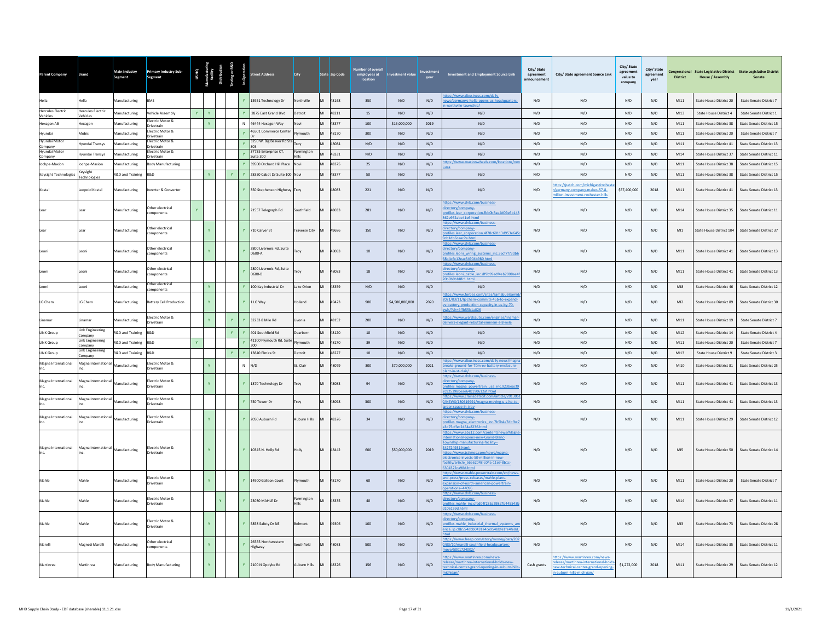| Parent Company                       | Brand                                | Main Industry<br>Segment    | Primary Industry Sub-<br>Segment                 |    | US HQ<br>Miacturi<br>facility<br>tribution |              |              | eet Address                        | <b>City</b>  | State Zip Code | Number of overall<br>employees at<br>location | Investment value |      | <b>Investment and Employment Source Link</b>                                                                                                                                                                                                                             | City/State<br>agreement<br>announcement | City/ State agreement Source Link                                                                                                        | City/ State<br>agreement<br>value to<br>company | City/State<br>agreement<br>vear | District | <b>House / Assembly</b>  | Congressional State Legislative District State Legislative District<br>Senate |
|--------------------------------------|--------------------------------------|-----------------------------|--------------------------------------------------|----|--------------------------------------------|--------------|--------------|------------------------------------|--------------|----------------|-----------------------------------------------|------------------|------|--------------------------------------------------------------------------------------------------------------------------------------------------------------------------------------------------------------------------------------------------------------------------|-----------------------------------------|------------------------------------------------------------------------------------------------------------------------------------------|-------------------------------------------------|---------------------------------|----------|--------------------------|-------------------------------------------------------------------------------|
| Hella                                | Hella                                | Manufacturing               | <b>BMS</b>                                       |    |                                            |              |              | 15951 Technology Dr                | Northville   | 48168<br>MI    | 350                                           | N/D              | N/D  | ps://www.dbusiness.com/daily-<br>ews/germanys-hella-opens-us-headquarters-                                                                                                                                                                                               | N/D                                     | N/D                                                                                                                                      | N/D                                             | N/D                             | M111     | State House District 20  | State Senate District 7                                                       |
| <b>Hercules Electric</b><br>Vehicles | <b>Hercules Electric</b><br>/ehicles | Manufacturing               | ehicle Assembly                                  |    |                                            |              |              | 2875 East Grand Blvd               | Detroit      | MI<br>48211    | 15                                            | N/D              | N/D  | N/D                                                                                                                                                                                                                                                                      | N/D                                     | N/D                                                                                                                                      | N/D                                             | N/D                             | M13      | State House District 4   | State Senate District 1                                                       |
| Hexagon AB                           | lexagon                              | Manufacturing               | lectric Motor &<br>rivetrain                     |    |                                            |              | N            | 46444 Hexagon Way                  | Novi         | MI<br>48377    | 100                                           | \$16,000,000     | 2019 | N/D                                                                                                                                                                                                                                                                      | N/D                                     | N/D                                                                                                                                      | N/D                                             | N/D                             | M111     | State House District 38  | State Senate District 15                                                      |
| Hvundai                              | Mobis                                | Manufacturing               | ectric Motor &<br>rivetrain                      |    |                                            |              |              | 46501 Commerce Center              | Plymouth     | MI<br>48170    | 300                                           | N/D              | N/D  | N/D                                                                                                                                                                                                                                                                      | N/D                                     | N/D                                                                                                                                      | N/D                                             | N/D                             | M111     | State House District 20  | State Senate District 7                                                       |
| Hyundai Motor<br>Company             | Iyundai Transys                      | Manufacturing               | ectric Motor &<br>Irivetrain                     |    |                                            |              |              | 3250 W. Big Beaver Rd Ste<br>303   | Trov         | 48084<br>MI    | N/D                                           | N/D              | N/D  | N/D                                                                                                                                                                                                                                                                      | N/D                                     | N/D                                                                                                                                      | N/D                                             | N/D                             | M111     | State House District 41  | State Senate District 13                                                      |
| Hyundai Motor<br>Company             | Iyundai Transys                      | <b>Manufacturing</b>        | ectric Motor &<br>rivetrain                      |    |                                            |              |              | 37735 Enterprise CT.<br>Suite 300  | Farmington   | MI<br>48331    | N/D                                           | N/D              | N/D  | N/D                                                                                                                                                                                                                                                                      | N/D                                     | N/D                                                                                                                                      | N/D                                             | N/D                             | M14      | State House District 37  | State Senate District 11                                                      |
| lochpe-Maxion                        | ochpe-Maxion                         | Manufacturing               | ody Manufacturing                                |    |                                            |              |              | 39500 Orchard Hill Place           |              | MI<br>48375    | $25\,$                                        | N/D              | N/D  | tps://www.maxionwheels.com/locations/no                                                                                                                                                                                                                                  | N/D                                     | N/D                                                                                                                                      | N/D                                             | N/D                             | M111     | State House District 38  | State Senate District 15                                                      |
| <b>Keysight Technologies</b>         | Keysight<br>Technologies             | R&D and Training            | R&D.                                             |    | Y                                          | Y.           |              | Y 28350 Cabot Dr Suite 100 Novi    |              | MI<br>48377    | 50                                            | N/D              | N/D  | N/D                                                                                                                                                                                                                                                                      | N/D                                     | N/D                                                                                                                                      | N/D                                             | N/D                             | MI11     | State House District 38  | State Senate District 15                                                      |
| Kostal                               | Leopold Kostal                       | Manufacturing               | nverter & Converter                              |    |                                            |              | <b>Y</b>     | 350 Stephenson Highway Troy        |              | 48083          | 221                                           | N/D              | N/D  | N/D                                                                                                                                                                                                                                                                      | N/D                                     | ps://patch.com/michigan/roches<br>/germany-company-makes-57-8-<br>llion-investment-rochester-hills                                       | \$57,400,000                                    | 2018                            | M111     | State House District 41  | State Senate District 13                                                      |
|                                      | ear                                  | Aanufacturing               | ther electrical<br>omponents                     | Ÿ  |                                            |              |              | Y 21557 Telegraph Rd               | Southfield   | 48033          | 281                                           | N/D              | N/D  | ps://www.dnb.com/business-<br>ectory/company-<br>ofiles.lear corporation.fbb0b3ae4d09e6b143<br>e952abe41e6.html                                                                                                                                                          | N/D                                     | N/D                                                                                                                                      | N/D                                             | N/D                             | MI14     | State House District 35  | State Senate District 11                                                      |
|                                      | ear                                  | Manufacturing               | ther electrical<br>omponents                     |    | $\mathbf{Y}^{\top}$                        |              |              | Y 710 Carver St                    | raverse City | 49686<br>MI    | 150                                           | $\rm N/D$        | N/D  | tps://www.dnb.com/business-<br>ectory/company-<br>ofiles.lear corporation.4f78c60113d953e645<br>1db6caac2a.html                                                                                                                                                          | N/D                                     | N/D                                                                                                                                      | $\mathrm{N}/\mathrm{D}$                         | N/D                             | M11      | State House District 104 | State Senate District 37                                                      |
|                                      | eoni.                                | Manufacturing               | ther electrical<br>mponents                      |    | Y.                                         |              |              | 2800 Livernois Rd, Suite<br>D600-A | Trov         | 48083          | 10                                            | N/D              | N/D  | ps://www.dnb.com/business-<br>ctory/company-<br>files.leoni wiring systems inc.36cf7f73dbt<br>04c6c12eac34904b980.html<br>ps://www.dnb.com/business-                                                                                                                     | N/D                                     | N/D                                                                                                                                      | N/D                                             | N/D                             | M111     | State House District 41  | State Senate District 13                                                      |
|                                      | eoni.                                | Manufacturing               | ther electrical<br>omponents<br>Other electrical |    |                                            |              |              | 2800 Livernois Rd. Suite<br>D600-B | Troy         | 48083          | 18                                            | N/D              | N/D  | ectory/company<br>ofiles.leoni cable inc.df9b99edf4eb2008ae4<br>h9hh8fc1.html                                                                                                                                                                                            | N/D                                     | N/D                                                                                                                                      | N/D                                             | N/D                             | M111     | State House District 41  | State Senate District 13                                                      |
|                                      | Leoni                                | Manufacturing               | omponents                                        |    | $\mathbf{Y}^{\top}$                        |              |              | Y 100 Kay Industrial Dr            | Lake Orion   | MI<br>48359    | $\mathrm{N}/\mathrm{D}$                       | N/D              | N/D  | N/D                                                                                                                                                                                                                                                                      | N/D                                     | N/D                                                                                                                                      | $\mathrm{N}/\mathrm{D}$                         | N/D                             | Ml8      | State House District 46  | State Senate District 12                                                      |
| LG Chem                              | LG Chem                              | Manufacturing               | <b>Battery Cell Production</b>                   |    | Y.                                         |              |              | Y 1LG Wav                          | Holland      | 49423          | 900                                           | \$4,500,000,000  | 2020 | tps://www.forbes.com/sites/samabuelsam<br>021/03/11/lg-chem-commits-45b-to-expand-<br>battery-production-capacity-in-us-by-70-                                                                                                                                           | N/D                                     | N/D                                                                                                                                      | N/D                                             | N/D                             | M12      | State House District 89  | State Senate District 30                                                      |
| Linamar                              | inamar                               | Aanufacturing               | lectric Motor &<br>rivetrain                     |    |                                            |              |              | 32233 8 Mile Rd                    | vonia        | 48152          | 200                                           | N/D              | N/D  | ps://www.wardsauto.com/engines/linamar<br>ivers-elegant-rebuttal-eminem-s-8-mile                                                                                                                                                                                         | N/D                                     | N/D                                                                                                                                      | N/D                                             | N/D                             | M111     | State House District 19  | State Senate District 7                                                       |
| <b>LINK Group</b>                    | <b>Link Engineering</b><br>company   | R&D and Training            | <b>Q&amp;</b>                                    |    |                                            | Y.           | $\mathbf{Y}$ | 401 Southfield Rd                  | Dearborn     | MI<br>48120    | $10$                                          | N/D              | N/D  | N/D                                                                                                                                                                                                                                                                      | N/D                                     | N/D                                                                                                                                      | N/D                                             | N/D                             | M12      | State House District 14  | State Senate District 4                                                       |
| <b>LINK Group</b>                    | <b>Link Engineering</b><br>Company   | R&D and Training            | R&D                                              | Y. |                                            |              | $\mathbf{v}$ | 41100 Plymouth Rd, Suite<br>300    | Plymouth     | MI<br>48170    | 39                                            | N/D              | N/D  | N/D                                                                                                                                                                                                                                                                      | N/D                                     | N/D                                                                                                                                      | $\mathrm{N}/\mathrm{D}$                         | N/D                             | M111     | State House District 20  | State Senate District 7                                                       |
| <b>LINK Group</b>                    | <b>Link Engineering</b><br>Company   | <b>R&amp;D and Training</b> | R&D                                              |    |                                            | $\mathbf{Y}$ |              | Y 13840 Elmira St                  | Detroit      | MI<br>48227    | $10\,$                                        | N/D              | N/D  | N/D                                                                                                                                                                                                                                                                      | N/D                                     | N/D                                                                                                                                      | $\mathrm{N}/\mathrm{D}$                         | N/D                             | M13      | State House District 9   | <b>State Senate District 3</b>                                                |
| Magna International                  | Magna International                  | Manufacturing               | lectric Motor &<br><b>Drivetrain</b>             |    |                                            |              |              | N/D                                | St. Clair    | 48079          | 300                                           | \$70,000,000     | 2021 | ps://www.dbusiness.com/daily-news/mag<br>eaks-ground-for-70m-ev-battery-enclosure-                                                                                                                                                                                       | N/D                                     | N/D                                                                                                                                      | N/D                                             | N/D                             | MI10     | State House District 81  | State Senate District 25                                                      |
| Magna International                  | Magna International                  | Manufacturing               | ectric Motor &<br>rivetrain                      |    |                                            |              |              | 1870 Technology Dr                 | Troy         | 48083          | 94                                            | N/D              | N/D  | ps://www.dnb.com/business-<br>ectory/company-<br>ofiles.magna powertrain usa inc.923beacf9<br>925398beae64b190612af.html                                                                                                                                                 | N/D                                     | N/D                                                                                                                                      | N/D                                             | N/D                             | M111     | State House District 41  | State Senate District 13                                                      |
| Magna International                  | Magna International                  | Manufacturing               | ectric Motor &<br>ivetrain                       |    |                                            |              | <b>Y</b>     | 750 Tower Dr                       | Trov         | 48098          | 300                                           | N/D              | N/D  | tps://www.crainsdetroit.com/article/20130<br>/NEWS/130619991/magna-moving-u-s-hq-to<br>r-space-in-trov                                                                                                                                                                   | N/D                                     | N/D                                                                                                                                      | N/D                                             | N/D                             | M111     | State House District 41  | State Senate District 13                                                      |
| Magna International                  | Magna International Manufacturing    |                             | lectric Motor &<br>rivetrain                     |    | $\mathbf{Y}$                               |              |              | Y 2050 Auburn Rd                   | Auburn Hills | 48326<br>MI    | 34                                            | N/D              | N/D  | tps://www.dnb.com/business-<br>ectory/company-<br>files.magna electronics inc.7b5b4e7dbfbc1<br>75cffec2454a8236.html                                                                                                                                                     | N/D                                     | N/D                                                                                                                                      | N/D                                             | N/D                             | MI11     | State House District 29  | State Senate District 12                                                      |
| Magna International                  | Magna International Manufacturing    |                             | lectric Motor &<br><b>Irivetrain</b>             |    |                                            |              |              | 10345 N. Holly Rd                  | Holly        | 48442<br>MI    | 600                                           | \$50,000,000     | 2019 | tps://www.abc12.com/content/news/Ma<br>ernational-opens-new-Grand-Blanc-<br>wnship-manufacturing-facility--<br>12724931.html:<br>tps://www.tctimes.com/news/magna-<br>ectronics-invests-50-million-in-new-<br>cility/article 56e62048-c04a-11e9-8b1c-<br>04322ca98d.html | N/D                                     | N/D                                                                                                                                      | N/D                                             | N/D                             | MIS      | State House District 50  | State Senate District 14                                                      |
| Mahle                                | Mahle                                | Manufacturing               | lectric Motor &<br>rivetrain                     |    |                                            |              |              | 14900 Galleon Court                | lymouth      | 48170          | 60                                            | N/D              | N/D  | tps://www.mahle-powertrain.com/en/news<br>nd-press/press-releases/mahle-plans-<br>ansion-of-north-american-powertrain-                                                                                                                                                   | N/D                                     | N/D                                                                                                                                      | N/D                                             | N/D                             | M111     | State House District 20  | State Senate District 7                                                       |
| Mahle                                | Mahle                                | Manufacturing               | ectric Motor &<br>rivetrain                      |    |                                            |              |              | 23030 MAHLE Dr                     | Farmington   | 48335          | 40                                            | N/D              | N/D  | ps://www.dnb.com/business-<br>ctory/company-<br>ofiles.mahle_inc.cfcd04f235a298a7b445543<br>06159d.html                                                                                                                                                                  | N/D                                     | N/D                                                                                                                                      | N/D                                             | N/D                             | MI14     | State House District 37  | State Senate District 11                                                      |
| Mahle                                | Mahle                                | Manufacturing               | lectric Motor &<br>rivetrain                     |    | Y.                                         |              |              | Y 5858 Safety Dr NE                | Belmont      | 49306<br>MI    | 100                                           | N/D              | N/D  | tps://www.dnb.com/business-<br>ectory/company-<br>ofiles.mahle industrial thermal systems are<br>ica lp.c8b554dbb0431a4ce954bbfe1fe4fe8d.                                                                                                                                | N/D                                     | N/D                                                                                                                                      | N/D                                             | N/D                             | M13      | State House District 73  | State Senate District 28                                                      |
| Marelli                              | Magneti Marelli                      | Manufacturing               | Other electrical<br>omponents                    |    |                                            |              |              | 26555 Northwestern<br>Highway      | Southfield   | 48033<br>MI    | 500                                           | N/D              | N/D  | ps://www.freep.com/story/money/cars/20<br>03/10/marelli-southfield-headquarters-<br>9/5001724002/                                                                                                                                                                        | N/D                                     | N/D                                                                                                                                      | N/D                                             | N/D                             | M114     | State House District 35  | State Senate District 11                                                      |
| Martinrea                            | Martinrea                            | Manufacturing               | <b>Body Manufacturing</b>                        |    |                                            |              |              | Y 2100 N Opdyke Rd                 | Auburn Hills | MI<br>48326    | 156                                           | N/D              | N/D  | tps://www.martinrea.com/news-<br>lease/martinrea-international-holds-new-<br>hnical-center-grand-opening-in-auburn-hil<br>chigan/                                                                                                                                        | Cash grants                             | ttps://www.martinrea.com/news-<br>release/martinrea-international-hold<br>new-technical-center-grand-opening<br>n-auburn-hills-michigan/ | \$1,272,000                                     | 2018                            | M111     | State House District 29  | State Senate District 12                                                      |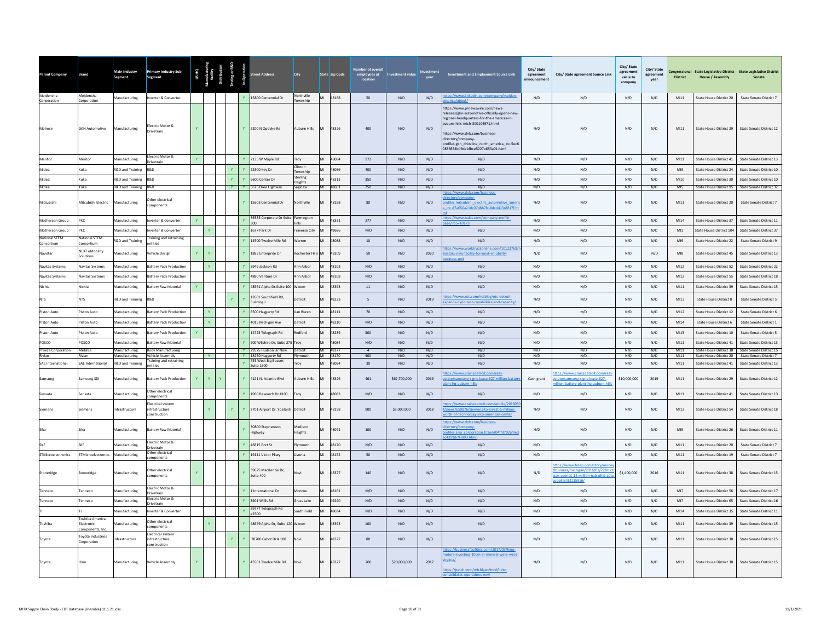| Parent Company                     | <b>Brand</b>                                    | Main Industry<br>Segment          | <b>Primary Industry Sub-</b><br>Segment                             |              |              |                              | eet Address                                                        | <b>City</b>            | State Zip Code          | er of overal<br>employees at<br>location | <b>Investment value</b> | vear        | <b>Investment and Employment Source Link</b>                                                                                                                                                                                                                                                                | City/State<br>agreement<br><b>Innouncemen</b> | City/ State agreement Source Link                                                                                  | City/ State<br>agre<br>value to<br>compan | City/State<br>agreement<br>year | <b>District</b> | <b>House / Assembly</b>                            | Congressional State Legislative District State Legislative District<br>Senate |
|------------------------------------|-------------------------------------------------|-----------------------------------|---------------------------------------------------------------------|--------------|--------------|------------------------------|--------------------------------------------------------------------|------------------------|-------------------------|------------------------------------------|-------------------------|-------------|-------------------------------------------------------------------------------------------------------------------------------------------------------------------------------------------------------------------------------------------------------------------------------------------------------------|-----------------------------------------------|--------------------------------------------------------------------------------------------------------------------|-------------------------------------------|---------------------------------|-----------------|----------------------------------------------------|-------------------------------------------------------------------------------|
| Meidensha<br>Corporation           | Meidensha<br>Corporation                        | Manufacturing                     | nverter & Converter                                                 |              |              |                              | Y 15800 Centennial Dr                                              | Northville<br>Township | MI 48168                | 50                                       | N/D                     | N/D         | ps://www.linkedii                                                                                                                                                                                                                                                                                           | N/D                                           | N/D                                                                                                                | N/D                                       | N/D                             | M111            | State House District 20                            | State Senate District 7                                                       |
| Melrose                            | <b>GKN Automotive</b>                           | Manufacturing                     | lectric Motor &<br><b>Drivetrain</b>                                |              |              | Ÿ                            | 2200 N Opdyke Rd                                                   | Auburn Hills           | M <sub>l</sub><br>48326 | 400                                      | N/D                     | N/D         | ttps://www.prnewswire.com/news-<br>eleases/gkn-automotive-officially-opens-new<br>regional-headquarters-for-the-americas-in-<br>uburn-hills-mich-300104971.html<br>ttps://www.dnb.com/business-<br>directory/company-<br>profiles.gkn_driveline_north_america_inc.5ec6<br>0836634b46debfbce5227e653a01.html | N/D                                           | N/D                                                                                                                | N/D                                       | N/D                             | M111            | State House District 29                            | State Senate District 12                                                      |
| Meritor                            | Meritor                                         | Manufacturing                     | Electric Motor &<br>rivetrain                                       | $\mathbf{v}$ |              | $\mathbf{v}$                 | 2135 W Maple Rd                                                    |                        | MI<br>48084             | 172                                      | N/D                     | N/D         | N/D                                                                                                                                                                                                                                                                                                         | N/D                                           | N/D                                                                                                                | N/D                                       | N/D                             | M111            | State House District 41                            | State Senate District 13                                                      |
| Midea                              | Kuka                                            | R&D and Training                  | R&D                                                                 |              |              | $\mathbf{v}$                 | 22500 Key Dr                                                       | linton<br>ownship      | MI<br>48036             | 400                                      | N/D                     | N/D         | N/D                                                                                                                                                                                                                                                                                                         | N/D                                           | N/D                                                                                                                | N/D                                       | N/D                             | M19             | State House District 24                            | State Senate District 10                                                      |
| Midea                              | Kuka                                            | R&D and Training                  | R&D                                                                 |              |              | $\mathbf{v}$<br>$\mathbf{Y}$ | 6600 Center Dr                                                     | sterling<br>leights    | MI<br>48312             | 350                                      | N/D                     | N/D         | N/D                                                                                                                                                                                                                                                                                                         | N/D                                           | N/D                                                                                                                | N/D                                       | N/D                             | MI10            | State House District 30                            | State Senate District 10                                                      |
| Midea                              | Kuka                                            | R&D and Training R&D              |                                                                     |              |              | $\mathbf{Y}$                 | Y 5675 Dixie Highway                                               | Saginaw                | MI 48601                | 750                                      | N/D                     | N/D         | N/D<br>ps://www.dnb.com/business                                                                                                                                                                                                                                                                            | N/D                                           | N/D                                                                                                                | N/D                                       | N/D                             | MI5             |                                                    | State House District 95 State Senate District 32                              |
| Mitsubishi                         | Mitsubishi Electric                             | Manufacturing                     | ther electrical<br>mponents                                         |              |              |                              | Y 15603 Centennial Dr                                              | Northville             | MI<br>48168             | 80                                       | N/D                     | N/D         | ectory/company-<br>ofiles mitsubishi electric automotive amer<br>inc.d7a650a21dc0746b7b18dcd41548f17f.ht                                                                                                                                                                                                    | N/D                                           | N/D                                                                                                                | N/D                                       | N/D                             | MI11            | State House District 20                            | <b>State Senate District 7</b>                                                |
| Motherson Group                    | PKC                                             | Manufacturing                     | verter & Converter                                                  | Y            |              |                              | 36555 Corporate Dr Suite                                           | Farmington             | 48331<br>MI             | 277                                      | N/D                     | N/D         | tps://www.naics.com/company-profile-<br>$0.7c$ 0=10173                                                                                                                                                                                                                                                      | N/D                                           | N/D                                                                                                                | N/D                                       | N/D                             | M14             | State House District 37                            | State Senate District 11                                                      |
| Motherson Group                    | <b>PKC</b>                                      | Manufacturing                     | werter & Converter                                                  |              | $\mathbf{v}$ | $\mathbf{v}$                 | 1677 Park Dr                                                       | <b>Traverse City</b>   | 49686<br>MI             | N/D                                      | N/D                     | N/D         | N/D                                                                                                                                                                                                                                                                                                         | N/D                                           | N/D                                                                                                                | N/D                                       | N/D                             | <b>MI1</b>      | State House District 104                           | State Senate District 37                                                      |
| <b>National STEM</b><br>Consortium | <b>Vational STEM</b><br>consortiur              | <b>R&amp;D</b> and Training       | raining and retraining<br>ntities                                   |              |              |                              | 14500 Twelve Mile Rd                                               | <b>Narren</b>          | 48088                   | $10\,$                                   | N/D                     | N/D         | N/D                                                                                                                                                                                                                                                                                                         | N/D                                           | N/D                                                                                                                | N/D                                       | N/D                             | M19             | State House District 22                            | State Senate District 9                                                       |
| Navistar                           | NEXT eMobility<br>iolutions                     | Manufacturing                     | ehicle Design                                                       |              |              |                              | 1885 Enterprise Dr                                                 | Rochester Hills MI     | 48309                   | 50                                       | N/D                     | 2020        | os://www.worktruckonline.com/1012376<br>istars-new-facility-for-next-emobility-<br>ess-unit                                                                                                                                                                                                                 | N/D                                           | N/D                                                                                                                | N/D                                       | N/D                             | MIR             | State House District 45                            | State Senate District 13                                                      |
| <b>Navitas Systems</b>             | avitas Systems                                  | <b>Aanufacturing</b>              | Battery Pack Production                                             |              | $\mathbf Y$  |                              | 5949 Jackson Rd                                                    | Ann Arbor              | 48103<br>MI             | N/D                                      | N/D                     | N/D         | N/D                                                                                                                                                                                                                                                                                                         | N/D                                           | N/D                                                                                                                | N/D                                       | N/D                             | M12             | State House District 52                            | <b>State Senate District 22</b>                                               |
| <b>Navitas Systems</b>             | <b>Vavitas Systems</b>                          | Manufacturing                     | Battery Pack Production                                             |              |              |                              | 4880 Venture Dr                                                    | Ann Arhor              | MI<br>48108             | N/D                                      | N/D                     | N/D         | N/D                                                                                                                                                                                                                                                                                                         | N/D                                           | N/D                                                                                                                | N/D                                       | N/D                             | M12             | State House District 55                            | State Senate District 18                                                      |
| Nichia                             | Nichia                                          | Manufacturing                     | <b>Battery Raw Material</b>                                         |              |              |                              | 48561 Alpha Dr.Suite 100                                           | Wixom                  | 48393                   | 11                                       | N/D                     | N/D         | N/D                                                                                                                                                                                                                                                                                                         | N/D                                           | N/D                                                                                                                | N/D                                       | N/D                             | M111            | State House District 39                            | State Senate District 15                                                      |
| <b>NTS</b>                         | <b>NTS</b>                                      | R&D and Training                  | R&D                                                                 |              |              |                              | 12601 Southfield Rd,<br><b>Building J</b>                          | etroit                 | 48223                   | $\overline{\phantom{a}}$                 | $\rm N/D$               | 2019        | os://www.nts.com/ntsblog/nts-detroit-<br>ands-dyno-test-capabilities-and-capacity                                                                                                                                                                                                                           | N/D                                           | $\rm N/D$                                                                                                          | $\mathrm{N}/\mathrm{D}$                   | N/D                             | $M13$           | <b>State House District 8</b>                      | State Senate District 5                                                       |
| Piston Auto                        | Piston Auto                                     | Manufacturing                     | <b>Battery Pack Production</b>                                      |              | Y            |                              | 8500 Haggerty Rd                                                   | Van Buren              | 48111                   | 70                                       | N/D                     | N/D         | N/D                                                                                                                                                                                                                                                                                                         | N/D                                           | N/D                                                                                                                | N/D                                       | N/D                             | M12             | State House District 12                            | State Senate District 6                                                       |
| Piston Auto                        | iston Auto                                      | Manufacturing                     | attery Pack Production                                              |              | $\mathbf Y$  |                              | 4015 Michigan Ave                                                  | Jetroit                | 48210                   | N/D                                      | N/D                     | N/D         | N/D                                                                                                                                                                                                                                                                                                         | N/D                                           | N/D                                                                                                                | N/D                                       | N/D                             | M14             | <b>State House District 6</b>                      | State Senate District 1                                                       |
| Piston Auto                        | Piston Auto                                     | Manufacturing                     | <b>Battery Pack Production</b>                                      |              |              |                              | 12723 Telegraph Rd                                                 | bandheR                | MI<br>48239             | 300                                      | N/D                     | N/D         | N/D                                                                                                                                                                                                                                                                                                         | N/D                                           | N/D                                                                                                                | N/D                                       | N/D                             | M13             | State House District 10                            | State Senate District 5                                                       |
| POSCO                              | POSCO                                           | Manufacturing                     | <b>Battery Raw Material</b>                                         |              |              |                              | 900 Wilshire Dr. Suite 275 Trov                                    |                        | MI<br>48084             | N/D                                      | N/D                     | N/D         | N/D                                                                                                                                                                                                                                                                                                         | N/D                                           | N/D                                                                                                                | N/D                                       | N/D                             | M111<br>M111    | State House District 41                            | State Senate District 13                                                      |
| Proeza Corporation<br>Rivian       | Metalsa<br>Rivian                               | Manufacturing<br>Aanufacturing    | <b>Body Manufacturing</b><br><b>Vehicle Assembly</b>                |              | $\mathbf{Y}$ |                              | Y 29575 Hudson Dr Novi<br>Y 13250 Haggerty Rd                      | Detroit<br>mouth       | MI 48377<br>MI 48170    | 400                                      | N/D<br>N/D              | N/D<br>N/D  | N/D<br>N/D                                                                                                                                                                                                                                                                                                  | N/D<br>N/D                                    | N/D<br>N/D                                                                                                         | N/D<br>N/D                                | N/D<br>N/D                      | M111            | State House District 20                            | State House District 38 State Senate District 15<br>State Senate District 7   |
| SAE International                  | SAE International<br>amsung SDI                 | R&D and Training<br>Manufacturing | <b>Training and retraining</b><br>ntities<br>attery Pack Production | Y            | Y            | $\mathbf{Y}$                 | 755 West Big Beaver,<br><b>Suite 1600</b><br>4121 N. Atlantic Blvd | Troy<br>uburn Hills    | 48084<br>MI<br>48326    | 30<br>461                                | N/D<br>\$62,700,000     | N/D<br>2019 | N/D<br>os://www.crainsdetroit.com/real-                                                                                                                                                                                                                                                                     | N/D                                           | N/D<br>os://www.crainsdetroit.com/re                                                                               | N/D<br>\$10,000,000                       | N/D<br>2019                     | M111<br>M111    | State House District 41<br>State House District 29 | State Senate District 13<br><b>State Senate District 12</b>                   |
| Samsung<br>Sensata                 | iensata                                         | Manufacturing                     | ther electrical                                                     |              |              |                              | 1960 Research Dr #100                                              | roy                    | MI<br>48083             | N/D                                      | $\rm N/D$               | N/D         | ate/samsung-signs-lease-627-million-batter<br>ant-hq-auburn-hills<br>$\rm N/D$                                                                                                                                                                                                                              | Cash grant<br>$\rm N/D$                       | state/samsung-signs-lease-627-<br>lion-battery-plant-hq-auburn-hi<br>N/D                                           | $\mathrm{N}/\mathrm{D}$                   | N/D                             | $M111$          | State House District 41                            | State Senate District 13                                                      |
|                                    |                                                 |                                   | omponents<br>ectrical system                                        |              |              |                              |                                                                    |                        |                         |                                          |                         |             | ps://www.crainsdetroit.com/article/201805                                                                                                                                                                                                                                                                   |                                               |                                                                                                                    |                                           |                                 |                 |                                                    |                                                                               |
| <b>Siemens</b>                     | Siemens                                         | nfrastructure                     | <b>nfrastructure</b><br>pnstruction                                 |              | Y            | Y.<br>Y                      | 2701 Airport Dr. Ypsilanti                                         | Detroit                | 48198<br>MI             | 900                                      | \$5,000,000             | 2018        | news/659876/siemens-to-invest-5-million-<br>rth-of-technology-into-american-center                                                                                                                                                                                                                          | N/D                                           | N/D                                                                                                                | N/D                                       | N/D                             | MI12            | State House District 54                            | State Senate District 18                                                      |
|                                    | šika                                            | <b>Manufacturing</b>              | attery Raw Material                                                 |              |              |                              | 30800 Stephenson<br>lighway                                        | Madison<br>leights     | 48071                   | 100                                      | N/D                     | N/D         | ps://www.dnb.com/business-<br>rectory/company-<br>ofiles.sika corporation.fc1edd04ffd702af9e3<br>1399dc93893.html                                                                                                                                                                                           | N/D                                           | N/D                                                                                                                | N/D                                       | N/D                             | MI9             | State House District 26                            | State Senate District 11                                                      |
| SKE                                | <b>SKE</b>                                      | Manufacturing                     | Electric Motor &<br>rivetrain                                       |              |              |                              | 46815 Port St                                                      | ymouth                 | 48170<br>MI             | N/D                                      | N/D                     | N/D         | N/D                                                                                                                                                                                                                                                                                                         | N/D                                           | N/D                                                                                                                | N/D                                       | N/D                             | M111            | State House District 20                            | State Senate District 7                                                       |
| STMicroelectronics                 | STMicroelectronics                              | Manufacturing                     | ther electrical<br>omponents                                        |              |              | $\mathbf{v}$                 | 19111 Victor Pkwy                                                  | Livonia                | MI<br>48152             | 50                                       | N/D                     | N/D         | N/D                                                                                                                                                                                                                                                                                                         | N/D                                           | N/D                                                                                                                | N/D                                       | N/D                             | M111            | State House District 19                            | State Senate District 7                                                       |
| Stoneridge                         | Stoneridge                                      | Manufacturing                     | Other electrical<br>omponents                                       | $\mathbf{Y}$ |              | $\mathbf{Y}$                 | 39675 MacKenzie Dr.<br>Suite 400                                   | Novi                   | 48377<br>MI             | 140                                      | N/D                     | N/D         | N/D                                                                                                                                                                                                                                                                                                         | N/D                                           | os://www.freep.com/story/n<br>usiness/michigan/2016/03/22/r<br>an-spends-14-million-nab-ohio-a<br>polier/82115916/ | \$1,400,000                               | 2016                            | M111            | State House District 38                            | State Senate District 15                                                      |
| Tenneco                            | enneco                                          | Manufacturing                     | Electric Motor &<br><b>Irivetrain</b>                               |              |              | $\mathbf{Y}$                 | 1 International Dr                                                 | Monroe                 | MI<br>48161             | N/D                                      | N/D                     | N/D         | N/D                                                                                                                                                                                                                                                                                                         | N/D                                           | N/D                                                                                                                | N/D                                       | N/D                             | M17             | State House District 56                            | State Senate District 17                                                      |
| Tenneco                            | enneco                                          | Manufacturing                     | lectric Motor &<br>rivetrain                                        |              |              | $\mathbf{v}$                 | 3901 Willis Rd                                                     | Grass Lake             | MI<br>49240             | N/D                                      | N/D                     | N/D         | N/D                                                                                                                                                                                                                                                                                                         | N/D                                           | N/D                                                                                                                | N/D                                       | N/D                             | MI7             | State House District 65                            | State Senate District 16                                                      |
|                                    |                                                 | Manufacturing                     | werter & Converter                                                  |              |              | $\mathbf{v}$                 | 29777 Telegraph Rd<br>#2500                                        | South Field            | MI<br>48034             | N/D                                      | N/D                     | N/D         | N/D                                                                                                                                                                                                                                                                                                         | N/D                                           | N/D                                                                                                                | N/D                                       | N/D                             | MI14            | State House District 35                            | State Senate District 11                                                      |
| Toshiba                            | l'oshiba America<br>lectronic<br>components, In | nufacturing                       | Ther electrical<br>omponents                                        |              |              |                              | 48679 Alpha Dr, Suite 120                                          | Wixom                  | 48393                   | 100                                      | N/D                     | N/D         | N/D                                                                                                                                                                                                                                                                                                         | N/D                                           | N/D                                                                                                                | N/D                                       | N/D                             | M111            | State House District 39                            | State Senate District 15                                                      |
| Toyota                             | l'oyota Industries<br>Corporation               | ifrastructure                     | lectrical system<br><b>nfrastructure</b>                            |              |              | $\mathbf{Y}$<br>$\mathbf{Y}$ | 28700 Cabot Dr # 100                                               |                        | 48377                   | 80                                       | $\rm N/D$               | N/D         | $\rm N/D$                                                                                                                                                                                                                                                                                                   | N/D                                           | $\rm N/D$                                                                                                          | $\mathrm{N}/\mathrm{D}$                   | N/D                             | $M111$          | State House District 38                            | State Senate District 15                                                      |
| Toyota                             |                                                 | Manufacturing                     | nstruction<br>ehicle Assembly                                       |              |              |                              | 45501 Twelve Mile Rd                                               | Novi                   | 48377                   | 200                                      | \$20,000,000            | 2017        | facilities.com/2017/09/h<br>tors-investing-100m-in-mineral-wells-west<br>n <sub>i</sub><br>ttps://patch.com/michigan/novi/hino-                                                                                                                                                                             | N/D                                           | N/D                                                                                                                | N/D                                       | N/D                             | M111            | State House District 38                            | State Senate District 15                                                      |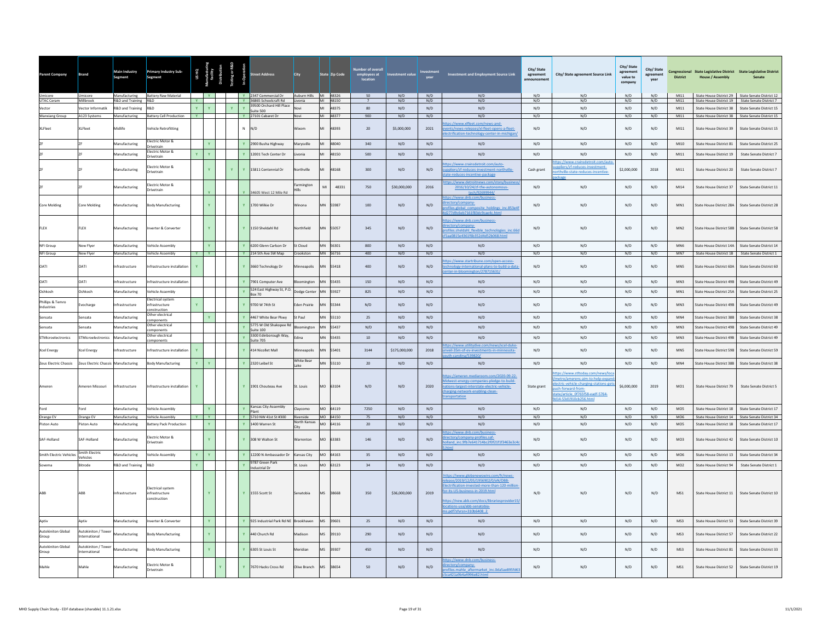| <b>Parent Company</b>                   | Brand                                | Main Industry<br>Segment       | <b>Primary Industry Sub-</b><br>Segment                   | USHQ         |                   |              |              | treet Address                                                        | <b>City</b>                       |           | State Zip Code       | <b>Number of overal</b><br>employees at<br>location | tment value        |             | Investment and Employment Source Link                                                                                                                                                                                                                                  | City/State<br>agreement<br>announcement | City/ State agreement Source Link                                                                                                                                                         | City/ State<br>agreement<br>value to<br>company | City/State<br>agreement<br>vear | <b>District</b>        | <b>House / Assembly</b>                            | Congressional State Legislative District State Legislative District<br>Senate                       |
|-----------------------------------------|--------------------------------------|--------------------------------|-----------------------------------------------------------|--------------|-------------------|--------------|--------------|----------------------------------------------------------------------|-----------------------------------|-----------|----------------------|-----------------------------------------------------|--------------------|-------------|------------------------------------------------------------------------------------------------------------------------------------------------------------------------------------------------------------------------------------------------------------------------|-----------------------------------------|-------------------------------------------------------------------------------------------------------------------------------------------------------------------------------------------|-------------------------------------------------|---------------------------------|------------------------|----------------------------------------------------|-----------------------------------------------------------------------------------------------------|
| <b>UTAC Ceram</b>                       | Umicore<br>Millbrook                 | R&D and Training R&D           | Manufacturing Battery Raw Material                        | <b>Y</b>     | $\mathbf{y}$      |              |              | Y 2347 Commercial Dr Auburn Hills MI 48326<br>Y 36865 Schoolcraft Rd | Livonia                           |           | MI 48150             | 50<br>$\overline{7}$                                | N/D<br>N/D         | N/D<br>N/D  | N/D<br>N/D                                                                                                                                                                                                                                                             | N/D<br>N/D                              | N/D<br>N/D                                                                                                                                                                                | N/D<br>N/D                                      | N/D<br>N/D                      | M111<br>M111           |                                                    | State House District 29 State Senate District 12<br>State House District 19 State Senate District 7 |
| Vector                                  | Vector Informatik                    | R&D and Training               | <b>R&amp;D</b>                                            | Y.           | Y.                | $\mathbf{v}$ | $\mathbf{v}$ | 39500 Orchard Hill Place<br>Suite 500                                | Novi                              | MI        | 48375                | 80                                                  | N/D                | N/D         | N/D                                                                                                                                                                                                                                                                    | N/D                                     | N/D                                                                                                                                                                                       | N/D                                             | N/D                             | M111                   | State House District 38                            | State Senate District 15                                                                            |
| <b>Wanxiang Group</b><br><b>XLFleet</b> | A123 Systems<br>XLFleet              | Manufacturing<br>Midlife       | Battery Cell Production Y<br>Vehicle Retrofitting         |              |                   |              | $N$ $N/D$    | Y 27101 Cabaret Dr                                                   | Novi<br>Wixom                     | MI        | MI 48377<br>48393    | 900<br>20                                           | N/D<br>\$5,000,000 | N/D<br>2021 | N/D<br>os://www.xlfleet.com/news-and-<br>ents/news-releases/xl-fleet-opens-a-fleet-<br>ectrification-technology-center-in-michigan                                                                                                                                     | N/D<br>N/D                              | N/D<br>N/D                                                                                                                                                                                | N/D<br>N/D                                      | N/D<br>N/D                      | M111<br>M111           | State House District 39                            | State House District 38 State Senate District 15<br>State Senate District 15                        |
|                                         |                                      | Manufacturing                  | Electric Motor &<br><b>Inivetrain</b>                     |              |                   |              |              | Y 2900 Busha Highway                                                 | Marysville                        |           | 48040                | 340                                                 | N/D                | N/D         | N/D                                                                                                                                                                                                                                                                    | N/D                                     | N/D                                                                                                                                                                                       | N/D                                             | N/D                             | MI10                   | State House District 81                            | State Senate District 25                                                                            |
|                                         |                                      | Aanufacturing                  | lectric Motor &<br>rivetrain                              | Y            | Y                 |              |              | 12001 Tech Center Dr                                                 | Livonia                           | MI        | 48150                | 500                                                 | N/D                | N/D         | N/D                                                                                                                                                                                                                                                                    | N/D                                     | N/D                                                                                                                                                                                       | N/D                                             | N/D                             | M111                   | State House District 19                            | <b>State Senate District 7</b>                                                                      |
|                                         |                                      | Manufacturing                  | lectric Motor &<br><b>Orivetrain</b>                      |              |                   |              |              | 15811 Centennial Dr                                                  | lorthville                        |           | 48168                | 300                                                 | N/D                | N/D         | ps://www.crainsdetroit.com/auto-<br>ppliers/zf-reduces-investment-northville-<br>ate-reduces-incentive-package                                                                                                                                                         | Cash grant                              | ttps://www.crainsdetroit.com/auto-<br>oliers/zf-reduces-investment-<br>rthville-state-reduces-incentive-                                                                                  | \$2,000,000                                     | 2018                            | M111                   | State House District 20                            | State Senate District 7                                                                             |
|                                         |                                      | lanufacturing                  | lectric Motor &<br><b>Drivetrain</b>                      |              |                   |              |              | 34605 West 12 Mile Rd                                                | Farmington                        | MI        | 48331                | 750                                                 | \$30,000,000       | 2016        | os://www.detroitnews.com/story/b<br>2016/10/24/zf-tfw-autono<br>tech/92699944/                                                                                                                                                                                         | N/D                                     | N/D                                                                                                                                                                                       | N/D                                             | N/D                             | MI14                   | State House District 37                            | State Senate District 11                                                                            |
| <b>Core Molding</b>                     | Core Molding                         | Manufacturing                  | Body Manufacturing                                        |              |                   |              |              | 1700 Wilkie Dr                                                       | Winona                            |           | 55987                | 100                                                 | N/D                | N/D         | tps://www.dnb.com/business-<br>ectory/company-<br>ofiles.global_composite_holdings_inc.853e4f<br>277d9c6eb7161f83dc9cae4c.html                                                                                                                                         | N/D                                     | N/D                                                                                                                                                                                       | N/D                                             | N/D                             | MN1                    | State House District 28A                           | State Senate District 28                                                                            |
| FLEX                                    | FLEX                                 | Manufacturing                  | nverter & Converter                                       |              |                   |              |              | Y 1150 Sheldahl Rd                                                   | Northfield                        | MN        | 55057                | 345                                                 | N/D                | N/D         | ps://www.dnb.com/business-<br>ctory/company-<br>rofiles.sheldahl flexible technologies inc.66d<br>1aa0815e4361f6b352d4d52b068.html                                                                                                                                     | N/D                                     | N/D                                                                                                                                                                                       | N/D                                             | N/D                             | MN2                    | State House District 58B                           | State Senate District 58                                                                            |
| NFI Group                               | New Fiver                            | Manufacturing                  | /ehicle Assembly                                          |              | Y.                |              |              | Y 6200 Glenn Carlson Dr                                              | St Cloud                          |           | MN 56301             | 800                                                 | N/D                | N/D         | N/D                                                                                                                                                                                                                                                                    | N/D                                     | N/D                                                                                                                                                                                       | N/D                                             | N/D                             | MN <sub>6</sub>        | State House District 14A                           | State Senate District 14                                                                            |
| NFI Group<br><b>OATI</b>                | New Flyer<br><b>DATI</b>             | Manufacturing<br>nfrastructure | <b>Vehicle Assembly</b><br>nfrastructure installation     | $Y$ $Y$<br>Y |                   |              |              | Y 214 5th Ave SW Map<br>Y 3660 Technology Dr                         | Crookston<br>Minneapolis          |           | MN 56716<br>55418    | 400<br>400                                          | N/D<br>N/D         | N/D<br>N/D  | N/D<br>os://www.startribune.com/open-access-<br>chnology-international-plans-to-build-a-data<br>ter-in-bloomington/278715631/                                                                                                                                          | N/D<br>N/D                              | N/D<br>N/D                                                                                                                                                                                | N/D<br>N/D                                      | N/D<br>N/D                      | MN7<br>MN5             | State House District 60A                           | State House District 1B State Senate District 1<br>State Senate District 60                         |
| <b>OATI</b>                             | <b>OATI</b>                          | nfrastructure                  | nfrastructure installatio                                 |              |                   |              |              | 7901 Computer Ave                                                    | pomington                         | MN        | 55435                | 150                                                 | N/D                | N/D         | $\rm N/D$                                                                                                                                                                                                                                                              | N/D                                     | $\rm N/D$                                                                                                                                                                                 | N/D                                             | $\rm N/D$                       | MN3                    | State House District 49B                           | State Senate District 49                                                                            |
| Oshkosh                                 | Oshkosh                              | Manufacturing                  | ehicle Assembly                                           |              |                   |              |              | 524 East Highway St, P.O.<br><b>Box 70</b>                           | Dodge Center                      | <b>MA</b> | 55927                | 825                                                 | N/D                | N/D         | N/D                                                                                                                                                                                                                                                                    | N/D                                     | N/D                                                                                                                                                                                       | N/D                                             | N/D                             | MN <sub>1</sub>        | State House District 25A                           | State Senate District 25                                                                            |
| Phillips & Temro<br>Industries          | vocharge                             | frastructure                   | lectrical system<br>nfrastructure<br>nstruction           | Y            |                   |              |              | 9700 W 74th St                                                       | den Prairie                       |           | 55344                | N/D                                                 | N/D                | N/D         | N/D                                                                                                                                                                                                                                                                    | N/D                                     | N/D                                                                                                                                                                                       | N/D                                             | N/D                             | MN3                    | State House District 49B                           | State Senate District 49                                                                            |
| Sensata                                 | Sensata                              | Manufacturing                  | ther electrical<br>mponents                               |              |                   |              |              | 4467 White Bear Pkwy                                                 | St Paul                           |           | 55110                | 25                                                  | N/D                | N/D         | N/D                                                                                                                                                                                                                                                                    | N/D                                     | N/D                                                                                                                                                                                       | N/D                                             | N/D                             | MN4                    | State House District 38B                           | State Senate District 38                                                                            |
| Sensata                                 | ensata                               | anufacturing                   | Other electrical<br>mponents                              |              |                   |              |              | 5775 W Old Shakopee Rd<br>Suite 100                                  | mington                           |           | 5437                 | N/D                                                 | N/D                | N/D         | N/D                                                                                                                                                                                                                                                                    | $\mathrm{N}/\mathrm{D}$                 | N/D                                                                                                                                                                                       | N/D                                             | $\rm N/D$                       | MN3                    | State House District 49B                           | State Senate District 49                                                                            |
| STMicroelectronics                      | STMicroelectronics                   | Manufacturing                  | Other electrical<br>omponents                             |              |                   |              |              | 3300 Edinborough Way,<br>Suite 705                                   | <b>Edina</b>                      | MM        | 55435                | 10                                                  | N/D                | N/D         | $\rm N/D$                                                                                                                                                                                                                                                              | N/D                                     | N/D                                                                                                                                                                                       | N/D                                             | $\rm N/D$                       | MN <sup>3</sup>        | State House District 49B                           | State Senate District 49                                                                            |
| <b>Xcel Energy</b>                      | Xcel Energy                          | ifrastructure                  | nfrastructure installation                                |              |                   |              |              | 414 Nicollet Mall                                                    | <b>Ainneapolis</b>                |           | 55401                | 3144                                                | \$175,000,000      | 2018        | os://www.utilitydive.com/news/xcel-duke<br>veil-35m-of-ev-investments-in-minnesota-                                                                                                                                                                                    | N/D                                     | N/D                                                                                                                                                                                       | N/D                                             | N/D                             | MN5                    | State House District 59B                           | State Senate District 59                                                                            |
| Zeus Electric Chassis                   | Zeus Electric Chassis Manufacturing  |                                | <b>Body Manufacturing</b>                                 | Y            |                   |              |              | 2320 Leibel St                                                       | White Bear<br>Lake                |           | MN 55110             | 20                                                  | N/D                | N/D         | N/D                                                                                                                                                                                                                                                                    | N/D                                     | N/D                                                                                                                                                                                       | N/D                                             | N/D                             | MN4                    | State House District 38B                           | State Senate District 38                                                                            |
| Ameren                                  | Ameren Missouri                      | Infrastructure                 | Infrastructure installation                               | $\mathbf{Y}$ |                   |              |              | Y 1901 Chouteau Ave                                                  | St. Louis                         |           | MO 63104             | N/D                                                 | N/D                | 2020        | s://ameren.mediaroom.com/2020-09-22-<br>lidwest-energy-companies-pledge-to-build-<br>ations-largest-interstate-electric-vehicle-<br>harging-network-enabling-clean-<br>sportation                                                                                      | State grant                             | ps://www.stltoday.com/news/loca<br>etro/amerens-aim-to-help-expan<br>ctric-vehicle-charging-stations-gets<br>sh-forward-from-<br>ate/article 0f765f58-eadf-5764-<br>114-53d1910cb256.html | \$6,000,000                                     | 2019                            | M <sub>01</sub>        | State House District 79                            | State Senate District 5                                                                             |
| Ford                                    | Ford                                 | Manufacturing                  | <b>Jehicle Assembly</b>                                   |              | Y                 |              |              | Kansas City Assembly<br>Plant                                        | Clavcomo                          |           | MO 64119             | 7250                                                | N/D                | N/D<br>N/D  | N/D                                                                                                                                                                                                                                                                    | N/D                                     | N/D<br>N/D                                                                                                                                                                                | N/D                                             | N/D                             | MO <sub>5</sub>        | State House District 18                            | State Senate District 17                                                                            |
| Orange EV<br>Piston Auto                | Orange EV<br>Piston Auto             | Manufacturing<br>Manufacturing | <b>Vehicle Assembly</b><br><b>Sattery Pack Production</b> | <b>Y</b>     | Y<br>$\mathbf{v}$ |              |              | Y 5710 NW 41st St #300<br>Y 1400 Warren St                           | Riverside<br>North Kansas<br>City |           | MO 64150<br>MO 64116 | 75<br>20                                            | N/D<br>N/D         | N/D         | N/D<br>N/D                                                                                                                                                                                                                                                             | N/D<br>N/D                              | N/D                                                                                                                                                                                       | N/D<br>N/D                                      | N/D<br>N/D                      | MO6<br>MO <sub>5</sub> | State House District 14<br>State House District 18 | State Senate District 34<br>State Senate District 17                                                |
| SAF-Holland                             | SAF-Holland                          | Manufacturing                  | lectric Motor &<br>Drivetrain                             |              |                   |              |              | Y 308 W Walton St                                                    | Warrenton                         |           | MO 63383             | 146                                                 | N/D                | N/D         | os://www.dnb.com/busines<br>ectory/company-profiles.saf-<br>land_inc.9fb7e641714bc2f0f21f1f3463e3c4                                                                                                                                                                    | N/D                                     | N/D                                                                                                                                                                                       | N/D                                             | N/D                             | MO3                    | State House District 42                            | State Senate District 10                                                                            |
| <b>Smith Electric Vehicles</b>          | Smith Electric<br>Vehicles           | Manufacturing                  | ehicle Assembly                                           | Y            | Y                 |              | Y            | 12200 N Ambassador Dr                                                | Kansas City                       | MO        | 64163                | 35                                                  | N/D                | N/D         | N/D                                                                                                                                                                                                                                                                    | N/D                                     | N/D                                                                                                                                                                                       | N/D                                             | N/D                             | MO6                    | State House District 13                            | State Senate District 34                                                                            |
| Sovema                                  | <b>Ritrode</b>                       | R&D and Training               | R&D                                                       | $\mathbf{Y}$ |                   |              |              | 9787 Green Park<br>Industrial Dr                                     | St. Louis                         |           | MO 63123             | 34                                                  | N/D                | N/D         | N/D                                                                                                                                                                                                                                                                    | N/D                                     | N/D                                                                                                                                                                                       | N/D                                             | N/D                             | MO2                    | State House District 94                            | State Senate District 1                                                                             |
|                                         | ABB                                  | Infrastructure                 | lectrical system<br>infrastructure<br>onstruction         |              |                   |              |              | Y 1555 Scott St                                                      | Senatobia                         | MS        | 38668                | 350                                                 | \$36,000,000       | 2019        | https://www.globenewswire.com/fr/news-<br>elease/2019/12/05/1956902/0/eN/DBB-<br>lectrification-invested-more-than-120-millio<br>r-its-US-business-in-2019.html<br>ps://new.abb.com/docs/librariesprovider15/<br>cations-usa/abb-senatobia-<br>s.pdf?sfvrsn=310b6408_2 | N/D                                     | N/D                                                                                                                                                                                       | N/D                                             | N/D                             | MS1                    | State House District 11                            | State Senate District 10                                                                            |
| Aptiv                                   | Aptiv                                | Manufacturing                  | verter & Converter                                        |              | Y.                |              |              | Y 925 Industrial Park Rd NE Brookhaven                               |                                   | MS        | 39601                | 25                                                  | N/D                | N/D         | N/D                                                                                                                                                                                                                                                                    | N/D                                     | $\rm N/D$                                                                                                                                                                                 | N/D                                             | N/D                             | MS3                    | State House District 53                            | State Senate District 39                                                                            |
| <b>Autokiniton Global</b><br>Group      | Autokiniton / Tower<br>International | Manufacturing                  | <b>Sody Manufacturing</b>                                 |              |                   |              |              | 440 Church Rd                                                        | Madison                           | <b>MS</b> | 39110                | 290                                                 | N/D                | N/D         | N/D                                                                                                                                                                                                                                                                    | N/D                                     | N/D                                                                                                                                                                                       | N/D                                             | N/D                             | MS3                    | State House District 57                            | State Senate District 22                                                                            |
| <b>Autokiniton Global</b><br>Group      | Autokiniton / Towe<br>nternational   | Manufacturing                  | ody Manufacturing                                         |              |                   |              |              | 6305 St Louis St                                                     | <b>Meridian</b>                   | <b>MS</b> | 39307                | 450                                                 | $\rm N/D$          | N/D         | N/D                                                                                                                                                                                                                                                                    | N/D                                     | $\mathrm{N}/\mathrm{D}$                                                                                                                                                                   | N/D                                             | $\rm N/D$                       | MS3                    | State House District 81                            | State Senate District 33                                                                            |
| Mahle                                   | Mahle                                | Manufacturing                  | lectric Motor &<br><b>Drivetrain</b>                      |              |                   |              |              | Y 7670 Hacks Cross Rd                                                | Olive Branch                      | <b>MS</b> | 38654                | 50                                                  | N/D                | N/D         | tps://www.dnb.com/business-<br>ectory/company-<br>rofiles.mahle aftermarket inc.0da5ae895fd63<br>a421a9b4a4996e82.html                                                                                                                                                 | N/D                                     | N/D                                                                                                                                                                                       | N/D                                             | N/D                             | MS1                    | State House District 52                            | State Senate District 19                                                                            |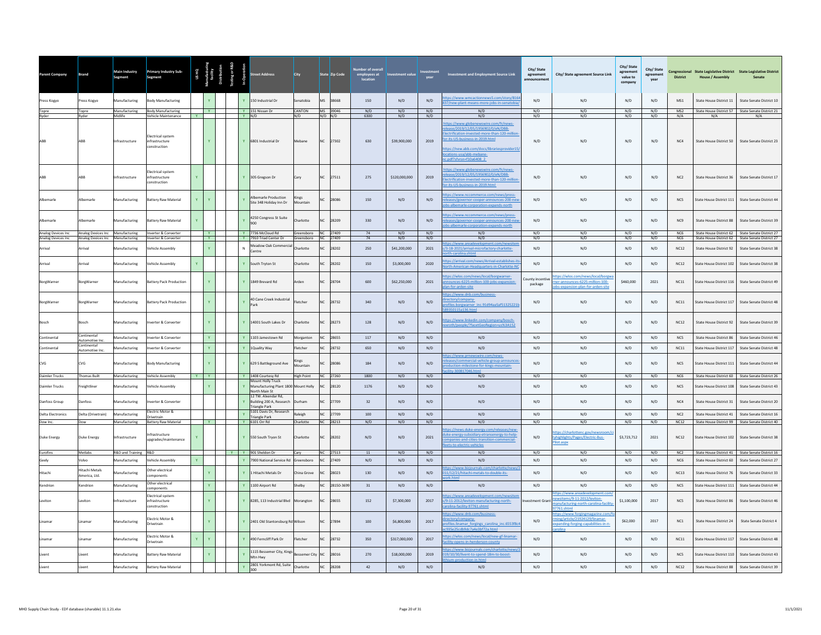| Parent Company                                      | <b>Brand</b>                               | Main Industry<br>Segment | <b>Primary Industry Sub-</b><br><b>Segment</b>    |              |                         |              | eet Address                                                   | <b>City</b>                                | State Zip Code          | ber of overal<br>employees at<br>location | <b>Investment value</b> | year       | <b>Investment and Employment Source Link</b>                                                                                                                                                                                                                      | City/State<br>agreement | City/ State agreement Source Link                                                                               | City/ State<br>agreement<br>value to<br>company | City/State<br>agreement<br>year | <b>District</b> | <b>House / Assembly</b>        | Congressional State Legislative District State Legislative District<br>Senate |
|-----------------------------------------------------|--------------------------------------------|--------------------------|---------------------------------------------------|--------------|-------------------------|--------------|---------------------------------------------------------------|--------------------------------------------|-------------------------|-------------------------------------------|-------------------------|------------|-------------------------------------------------------------------------------------------------------------------------------------------------------------------------------------------------------------------------------------------------------------------|-------------------------|-----------------------------------------------------------------------------------------------------------------|-------------------------------------------------|---------------------------------|-----------------|--------------------------------|-------------------------------------------------------------------------------|
| Press Kogyo                                         | Press Kogyo                                | Manufacturing            | <b>Sody Manufacturing</b>                         |              |                         |              | 150 Industrial Dr                                             | enatobia                                   | <b>MS</b><br>38668      | 150                                       | N/D                     | N/D        | ps://www.wmcactionnews5.com/story/816<br>7/new-plant-means-more-jobs-in-senatobia,                                                                                                                                                                                | N/D                     | N/D                                                                                                             | N/D                                             | N/D                             | MS1             | State House District 11        | State Senate District 10                                                      |
| Topre                                               | Topre                                      | Manufacturing            | <b>Body Manufacturing</b>                         |              | $-$ Y $-$               |              | Y 151 Nissan Dr                                               | CANTON                                     | MS 39046                | N/D                                       | N/D                     | N/D        | N/D                                                                                                                                                                                                                                                               | N/D                     | N/D                                                                                                             | N/D                                             | N/D                             | MS <sub>2</sub> |                                | State House District 57 State Senate District 21                              |
| Ryder                                               | Ryder                                      | Midlife                  | Vehicle Maintenance                               | Y            |                         | $Y$ $N/D$    |                                                               | N/D                                        | $N/D$ $N/D$             | 6300                                      | N/D                     | N/D        | N/D                                                                                                                                                                                                                                                               | N/D                     | N/D                                                                                                             | N/D                                             | N/D                             | N/A             | N/A                            | N/A                                                                           |
| ABB                                                 | ABB                                        | Infrastructure           | lectrical system<br>infrastructure<br>onstruction |              | $\mathbf{Y}$            |              | Y 6801 Industrial Dr                                          | Mebane                                     | 27302<br><b>NC</b>      | 630                                       | \$39,900,000            | 2019       | tps://www.globenewswire.com/fr/news-<br>lease/2019/12/05/1956902/0/eN/DBB-<br>lectrification-invested-more-than-120-million<br>pr-its-US-business-in-2019.html<br>tps://new.abb.com/docs/librariesprovider15/<br>:ations-usa/abb-mebane-<br>pdf?sfvrsn=f10a6408 2 | N/D                     | N/D                                                                                                             | N/D                                             | N/D                             | NC4             | State House District 50        | State Senate District 23                                                      |
| ARR                                                 | ARR                                        | Infrastructure           | lectrical system<br>infrastructure<br>onstruction | Y.           |                         | $\mathbf{v}$ | 305 Greeson Dr                                                | Carv                                       | 27511<br>N <sub>C</sub> | 275                                       | \$120,000,000           | 2019       | tps://www.globenewswire.com/fr/news-<br>ease/2019/12/05/1956902/0/eN/DBB-<br>ctrification-invested-more-than-120-mil<br>r-its-US-business-in-2019.html                                                                                                            | N/D                     | N/D                                                                                                             | N/D                                             | N/D                             | NC2             | State House District 36        | State Senate District 17                                                      |
| Albemarle                                           | <b>Albemarle</b>                           | Manufacturing            | <b>Battery Raw Material</b>                       |              | $\mathbf{v}$            |              | Albemarle Production<br>Site 348 Holiday Inn Dr               | ings<br>Mountain                           | 28086                   | 150                                       | N/D                     | N/D        | ps://www.nccommerce.com/news/press-<br>leases/governor-cooper-announces-200-nev<br>bs-albemarle-corporation-expands-north                                                                                                                                         | N/D                     | N/D                                                                                                             | N/D                                             | N/D                             | NC5             | State House District 111       | State Senate District 44                                                      |
| Albemarle                                           | <b>Albemarle</b>                           | Manufacturing            | <b>Battery Raw Material</b>                       |              |                         |              | 4250 Congress St Suite                                        | harlotte                                   | N <sub>C</sub><br>28209 | 330                                       | N/D                     | N/D        | tps://www.nccommerce.com/news/press-<br>leases/governor-cooper-announces-200-net<br>bs-albemarle-corporation-expands-north                                                                                                                                        | N/D                     | N/D                                                                                                             | N/D                                             | N/D                             | NC <sub>9</sub> | State House District 88        | State Senate District 39                                                      |
| Analog Devices Inc Analog Devices Inc Manufacturing |                                            |                          | Inverter & Converter                              |              | $-$ Y $-$<br><b>I V</b> |              | Y 7736 McCloud Rd                                             | Greensboro NC 27409<br>Greensboro NC 27409 |                         | 74<br>74                                  | N/D                     | N/D<br>N/D | N/D                                                                                                                                                                                                                                                               | N/D                     | N/D                                                                                                             | N/D<br>N/D                                      | N/D                             | NC <sub>6</sub> |                                | State House District 62 State Senate District 27                              |
| Analog Devices Inc.<br>Arrival                      | Analog Devices Inc Manufacturing<br>IsvinA | Manufacturing            | Inverter & Converter<br>ehicle Assembly           |              | $\mathbf{v}$            | $\mathbf{N}$ | Y 7910 Triad Center Dr<br>Meadow Oak Commercia<br>Centre      | harlotte                                   | 28202                   | 250                                       | N/D<br>\$41,200,000     | 2021       | N/D<br>os://www.areadevelopment.com/newsit<br>/3-18-2021/arrival-microfactory-charlotte-                                                                                                                                                                          | N/D<br>N/D              | N/D<br>N/D                                                                                                      | N/D                                             | N/D<br>N/D                      | NC6<br>NC12     | State House District 92        | State House District 62 State Senate District 27<br>State Senate District 38  |
| Arrival                                             | Isvin                                      | Manufacturing            | /ehicle Assembly                                  | Y.           |                         | $\mathbf{v}$ | South Tryton St                                               | harlotte                                   | 28202<br>N <sub>C</sub> | 150                                       | \$3,000,000             | 2020       | rth-carolina.shtml<br>ps://arrival.com/news/Arrival-establishes-it                                                                                                                                                                                                | N/D                     | N/D                                                                                                             | N/D                                             | N/D                             | NC12            | State House District 102       | State Senate District 38                                                      |
| BorgWarner                                          | <b>BorgWarner</b>                          | Manufacturing            | <b>Battery Pack Production</b>                    |              | Y                       | $\mathbf{v}$ | 1849 Brevard Rd                                               | Arden                                      | N <sub>C</sub><br>28704 | 600                                       | \$62,250,000            | 2021       | rth-American-Headquarters-in-Charlotte-NC<br>ps://wlos.com/news/local/borgwarner-<br>nounces-6225-million-100-jobs-expansion-                                                                                                                                     | County incentive        | tps://wlos.com/news/local/borgwa<br>ner-announces-6225-million-100-                                             | \$460,000                                       | 2021                            | NC11            | State House District 116       | State Senate District 49                                                      |
|                                                     |                                            |                          |                                                   |              |                         |              |                                                               |                                            |                         |                                           |                         |            | an-for-arden-site<br>os://www.dnb.com/business-                                                                                                                                                                                                                   | package                 | obs-expansion-plan-for-arden-site                                                                               |                                                 |                                 |                 |                                |                                                                               |
| BoreWarner                                          | <b>BorgWarner</b>                          | Manufacturing            | <b>Battery Pack Production</b>                    |              | $\mathbf{Y}$ .          |              | 40 Cane Creek Industrial                                      | Fletcher                                   | 28732<br>NC             | 340                                       | N/D                     | N/D        | ctory/company-<br>files.borgwarner_inc.91d94aa5af51325221b<br>50115a136.html                                                                                                                                                                                      | N/D                     | N/D                                                                                                             | N/D                                             | N/D                             | NC11            | State House District 117       | State Senate District 48                                                      |
| Bosch                                               | Bosch                                      | Manufacturing            | werter & Converter                                |              | Y.                      |              | 14001 South Lakes Dr                                          | Charlotte                                  | 28273<br>NC             | 128                                       | N/D                     | N/D        | ps://www.linkedin.com/company/bosch-<br>roth/people/?facetGeoRegion=us%3A152                                                                                                                                                                                      | N/D                     | N/D                                                                                                             | N/D                                             | N/D                             | NC12            | State House District 92        | State Senate District 39                                                      |
| Continental                                         | Continental<br>Automotive Inc.             | <b>Manufacturing</b>     | verter & Converter                                |              | $\mathbf{Y}$ .          |              | 1103 Jamestown Rd                                             | <b>Morganton</b>                           | 28655<br>N <sub>C</sub> | 117                                       | N/D                     | N/D        | N/D                                                                                                                                                                                                                                                               | N/D                     | N/D                                                                                                             | N/D                                             | N/D                             | NC5             | State House District 86        | State Senate District 46                                                      |
| Continental                                         | Continental<br>Automotive Inc.             | Manufacturing            | verter & Converter                                |              | $\mathbf{Y}$ .          | $\mathbf{Y}$ | <b>Quality Way</b>                                            | letcher                                    | NC<br>28732             | 650                                       | N/D                     | N/D        | N/D                                                                                                                                                                                                                                                               | N/D                     | N/D                                                                                                             | N/D                                             | N/D                             | NC11            | State House District 117       | State Senate District 48                                                      |
| CVG                                                 | CVG                                        | Manufacturing            | ody Manufacturing                                 |              | $\mathbf{v}$            |              | 629 S Battleground Ave                                        | <b>Kings</b><br>Mountain                   | 28086                   | 184                                       | N/D                     | N/D        | ps://www.prnewswire.com/news-<br>eases/commercial-vehicle-group-announce<br>duction-milestone-for-kings-mountain-                                                                                                                                                 | N/D                     | N/D                                                                                                             | N/D                                             | N/D                             | NC5             | State House District 111       | State Senate District 44                                                      |
| <b>Daimler Trucks</b>                               | <b>Thomas Built</b>                        | Manufacturing            | Vehicle Assembly                                  | $Y = Y$      |                         |              | Y 1408 Courtesy Rd                                            | <b>High Point</b>                          | NC 27260                | 1800                                      | N/D                     | N/D        | N/D                                                                                                                                                                                                                                                               | N/D                     | N/D                                                                                                             | N/D                                             | N/D                             | NC6             |                                | State House District 60 State Senate District 26                              |
| <b>Daimler Trucks</b>                               | eightliner                                 | Aanufacturing            | ehicle Assembly                                   |              | Y.                      |              | Mount Holly Truck<br>Manufacturing Plant 1800<br>orth Main St | Mount Holly                                | NC.<br>28120            | 1176                                      | N/D                     | N/D        | N/D                                                                                                                                                                                                                                                               | N/D                     | N/D                                                                                                             | N/D                                             | N/D                             | NC5             | State House District 108       | State Senate District 43                                                      |
| Danfoss Group                                       | anfoss                                     | Manufacturing            | erter & Converter                                 |              |                         |              | 12 TW. Alxendar Rd.<br>Building 200 A, Research               | urham                                      | 27709                   | 32                                        | N/D                     | N/D        | N/D                                                                                                                                                                                                                                                               | N/D                     | N/D                                                                                                             | N/D                                             | N/D                             | NC4             | State House District 31        | State Senate District 20                                                      |
| <b>Delta Electronics</b>                            | Delta (Drivetrain)                         | Manufacturing            | Electric Motor &                                  |              |                         | $\mathbf{Y}$ | riangle Park<br>5101 Davis Dr, Research                       | Raleigh                                    | NC<br>27709             | 100                                       | N/D                     | N/D        | N/D                                                                                                                                                                                                                                                               | N/D                     | N/D                                                                                                             | N/D                                             | N/D                             | NC2             | State House District 41        | State Senate District 16                                                      |
| Dow Inc.                                            | Dow                                        | Manufacturing            | Drivetrain<br>Battery Raw Material                |              | $\mathbf{v}$            |              | <b>Triangle Park</b><br>V 6101 Orr Rd                         | Charlotte                                  | NC 28213                | N/D                                       | N/D                     | N/D        | N/D                                                                                                                                                                                                                                                               | N/D                     | N/D                                                                                                             | N/D                                             | N/D                             | NC12            |                                | State House District 99 State Senate District 40                              |
| Duke Energy                                         | Duke Energy                                | Infrastructure           | frastructure<br>ipgrades/maintenance              |              |                         |              | Y 550 South Tryon St                                          | Charlotte                                  | 28202<br>N <sub>C</sub> | N/D                                       | N/D                     | 2021       | ps://news.duke-energy.com/releases/new-<br>ke-energy-subsidiary-etransenergy-to-help-<br>panies-and-cities-transition-commercial-<br>ets-to-electric-vehicles                                                                                                     | N/D                     | ps://charlottenc.gov/newsrd<br>tyhighlights/Pages/Electric-Bus-<br>ilot.aspx                                    | \$3,723,712                                     | 2021                            | NC12            | State House District 102       | State Senate District 38                                                      |
| Eurofins                                            | Metlabs                                    | R&D and Training R&D     |                                                   |              |                         |              | Y Y 901 Sheldon Dr                                            | Carv                                       | NC 27513                | 11                                        | N/D                     | N/D        | N/D                                                                                                                                                                                                                                                               | N/D                     | N/D                                                                                                             | N/D                                             | N/D                             | NC2             |                                | State House District 41 State Senate District 16                              |
| Geely                                               | Volvo                                      | Manufacturing            | Vehicle Assembly                                  | $\mathbf{v}$ |                         | $\mathbf{v}$ | 7900 National Service Rd                                      | ireenshoro                                 | NC.<br>27409            | N/D                                       | N/D                     | N/D        | N/D                                                                                                                                                                                                                                                               | N/D                     | N/D                                                                                                             | N/D                                             | N/D                             | N <sub>C6</sub> | State House District 60        | State Senate District 27                                                      |
| litach                                              | <b>Hitachi Metals</b><br>America Itd.      | anufacturing             | Other electrical<br>components                    |              | Y.                      |              | Hitachi Metals Dr                                             | China Grove                                | 28023<br>NC             | 130                                       | N/D                     | N/D        | s://www.bizjournals.com/charlotte/news/<br>11/12/21/hitachi-metals-to-double-its-                                                                                                                                                                                 | N/D                     | N/D                                                                                                             | N/D                                             | N/D                             | NC13            | State House District 76        | State Senate District 33                                                      |
| Kendrion                                            | Kendrion                                   | Manufacturing            | Other electrical<br>omponents                     |              | $\mathbf{Y}$ .          |              | 1100 Airport Rd                                               | shelby                                     | 28150-3699<br>NC        | 31                                        | N/D                     | N/D        | N/D                                                                                                                                                                                                                                                               | N/D                     | N/D                                                                                                             | N/D                                             | N/D                             | NC5             | State House District 111       | State Senate District 44                                                      |
| Leviton                                             | eviton.                                    | Infrastructure           | lectrical system<br>ifrastructure<br>onstruction  |              | $\mathbf{Y}$            |              | 8285, 113 Industrial Blvd                                     | Morangton                                  | 28655<br><b>NC</b>      | 152                                       | \$7,300,000             | 2017       | os://www.areadevelopment.com/newsiten<br>/9-11-2012/leviton-manufacturing-north-<br>olina-facility-97761.shtml                                                                                                                                                    | westment Gran           | tps://www.areadevelopment.co<br>vsitems/9-11-2012/leviton-<br>anufacturing-north-carolina-facility<br>761 shtml | \$1,100,000                                     | 2017                            | NC5             | State House District 86        | State Senate District 46                                                      |
|                                                     | .inamar                                    | Manufacturing            | lectric Motor &<br><b>Orivetrain</b>              |              | $\mathbf{Y}$ .          |              | 2401 Old Stantonsburg Rd Wilson                               |                                            | 27894                   | 100                                       | \$6,800,000             | 2017       | ps://www.dnb.com/business<br>ectory/company-<br>files.linamar forgings carolina inc.6553f8c<br>9dc7a4e3bf72a.htm<br>35e25cd                                                                                                                                       | N/D                     | nttps://www.forgingmagazine.com,<br>ing/article/21924129/linamar-<br>anding-forging-capabilities-in-n           | \$62,000                                        | 2017                            | NC1             | <b>State House District 24</b> | State Senate District 4                                                       |
| inama                                               | Linamar                                    | Manufacturing            | lectric Motor &<br>Drivetrain                     | Y.           | $\mathbf{Y}^{\top}$     |              | 490 Ferncliff Park Dr                                         | letcher                                    | 28732<br>NC.            | 350                                       | \$317,000,000           | 2017       | ps://wlos.com/news/local/new-gf-linamar-<br>cility-opens-in-henderson-county                                                                                                                                                                                      | N/D                     | N/D                                                                                                             | N/D                                             | N/D                             | NC11            | State House District 117       | State Senate District 48                                                      |
|                                                     | ivent                                      | Aanufacturing            | Battery Raw Material                              |              |                         |              | 1115 Bessemer City, Kings<br>Mtn Hwy                          | essemer City                               | <b>NC</b><br>28016      | 270                                       | \$18,000,000            | 2019       | ps://www.bizjournals.com/charlotte/news<br>9/10/30/livent-to-spend-18m-to-boost-                                                                                                                                                                                  | N/D                     | N/D                                                                                                             | $\mathrm{N}/\mathrm{D}$                         | N/D                             | NC5             | State House District 110       | State Senate District 43                                                      |
|                                                     | .ivent                                     | Manufacturing            | <b>Battery Raw Material</b>                       |              |                         |              | 2801 Yorkmont Rd, Suite                                       | Charlotte                                  | NC.<br>28208            | 42                                        | N/D                     | N/D        | N/D                                                                                                                                                                                                                                                               | N/D                     | N/D                                                                                                             | N/D                                             | N/D                             | NC12            | State House District 88        | State Senate District 39                                                      |
|                                                     |                                            |                          |                                                   |              |                         |              |                                                               |                                            |                         |                                           |                         |            |                                                                                                                                                                                                                                                                   |                         |                                                                                                                 |                                                 |                                 |                 |                                |                                                                               |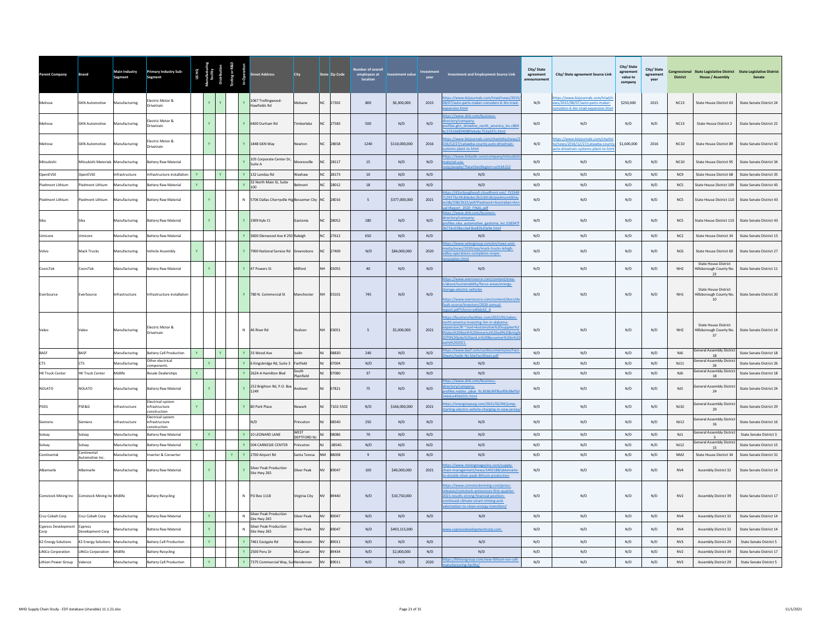| Parent Company                     | Brand                         | Main Industry<br>Segment | <b>Primary Industry Sub-</b><br>Segment          |              |              |              |              | reet Address                                         | City                      |           | State Zip Code | employees at    | <b>Investment value</b> | year | Investment and Employment Source Link                                                                                                                                                                                       | City/State<br>agreement | City/ State agreement Source Link                                                                          | City/ State<br>agreement<br>value to<br>company | City/State<br>agreement<br>year | <b>District</b>  | <b>House / Assembly</b>                                      | Congressional State Legislative District State Legislative District<br>Senate |
|------------------------------------|-------------------------------|--------------------------|--------------------------------------------------|--------------|--------------|--------------|--------------|------------------------------------------------------|---------------------------|-----------|----------------|-----------------|-------------------------|------|-----------------------------------------------------------------------------------------------------------------------------------------------------------------------------------------------------------------------------|-------------------------|------------------------------------------------------------------------------------------------------------|-------------------------------------------------|---------------------------------|------------------|--------------------------------------------------------------|-------------------------------------------------------------------------------|
| Melrose                            | <b>GKN Automotive</b>         | Manufacturing            | lectric Motor &<br>rivetrain                     |              | Y.           |              |              | 1067 Trollingwood-<br>Hawfields Rd                   | Mebane                    |           | NC 27302       | 800             | \$6,300,000             | 2015 | os://www.bizjournals.com/triad/news/201!<br>/07/auto-parts-maker-considers-6-3m-triad-<br>ansion.html                                                                                                                       | N/D                     | ps://www.bizjournals.com/triad/r<br>ews/2015/08/07/auto-parts-maker-<br>siders-6-3m-triad-expansion.htm    | \$250,000                                       | 2015                            | NC13             | State House District 63                                      | State Senate District 24                                                      |
| Melrose                            | <b>GKN Automotive</b>         | Manufacturing            | lectric Motor &<br>Drivetrain                    |              |              |              |              | Y 6400 Durham Rd                                     | Timberlake                | NC.       | 27583          | 500             | N/D                     | N/D  | os://www.dnb.com/business-<br>ctory/company-<br>ofiles.gkn driveline north america inc.c804<br>37d16689408f0e6abc753a337c.html                                                                                              | N/D                     | N/D                                                                                                        | N/D                                             | N/D                             | NC13             | <b>State House District 2</b>                                | State Senate District 22                                                      |
| Melrose                            | <b>GKN Automotive</b>         | Manufacturing            | lectric Motor &<br>Drivetrain                    |              |              |              |              | Y 1848 GKN Way                                       | Newton                    | NC.       | 28658          | 1240            | \$110,000,000           | 2016 | ps://www.biziournals.com/charlotte/news/<br>16/12/27/catawba-county-auto-drivetrain-<br>ems-plant-to.html                                                                                                                   | N/D                     | ttps://www.biziournals.com/charlo<br>e/news/2016/12/27/catawba-county<br>to-drivetrain-systems-plant-to.ht | \$1,600,000                                     | 2016                            | NC10             | State House District 89                                      | State Senate District 42                                                      |
| Mitsubishi                         | Mitsubishi Materials          | Manufacturing            | Battery Raw Material                             |              |              |              |              | 105 Corporate Center Dr,<br>Suite A                  | Monresville               |           | 28117          | 15              | N/D                     | N/D  | os://www.linkedin.com/company/mitsubi<br>aterial-usa-<br>Oneonle /?facetGeoRegi<br>US%3A152                                                                                                                                 | N/D                     | N/D                                                                                                        | N/D                                             | N/D                             | NC10             | State House District 95                                      | State Senate District 34                                                      |
| OpenEVSE                           | OpenEVSE                      | <b>nfrastructure</b>     | nfrastructure installation                       |              |              |              |              | 132 Landau Rd                                        | Waxhaw                    |           | 28173          | 10              | N/D                     | N/D  | N/D                                                                                                                                                                                                                         | N/D                     | N/D                                                                                                        | N/D                                             | N/D                             | NC9              | State House District 68                                      | State Senate District 35                                                      |
| ledmont Lithium                    | iedmont Lithium               | <b>Manufacturing</b>     | attery Raw Material                              |              |              |              |              | 32 North Main St. Suite<br>100                       | Imont                     |           | 28012          | 18              | N/D                     | N/D  | N/D                                                                                                                                                                                                                         | N/D                     | N/D                                                                                                        | N/D                                             | N/D                             | NC5              | State House District 109                                     | State Senate District 43                                                      |
| Piedmont Lithium                   | ledmont Lithium               | Manufacturing            | Battery Raw Material                             |              | $\mathbf{Y}$ |              |              | N 5706 Dallas-Cherryville Hig Bessemer City NC 28016 |                           |           |                | 5               | \$377,000,000           | 2021 | tps://d1io3vog0oux5.cloudfront.net/ f1534<br>:29173e19c8dedec2b2cbfcdb/piedmontlithi<br>db/338/2622/pdf/Piedmont+Australian+An<br>Report 2020 FINAL.pdf                                                                     | N/D                     | N/D                                                                                                        | N/D                                             | N/D                             | NC5              | State House District 110                                     | State Senate District 43                                                      |
| Sika                               | Sika                          | Manufacturing            | attery Raw Material                              |              | Y            |              |              | Y 1909 Kyle Ct                                       | Gastonia                  | NC.       | 28052          | 180             | N/D                     | N/D  | tps://www.dnb.com/business-<br>ectory/company-<br>files.sika automotive gastonia inc.518347<br>Lbcb58ecda41be82b20a9e.html                                                                                                  | N/D                     | N/D                                                                                                        | N/D                                             | N/D                             | NC5              | State House District 110                                     | State Senate District 43                                                      |
| Umicore                            | Umicore                       | Manufacturing            | attery Raw Material                              |              |              |              | $\mathbf{Y}$ | 3600 Glenwood Ave # 250 Raleigh                      |                           |           | NC 27612       | 650             | N/D                     | N/D  | N/D                                                                                                                                                                                                                         | N/D                     | N/D                                                                                                        | N/D                                             | N/D                             | NC2              | State House District 34                                      | State Senate District 15                                                      |
| Volvo                              | Mack Trucks                   | Manufacturing            | ehicle Assembly                                  | Y            |              |              |              | Y 7900 National Service Rd Greensboro                |                           |           | NC 27409       | N/D             | \$84,000,000            | 2020 | tps://www.volvogroup.com/en/news-and-<br>dia/news/2020/sep/mack-trucks-lehigh-<br>ley-operations-completes-major-                                                                                                           | N/D                     | N/D                                                                                                        | N/D                                             | N/D                             | NC6              | State House District 60                                      | State Senate District 27                                                      |
| CoorsTek                           | CoorsTek                      | Manufacturing            | attery Raw Material                              |              | Y            |              |              | Y 47 Powers St                                       | Milford                   |           | 03055          | 40              | N/D                     | N/D  | N/D                                                                                                                                                                                                                         | N/D                     | N/D                                                                                                        | N/D                                             | N/D                             | NH <sub>2</sub>  | <b>State House District</b><br>Hillsborough County No.<br>23 | State Senate District 11                                                      |
| EverSource                         | EverSource                    | Infrastructure           | nfrastructure installatio                        |              |              |              |              | Y 780 N. Commercial St                               | Manchester                | <b>NH</b> | 03101          | 745             | N/D                     | N/D  | tps://www.eversource.com/content/ema-<br>bout/sustainability/focus-areas/energy-<br>rage-electric-vehicles<br>tps://www.eversource.com/content/docs/di<br>ult-source/investors/2020-annual-<br>art.ndf?sfyrsn=e40dc62_4     | N/D                     | N/D                                                                                                        | N/D                                             | N/D                             | NH1              | <b>State House District</b><br>Hillsborough County No.<br>10 | State Senate District 20                                                      |
|                                    | Valeo                         | Manufacturing            | lectric Motor &<br>rivetrain                     |              |              |              |              | N 46 River Rd                                        | Hudson                    | <b>NH</b> | 03051          | $5\overline{5}$ | \$5,000,000             | 2021 | tps://businessfacilities.com/2021/01/valeo-<br>rth-america-investing-5m-in-alabama-<br>ansion/#:~:text=Automotive%20supplier%<br>leo%20North%20America%20will%20bring<br>70%20jobs%20and,in%20Bessemer%20in%<br>rly%202021. | N/D                     | N/D                                                                                                        | N/D                                             | N/D                             | NH2              | <b>State House District</b><br>Hillsborough County No.<br>37 | State Senate District 14                                                      |
|                                    | BASE                          | <b>Aanufacturing</b>     | attery Cell Production                           |              |              |              |              | 33 Wood Ave                                          | selin                     |           | 08830          | 240             | N/D                     | N/D  | ps://www.basf.com/us/documents/en/Fact<br>ets/Iselin-NJ-SiteFactSheet.pdf                                                                                                                                                   | N/D                     | N/D                                                                                                        | N/D                                             | N/D                             | NJ6              | <b>General Assembly District</b><br>18                       | State Senate District 18                                                      |
| <b>CTS</b>                         | <b>CTS</b>                    | lanufacturing            | Ther electrical<br>mponents                      |              |              |              |              | 6 Kingsbridge Rd, Suite 3                            | Fairfield                 |           | 7004           | N/D             | N/D                     | N/D  | N/D                                                                                                                                                                                                                         | N/D                     | N/D                                                                                                        | N/D                                             | N/D                             | NJ11             | <b>General Assembly District</b><br>26                       | State Senate District 26                                                      |
| <b>HK Truck Center</b>             | <b>HK Truck Center</b>        | Midlife                  | esale Dealerships                                | $\mathbf{v}$ |              |              |              | Y 2624-A Hamilton Blvd                               | South<br>Plainfield       |           | 07080          | 37              | N/D                     | N/D  | N/D<br>tps://www.dnb.com/business-                                                                                                                                                                                          | N/D                     | N/D                                                                                                        | $\mathrm{N}/\mathrm{D}$                         | N/D                             | $NJ6$            | <b>General Assembly District</b><br>18                       | State Senate District 18                                                      |
| NOLATO                             | NOLATO                        | Manufacturing            | Battery Raw Material<br>lectrical system         |              | $\mathbf{Y}$ |              | Y            | 252 Brighton Rd. P.O. Box<br>1249                    | Andover                   | <b>NJ</b> | 07821          | 75              | N/D                     | N/D  | ectory/company-<br>files.nolato jabar Ilc.816b36f3ba95b38ef5                                                                                                                                                                | N/D                     | N/D                                                                                                        | N/D                                             | N/D                             | NJ5              | eneral Assembly Distric<br>24                                | State Senate District 24                                                      |
| <b>PSEG</b>                        | PSE&G                         | nfrastructure            | ifrastructure<br>onstruction                     | $\mathbf{v}$ |              |              |              | Y 80 Park Place                                      | Newark                    |           | 7102-5502      | N/D             | \$166,000,000           | 2021 | tps://energizepseg.com/2021/02/04/jump-<br>arting-electric-vehicle-charging-in-new-jerse                                                                                                                                    | N/D                     | N/D                                                                                                        | N/D                                             | N/D                             | NJ10             | eneral Assembly Distric<br>29                                | State Senate District 29                                                      |
| Siemens                            | iemens                        | ifrastructure            | lectrical system<br>ifrastructure<br>onstruction |              |              |              |              | N/D                                                  | rinceton                  |           | 08540          | 250             | N/D                     | N/D  | N/D                                                                                                                                                                                                                         | N/D                     | N/D                                                                                                        | N/D                                             | N/D                             | NJ12             | Seneral Assembly Distric<br>16                               | State Senate District 16                                                      |
| Solvay                             | Solvay                        | Manufacturing            | attery Raw Material                              |              |              |              |              | Y 10 LEONARD LANE                                    | WEST<br><b>DEPTFORD N</b> |           | 08086          | 70              | N/D                     | N/D  | N/D                                                                                                                                                                                                                         | N/D                     | N/D                                                                                                        | N/D                                             | N/D                             | N11              | eneral Assembly District                                     | State Senate District 3                                                       |
| Solvay                             | Solvay                        | Manufacturing            | attery Raw Material                              | $\mathbf{v}$ |              |              |              | Y 504 CARNEGIE CENTER                                | rinceton                  |           | 08540          | N/D             | N/D                     | N/D  | N/D                                                                                                                                                                                                                         | N/D                     | N/D                                                                                                        | N/D                                             | N/D                             | <b>NJ12</b>      | eneral Assembly Distric<br>15                                | State Senate District 15                                                      |
| Continental                        | Continental<br>Automotive Inc | Manufacturing            | werter & Converter                               |              |              | $\mathbf{v}$ |              | Y 2700 Airport Rd                                    | Santa Teresa              |           | 88008          | $\overline{9}$  | N/D                     | N/D  | N/D                                                                                                                                                                                                                         | N/D                     | N/D                                                                                                        | N/D                                             | N/D                             | NM2              | State House District 34                                      | State Senate District 31                                                      |
| Albemarle                          | Albemarle                     | Manufacturing            | Battery Raw Material                             |              |              |              |              | Silver Peak Production<br>Site Hwy 265               | Silver Peak               |           | NV 89047       | 100             | \$40,000,000            | 2021 | ps://www.miningmagazine.com/supply-<br>in-management/news/1402188/ablemarle<br>double-silver-peak-lithium-production                                                                                                        | N/D                     | N/D                                                                                                        | N/D                                             | N/D                             | ${\sf NV4}$      | Assembly District 32                                         | State Senate District 14                                                      |
| <b>Comstock Mining Inc</b>         | Comstock Mining Inc Midlife   |                          | <b>Battery Recycling</b>                         |              |              |              |              | N PO Box 1118                                        | Virginia City             | NV        | 89440          | N/D             | \$10,750,000            |      | tps://www.comstockmining.com/press-<br>leases/comstock-announces-first-quarter-<br>021-results-strong-financial-position-<br>tinued-climate-smart-mining-and-<br>orization-to-clean-energy-transition/                      | N/D                     | N/D                                                                                                        | N/D                                             | N/D                             | NVI              | Assembly District 39                                         | State Senate District 17                                                      |
| Cruz Cobalt Corp                   | Cruz Cobalt Corp              | Manufacturing            | Battery Raw Materia                              |              | Y            |              | $\mathsf{N}$ | Silver Peak Production<br>Site Hwy 265               | Silver Peak               | NV        | 89047          | N/D             | N/D                     | N/D  | N/D                                                                                                                                                                                                                         | N/D                     | N/D                                                                                                        | N/D                                             | N/D                             | NV <sub>4</sub>  | Assembly District 32                                         | State Senate District 14                                                      |
| <b>Cypress Development</b><br>Corp | Cypress<br>Development Corp   | <b>Aanufacturing</b>     | <b>Battery Raw Material</b>                      |              |              |              | $\mathsf{N}$ | <b>Silver Peak Production</b><br>Site Hwy 265        | <b>Silver Peak</b>        | <b>NV</b> | 89047          | N/D             | \$493,115,000           |      | ww.cypressdevelopmentcorp.com                                                                                                                                                                                               | N/D                     | N/D                                                                                                        | N/D                                             | N/D                             | NV4              | Assembly District 32                                         | State Senate District 14                                                      |
| <b>K2 Energy Solutions</b>         | K2 Energy Solutions           | <b>Manufacturing</b>     | attery Cell Production                           |              |              |              |              | 7461 Eastgate Rd                                     | enderson                  |           | 89011          | N/D             | N/D                     | N/D  | N/D                                                                                                                                                                                                                         | N/D                     | N/D                                                                                                        | N/D                                             | N/D                             | N <sub>V</sub> 3 | Assembly District 29                                         | <b>State Senate District 5</b>                                                |
| LiNiCo Corporation                 | <b>INICo Corporation</b>      | Midlife                  | attery Recycling                                 |              |              |              |              | Y 2500 Peru Dr                                       | McCarran                  |           | 89434          | N/D             | \$2,000,000             | N/D  | N/D<br>tps://lithiongroup.com/new-lithium-ion-cell-                                                                                                                                                                         | N/D                     | N/D                                                                                                        | N/D                                             | N/D                             | NV <sub>2</sub>  | Assembly District 39                                         | State Senate District 17                                                      |
| Lithion Power Group                | Valence                       | Manufacturing            | Battery Cell Production                          |              |              |              |              | Y 7375 Commercial Way, Sui Henderson                 |                           | NV        | 89011          | N/D             | N/D                     | 2020 |                                                                                                                                                                                                                             | N/D                     | N/D                                                                                                        | N/D                                             | N/D                             | N <sub>V</sub> 3 | Assembly District 29                                         | <b>State Senate District 5</b>                                                |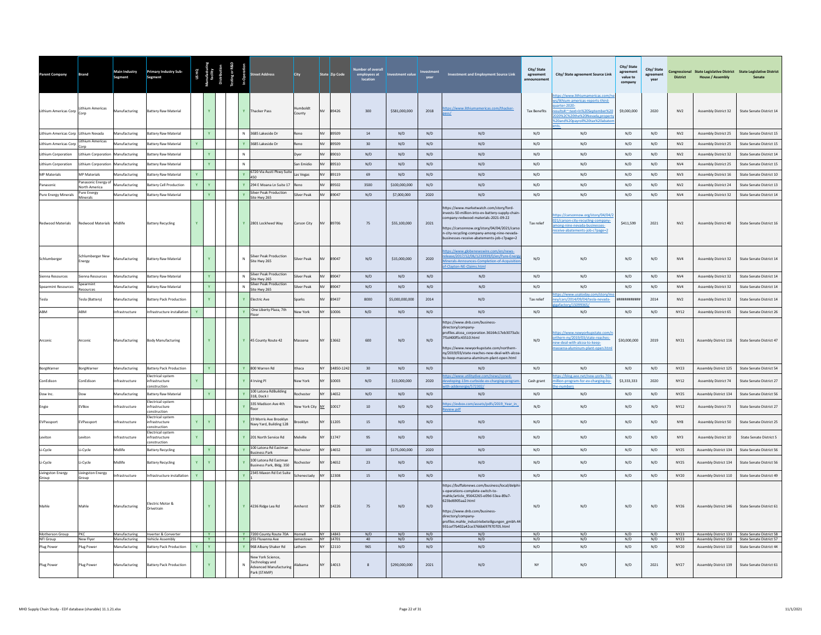| Parent Company                             | <b>Brand</b>                               | Main Industry<br>Segment       | <b>Primary Industry Sub-</b><br>Segment                                |              |                          |                   | treet Address                                                              | City                    |                 | State Zip Code       | employees at<br>location | ment value      |            | <b>Investment and Employment Source Link</b>                                                                                                                                                                                                                                                    | City/State<br>agreement<br>announcement | City/ State agreement Source Link                                                                                                                                                      | City/State<br>agreement<br>value to<br>company | City/ State<br>agreement<br>vear | <b>District</b>            | <b>House / Assembly</b>                             | Congressional State Legislative District State Legislative District<br>Senate                    |
|--------------------------------------------|--------------------------------------------|--------------------------------|------------------------------------------------------------------------|--------------|--------------------------|-------------------|----------------------------------------------------------------------------|-------------------------|-----------------|----------------------|--------------------------|-----------------|------------|-------------------------------------------------------------------------------------------------------------------------------------------------------------------------------------------------------------------------------------------------------------------------------------------------|-----------------------------------------|----------------------------------------------------------------------------------------------------------------------------------------------------------------------------------------|------------------------------------------------|----------------------------------|----------------------------|-----------------------------------------------------|--------------------------------------------------------------------------------------------------|
| Lithium Americas Corp                      | Lithium Americas                           | Manufacturing                  | <b>Battery Raw Material</b>                                            |              |                          |                   | Y Thacker Pass                                                             | umboldt<br>County       | <b>NV</b>       | 89426                | 300                      | \$581,000,000   | 2018       | tps://www.lithiumamericas.com/thacker-<br>$\sqrt{25}$                                                                                                                                                                                                                                           | <b>Tax Benefits</b>                     | tps://www.lithiumamericas.com/<br>s/lithium-americas-reports-third-<br>arter-2020-<br>sults#:~:text=In%20September%20<br>20%2C%20the%20Nevada.propert<br>20and%20payroll%20tax%20abate | \$9,000,000                                    | 2020                             | N <sub>V</sub> 2           | Assembly District 32                                | State Senate District 14                                                                         |
| Lithium Americas Corp Lithium Nevada       |                                            | Manufacturing                  | <b>Battery Raw Material</b>                                            |              |                          |                   | N 3685 Lakeside Dr                                                         | Reno                    | NV              | 89509                | 14                       | N/D             | N/D        | N/D                                                                                                                                                                                                                                                                                             | N/D                                     | N/D                                                                                                                                                                                    | N/D                                            | N/D                              | N <sub>V</sub>             | Assembly District 25                                | State Senate District 15                                                                         |
| Lithium Americas Corp                      | Lithium Americas                           | <b>Manufacturing</b>           | <b>Sattery Raw Material</b>                                            |              |                          |                   | 3685 Lakeside Dr                                                           | Reno                    | NV              | 89509                | 30                       | N/D             | N/D        | N/D                                                                                                                                                                                                                                                                                             | N/D                                     | N/D                                                                                                                                                                                    | N/D                                            | N/D                              | N <sub>V</sub> 2           | <b>Assembly District 25</b>                         | State Senate District 15                                                                         |
| Lithium Corporation                        | <b>Lithium Corporation</b>                 | Manufacturing                  | sattery Raw Material                                                   |              |                          | $\mathsf{N}$      |                                                                            | Dyer                    | NV              | 89010                | N/D                      | N/D             | N/D        | N/D                                                                                                                                                                                                                                                                                             | N/D                                     | N/D                                                                                                                                                                                    | N/D                                            | N/D                              | N <sub>V</sub> 2           | Assembly District 32                                | State Senate District 14                                                                         |
| Lithium Corporation<br><b>MP Materials</b> | Lithium Corporation<br><b>MP Materials</b> | Manufacturing<br>Manufacturing | attery Raw Material<br>attery Raw Material                             |              |                          | $\mathsf{N}$<br>Y | 6720 Via Austi Pkwy Suite                                                  | San Emidio<br>Las Vegas | NV<br><b>NV</b> | 89510<br>89119       | N/D<br>69                | N/D<br>N/D      | N/D<br>N/D | N/D<br>N/D                                                                                                                                                                                                                                                                                      | N/D<br>N/D                              | N/D<br>N/D                                                                                                                                                                             | N/D<br>N/D                                     | N/D<br>N/D                       | NV4<br>N <sub>V</sub> 3    | <b>Assembly District 25</b><br>Assembly District 16 | State Senate District 15<br>State Senate District 10                                             |
| Panasonic                                  | Panasonic Energy of                        | Manufacturing                  | attery Cell Production                                                 | $\mathbf{v}$ | Y.                       |                   | 450<br>Y 294 E Moana Ln Suite 17                                           |                         | <b>NV</b>       | 89502                | 3500                     | \$100,000,000   | N/D        | N/D                                                                                                                                                                                                                                                                                             | N/D                                     | N/D                                                                                                                                                                                    | N/D                                            | N/D                              | N <sub>V</sub> 2           | Assembly District 24                                | State Senate District 13                                                                         |
| Pure Energy Minerals                       | North America<br>Pure Energy               | Manufacturing                  | <b>Battery Raw Material</b>                                            |              | $\mathbf{v}$             | $\mathbf{v}$      | Silver Peak Production                                                     | Silver Peak             | NV              | 89047                | N/D                      | \$7,000,000     | 2020       | N/D                                                                                                                                                                                                                                                                                             | N/D                                     | N/D                                                                                                                                                                                    | N/D                                            | N/D                              | NV4                        | <b>Assembly District 32</b>                         | State Senate District 14                                                                         |
| <b>Redwood Materials</b>                   | Minerals<br><b>Redwood Materials</b>       | Midlife                        | <b>Battery Recycling</b>                                               |              |                          |                   | Site Hwy 265<br>Y 2801 Lockheed Way                                        | Carson City             | NV              | 89706                | 75                       | \$55,100,000    | 2021       | tps://www.marketwatch.com/story/ford-<br>nvests-50-million-into-ev-battery-supply-chain<br>mpany-redwood-materials-2021-09-22<br>https://carsonnow.org/story/04/04/2021/carso<br>n-city-recycling-company-among-nine-nevada-<br>usinesses-receive-abatements-job-c?page=2                       | Tax relief                              | tps://carsonnow.org/story/04/04/2<br>21/carson-city-recycling-company-<br>ong-nine-nevada-businesses-<br>ceive-abatements-job-c?page=2                                                 | \$411,599                                      | 2021                             | N <sub>V</sub>             | Assembly District 40                                | State Senate District 16                                                                         |
| Schlumberger                               | Schlumberger New<br>Energy                 | Manufacturing                  | <b>Battery Raw Material</b>                                            |              |                          | $\mathsf{N}$      | <b>Silver Peak Production</b><br>Site Hwy 265                              | Silver Peak             | <b>NV</b>       | 89047                | N/D                      | \$15,000,000    | 2020       | ttps://www.globenewswire.com/en/news-<br>lease/2017/12/06/1233939/0/en/Pure-Ener<br>linerals-Announces-Completion-of-Acquisitic<br>f-Clayton-NF-Claims html                                                                                                                                     | N/D                                     | N/D                                                                                                                                                                                    | N/D                                            | N/D                              | NVA                        | Assembly District 32                                | State Senate District 14                                                                         |
| Sienna Resources                           | Sienna Resources                           | Manufacturing                  | <b>Sattery Raw Material</b>                                            |              | $\mathbf{v}$             | $\mathbb{N}$      | Iver Peak Production<br>Site Hwy 265                                       | Silver Peak             | <b>NV</b>       | 89047                | N/D                      | N/D             | N/D        | N/D                                                                                                                                                                                                                                                                                             | N/D                                     | N/D                                                                                                                                                                                    | N/D                                            | N/D                              | NV4                        | <b>Assembly District 32</b>                         | State Senate District 14                                                                         |
| <b>Spearmint Resources</b>                 | inearmint<br>Resources                     | Manufacturing                  | <b>Sattery Raw Material</b>                                            |              | Y.                       | $\mathbb{N}$      | Silver Peak Production<br>Site Hwy 265                                     | <b>Silver Peak</b>      | NV              | 89047                | N/D                      | N/D             | N/D        | N/D                                                                                                                                                                                                                                                                                             | N/D                                     | N/D<br>ps://www.usatoday.com/story/r                                                                                                                                                   | N/D                                            | N/D                              | NVA                        | <b>Assembly District 32</b>                         | State Senate District 14                                                                         |
| Tesla                                      | Tesla (Battery)                            | Manufacturing                  | <b>Sattery Pack Production</b>                                         |              |                          |                   | Y Electric Ave                                                             | Sparks                  | NV              | 89437                | 8000                     | \$5,000,000,000 | 2014       | N/D                                                                                                                                                                                                                                                                                             | Tax relief                              | v/cars/2014/09/04/tesla-nevada-                                                                                                                                                        | ,,,,,,,,,,,,,                                  | 2014                             | N <sub>V</sub> 2           | Assembly District 32                                | State Senate District 14                                                                         |
| <b>ARM</b>                                 | <b>ARM</b>                                 | nfrastructure                  | nfrastructure installation                                             |              |                          | $\mathbf{v}$      | One Liberty Plaza, 7th<br>Floor                                            | ew York                 |                 | 10006                | $\rm N/D$                | N/D             | N/D        | N/D                                                                                                                                                                                                                                                                                             | N/D                                     | N/D                                                                                                                                                                                    | N/D                                            | $\rm N/D$                        | <b>NY12</b>                | Assembly District 65                                | State Senate District 26                                                                         |
| Arconic                                    | Arconic                                    | Manufacturing                  | Body Manufacturing                                                     |              |                          |                   | Y 45 County Route 42                                                       | Massena                 |                 | 13662                | 600                      | N/D             | N/D        | https://www.dnb.com/business-<br>directory/company-<br>profiles.alcoa corporation.36164c17eb3073a3c<br>7f1d400f5c43510.html<br>https://www.newvorkupstate.com/northern-<br>ny/2019/03/state-reaches-new-deal-with-alcoa<br>to-keep-massena-aluminum-plant-open.html                             | N/D                                     | tps://www.newvorkupstate.com/r<br>rthern-ny/2019/03/state-reaches-<br>ew-deal-with-alcoa-to-keep-<br>assena-aluminum-plant-open.htm                                                    | \$30,000,000                                   | 2019                             | NY21                       | Assembly District 116                               | State Senate District 47                                                                         |
| BorgWarne                                  | <b>SorgWarner</b>                          | Aanufacturing                  | attery Pack Production                                                 |              |                          |                   | 800 Warren Rd                                                              | Ithaca                  |                 | 14850-124            | 30                       | N/D             | N/D        | N/D                                                                                                                                                                                                                                                                                             | N/D                                     | N/D                                                                                                                                                                                    | N/D                                            | N/D                              | <b>NY23</b>                | Assembly District 125                               | State Senate District 54                                                                         |
| ConEdison                                  | ConEdison                                  | ifrastructure                  | lectrical system<br>nfrastructure<br>onstruction                       |              |                          |                   | 4 Irving Pl                                                                | <b>New York</b>         |                 | 10003                | N/D                      | \$13,000,000    | 2020       | tps://www.utilitydive.com/news/coned-<br>veloping-13m-curbside-ev-charging-progra                                                                                                                                                                                                               | Cash grant                              | tos://blog.aee.net/new-vorks-701<br>lion-program-for-ev-charging-by-                                                                                                                   | \$3,333,333                                    | 2020                             | <b>NY12</b>                | Assembly District 74                                | <b>State Senate District 27</b>                                                                  |
| Dow Inc.                                   | Dow                                        | Manufacturing                  | <b>Rattery Raw Material</b>                                            |              |                          |                   | 100 Latona RdBuilding<br>318, Dock I                                       | Rochester               | <b>NV</b>       | 14652                | N/D                      | N/D             | N/D        | N/D                                                                                                                                                                                                                                                                                             | N/D                                     | N/D                                                                                                                                                                                    | N/D                                            | N/D                              | NY25                       | <b>Assembly District 134</b>                        | State Senate District 56                                                                         |
| Engie                                      | EVBox                                      | frastructure                   | lectrical system<br>ifrastructure                                      |              |                          |                   | 335 Madison Ave 4th<br>nnr                                                 | lew York City           | NY              | 10017                | $10\,$                   | N/D             | N/D        | os://evbox.com/assets/pdfs/2019 Year in<br>riew.pdf                                                                                                                                                                                                                                             | N/D                                     | N/D                                                                                                                                                                                    | N/D                                            | N/D                              | <b>NY12</b>                | Assembly District 73                                | State Senate District 27                                                                         |
| EVPassport                                 | EVPassport                                 | nfrastructure                  | onstruction<br><b>Electrical system</b><br>nfrastructure<br>nstruction | Y            |                          |                   | 19 Morris Ave Brooklyn<br>lavy Yard, Building 128                          | <b>Brooklyn</b>         |                 | 11205                | 15                       | N/D             | N/D        | N/D                                                                                                                                                                                                                                                                                             | N/D                                     | N/D                                                                                                                                                                                    | N/D                                            | N/D                              | NY <sub>8</sub>            | Assembly District 50                                | State Senate District 25                                                                         |
| Leviton                                    | Leviton                                    | ifrastructure                  | lectrical system<br>nfrastructure<br>onstruction                       | $\mathbf{v}$ |                          |                   | Y 201 North Service Rd                                                     | Melville                | NY              | 11747                | 95                       | N/D             | N/D        | N/D                                                                                                                                                                                                                                                                                             | N/D                                     | N/D                                                                                                                                                                                    | N/D                                            | N/D                              | NY3                        | Assembly District 10                                | <b>State Senate District 5</b>                                                                   |
| Li-Cycle                                   | Li-Cycle                                   | Midlife                        | <b>Sattery Recycling</b>                                               |              | Y.                       |                   | 100 Latona Rd Eastman<br>lusiness Park                                     | Rochester               | NY              | 14652                | 100                      | \$175,000,000   | 2020       | N/D                                                                                                                                                                                                                                                                                             | N/D                                     | N/D                                                                                                                                                                                    | N/D                                            | N/D                              | <b>NY25</b>                | Assembly District 134                               | State Senate District 56                                                                         |
| Li-Cycle                                   | i-Cycle                                    | <b>fidlife</b>                 | attery Recycling                                                       |              |                          |                   | 100 Latona Rd Eastman<br>Business Park, Bldg, 350                          | ochester                |                 | 4652                 | 23                       | N/D             | N/D        | N/D                                                                                                                                                                                                                                                                                             | $\mathsf{N}/\mathsf{D}$                 | N/D                                                                                                                                                                                    | N/D                                            | N/D                              | <b>NY25</b>                | Assembly District 134                               | State Senate District 56                                                                         |
| Livingston Energy<br>Group                 | Livingston Energy<br>Group                 | Infrastructure                 | Infrastructure installation                                            | $\mathbf{v}$ |                          |                   | 2345 Maxon Rd Ext Suite                                                    | Schenectady             | NY              | 12308                | 15                       | N/D             | N/D        | N/D                                                                                                                                                                                                                                                                                             | N/D                                     | N/D                                                                                                                                                                                    | N/D                                            | N/D                              | <b>NY20</b>                | Assembly District 110                               | State Senate District 49                                                                         |
| Mahle                                      | Mahle                                      | Manufacturing                  | Electric Motor &<br><b>Orivetrain</b>                                  |              |                          |                   | Y 4236 Ridge Lea Rd                                                        | Amherst                 | NY              | 14226                | 75                       | N/D             | N/D        | https://buffalonews.com/business/local/delphi<br>s-operations-complete-switch-to-<br>nahle/article_95642265-e09d-53ea-89a7-<br>623bd6905aa2.html<br>https://www.dnb.com/business-<br>directory/company-<br>profiles.mahle_industriebeteiligungen_gmbh.44<br>931cef7h402a42ce3766h697970705.html | N/D                                     | N/D                                                                                                                                                                                    | N/D                                            | N/D                              | <b>NY26</b>                | Assembly District 146                               | State Senate District 61                                                                         |
| Motherson Group<br>NFI Group               | PKC<br>New Five                            | Manufacturing<br>Manufacturing | Inverter & Converter<br>Vehicle Assembly                               |              | <b>Y</b><br>$\mathbf{Y}$ |                   | Y 7200 County Route 70A Hornell<br>Y 255 Fluvanna Ave                      | Jamestown               |                 | NY 14843<br>NY 14701 | N/D                      | N/D<br>N/D      | N/D<br>N/D | N/D<br>N/D                                                                                                                                                                                                                                                                                      | N/D<br>N/D                              | N/D<br>N/D                                                                                                                                                                             | N/D<br>N/D                                     | N/D<br>N/D                       | <b>NY23</b><br><b>NY23</b> |                                                     | Assembly District 133 State Senate District 58<br>Assembly District 150 State Senate District 57 |
| Plug Power                                 | lug Power                                  | Aanufacturing                  | Battery Pack Production                                                |              |                          |                   | 968 Albany Shaker Rd                                                       | Latham                  |                 | 12110                | 965                      | N/D             | N/D        | N/D                                                                                                                                                                                                                                                                                             | N/D                                     | N/D                                                                                                                                                                                    | N/D                                            | N/D                              | <b>NY20</b>                | Assembly District 110                               | State Senate District 44                                                                         |
| Plug Power                                 | <b>Plug Power</b>                          | Manufacturing                  | <b>Battery Pack Production</b>                                         |              |                          | $\mathbb{N}$      | ew York Science,<br>echnology and<br>dvanced Manufacturing<br>Park (STAMP) | Alabama                 | NY              | 14013                | 8                        | \$290,000,000   | 2021       | N/D                                                                                                                                                                                                                                                                                             | <b>NY</b>                               | N/D                                                                                                                                                                                    | N/D                                            | 2021                             | <b>NY27</b>                | Assembly District 139                               | State Senate District 61                                                                         |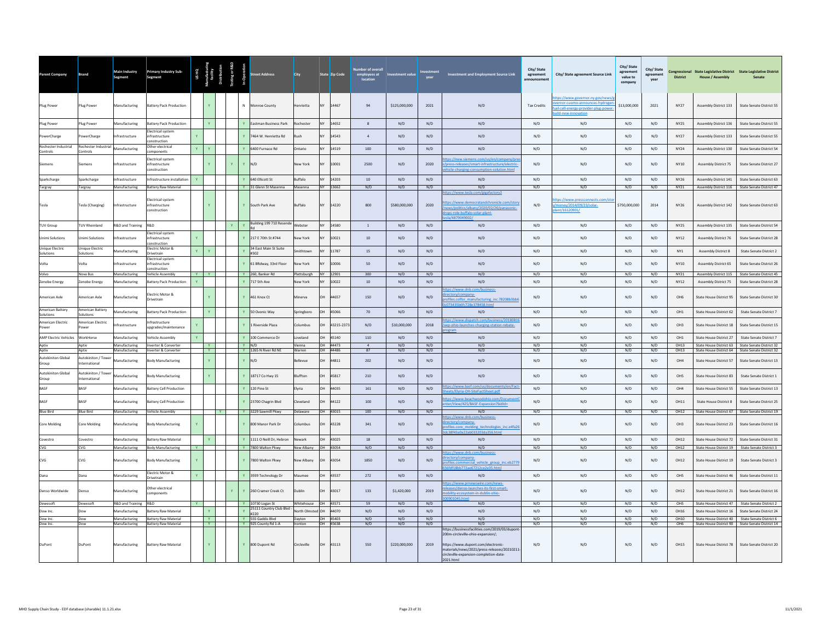| arent Company                      | rand                                | Main Industry<br>Segment              | Primary Industry Sub-<br>Segment                         |    |                           |              |              |                                             | City                                    |           | State Zip Code       | ber of overa<br>employees at<br>location | nvestment value | vear       | <b>Investment and Employment Source Link</b>                                                                                                                                   | City/State<br>agreement | City/ State agreement Source Link                                                                                            | City/ State<br>agreement<br>value to<br>company | City/ State<br>agreement<br>year | <b>District</b>                | Congressional State Legislative District State Legislative District<br><b>House / Assembly</b> | Senate                                                                                               |
|------------------------------------|-------------------------------------|---------------------------------------|----------------------------------------------------------|----|---------------------------|--------------|--------------|---------------------------------------------|-----------------------------------------|-----------|----------------------|------------------------------------------|-----------------|------------|--------------------------------------------------------------------------------------------------------------------------------------------------------------------------------|-------------------------|------------------------------------------------------------------------------------------------------------------------------|-------------------------------------------------|----------------------------------|--------------------------------|------------------------------------------------------------------------------------------------|------------------------------------------------------------------------------------------------------|
| Plug Power                         | Plug Power                          | Manufacturing                         | <b>Battery Pack Production</b>                           |    | Y                         |              |              | N Monroe County                             | Henrietta                               |           | NY 14467             | 94                                       | \$125,000,000   | 2021       | N/D                                                                                                                                                                            | <b>Tax Credits</b>      | ps://www.governor.ny.gov/news.<br>rnor-cuomo-announces-hydrogen<br>el-cell-energy-provider-plug-power-<br>ild-new-innovation | \$13,000,000                                    | 2021                             | <b>NY27</b>                    | Assembly District 133                                                                          | State Senate District 55                                                                             |
| Plug Power                         | Plug Power                          | Manufacturing                         | <b>Battery Pack Production</b>                           |    | Y                         |              |              | Y Eastman Business Park                     | Rochester                               | <b>NY</b> | 14652                | 8                                        | N/D             | N/D        | N/D                                                                                                                                                                            | N/D                     | N/D                                                                                                                          | N/D                                             | N/D                              | <b>NY25</b>                    | Assembly District 136                                                                          | State Senate District 55                                                                             |
| PowerCharge                        | owerCharge                          | Infrastructure                        | Electrical system<br><b>nfrastructure</b><br>onstruction |    |                           |              |              | 7464 W. Henrietta Rd                        | Rush                                    |           | 14543                | $\overline{4}$                           | N/D             | N/D        | N/D                                                                                                                                                                            | N/D                     | N/D                                                                                                                          | N/D                                             | N/D                              | <b>NY27</b>                    | Assembly District 133                                                                          | State Senate District 55                                                                             |
| Rochester Industrial<br>Controls   | Rochester Industrial<br>Controls    | Manufacturing                         | Other electrical<br>mponents                             |    |                           |              |              | 6400 Furnace Rd                             | Ontario                                 |           | 14519                | 100                                      | N/D             | N/D        | N/D                                                                                                                                                                            | N/D                     | N/D                                                                                                                          | N/D                                             | N/D                              | <b>NY24</b>                    | Assembly District 130                                                                          | State Senate District 54                                                                             |
| Siemens                            | iemens                              | Infrastructure                        | lectrical system<br>infrastructure<br>nstruction         |    | $\mathbf{Y}$              | $\mathbf{Y}$ |              | $Y$ N/D                                     | New York                                |           | 10001                | 2500                                     | N/D             | 2020       | os://new.siemens.com/us/en/company/<br>ress-releases/smart-infrastructure/electric<br>icle-charging-consumption-solution.html                                                  | N/D                     | N/D                                                                                                                          | N/D                                             | N/D                              | NY10                           | <b>Assembly District 75</b>                                                                    | State Senate District 27                                                                             |
| Sparkcharge                        | Sparkcharge                         | Infrastructure                        | nfrastructure installation                               |    |                           |              |              | 640 Ellicott St                             | Buffalo                                 |           | 14203                | 10                                       | N/D             | N/D        | N/D                                                                                                                                                                            | N/D                     | N/D                                                                                                                          | N/D                                             | N/D                              | <b>NY26</b>                    | Assembly District 141                                                                          | State Senate District 63                                                                             |
| Targray                            | Targray                             | Manufacturing                         | Battery Raw Material                                     |    |                           |              |              | Y 31 Glenn St Masenna                       | Masenna                                 |           | NY 13662             | N/D                                      | N/D             | N/D        | N/D<br>os://www.tesla.com/gigafactory2                                                                                                                                         | N/D                     | N/D                                                                                                                          | N/D                                             | N/D                              | <b>NY21</b>                    |                                                                                                | Assembly District 116 State Senate District 47                                                       |
| Tesla                              | Tesla (Charging)                    | Infrastructure                        | lectrical system<br>infrastructure<br>instruction        |    | Y                         |              |              | Y South Park Ave                            | Buffalo                                 | NY        | 14220                | 800                                      | \$580,000,000   | 2020       | ps://www.democratandchronicle.com/stor<br>news/politics/albany/2020/02/26/panasonic<br>rops-role-buffalo-solar-plant-<br>A /4879049002/                                        | N/D                     | ps://www.pressconnects.co<br>noney/2014/09/23/solar-<br>nt/16120901/                                                         | \$750,000,000                                   | 2014                             | <b>NY26</b>                    | Assembly District 142                                                                          | State Senate District 63                                                                             |
| <b>TUV Group</b>                   | <b>TUV Rheinland</b>                | R&D and Training R&D                  |                                                          |    |                           | Y            |              | Building 199 710 Resende                    | Webster                                 |           | NY 14580             | $\overline{1}$                           | N/D             | N/D        | N/D                                                                                                                                                                            | N/D                     | N/D                                                                                                                          | N/D                                             | N/D                              | <b>NY25</b>                    | Assembly District 135                                                                          | State Senate District 54                                                                             |
| <b>Jnimi Solutions</b>             | <b>Inimi Solutions</b>              | <b>Infrastructure</b>                 | lectrical system<br>infrastructure<br>nstruction         |    |                           |              |              | Y 217 E 70th St #744                        | New York                                | NV.       | 10021                | 10                                       | N/D             | N/D        | N/D                                                                                                                                                                            | N/D                     | N/D                                                                                                                          | N/D                                             | N/D                              | <b>NY12</b>                    | <b>Assembly District 76</b>                                                                    | State Senate District 28                                                                             |
| Unique Electric<br>Solutions       | <b>Unique Electric</b><br>Solutions | Aanufacturing                         | Electric Motor &<br>Drivetrain                           |    |                           |              |              | 34 East Main St Suite<br>#302               | imithtown                               |           | 11787                | 15                                       | N/D             | N/D        | N/D                                                                                                                                                                            | N/D                     | N/D                                                                                                                          | N/D                                             | N/D                              | NY1                            | <b>Assembly District 8</b>                                                                     | State Senate District 2                                                                              |
| Volta                              | /olta                               | Infrastructure                        | Electrical system<br>infrastructure<br>onstruction       |    |                           |              |              | 61 BRdway, 33rd Floor                       | New York                                |           | 10006                | 50                                       | N/D             | N/D        | N/D                                                                                                                                                                            | N/D                     | N/D                                                                                                                          | N/D                                             | N/D                              | <b>NY10</b>                    | <b>Assembly District 65</b>                                                                    | State Senate District 26                                                                             |
| Volvo                              | Nova Bus                            | Manufacturing                         | <b>Vehicle Assembly</b>                                  | YV |                           |              |              | Y 260, Banker Rd                            | Plattsburgh                             |           | NY 12901             | 300                                      | N/D             | N/D        | N/D                                                                                                                                                                            | N/D                     | N/D                                                                                                                          | N/D                                             | N/D                              | <b>NY21</b>                    |                                                                                                | Assembly District 115 State Senate District 45                                                       |
| Zenobe Energy<br>American Axle     | Zenobe Energy<br>American Axle      | Manufacturing<br>Manufacturing        | <b>Battery Pack Production</b><br>lectric Motor &        |    |                           |              |              | 717 5th Ave<br>461 Knox Ct                  | New York<br>Minerva                     | OН        | 10022<br>44657       | 10<br>150                                | N/D<br>N/D      | N/D<br>N/D | N/D<br>ps://www.dnb.com/business-<br>ctory/company-                                                                                                                            | N/D<br>N/D              | N/D<br>N/D                                                                                                                   | N/D<br>N/D                                      | N/D<br>N/D                       | <b>NY12</b><br>OH <sub>6</sub> | Assembly District 75<br>State House District 95                                                | State Senate District 28<br>State Senate District 30                                                 |
| American Battery                   | American Battery                    |                                       | Drivetrain                                               |    |                           |              |              |                                             |                                         |           |                      |                                          |                 |            | ofiles.colfor manufacturing inc.78208b3bb<br>73435b6fr728e378458.html                                                                                                          |                         |                                                                                                                              |                                                 |                                  |                                |                                                                                                |                                                                                                      |
| Solutions                          | olutions                            | Manufacturing                         | <b>Battery Pack Production</b>                           |    | $\mathbf{Y}$              |              |              | 50 Ovonic Way                               | Springboro                              | OH        | 45066                | 70                                       | N/D             | N/D        | N/D<br>ps://www.dispatch.com/business/2018081                                                                                                                                  | N/D                     | N/D                                                                                                                          | N/D                                             | N/D                              | OH <sub>1</sub>                | State House District 62                                                                        | State Senate District 7                                                                              |
| American Electric<br>Power         | merican Electric<br>ower            | nfrastructure                         | ifrastructure<br>upgrades/maintenance                    |    |                           |              |              | L Riverside Plaza                           | columbus                                |           | 43215-2373           | N/D                                      | \$10,000,000    | 2018       | ep-ohio-launches-charging-station-rebate-                                                                                                                                      | N/D                     | N/D                                                                                                                          | N/D                                             | N/D                              | OH <sub>3</sub>                | State House District 18                                                                        | State Senate District 15                                                                             |
| <b>AMP Electric Vehicles</b>       | WorkHorse                           | Manufacturing                         | Vehicle Assembly                                         |    |                           |              | $\mathbf{v}$ | 100 Commerce Dr<br>$Y$ N/D                  | Loveland                                | OН        | 45140                | 110<br>$\overline{a}$                    | N/D             | N/D        | N/D                                                                                                                                                                            | N/D                     | N/D                                                                                                                          | N/D                                             | N/D                              | OH <sub>1</sub>                | State House District 27                                                                        | State Senate District 7                                                                              |
| Aptiv<br>Aptiv                     | Aptiv<br>Aptiv                      | Manufacturing<br>Manufacturing        | Inverter & Converter<br>Inverter & Converter             |    | $\mathbf{Y}$<br>$-$ Y $-$ |              |              | Y 1265 N River Rd NE                        | Vienna<br>Warren                        |           | OH 44473<br>OH 44486 | 87                                       | N/D<br>N/D      | N/D<br>N/D | N/D<br>N/D                                                                                                                                                                     | N/D<br>N/D              | N/D<br>N/D                                                                                                                   | N/D<br>N/D                                      | N/D<br>N/D                       | OH13<br>OH13                   |                                                                                                | State House District 63 State Senate District 32<br>State House District 64 State Senate District 32 |
| <b>Autokiniton Global</b><br>Group | Autokiniton / Towe<br>International | Manufacturing                         | <b>Body Manufacturing</b>                                |    | Y                         |              |              | N/D                                         | <b>Bellevue</b>                         | OH        | 44811                | 202                                      | N/D             | N/D        | $\rm N/D$                                                                                                                                                                      | N/D                     | $\rm N/D$                                                                                                                    | N/D                                             | N/D                              | OH4                            | State House District 57                                                                        | State Senate District 13                                                                             |
| Autokiniton Global<br>Group        | Autokiniton / Tower<br>nternational | Aanufacturing                         | ody Manufacturing                                        |    |                           |              |              | 18717 Co Hwy 15                             | <b>Sluffton</b>                         |           | 15817                | 210                                      | N/D             | N/D        | N/D                                                                                                                                                                            | N/D                     | N/D                                                                                                                          | N/D                                             | N/D                              | OH <sub>5</sub>                | State House District 83                                                                        | State Senate District 1                                                                              |
| <b>BASE</b>                        | <b>BASE</b>                         | Manufacturing                         | <b>Battery Cell Production</b>                           |    |                           |              |              | Y 120 Pine St                               | Elvria                                  | <b>OH</b> | 44035                | 161                                      | N/D             | N/D        | s://www.basf.com/us/do<br>nts/en/Fact<br>ts/Elyria-OH-SiteFactSheet.pdf                                                                                                        | N/D                     | N/D                                                                                                                          | N/D                                             | N/D                              | OH4                            | State House District 55                                                                        | State Senate District 13                                                                             |
| BASE                               | BASE                                | Aanufacturing                         | Battery Cell Production                                  |    |                           |              |              | 23700 Chagrin Blvd                          | Cleveland                               | OH        | 44122                | 100                                      | N/D             | N/D        | ps://www.beachwoodohio.com/Docum<br>Iter/View/425/BASF-Expansion?bidId=                                                                                                        | N/D                     | N/D                                                                                                                          | N/D                                             | N/D                              | OH11                           | <b>State House District 8</b>                                                                  | State Senate District 25                                                                             |
| <b>Blue Bird</b>                   | <b>Blue Bird</b>                    | Manufacturing                         | Vehicle Assembly                                         |    |                           |              |              | Y 3229 Sawmill Pkwy                         | Delaware                                |           | OH 43015             | 100                                      | N/D             | N/D        | N/D<br>ps://www.dnb.com/business-                                                                                                                                              | N/D                     | N/D                                                                                                                          | N/D                                             | N/D                              | OH12                           |                                                                                                | State House District 67 State Senate District 19                                                     |
| Core Molding                       | Core Molding                        | Manufacturing                         | <b>Body Manufacturing</b>                                |    |                           |              | Y            | 800 Manor Park Dr                           | Columbus                                | OH        | 43228                | 341                                      | N/D             | N/D        | ectory/company-<br>files.core molding technologies inc.e4fa26<br>8f43a0a22ab033203da356.html                                                                                   | N/D                     | N/D                                                                                                                          | N/D                                             | N/D                              | OH <sub>3</sub>                | State House District 23                                                                        | State Senate District 16                                                                             |
| Covestro                           | Covestro                            | Manufacturing                         | <b>Battery Raw Material</b>                              |    | $\mathbf{v}$              |              | $\mathbf{v}$ | 1111 O Neill Dr. Hebron                     | Newark                                  | <b>OH</b> | 43025                | 18                                       | N/D             | N/D        | N/D                                                                                                                                                                            | N/D                     | N/D                                                                                                                          | N/D                                             | N/D                              | OH12                           | State House District 72                                                                        | State Senate District 31                                                                             |
| CVG                                | CVG                                 | Manufacturing                         | <b>Body Manufacturing</b><br><b>Y</b>                    |    |                           |              |              | Y 7800 Walton Pkwy                          | New Albany                              |           | OH 43054             | N/D                                      | N/D             | N/D        | N/D<br>ps://www.dnb.com/bu                                                                                                                                                     | N/D                     | N/D                                                                                                                          | N/D                                             | N/D                              | OH12                           |                                                                                                | State House District 19 State Senate District 3                                                      |
| CVG                                | <b>CVG</b>                          | Manufacturing                         | <b>Body Manufacturing</b>                                |    |                           |              |              | 7800 Walton Pkwy                            | New Albany                              | <b>OH</b> | 43054                | 1850                                     | N/D             | N/D        | ectory/company-<br>ofiles.commercial vehicle group inc.eb2779<br>df18bb772ae67212ce2e35.htm                                                                                    | N/D                     | N/D                                                                                                                          | N/D                                             | N/D                              | OH12                           | State House District 19                                                                        | State Senate District 3                                                                              |
| Dana                               | Dana                                | Manufacturing                         | Electric Motor &<br>$\mathbf{Y}$<br>Drivetrain           |    |                           |              | $\mathbf{v}$ | 3939 Technology Dr                          | Maumee                                  | OH.       | 43537                | 272                                      | N/D             | N/D        | N/D                                                                                                                                                                            | N/D                     | N/D                                                                                                                          | N/D                                             | N/D                              | OH <sub>5</sub>                | State House District 46                                                                        | State Senate District 11                                                                             |
| Denso Worldwide                    | Denso                               | Manufacturing                         | Other electrical<br>omponents                            |    |                           |              |              | 260 Cramer Creek Ct                         | Dublin                                  |           | 43017                | 133                                      | \$1,420,000     | 2019       | ps://www.prnewswire.com/news-<br>eases/denso-launches-its-first-smart-<br>bility-ecosystem-in-dublin-ohio-                                                                     | N/D                     | N/D                                                                                                                          | N/D                                             | N/D                              | OH12                           | State House District 21                                                                        | State Senate District 16                                                                             |
| Dewesoft<br>Dow Inc.               | Dewesoft<br>Dow                     | R&D and Training R&D<br>Manufacturing | <b>Y</b><br><b>Battery Raw Material</b>                  |    | $\mathbf{v}$              |              | $\mathbf{v}$ | Y 10730 Logan St<br>25111 Country Club Blvd | Whitehouse OH 43571<br>North Olmsted OH |           | 44070                | 59<br>N/D                                | N/D<br>N/D      | N/D<br>N/D | N/D<br>N/D                                                                                                                                                                     | N/D<br>N/D              | N/D<br>N/D                                                                                                                   | N/D<br>N/D                                      | N/D<br>N/D                       | OH <sub>5</sub><br>OH16        | State House District 16                                                                        | State House District 47 State Senate District 2<br>State Senate District 24                          |
| Dow Inc.                           | Dow                                 | Manufacturing                         | <b>Battery Raw Material</b>                              |    | <b>Y</b>                  |              |              | #220<br>Y 555 Gaddis Blvd                   | Dayton                                  |           | OH 45403             | N/D                                      | N/D             | N/D        | N/D                                                                                                                                                                            | N/D                     | N/D                                                                                                                          | N/D                                             | N/D                              | OH10                           |                                                                                                | State House District 40 State Senate District 6                                                      |
| Dow Inc.                           | Dow                                 | Manufacturing                         | <b>Battery Raw Material</b>                              |    | <b>Y</b>                  |              |              | Y 925 County Rd 1-A                         | Ironton                                 |           | OH 45638             | N/D                                      | N/D             | N/D        | N/D<br>https://businessfacilities.com/2019/03/dupont                                                                                                                           | N/D                     | N/D                                                                                                                          | N/D                                             | N/D                              | OH <sub>6</sub>                | State House District 90 State Senate District 14                                               |                                                                                                      |
| DuPont                             | DuPont                              | Manufacturing                         | <b>Battery Raw Material</b>                              |    |                           |              |              | Y 800 Dupont Rd                             | Circleville                             | OH        | 43113                | 550                                      | \$220,000,000   | 2019       | 200m-circleville-ohio-expansion/:<br>https://www.dupont.com/electronic-<br>materials/news/2021/press-releases/20210211-<br>circleville-expansion-completion-date-<br>2021.html | N/D                     | N/D                                                                                                                          | N/D                                             | N/D                              | OH15                           | State House District 78                                                                        | State Senate District 20                                                                             |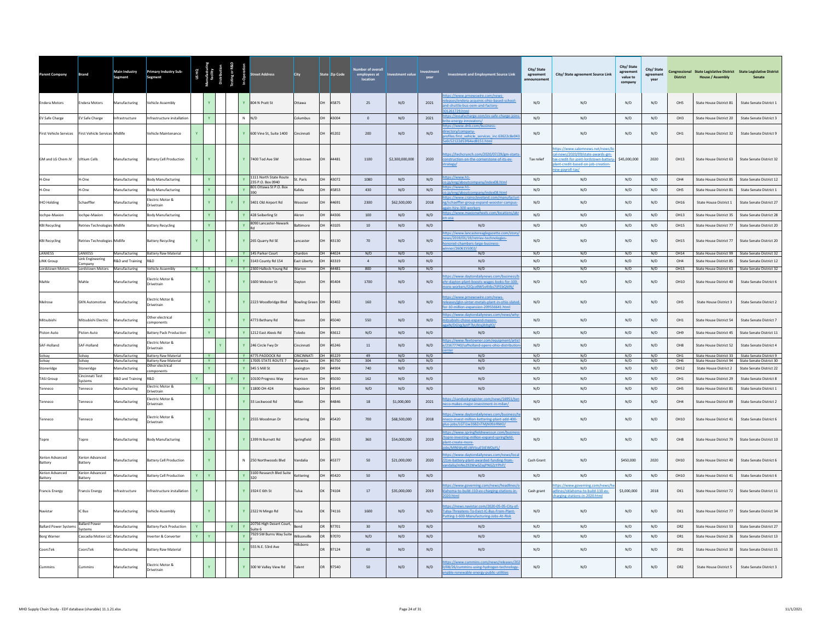| Parent Company                        | <b>Brand</b>                        | Main Industry<br>Segment                     | <b>Primary Industry Sub-</b><br>Segment         |              |                   |   | treet Address                                                                         | <b>City</b>            |           | State Zip Code    | employees at<br>location | <b>Investment value</b> | vear       | Investment and Employment Source Link                                                                                           | City/State<br>agreement<br>innouncement | City/ State agreement Source Link                                                                                                                            | City/ State<br>agreement<br>value to<br>company | City/State<br>agreement<br>year | <b>District</b>         | Congressional State Legislative District State Legislative District<br><b>House / Assembly</b> | Senate                                                                       |
|---------------------------------------|-------------------------------------|----------------------------------------------|-------------------------------------------------|--------------|-------------------|---|---------------------------------------------------------------------------------------|------------------------|-----------|-------------------|--------------------------|-------------------------|------------|---------------------------------------------------------------------------------------------------------------------------------|-----------------------------------------|--------------------------------------------------------------------------------------------------------------------------------------------------------------|-------------------------------------------------|---------------------------------|-------------------------|------------------------------------------------------------------------------------------------|------------------------------------------------------------------------------|
| <b>Endera Motors</b>                  | <b>Endera Motors</b>                | Manufacturing                                | ehicle Assembly                                 |              |                   |   | 804 N Pratt St                                                                        | Ottawa                 | OH        | 45875             | 25                       | N/D                     | 2021       | ps://www.prnewswire.com/news-<br>ases/endera-acquires-ohio-based-school-<br>I-shuttle-bus-oem-and-factory-<br>261729.html       | N/D                                     | N/D                                                                                                                                                          | N/D                                             | N/D                             | OH5                     | State House District 81                                                                        | State Senate District 1                                                      |
| EV Safe Charge                        | EV Safe Charge                      | Infrastructure                               | Infrastructure installation                     |              | $\mathbf{Y}$      |   | $N$ $N/D$                                                                             | Columbus               | OH        | 43004             | $\overline{0}$           | N/D                     | 2021       | os://evsafecharge.com/ev-safe-charge-joir<br>energy-innovators/                                                                 | N/D                                     | N/D                                                                                                                                                          | N/D                                             | N/D                             | OH3                     | State House District 20                                                                        | State Senate District 3                                                      |
| <b>First Vehicle Services</b>         | First Vehicle Services Midlife      |                                              | /ehicle Maintenance                             | $\mathbf{v}$ |                   |   | Y 600 Vine St. Suite 1400                                                             | Cincinnati             | OH.       | 45202             | 200                      | N/D                     | N/D        | os://www.dnb.com/business-<br>ctory/company-<br>ofiles.first vehicle services inc.63622c8e043<br>r52122d53f64ed8151.html        | N/D                                     | N/D                                                                                                                                                          | N/D                                             | N/D                             | OH <sub>1</sub>         | State House District 32                                                                        | State Senate District 9                                                      |
| GM and LG Chem JV                     | Ultium Cells                        | Manufacturing                                | attery Cell Production                          |              |                   |   | Y 7400 Tod Ave SW                                                                     | ordstown               | OH        | 44481             | 1100                     | \$2,300,000,000         | 2020       | ps://techcrunch.com/2020/07/29/gm-start<br>nstruction-on-the-cornerstone-of-its-ev-<br>rategy/                                  | Tax relief                              | ps://www.salemnews.net/news/<br>news/2020/09/state-awards-gm-<br>c-credit-for-joint-lordstown-batter<br>lant-credit-based-on-job-creation<br>ew-payroll-tax/ | \$45,000,000                                    | 2020                            | OH13                    | State House District 63                                                                        | State Senate District 32                                                     |
| H-One                                 | H-One                               | Manufacturing                                | <b>Body Manufacturing</b>                       |              | $\mathbf{v}$      |   | 1111 North State Route<br>$\mathbf{v}$<br>235 P.O. Box 0940<br>801 Ottawa St P.O. Box | St. Paris              | <b>OH</b> | 43072             | 1080                     | N/D                     | N/D        | ps://www.h1-<br>V/index08.html<br>eng/ab<br>ps://www.h1-                                                                        | N/D                                     | N/D                                                                                                                                                          | N/D                                             | N/D                             | OH4                     | State House District 85                                                                        | State Senate District 12                                                     |
| H-One                                 | H-One                               | Manufacturing                                | ody Manufacturing                               |              |                   |   | $\mathbf{v}$                                                                          | Kalida                 | <b>OH</b> | 45853             | 430                      | N/D                     | N/D        | /eng/aboutcompany/index08.html<br>s://www.crainscleveland.com/manufactu                                                         | N/D                                     | N/D                                                                                                                                                          | N/D                                             | N/D                             | OHS                     | State House District 81                                                                        | State Senate District 1                                                      |
| <b>IHO Holding</b>                    | Schaeffler                          | <b>Manufacturing</b>                         | lectric Motor &<br>rivetrain                    |              |                   | Y | Y 3401 Old Airport Rd                                                                 | Wooste                 | <b>OH</b> | 44691             | 2300                     | \$62,500,000            | 2018       | /schaeffler-group-expand-wooster-campus<br>in-hire-300-workers                                                                  | N/D                                     | N/D                                                                                                                                                          | N/D                                             | N/D                             | OH16                    | State House District 1                                                                         | State Senate District 27                                                     |
| lochpe-Maxion                         | ochpe-Maxion                        | Manufacturing                                | ody Manufacturing                               |              |                   |   | 428 Seiberling St                                                                     | Akron                  |           | 44306             | 100                      | N/D                     | N/D        | tps://www.maxionwheels.com/locations/al                                                                                         | N/D                                     | N/D                                                                                                                                                          | $\mathrm{N}/\mathrm{D}$                         | N/D                             | OH13                    | State House District 35                                                                        | State Senate District 28                                                     |
| <b>KBI Recycling</b>                  | Retriev Technologie                 | Midlife                                      | attery Recycling                                |              |                   |   | 8090 Lancaster-Newark                                                                 | Baltimore              | <b>OH</b> | 43105             | $10\,$                   | N/D                     | N/D        | N/D                                                                                                                             | N/D                                     | N/D                                                                                                                                                          | $\mathrm{N}/\mathrm{D}$                         | N/D                             | OH15                    | State House District 77                                                                        | State Senate District 20                                                     |
| <b>KBI Recycling</b>                  | <b>Retriev Technologies Midlife</b> |                                              | <b>Battery Recycling</b>                        | Y            |                   |   | Y 265 Quarry Rd SE                                                                    | Lancaster              | OH        | 43130             | 70                       | N/D                     | N/D        | ps://www.lancastereaglegazette.com/story<br>ws/2019/01/19/retriev-technologies-<br>pred-chambers-large-business-                | N/D                                     | N/D                                                                                                                                                          | N/D                                             | N/D                             | OH15                    | State House District 77                                                                        | State Senate District 20                                                     |
| LANXESS                               | LANXESS<br><b>Link Engineering</b>  | Manufacturing                                | <b>Battery Raw Material</b>                     |              |                   |   | Y 145 Parker Court                                                                    | Chardon                |           | OH 44024          | N/D                      | N/D                     | N/D        | N/D                                                                                                                             | N/D                                     | N/D                                                                                                                                                          | N/D                                             | N/D                             | OH14                    |                                                                                                | State House District 99 State Senate District 32                             |
| <b>LINK Group</b><br>Lordstown Motors | Company<br>Lordstown Motors         | <b>R&amp;D</b> and Training<br>Manufacturing | R&D<br>Vehicle Assembly                         | Y Y          |                   |   | 3143 County Rd 154<br>Y 2300 Hallock-Young Rd                                         | East Liberty<br>Warren |           | 43319<br>OH 44481 | $\overline{4}$<br>800    | N/D<br>N/D              | N/D<br>N/D | N/D<br>N/D                                                                                                                      | N/D<br>N/D                              | N/D<br>N/D                                                                                                                                                   | N/D<br>N/D                                      | N/D<br>N/D                      | OH4<br>OH13             | State House District 85                                                                        | State Senate District 12<br>State House District 63 State Senate District 32 |
| Mahle                                 | Mahle                               | Aanufacturing                                | lectric Motor &<br>Orivetrain                   |              |                   |   | 1600 Webster St                                                                       | Jayton                 | OH        | 45404             | 1700                     | N/D                     | N/D        | os://www.daytondailynews.com/business<br>r-dayton-plant-boosts-wages-looks-for-100-<br>pre-workers/i2Qco9W5v4Vbs7ilFEbQMN/      | N/D                                     | N/D                                                                                                                                                          | $\mathrm{N}/\mathrm{D}$                         | N/D                             | OH10                    | State House District 40                                                                        | State Senate District 6                                                      |
| Melrose                               | <b>GKN Automotive</b>               | Manufacturing                                | lectric Motor &<br>rivetrain                    |              |                   |   | Y 2223 Woodbridge Blvd                                                                | Bowling Green OH 43402 |           |                   | 160                      | N/D                     | N/D        | tps://www.prnewswire.com/news-<br>eleases/gkn-sinter-metals-plant-in-ohio-slated<br>or-10-million-expansion-209556641.html      | N/D                                     | N/D                                                                                                                                                          | N/D                                             | N/D                             | OH <sub>5</sub>         | State House District 3                                                                         | State Senate District 2                                                      |
| Mitsubishi                            | Mitsubishi Electric                 | lanufacturing                                | ther electrical<br>omponents                    |              |                   |   | 4773 Bethany Rd                                                                       | <b>Aasor</b>           |           | 45040             | 550                      | N/D                     | N/D        | ps://www.daytondailynews.com/news/wl<br>subishi-chose-expand-mason-                                                             | N/D                                     | N/D                                                                                                                                                          | $\mathrm{N}/\mathrm{D}$                         | N/D                             | OH <sub>1</sub>         | State House District 54                                                                        | State Senate District 7                                                      |
| Piston Auto                           | iston Auto                          | <b>Aanufacturing</b>                         | attery Pack Production                          |              | Y                 |   | Y 1212 East Alexis Rd                                                                 | <b>Toledo</b>          |           | 43612             | N/D                      | N/D                     | N/D        | IN/DGVg3vVP7hUlVxiihltnfO<br>N/D                                                                                                | N/D                                     | N/D                                                                                                                                                          | N/D                                             | N/D                             | OH9                     | State House District 45                                                                        | State Senate District 11                                                     |
| SAF-Holland                           | AF-Holland                          | <b>Aanufacturing</b>                         | lectric Motor &<br>rivetrain                    |              |                   |   | 246 Circle Fwy Dr                                                                     | Cincinnati             | <b>OH</b> | 45246             | $11\,$                   | N/D                     | N/D        | tps://www.fleetowner.com/equipment/arti<br>21677740/safholland-opens-ohio-distributi                                            | N/D                                     | N/D                                                                                                                                                          | N/D                                             | N/D                             | OH <sub>8</sub>         | State House District 52                                                                        | <b>State Senate District 4</b>                                               |
| Solvay                                | Solvay                              | Manufacturing                                | <b>Battery Raw Material</b>                     |              | Y                 |   | Y 4775 PADDOCK Rd                                                                     | CINCINNATI             |           | OH 45229          | 49                       | N/D                     | N/D        | N/D                                                                                                                             | N/D                                     | N/D                                                                                                                                                          | N/D                                             | N/D                             | OH <sub>1</sub>         | State House District 33                                                                        | State Senate District 9                                                      |
| Solvay<br>Stoneridge                  | Solvay<br>Stoneridge                | Manufacturing<br>Manufacturing               | <b>Battery Raw Material</b><br>Other electrical |              | Y<br>$\mathbf{v}$ |   | Y 17005 STATE ROUTE 7<br>Y 345 S Mill St                                              | Marietta<br>Lexington  | <b>OH</b> | OH 45750<br>44904 | 304<br>740               | N/D<br>N/D              | N/D<br>N/D | N/D<br>N/D                                                                                                                      | N/D<br>N/D                              | N/D<br>N/D                                                                                                                                                   | N/D<br>N/D                                      | N/D<br>N/D                      | OH <sub>6</sub><br>OH12 | State House District 2                                                                         | State House District 94 State Senate District 30<br>State Senate District 22 |
| <b>TASI Group</b>                     | Cincinnati Test                     | R&D and Training                             | omponents<br><b>R&amp;D</b>                     |              |                   |   | Y 10100 Progress Way                                                                  | Harrison               |           | 45030             | 162                      | N/D                     | N/D        | N/D                                                                                                                             | N/D                                     | N/D                                                                                                                                                          | N/D                                             | N/D                             | OH <sub>1</sub>         | State House District 29                                                                        | <b>State Senate District 8</b>                                               |
| Tenneco                               | Systems<br><b>Tenneco</b>           | Manufacturing                                | lectric Motor &                                 |              |                   |   | 11800 OH-424                                                                          | Napoleon               | OН        | 43545             | N/D                      | N/D                     | N/D        | N/D                                                                                                                             | N/D                                     | N/D                                                                                                                                                          | N/D                                             | N/D                             | OH5                     | State House District 81                                                                        | State Senate District 1                                                      |
| Tenneco                               | enneco                              | Manufacturing                                | Irivetrain<br>lectric Motor &                   |              |                   |   | 33 Lockwood Rd                                                                        | Milan                  | <b>OH</b> | 44846             | 18                       | \$1,000,000             | 2021       | tps://sanduskyregister.com/news/16951/te                                                                                        | N/D                                     | N/D                                                                                                                                                          | N/D                                             | N/D                             | OH4                     | State House District 89                                                                        | State Senate District 2                                                      |
| Tenneco                               | Fenneco                             | Manufacturing                                | rivetrain<br>lectric Motor &                    |              |                   |   | Y 2555 Woodman Dr                                                                     | Kettering              | <b>OH</b> | 45420             | 700                      | \$68,500,000            | 2018       | ps://www.daytondailynews.com/business/<br>eco-invest-million-kettering-plant-add-400-                                           | N/D                                     | N/D                                                                                                                                                          | N/D                                             | N/D                             | OHIO                    | State House District 41                                                                        | State Senate District 6                                                      |
| Topre                                 | Topre                               | Manufacturing                                | ivetrain<br><b>Body Manufacturing</b>           |              |                   |   | Y 1399 N Burnett Rd                                                                   | Springfield            | <b>OH</b> | 45503             | 360                      | \$54,000,000            | 2019       | is-iobs/LGTi1w3SBZnTMiN09JrRMO/<br>s://www.springfieldnewssun.co<br>pre-investing-million-expand-springfield-                   | N/D                                     | N/D                                                                                                                                                          | N/D                                             | N/D                             | OH <sub>8</sub>         | State House District 79                                                                        | State Senate District 10                                                     |
|                                       |                                     |                                              |                                                 |              |                   |   |                                                                                       |                        |           |                   |                          |                         |            | int-create-more-<br>MR6WMFcWVicuFStFWOaVL<br>ps://www.daytondailynews.com/news/loca                                             |                                         |                                                                                                                                                              |                                                 |                                 |                         |                                                                                                |                                                                              |
| <b>Xerion Advanced</b><br>Battery     | <b>Xerion Advanced</b><br>Battery   | anufacturing                                 | attery Cell Production                          |              |                   |   | 250 Northwoods Blvd                                                                   | andalia                |           | 45377             | 50                       | \$21,000,000            | 2020       | 1m-battery-plant-awarded-funding-from-<br>ndalia/mNe292WwSZiajPNGZzYPhP/                                                        | Cash Grant                              | N/D                                                                                                                                                          | \$450,000                                       | 2020                            | OH10                    | State House District 40                                                                        | State Senate District 6                                                      |
| Xerion Advanced<br>Battery            | Xerion Advanced<br>Battery          | Manufacturing                                | Battery Cell Production                         | $\mathbf{v}$ | $\mathbf{Y}$      |   | 3100 Research Blvd Suite<br>$\mathbf{Y}$<br>320                                       | Kettering              | nп        | 45420             | 50                       | N/D                     | N/D        | N/D                                                                                                                             | N/D                                     | N/D                                                                                                                                                          | $\mathrm{N}/\mathrm{D}$                         | N/D                             | OH10                    | State House District 41                                                                        | State Senate District 6                                                      |
| <b>Francis Energy</b>                 | <b>Francis Energy</b>               | Infrastructure                               | nfrastructure installation                      | $\mathbf{Y}$ |                   |   | Y 1924 E 6th St                                                                       | Tulsa                  | OK        | 74104             | 17                       | \$35,000,000            | 2019       | os://www.governing.com/news/headlines/<br>homa-to-build-110-ev-charging-stations-in-<br>20.html                                 | Cash grant                              | ps://www.governing.com/news/h<br>dlines/oklahoma-to-build-110-ev-<br>harging-stations-in-2020.html                                                           | \$3,000,000                                     | 2018                            | OK1                     | State House District 72                                                                        | State Senate District 11                                                     |
| Navistar                              | C Bus                               | Manufacturing                                | ehicle Assembly                                 |              |                   |   | Y 2322 N Mingo Rd                                                                     | Tulsa                  |           | 74116             | 1600                     | N/D                     | N/D        | os://news.navistar.com/2020-05-05-City-of<br>Isa-Threatens-To-Evict-IC-Bus-From-Plant-<br>ting-1-600-Manufacturing-Jobs-At-Risk | N/D                                     | N/D                                                                                                                                                          | N/D                                             | N/D                             | OK1                     | State House District 77                                                                        | State Senate District 34                                                     |
| <b>Ballard Power Systems</b>          | <b>Ballard Power</b><br>Systems     | <b>Manufacturing</b>                         | attery Pack Production                          |              |                   |   | 20756 High Desert Court,<br>Suite 6                                                   | Bend                   |           | 97701             | 30                       | N/D                     | N/D        | N/D                                                                                                                             | N/D                                     | N/D                                                                                                                                                          | N/D                                             | N/D                             | OR <sub>2</sub>         | State House District 53                                                                        | State Senate District 27                                                     |
| <b>Borg Warner</b>                    | "ascadia Motion LLC                 | Manufacturing                                | verter & Converter                              | $\mathbf{Y}$ |                   |   | 7929 SW Burns Way Suite                                                               | Wilsonville            |           | 97070             | N/D                      | N/D                     | N/D        | N/D                                                                                                                             | N/D                                     | N/D                                                                                                                                                          | N/D                                             | N/D                             | OR1                     | State House District 26                                                                        | State Senate District 13                                                     |
| CoorsTek                              | CoorsTek                            | <b>Aanufacturing</b>                         | attery Raw Material                             |              |                   |   | 555 N.E. 53rd Ave                                                                     | lillsboro              |           | 97124             | 60                       | N/D                     | N/D        | N/D                                                                                                                             | N/D                                     | N/D                                                                                                                                                          | N/D                                             | $\rm N/D$                       | OR1                     | State House District 30                                                                        | State Senate District 15                                                     |
| Cummins                               | Cummins                             | Manufacturing                                | lectric Motor &<br>Drivetrain                   |              |                   |   | Y 300 W Valley View Rd                                                                | Talent                 |           | 97540             | 50                       | N/D                     | N/D        | ps://www.cummins.com/news/releases/2<br>08/26/cummins-using-hydrogen-technology<br>ble-renewable-energy-public-utilities        | N/D                                     | N/D                                                                                                                                                          | N/D                                             | N/D                             | OR <sub>2</sub>         | State House District 5                                                                         | State Senate District 3                                                      |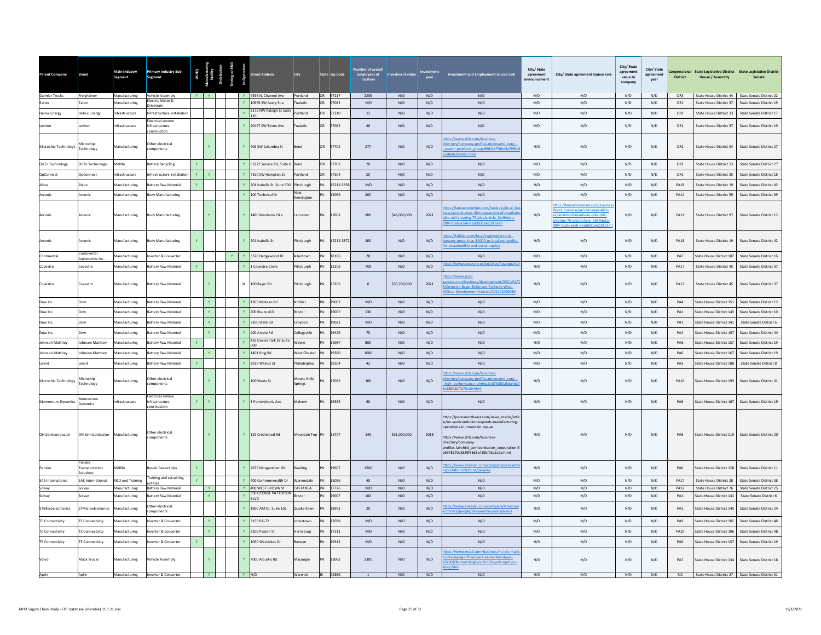| arent Company             | Brand                               | Main Industry<br><b>Segment</b>       | Primary Industry Sub-<br>Segment                    |              |          |              |         | treet Address                               | City                   |    | State Zip Code    | employees at<br>location | ent valu     | vear       | <b>Investment and Employment Source Link</b>                                                                                                                                                                                                                             | City/ State<br>$\!$ agreement<br>announcemen | City/ State agreement Source Link                                                                                                                                         | City/ State<br>agreement<br>value to<br>company | City/State<br>ment<br>vear | <b>District</b>    | Congressional State Legislative District State Legislative District<br><b>House / Assembly</b> | Senate                                                       |
|---------------------------|-------------------------------------|---------------------------------------|-----------------------------------------------------|--------------|----------|--------------|---------|---------------------------------------------|------------------------|----|-------------------|--------------------------|--------------|------------|--------------------------------------------------------------------------------------------------------------------------------------------------------------------------------------------------------------------------------------------------------------------------|----------------------------------------------|---------------------------------------------------------------------------------------------------------------------------------------------------------------------------|-------------------------------------------------|----------------------------|--------------------|------------------------------------------------------------------------------------------------|--------------------------------------------------------------|
| Daimler Trucks            | Freightliner                        | Manufacturing                         | Vehicle Assembly<br>lectric Motor &                 |              |          |              |         | Y 4555 N. Channel Ave Portland              |                        |    | OR 97217          | 2255                     | N/D          | N/D        | N/D                                                                                                                                                                                                                                                                      | N/D                                          | N/D                                                                                                                                                                       | N/D                                             | N/D                        | OR3                |                                                                                                | State House District 44 State Senate District 22             |
| Eaton                     | Eaton                               | <b>Manufacturing</b>                  | rivetrain                                           |              |          |              |         | 10955 SW Avery St a                         | <b>Tualatin</b>        | OR | 7062              | N/D                      | N/D          | N/D        | N/D                                                                                                                                                                                                                                                                      | $\mathrm{N}/\mathrm{D}$                      | N/D                                                                                                                                                                       | N/D                                             | $\rm N/D$                  | ${\sf OR1}$        | State House District 37                                                                        | State Senate District 19                                     |
| <b>Heliox Energy</b>      | <b>Jeliox Energy</b>                | ifrastructure                         | nfrastructure installatio                           |              |          |              |         | 2175 NW Raleigh St Suite<br>110             | Portland               | OR | 97210             | $12\,$                   | N/D          | N/D        | N/D                                                                                                                                                                                                                                                                      | N/D                                          | N/D                                                                                                                                                                       | N/D                                             | N/D                        | OR1                | State House District 33                                                                        | State Senate District 17                                     |
| Leviton                   | Leviton                             | nfrastructure                         | lectrical system<br>nfrastructure<br>construction   |              |          |              |         | Y 20497 SW Teton Ave                        | Tualatin               | OR | 97062             | $46\,$                   | N/D          | N/D        | N/D                                                                                                                                                                                                                                                                      | N/D                                          | N/D                                                                                                                                                                       | N/D                                             | N/D                        | OR1                | State House District 37                                                                        | State Senate District 19                                     |
| Microchip Technology      | Microchip<br><b>Fechnology</b>      | Manufacturing                         | Other electrical<br>omponents                       |              |          |              |         | Y 405 SW Columbia St                        | Bend                   | OR | 97702             | 277                      | N/D          | N/D        | os://www.dnb.com/business<br>rectory/company-profiles.microsemi corp<br>ower products group.8664c1f78bd3a7f96c<br>8a4c05ad6c.html                                                                                                                                        | N/D                                          | N/D                                                                                                                                                                       | N/D                                             | N/D                        | OR <sub>2</sub>    | State House District 54                                                                        | State Senate District 27                                     |
| OnTo Technology           | OnTo Technology                     | Midlife                               | attery Recycling                                    | Y            |          |              |         | Y 63221 Service Rd, Suite 6                 | Bend                   | OR | 97703             | 20                       | N/D          | N/D        | N/D                                                                                                                                                                                                                                                                      | N/D                                          | N/D                                                                                                                                                                       | N/D                                             | N/D                        | OR <sub>2</sub>    | State House District 53                                                                        | State Senate District 27                                     |
| OpConnect                 | OnConnect                           | nfrastructure                         | nfrastructure installation                          | Y            |          |              |         | Y 7150 SW Hampton St                        | Portland               | OR | 97204             | 20                       | N/D          | N/D        | N/D                                                                                                                                                                                                                                                                      | N/D                                          | N/D                                                                                                                                                                       | N/D                                             | N/D                        | OR1                | State House District 35                                                                        | State Senate District 18                                     |
| Alcoa                     | Alcoa                               | Manufacturing                         | attery Raw Material                                 | $\mathbf{Y}$ |          |              |         | Y 201 Isabella St, Suite 500 Pittsburgh     |                        | PA | 15212-5858        | N/D                      | N/D          | N/D        | N/D                                                                                                                                                                                                                                                                      | N/D                                          | N/D                                                                                                                                                                       | N/D                                             | N/D                        | <b>PA18</b>        | State House District 19                                                                        | State Senate District 42                                     |
| Arconic                   | Arconic                             | Manufacturing                         | ody Manufacturing                                   |              |          |              |         | 100 Technical Dr                            | Kensington             |    | 15069             | 200                      | N/D          | N/D        | N/D                                                                                                                                                                                                                                                                      | N/D                                          | N/D                                                                                                                                                                       | N/D                                             | N/D                        | <b>PA14</b>        | State House District 59                                                                        | State Senate District 39                                     |
| Arconic                   | Arconic                             | Manufacturing                         | Body Manufacturing                                  |              |          |              |         | Y 1480 Manheim Pike                         | Lancaster              |    | 17601             | 800                      | \$46,000,000 | 2021       | s://lancasteronline.com/business/local_bi<br>ness/arconic-eyes-46m-expansion-of-manheir<br>ike-mill-creating-75-jobs/article 3b49da1a-<br>f04-11eb-a3eb-ebdd831e6239.html                                                                                                | N/D                                          | ps://lancasteronline.com/busine<br>ocal business/arconic-eyes-46m-<br>pansion-of-manheim-pike-mill-<br>reating-75-jobs/article 3b49da1a-<br>04-11eb-a3eb-ebdd831e6239.htm | N/D                                             | N/D                        | <b>PA11</b>        | State House District 97                                                                        | State Senate District 13                                     |
| Arconic                   | Arconic                             | Manufacturing                         | Body Manufacturing                                  | $\mathbf{Y}$ |          |              |         | Y 201 Isabella St                           | Pittsburgh             | DA | 15212-5872        | 400                      | N/D          | N/D        | tps://triblive.com/local/regional/arconic-<br>pnates-more-than-80000-to-local-nonprofits<br>-sustainability-and-social-equity/                                                                                                                                           | N/D                                          | N/D                                                                                                                                                                       | N/D                                             | N/D                        | <b>PA18</b>        | State House District 19                                                                        | State Senate District 42                                     |
| Continental               | Continental<br>Automotive In        | Manufacturing                         | werter & Converter                                  |              |          | $\mathbf{Y}$ |         | 6370 Hedgewood Dr                           | Allentown              |    | 18106             | 28                       | N/D          | N/D        | N/D                                                                                                                                                                                                                                                                      | N/D                                          | N/D                                                                                                                                                                       | N/D                                             | N/D                        | PA7                | State House District 187                                                                       | State Senate District 16                                     |
| Covestro                  | Covestro                            | Manufacturing                         | <b>Sattery Raw Material</b>                         | Y            |          |              |         | 1 Covestro Circle                           | Pittsburgh             |    | 15205             | 700                      | N/D          | N/D        | s://www.covestro.us/en/sites/headquarte                                                                                                                                                                                                                                  | N/D                                          | N/D                                                                                                                                                                       | N/D                                             | N/D                        | <b>PA17</b>        | State House District 45                                                                        | State Senate District 37                                     |
| Covestro                  | Covestro                            | Manufacturing                         | <b>Battery Raw Material</b>                         |              |          |              |         | N 100 Baver Rd                              | Pittsburgh             |    | 15205             | $\mathbf{0}$             | \$30,700,000 | 2021       | bs://www.post-<br>ette.com/business/develo<br>nt/2021/01/<br>Covestro-Bayer-Robinson-Parkway-West-<br>Cicco-Development/stories/202101060080                                                                                                                             | N/D                                          | N/D                                                                                                                                                                       | N/D                                             | N/D                        | <b>PA17</b>        | State House District 45                                                                        | State Senate District 37                                     |
| Dow Inc.                  | Dow                                 | Manufacturing                         | <b>Sattery Raw Material</b>                         |              |          |              |         | 1305 McKean Rd                              | Ambler                 | PA | 19002             | N/D                      | N/D          | N/D        | N/D                                                                                                                                                                                                                                                                      | N/D                                          | N/D                                                                                                                                                                       | N/D                                             | N/D                        | PA4                | State House District 151                                                                       | State Senate District 12                                     |
| Dow Inc.                  | Dow                                 | Manufacturing                         | <b>Sattery Raw Material</b>                         |              |          |              |         | 200 Route 413                               | Bristol                | PA | 19007             | 130                      | N/D          | N/D        | N/D                                                                                                                                                                                                                                                                      | N/D                                          | N/D                                                                                                                                                                       | N/D                                             | N/D                        | PA1                | State House District 143                                                                       | State Senate District 10                                     |
| Dow Inc                   | Dow                                 | Manufacturing                         | <b>Sattery Raw Material</b>                         |              | Y.       |              |         | 3100 State Rd                               | Croydon                | PA | 19021             | N/D                      | N/D          | N/D        | N/D                                                                                                                                                                                                                                                                      | N/D                                          | N/D                                                                                                                                                                       | N/D                                             | N/D                        | PA1                | State House District 141                                                                       | State Senate District 6                                      |
| Dow Inc                   | Dow                                 | Aanufacturing                         | attery Raw Material                                 |              |          |              |         | 400 Arcola Rd                               | Collegeville           | PA | 19426             | 75                       | N/D          | N/D        | N/D                                                                                                                                                                                                                                                                      | N/D                                          | N/D                                                                                                                                                                       | N/D                                             | N/D                        | PA4                | State House District 157                                                                       | State Senate District 44                                     |
| Johnson Matthey           | Johnson Matthey                     | Manufacturing                         | <b>Sattery Raw Material</b>                         |              |          |              |         | 435 Devon Park Dr Suite<br>600              | Wavne                  | PA | 19087             | 800                      | N/D          | N/D        | N/D                                                                                                                                                                                                                                                                      | N/D                                          | N/D                                                                                                                                                                       | N/D                                             | N/D                        | PA6                | State House District 157                                                                       | State Senate District 19                                     |
| Johnson Matthey           | Johnson Matthey                     | Manufacturing                         | <b>Sattery Raw Material</b>                         |              |          |              |         | Y 1401 King Rd                              | <b>West Chester</b>    | PA | 19380             | 1000                     | N/D          | N/D        | N/D                                                                                                                                                                                                                                                                      | N/D                                          | N/D                                                                                                                                                                       | N/D                                             | N/D                        | PA6                | State House District 167                                                                       | State Senate District 19                                     |
| Livent                    | Livent                              | Manufacturing                         | Sattery Raw Material                                | Y.           |          |              | Y       | 2929 Walnut St                              | Philadelphia           | PA | 19104             | 42                       | N/D          | N/D        | N/D                                                                                                                                                                                                                                                                      | N/D                                          | N/D                                                                                                                                                                       | N/D                                             | N/D                        | PA3                | State House District 188                                                                       | State Senate District 8                                      |
| Microchip Technology      | <b>Nicrochip</b><br>Technology      | Manufacturing                         | ther electrical<br>mponents                         |              |          |              |         | Y 100 Watts St                              | Mount Holly<br>Springs | DA | 17065             | 100                      | N/D          | N/D        | s://www.dnb.com/business-<br>ectory/company-profiles.microsemi_corp<br>ligh performance timing.3ed75360a5da4dc<br>18802bffb75ea9.html                                                                                                                                    | N/D                                          | N/D                                                                                                                                                                       | N/D                                             | N/D                        | <b>PA10</b>        | State House District 193                                                                       | State Senate District 31                                     |
| Momentum Dynamics         | Momentum<br>Dynamics                | ifrastructure                         | Electrical system<br>nfrastructure<br>onstruction   | Y            |          |              |         | Y 3 Pennsylvania Ave                        | Malvern                |    | 19355             | 60                       | N/D          | N/D        | N/D                                                                                                                                                                                                                                                                      | N/D                                          | N/D                                                                                                                                                                       | N/D                                             | N/D                        | PA6                | State House District 167                                                                       | State Senate District 19                                     |
| ON Semiconductor          | ON Semiconductor Manufacturing      |                                       | Other electrical<br>components                      |              |          |              |         | Y 125 Crestwood Rd                          | Mountain Top PA        |    | 18707             | 145                      | \$51,000,000 | 2018       | ttps://pennsnortheast.com/news media/arti<br>le/on-semiconductor-expands-manufacturing-<br>perations-in-mountain-top-pa<br>https://www.dph.com/business-<br>directory/company-<br>profiles fairchild semiconductor corporation 9<br>b6978170c2829f5168a415bf03a2a7a.html | N/D                                          | N/D                                                                                                                                                                       | N/D                                             | N/D                        | PA8                | State House District 119 State Senate District 20                                              |                                                              |
| Penske                    | Penske<br>Transportation<br>lutions | lidlife                               | tesale Dealerships                                  |              |          |              |         | Y 2675 Morgantown Rd                        | teading                |    | 19607             | 1500                     | N/D          | N/D        | tps://www.linkedin.com/company/pensketr<br>sportationsolutions/people/                                                                                                                                                                                                   | N/D                                          | N/D                                                                                                                                                                       | N/D                                             | $\rm N/D$                  | PA6                | State House District 128                                                                       | State Senate District 11                                     |
| <b>SAE International</b>  | SAE International                   | R&D and Training                      | raining and retraining<br>ntities                   |              |          |              |         | 400 Commonwealth Dr                         | Warrendale             | PA | 15096             | 40                       | N/D          | N/D        | N/D                                                                                                                                                                                                                                                                      | N/D                                          | N/D                                                                                                                                                                       | N/D                                             | N/D                        | <b>PA17</b>        | State House District 28                                                                        | State Senate District 38                                     |
| Solvay<br>Solvay          | olvay<br>iolvay                     | Manufacturing<br><b>Manufacturing</b> | <b>Battery Raw Material</b><br>Battery Raw Material |              | <b>Y</b> |              |         | Y 400 WEST BROWN St<br>350 GEORGE PATTERSON | CASTANEA<br>Iristol    |    | PA 17726<br>19007 | N/D<br>100               | N/D<br>N/D   | N/D<br>N/D | N/D<br>N/D                                                                                                                                                                                                                                                               | N/D<br>N/D                                   | N/D<br>N/D                                                                                                                                                                | N/D<br>N/D                                      | N/D<br>$\rm N/D$           | <b>PA12</b><br>PA1 | State House District 76<br>State House District 141                                            | State Senate District 25<br>State Senate District 6          |
| <b>STMicroelectronics</b> | STMicroelectronics                  | Manufacturing                         | Other electrical<br>omponents                       |              |          |              |         | <b>RIVD</b><br>Y 1900 AM Dr. Suite 102      | Quakertown             | PA | 18951             | 20                       | N/D          | N/D        | ps://www.linkedin.com/company/stmicroe<br>tronics/people/?keywords=pennsylvania                                                                                                                                                                                          | N/D                                          | N/D                                                                                                                                                                       | N/D                                             | N/D                        | PA <sub>1</sub>    | State House District 145                                                                       | State Senate District 24                                     |
| <b>TE Connectivity</b>    | <b>TE Connectivity</b>              | Manufacturing                         | werter & Converter                                  |              | Y.       |              |         | 3155 PA-72                                  | Jonestown              | PA | 17038             | N/D                      | N/D          | N/D        | N/D                                                                                                                                                                                                                                                                      | N/D                                          | N/D                                                                                                                                                                       | N/D                                             | N/D                        | PA9                | State House District 102                                                                       | State Senate District 48                                     |
| <b>TE Connectivity</b>    | <b>TE Connectivity</b>              | Manufacturing                         | werter & Converter                                  |              |          |              |         | 2100 Paxton St                              | Harrisburg             |    | 17111             | N/D                      | N/D          | N/D        | N/D                                                                                                                                                                                                                                                                      | N/D                                          | N/D                                                                                                                                                                       | N/D                                             | N/D                        | <b>PA10</b>        | State House District 106                                                                       | State Senate District 48                                     |
| <b>TE Connectivity</b>    | TE Connectivity                     | Manufacturing                         | werter & Converter                                  |              |          |              |         | 1050 Westlakes Dr                           | Berwyn                 |    | 19312             | N/D                      | N/D          | N/D        | N/D                                                                                                                                                                                                                                                                      | N/D                                          | N/D                                                                                                                                                                       | N/D                                             | N/D                        | PA6                | State House District 157                                                                       | State Senate District 19                                     |
|                           | Mack Trucks                         | Manufacturing                         | /ehicle Assembly                                    |              |          |              |         | Y 7000 Alburtis Rd                          | Macungie               |    | 18062             | 2100                     | N/D          | N/D        | os://www.mcall.com/business/mc-biz-macl<br>ucks-laying-off-workers-as-market-slows-<br>200108-maxhdug5vnc7nh6hqwdn<br>pry.html                                                                                                                                           | N/D                                          | N/D                                                                                                                                                                       | N/D                                             | N/D                        | PA7                | State House District 134                                                                       | State Senate District 16                                     |
| Aptiv                     | Aptiv                               |                                       | Manufacturing Inverter & Converter                  |              | Y        |              | $Y$ N/D |                                             | Warwick                |    | RI 02886          | $\overline{1}$           | N/D          | N/D        | N/D                                                                                                                                                                                                                                                                      | N/D                                          | N/D                                                                                                                                                                       |                                                 |                            |                    |                                                                                                | N/D N/D RI2 State House District 27 State Senate District 31 |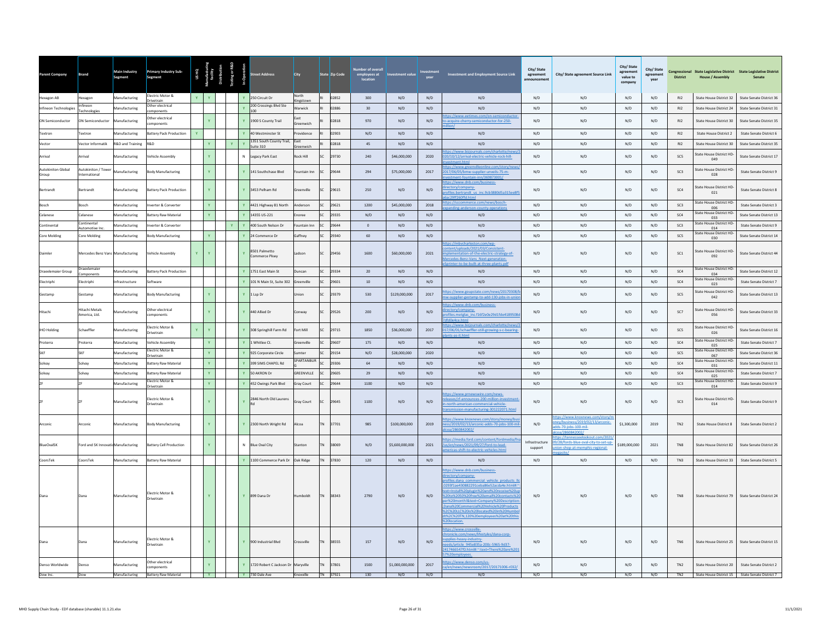| Parent Company                     | rand                               | Main Industry<br>Segment | Primary Industry Sub-<br>Segment      |                                                             |                     |   | eet Address                              | City              |           | State Zip Code | employees at<br>location | stment value    | vear | <b>Investment and Employment Source Link</b>                                                                                                                                                                                                                                                                                                                                                                      | City/ State<br>$\!$ agreement<br>nnouncemen | City/ State agreement Source Link                                                                               | City/ State<br>agreement<br>value to<br>company | City/State<br>agreement<br>year | <b>District</b> | Congressional State Legislative District State Legislative District<br><b>House / Assembly</b> | Senate                                                  |
|------------------------------------|------------------------------------|--------------------------|---------------------------------------|-------------------------------------------------------------|---------------------|---|------------------------------------------|-------------------|-----------|----------------|--------------------------|-----------------|------|-------------------------------------------------------------------------------------------------------------------------------------------------------------------------------------------------------------------------------------------------------------------------------------------------------------------------------------------------------------------------------------------------------------------|---------------------------------------------|-----------------------------------------------------------------------------------------------------------------|-------------------------------------------------|---------------------------------|-----------------|------------------------------------------------------------------------------------------------|---------------------------------------------------------|
| Hexagon AB                         | lexagon                            | Manufacturing            | ectric Motor &<br><b>Orivetrain</b>   |                                                             | $\mathbf{Y}$        |   | $\mathbf{Y}$<br>250 Circuit Dr           | North<br>ingstowr |           | 02852          | 300                      | N/D             | N/D  | N/D                                                                                                                                                                                                                                                                                                                                                                                                               | N/D                                         | N/D                                                                                                             | N/D                                             | N/D                             | R12             | State House District 32                                                                        | State Senate District 36                                |
| Infineon Technologies              | nfineon<br>echnologies             | <b>Manufacturing</b>     | ther electrical<br>mponents           |                                                             |                     |   | 200 Crossings Blvd Ste                   | <b>Narwick</b>    |           | 02886          | 30                       | N/D             | N/D  | N/D                                                                                                                                                                                                                                                                                                                                                                                                               | N/D                                         | N/D                                                                                                             | N/D                                             | N/D                             | R12             | State House District 24                                                                        | State Senate District 31                                |
| ON Semiconductor                   | ON Semiconductor                   | Manufacturing            | ther electrical<br>omponents          |                                                             | Y.                  |   | 1900 S County Trail                      | <b>Sreenwich</b>  |           | 02818          | 970                      | N/D             | N/D  | tps://www.eetimes.com/on-semiconductor<br>acquire-cherry-semiconductor-for-250-                                                                                                                                                                                                                                                                                                                                   | N/D                                         | N/D                                                                                                             | N/D                                             | N/D                             | R12             | <b>State House District 30</b>                                                                 | State Senate District 35                                |
| Textron                            | <b>Fextron</b>                     | Manufacturing            | attery Pack Production                | Y.                                                          |                     |   | $\mathbf{v}$<br>40 Westminster St        | ovidence          |           | 02903          | N/D                      | N/D             | N/D  | N/D                                                                                                                                                                                                                                                                                                                                                                                                               | N/D                                         | N/D                                                                                                             | N/D                                             | N/D                             | R12             | State House District 2                                                                         | State Senate District 6                                 |
| Vector                             | /ector Informatik                  | R&D and Training         | <b>G&amp;P</b>                        |                                                             | Y                   | Y | 351 South County Trail,<br>uite 310      | East              |           | 02818          | 45                       | N/D             | N/D  | N/D                                                                                                                                                                                                                                                                                                                                                                                                               | N/D                                         | N/D                                                                                                             | N/D                                             | N/D                             | R12             | State House District 30                                                                        | <b>State Senate District 35</b>                         |
| Arrival                            | <b>Arrival</b>                     | <b>Manufacturing</b>     | ehicle Assembly                       |                                                             | Y                   |   | Legacy Park East                         | Rock Hill         |           | 29730          | 240                      | \$46,000,000    | 2020 | ://www.bi<br>0/10/12/arrival-electric-vehicle-rock-hill-<br>stment.html                                                                                                                                                                                                                                                                                                                                           | N/D                                         | $\rm N/D$                                                                                                       | N/D                                             | N/D                             | $SC5$           | State House District HD<br>049                                                                 | State Senate District 17                                |
| <b>Autokiniton Global</b><br>Group | Autokiniton / Tower<br>ternational | Manufacturing            | <b>Body Manufacturing</b>             |                                                             | Y                   |   | 141 Southchase Blvd                      | ountain Inn       |           | SC 29644       | 294                      | \$75,000,000    | 2017 | ps://www.greenvilleonline.com/story/r<br>2017/06/05/bmw-supplier-unveils-75-m-<br>ent-fountain-inn/369873001/                                                                                                                                                                                                                                                                                                     | N/D                                         | N/D                                                                                                             | N/D                                             | N/D                             | SC <sub>3</sub> | State House District HD<br>028                                                                 | State Senate District 9                                 |
| Bertrandt                          | <b>Sertrandt</b>                   | Manufacturing            | attery Pack Production                |                                                             | $\mathbf{v}$        |   | $\mathbf{v}$<br>3453 Pelham Rd           | reenville         | <b>SC</b> | 29615          | 250                      | N/D             | N/D  | ttps://www.dnb.com/business-<br>rectory/company-<br>rofiles.bertrandt us inc.9cb3880d5a315ee8f5<br>c29ff260ffd.html                                                                                                                                                                                                                                                                                               | N/D                                         | N/D                                                                                                             | N/D                                             | N/D                             | SC4             | <b>State House District HD</b><br>021                                                          | State Senate District 8                                 |
| Bosch                              | Bosch                              | Manufacturing            | verter & Converter                    |                                                             | Y                   |   | 4421 Highway 81 North                    | Anderson          | SC.       | 29621          | 1200                     | \$45,000,000    | 2018 | bs://sccommerce.com/news/bosch-<br>nding-anderson-county-operati                                                                                                                                                                                                                                                                                                                                                  | N/D                                         | N/D                                                                                                             | N/D                                             | N/D                             | SC <sub>3</sub> | State House District HD-<br>006                                                                | State Senate District 3                                 |
| Celanese                           | elanese                            | Manufacturing            | attery Raw Material                   |                                                             | Y                   |   | 14355 US-221                             | noree             |           | 29335          | N/D                      | N/D             | N/D  | N/D                                                                                                                                                                                                                                                                                                                                                                                                               | N/D                                         | N/D                                                                                                             | N/D                                             | N/D                             | SC4             | <b>State House District HD</b><br>033                                                          | State Senate District 13                                |
| Continental                        | Continental<br>utomotive Ind       | Manufacturing            | verter & Converter                    |                                                             |                     |   | 400 South Nelson Dr                      | ountain Inn       |           | 29644          | $\circ$                  | N/D             | N/D  | N/D                                                                                                                                                                                                                                                                                                                                                                                                               | N/D                                         | N/D                                                                                                             | N/D                                             | N/D                             | SC3             | <b>State House District HD</b><br>014                                                          | State Senate District 9                                 |
| Core Molding                       | ore Molding                        | <b>Aanufacturing</b>     | ody Manufacturing                     |                                                             | Y.                  |   | 24 Commerce Dr                           | iaffney           |           | 29340          | 60                       | N/D             | N/D  | N/D                                                                                                                                                                                                                                                                                                                                                                                                               | N/D                                         | N/D                                                                                                             | N/D                                             | N/D                             | SC <sub>5</sub> | State House District HD-<br>030                                                                | State Senate District 14                                |
| Daimler                            | Mercedes Benz Vans Manufacturing   |                          | ehicle Assembly                       | Y.                                                          | Ÿ                   |   | 8501 Palmetto<br>Commerce Pkwy           | Ladson            | SC        | 29456          | 1600                     | \$60,000,000    | 2021 | ttps://mbycharleston.com/wp-<br>tent/uploads/2021/03/Consistent-<br>ementation-of-the-electric-strategy-of-<br>rcedes-Benz-Vans Next-generation<br>nter-to-be-built-at-three-plants.pdf                                                                                                                                                                                                                           | N/D                                         | N/D                                                                                                             | N/D                                             | N/D                             | SC <sub>1</sub> | <b>State House District HD</b><br>092                                                          | State Senate District 44                                |
| Draexlemaier Group                 | raexlemaier<br>mponents            | Manufacturing            | Battery Pack Production               |                                                             |                     |   | 1751 East Main St                        | Duncan            | SC.       | 29334          | 20                       | N/D             | N/D  | N/D                                                                                                                                                                                                                                                                                                                                                                                                               | N/D                                         | N/D                                                                                                             | N/D                                             | N/D                             | SC <sub>4</sub> | <b>State House District HD</b><br>034                                                          | State Senate District 12                                |
| Electriphi                         | lectriphi                          | nfrastructure            | oftware                               |                                                             |                     |   | 101 N Main St, Suite 302                 | Greenville        |           | 29601          | 10                       | N/D             | N/D  | N/D                                                                                                                                                                                                                                                                                                                                                                                                               | N/D                                         | N/D                                                                                                             | N/D                                             | N/D                             | SC <sub>4</sub> | State House District HD-<br>023                                                                | State Senate District 7                                 |
| Gestamp                            | Gestamp                            | Manufacturing            | <b>Body Manufacturing</b>             |                                                             | <b>Y</b>            |   | $\mathbf{Y}$<br>1 Lsp Dr                 | Jnion             | SC        | 29379          | 530                      | \$129,000,000   | 2017 | os://www.goupstate.com/news/20170308<br>-supplier-gestamp-to-add-130-jobs-in-un                                                                                                                                                                                                                                                                                                                                   | N/D                                         | N/D                                                                                                             | N/D                                             | N/D                             | SC <sub>5</sub> | State House District HD-<br>042                                                                | State Senate District 13                                |
| Hitachi                            | Hitachi Metals<br>America, Ltd.    | Manufacturing            | ther electrical<br>omponents          |                                                             |                     |   | 440 Allied Dr                            | onway             | SC        | 29526          | 200                      | N/D             | N/D  | ttps://www.dnb.com/business-<br>ectory/company-<br>files.metglas_inc.f16f2e0e29d1fde4189508<br>0e4ce.html                                                                                                                                                                                                                                                                                                         | N/D                                         | N/D                                                                                                             | N/D                                             | N/D                             | SC7             | State House District HD-<br>056                                                                | State Senate District 33                                |
| <b>IHO Holding</b>                 | chaeffler                          | anufacturing             | lectric Motor &<br>rivetrain          |                                                             | $\mathbf{v}$        |   | 308 Springhill Farm Rd                   | ort Mill          |           | 29715          | 1850                     | \$36,000,000    | 2017 | ps://www.bizjournals.com/charlotte/news/<br>7/06/01/schaeffler-still-growing-s-c-bearing-<br>s-as-it html                                                                                                                                                                                                                                                                                                         | N/D                                         | N/D                                                                                                             | N/D                                             | N/D                             | SC5             | State House District HD-<br>026                                                                | State Senate District 16                                |
| Proterra                           | roterra                            | <b>Manufacturing</b>     | ehicle Assembly                       |                                                             | $\mathbf{Y}$ .      |   | Whitlee Ct.                              | Greenville        |           | 29607          | 175                      | N/D             | N/D  | N/D                                                                                                                                                                                                                                                                                                                                                                                                               | N/D                                         | N/D                                                                                                             | N/D                                             | N/D                             | SC <sub>4</sub> | <b>State House District HD</b><br>025                                                          | <b>State Senate District 7</b>                          |
|                                    | <b>SKF</b>                         | lanufacturing            | lectric Motor &<br>rivetrain          |                                                             | $\mathbf{Y}$ .      |   | 925 Corporate Circle                     | umter             |           | 29154          | N/D                      | \$28,000,000    | 2020 | N/D                                                                                                                                                                                                                                                                                                                                                                                                               | N/D                                         | N/D                                                                                                             | N/D                                             | N/D                             | SC <sub>5</sub> | State House District HD-<br>067                                                                | State Senate District 36                                |
|                                    | Solvay                             | Manufacturing            | attery Raw Material                   |                                                             | $\mathbf{Y}^{\top}$ |   | 399 SIMS CHAPEL Rd                       | SPARTANBUR        |           | 29306          | 64                       | N/D             | N/D  | N/D                                                                                                                                                                                                                                                                                                                                                                                                               | N/D                                         | $\rm N/D$                                                                                                       | N/D                                             | N/D                             | SC <sub>4</sub> | State House District HD-<br>031                                                                | State Senate District 11                                |
| Solvav                             | Solvay                             | Manufacturing            | attery Raw Material                   |                                                             | V                   |   | 50 AKRON Dr                              | <b>GREENVILLE</b> |           | 29605          | 29                       | N/D             | N/D  | N/D                                                                                                                                                                                                                                                                                                                                                                                                               | N/D                                         | N/D                                                                                                             | N/D                                             | N/D                             | SC4             | <b>State House District HD</b><br>025                                                          | State Senate District 7                                 |
|                                    |                                    | Manufacturing            | lectric Motor &<br>rivetrain          |                                                             | $\mathbf{Y}^{\top}$ |   | 452 Owings Park Blvd                     | Gray Court        |           | 29644          | 1100                     | N/D             | N/D  | N/D                                                                                                                                                                                                                                                                                                                                                                                                               | N/D                                         | N/D                                                                                                             | N/D                                             | N/D                             | SC <sub>3</sub> | <b>State House District HD</b><br>014                                                          | State Senate District 9                                 |
|                                    |                                    | Manufacturing            | lectric Motor &<br>rivetrain          |                                                             | Y                   |   | 2846 North Old Laurens<br>$\mathbf{v}$   | Gray Court        |           | SC 29645       | 1100                     | N/D             | N/D  | os://www.prnewswire.com/news-<br>leases/zf-announces-200-million-invest<br>north-american-commercial-vehicle-<br>smission-manufacturing-301222071.htm                                                                                                                                                                                                                                                             | N/D                                         | N/D                                                                                                             | N/D                                             | N/D                             | SC <sub>3</sub> | <b>State House District HD</b><br>014                                                          | State Senate District 9                                 |
| Arconic                            | Arconic                            | Manufacturing            | ody Manufacturing                     |                                                             | Y.                  |   | $\mathbf{v}$<br>2300 North Wright Rd     | Alcoa             | <b>TN</b> | 37701          | 985                      | \$100,000,000   | 2019 | os://www.knoxnews.com/story/money/bu<br>ess/2019/02/13/arconic-adds-70-jobs-100-mi<br>oa/2860842002/                                                                                                                                                                                                                                                                                                              | N/D                                         | https://www.knoxnews.com/story/n<br>hev/business/2019/02/13/arconic-<br>Ids-70-jobs-100-mil-<br>a/2860842002    | \$1,300,000                                     | 2019                            | TN <sub>2</sub> | <b>State House District 8</b>                                                                  | State Senate District 2                                 |
| <b>BlueOvalSK</b>                  | Ford and SK InnovatioManufacturing |                          | sattery Cell Production               |                                                             | Y.                  |   | N<br><b>Blue Oval City</b>               | Stanton           | <b>TN</b> | 38069          | N/D                      | \$5,600,000,000 | 2021 | ps://media.ford.com/content/fordmedia/fr<br>us/en/news/2021/09/27/ford-to-lead-<br>ericas-shift-to-electric-vehicles.html                                                                                                                                                                                                                                                                                         | Infrastructure<br>support                   | tps://tennesseelookout.com/2021<br>/28/fords-blue-oval-city-to-set-up-<br>on-shop-at-memphis-regional-<br>cita/ | \$189,000,000                                   | 2021                            | TN8             | State House District 82                                                                        | <b>State Senate District 26</b>                         |
| CoorsTek                           | CoorsTek                           | Manufacturing            | Battery Raw Material                  |                                                             |                     |   | 1100 Commerce Park Dr                    | Oak Ridge         |           | 37830          | 120                      | N/D             | N/D  | N/D                                                                                                                                                                                                                                                                                                                                                                                                               | N/D                                         | N/D                                                                                                             | N/D                                             | N/D                             | TN3             | State House District 33                                                                        | State Senate District 5                                 |
|                                    |                                    | Manufacturing            | Electric Motor &<br>rivetrain         |                                                             | Y                   |   | Y 899 Dana Dr                            | Humboldt          | <b>TN</b> | 38343          | 2790                     | N/D             | N/D  | ttps://www.dnb.com/business-<br>ectory/company-<br>ofiles.dana commercial vehicle products II<br>0293f1ae430882291ceba86e52acda4e.html#:1<br>xt=Install%20plugin%20and%20receive%20u<br>%20to%2050%20free%20email%20contacts%2<br>er%20month!&text=Company%20Description<br>Dana%20Commercial%20Vehicle%20Products<br>%2C%20LLC%20is%20located%20in%20Humb<br>dt%2C%20TN.120%20employees%20at%20th<br>20location. | N/D                                         | N/D                                                                                                             | N/D                                             | N/D                             | TN <sub>8</sub> | State House District 79                                                                        | State Senate District 24                                |
|                                    |                                    | Manufacturing            | Electric Motor &<br><b>Orivetrain</b> |                                                             | $\mathbf{Y}^{\top}$ |   | Y 900 Industrial Blvd                    | Crossville        | TN        | 38555          | 157                      | N/D             | N/D  | ps://www.cross<br>nronicle.com/news/lifestyles/dana-corp-<br>pplies-heavy-industry-<br>eds/article 945e835a-200c-5965-9d37-<br>2417466547f0.html#:~:text=There%20are%20:                                                                                                                                                                                                                                          | N/D                                         | $\rm N/D$                                                                                                       | N/D                                             | N/D                             | TN <sub>6</sub> | State House District 25                                                                        | State Senate District 15                                |
| Denso Worldwide                    | enso                               | Aanufacturing            | Other electrical<br>omponents         |                                                             | $\mathbf{Y}$ .      |   | $\mathbf{Y}$<br>1720 Robert C Jackson Dr | Maryville         | TN        | 37801          | 1500                     | \$1,000,000,000 | 2017 | ttps://www.denso.com/us-<br>ca/en/news/newsroom/2017/20171006-r032/                                                                                                                                                                                                                                                                                                                                               | N/D                                         | N/D                                                                                                             | N/D                                             | N/D                             | TN <sub>2</sub> | State House District 20                                                                        | State Senate District 2                                 |
| Dow Inc.                           | Dow                                | Manufacturing            | <b>Battery Raw Material</b>           | $\blacksquare$ $\blacksquare$ $\blacksquare$ $\blacksquare$ |                     |   | Y 730 Dale Ave                           | Knoxville         |           | TN 37921       | 130                      | N/D             | N/D  | N/D                                                                                                                                                                                                                                                                                                                                                                                                               | N/D                                         | N/D                                                                                                             | N/D                                             |                                 |                 |                                                                                                | N/D TN2 State House District 15 State Senate District 7 |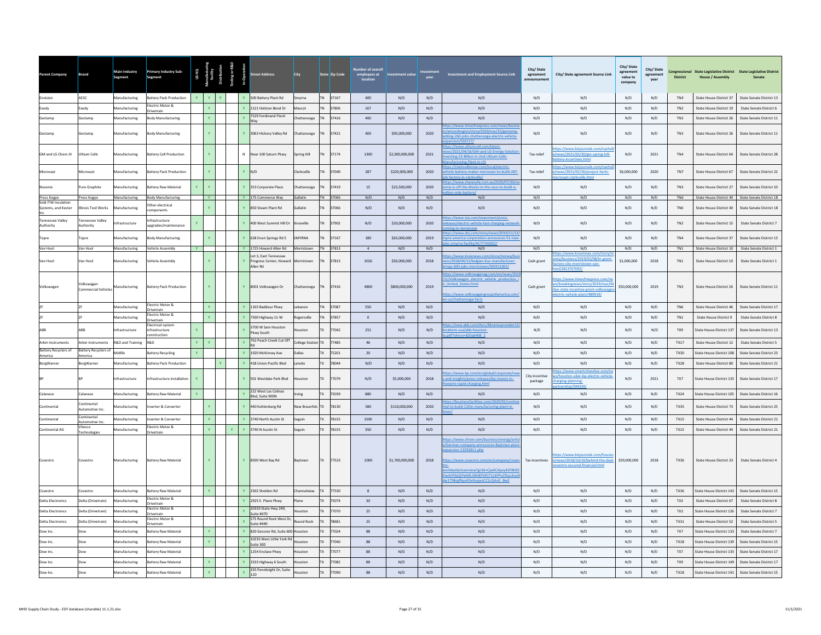| Parent Company                         | Brand                             | Main Industry<br>Segment    | <b>Primary Industry Sub-</b><br>Segment          | <b>USHQ</b>  |              |              | reet Address                                                            | City                |           | State Zip Code | <b>Number of overal</b><br>employees at<br>location | <b>Investment value</b> |                         | Investment and Employment Source Link                                                                                                                                                                                                                                       | City/State<br>agreement<br>announcement | City/ State agreement Source Link                                                                                                       | City/ State<br>agreement<br>value to<br>company | City/State<br>agreement<br>vear | <b>District</b> | Congressional State Legislative District State Legislative District<br><b>House / Assembly</b> | Senate                                          |
|----------------------------------------|-----------------------------------|-----------------------------|--------------------------------------------------|--------------|--------------|--------------|-------------------------------------------------------------------------|---------------------|-----------|----------------|-----------------------------------------------------|-------------------------|-------------------------|-----------------------------------------------------------------------------------------------------------------------------------------------------------------------------------------------------------------------------------------------------------------------------|-----------------------------------------|-----------------------------------------------------------------------------------------------------------------------------------------|-------------------------------------------------|---------------------------------|-----------------|------------------------------------------------------------------------------------------------|-------------------------------------------------|
| Envision                               | AESC                              | Manufacturing               | Battery Pack Production                          | $\mathbf{Y}$ | $Y =$        |              | Y 500 Battery Plant Rd                                                  | Smyrna              |           | TN 37167       | 400                                                 | N/D                     | N/D                     | N/D                                                                                                                                                                                                                                                                         | N/D                                     | N/D                                                                                                                                     | N/D                                             | N/D                             | TN4             | State House District 37                                                                        | State Senate District 13                        |
| Exedy                                  | Exedy                             | Manufacturing               | Electric Motor &<br><b>Drivetrain</b>            |              |              |              | Y 2121 Holston Bend Dr                                                  | Mascot              | <b>TN</b> | 37806          | 167                                                 | N/D                     | N/D                     | N/D                                                                                                                                                                                                                                                                         | N/D                                     | N/D                                                                                                                                     | N/D                                             | N/D                             | TN <sub>2</sub> | State House District 19                                                                        | State Senate District 6                         |
| Gestamn                                | Gestamn                           | Manufacturing               | Body Manufacturing                               |              | Y.           |              | 7529 Ferdinand Piech<br>Wav                                             | Chattanooga         | <b>TN</b> | 37416          | 400                                                 | N/D                     | N/D                     | N/D                                                                                                                                                                                                                                                                         | N/D                                     | N/D                                                                                                                                     | N/D                                             | N/D                             | TN3             | State House District 26                                                                        | State Senate District 11                        |
| Gestamp                                | Gestamp                           | Manufacturing               | <b>Body Manufacturing</b>                        |              |              |              | Y 3063 Hickory Valley Rd                                                | Chattanooga         |           | TN 37421       | 400                                                 | \$95,000,000            | 2020                    | <u>ps://www.timesfreepress.com/news/bus</u><br>aroundregion/story/2020/nov/25/gestamp<br>Iding-260-jobs-chattanooga-electric-vehicle<br>nsion/536727/                                                                                                                       | N/D                                     | N/D                                                                                                                                     | N/D                                             | N/D                             | TN3             | State House District 26                                                                        | State Senate District 11                        |
| GM and LG Chem JV                      | Ultium Cells                      | Manufacturing               | attery Cell Production                           |              |              |              | N Near 100 Saturn Pkwy                                                  | Spring Hill         | <b>TN</b> | 37174          | 1300                                                | \$2,300,000,000         | 2021                    | ws/2021/04/16/GM-and-LG-Energy-Solutic<br>vesting-23-Billion-in-2nd-Ultium-Cells-<br>nufacturing-Plant-in-US                                                                                                                                                                | Tax relief                              | ps://www.bizjournals.com/nashy<br>lews/2021/03/30/gm-spring-hill-<br>tery-incentives.html                                               | N/D                                             | 2021                            | TN4             | State House District 64                                                                        | <b>State Senate District 28</b>                 |
| Microvast                              | Microvast                         | Manufacturing               | <b>Sattery Pack Production</b>                   |              |              |              | $Y$ N/D                                                                 | Clarksville         | <b>TN</b> | 37040          | 287                                                 | \$220,000,000           | 2020                    | tps://clarksvillenow.com/local/electric-<br>icle-battery-maker-microvast-to-build-287                                                                                                                                                                                       | Tax relief                              | tos://www.biziournals.com/nashy<br>ews/2021/02/26/project-hertz-<br>vast-clarksville.htm                                                | \$6,000,000                                     | 2020                            | TN7             | State House District 67                                                                        | State Senate District 22                        |
| ovoni                                  | ure Graphite                      | anufacturing                | ttery Raw Material                               |              |              |              | 353 Corporate Place                                                     | Chattanooga         |           | 37419          | 15                                                  | \$23,500,000            | 2020                    | tps://www.sharecafe.com.au/2020/07/30/<br>ix-is-off-the-blocks-in-the-race-to-build-a-                                                                                                                                                                                      | N/D                                     | N/D                                                                                                                                     | N/D                                             | N/D                             | TN3             | State House District 27                                                                        | State Senate District 10                        |
| Press Kogyo<br>Sold ITW Insulation     | Press Kogyo                       | <b>Manufacturing</b>        | <b>Body Manufacturing</b>                        |              | Y.           |              | Y 175 Commerce Way                                                      | Gallatin            |           | TN 37066       | N/D                                                 | N/D                     | N/D                     | N/D                                                                                                                                                                                                                                                                         | N/D                                     | N/D                                                                                                                                     | N/D                                             | N/D                             | TN <sub>6</sub> | State House District 40                                                                        | State Senate District 18                        |
| Systems, and Kester                    | inois Tool Works                  | anufacturing                | Other electrical<br>mponents                     |              |              |              | Y 850 Steam Plant Rd                                                    | Gallatin            |           | 37066          | N/D                                                 | N/D                     | N/D                     | N/D                                                                                                                                                                                                                                                                         | N/D                                     | N/D                                                                                                                                     | N/D                                             | N/D                             | TN <sub>6</sub> | State House District 40                                                                        | State Senate District 18                        |
| <b>Tennessee Valley</b><br>Authority   | ennessee Valley<br>uthority       | ifrastructure               | nfrastructure<br>ipgrades/maintenance            | Y            |              |              | Y 400 West Summit Hill Dr                                               | Knoxville           | <b>TN</b> | 37902          | N/D                                                 | \$20,000,000            | 2020                    | os://www.tva.com/newsroom/press-<br>eases/electric-vehicle-fast-charging-networ<br>ng-to-ter                                                                                                                                                                                | N/D                                     | N/D                                                                                                                                     | N/D                                             | N/D                             | TN <sub>2</sub> | State House District 15                                                                        | State Senate District 7                         |
| Topre                                  | Topre                             | Manufacturing               | <b>Sody Manufacturing</b>                        |              |              |              | Y 628 Enon Springs Rd E                                                 | SMYRNA              | <b>TN</b> | 37167          | 180                                                 | \$63,000,000            | 2019                    | ps://www.dni.com/story/news/2019/11/13<br>opre-america-corporation-announces-51-new                                                                                                                                                                                         | N/D                                     | N/D                                                                                                                                     | N/D                                             | N/D                             | TN4             | State House District 37                                                                        | State Senate District 13                        |
| Van Hool                               | Van Hool                          | Manufacturing               | <b>Vehicle Assembly</b>                          | <b>Y</b>     |              |              | Y 1725 Howard Allen Rd                                                  | Morristown TN 37813 |           |                | $\overline{4}$                                      | N/D                     | N/D                     | -smyrna-facility/4177743002/<br>N/D                                                                                                                                                                                                                                         | N/D                                     | N/D                                                                                                                                     | N/D                                             | N/D                             | TN1             |                                                                                                | State House District 10 State Senate District 1 |
| Van Hool                               | Van Hool                          | Manufacturing               | /ehicle Assembly                                 |              |              |              | Lot 3, East Tennessee<br>Progress Center, Howard Morristown<br>Allen Rd |                     | <b>TN</b> | 37813          | 1026                                                | \$50,000,000            | 2018                    | tps://www.knoxnews.com/story/money/bi<br>ess/2018/04/12/belgian-bus-manufacturer-<br>ngs-600-jobs-morristown/500311002/                                                                                                                                                     | Cash grant                              | s://www.knoxnews.co<br>y/business/2019/02/08/tn-gran<br>tory-site-morristown-van-<br>/2813707002/                                       | \$1,000,000                                     | 2018                            | TN <sub>1</sub> | State House District 10                                                                        | State Senate District 1                         |
| Volkswagen                             | Volkswagen<br>Commercial Vehicles | Manufacturing               | <b>Battery Pack Production</b>                   |              |              |              | Y 8001 Volkswagen Dr                                                    | Chattanooga         | <b>TN</b> | 37416          | 4800                                                | \$800,000,000           | 2019                    | ps://www.volkswagenag.com/en/news/20<br>'11/Volkswagen electric vehicle production<br><b>United States.html</b><br>ps://www.volkswagengroupofamerica.com/                                                                                                                   | Cash grant                              | tos://www.timesfreepress.com/n<br>s/breakingnews/story/2019/mar/04<br>ee-state-incentive-grant-volkswage<br>ctric-vehicle-plant/489919/ | \$50,000,000                                    | 2019                            | $TN3$           | State House District 26                                                                        | State Senate District 11                        |
|                                        | 76                                | Manufacturing               | Electric Motor &<br>rivetrain                    |              | $\mathbf{Y}$ |              | Y 1103 Baddour Pkwy                                                     | Lebanon             | <b>TN</b> | 37087          | 550                                                 | N/D                     | N/D                     | N/D                                                                                                                                                                                                                                                                         | N/D                                     | N/D                                                                                                                                     | N/D                                             | N/D                             | TN6             | State House District 46                                                                        | State Senate District 17                        |
|                                        |                                   | Manufacturing               | ectric Motor &<br>rivetrain                      |              |              |              | 7500 Highway 11-W                                                       | Rogersville         | <b>TN</b> | 37857          | $\overline{0}$                                      | N/D                     | N/D                     | N/D                                                                                                                                                                                                                                                                         | N/D                                     | N/D                                                                                                                                     | N/D                                             | N/D                             | TN1             | State House District 9                                                                         | State Senate District 8                         |
| ARR                                    | ABB                               | ifrastructure               | lectrical system<br>nfrastructure<br>onstruction |              |              |              | 3700 W Sam Houston<br>kwy South                                         | ouston              | <b>TX</b> | 77042          | 251                                                 | N/D                     | N/D                     | tps://new.abb.com/docs/librariesprovider15<br>cations-usa/abb-houston-<br>df?sfyrsn=820a6408-2                                                                                                                                                                              | N/D                                     | N/D                                                                                                                                     | N/D                                             | N/D                             | TX9             | State House District 137                                                                       | State Senate District 13                        |
| <b>Arbin Instruments</b>               | Arbin Instruments                 | <b>R&amp;D and Training</b> | R&D                                              | $\mathbf{Y}$ | Y            |              | 762 Peach Creek Cut Off                                                 | College Station TX  |           | 77485          | $46\,$                                              | N/D                     | N/D                     | N/D                                                                                                                                                                                                                                                                         | N/D                                     | N/D                                                                                                                                     | N/D                                             | $\rm N/D$                       | TX17            | State House District 12                                                                        | <b>State Senate District 5</b>                  |
| <b>Battery Recyclers of</b><br>America | Battery Recyclers of<br>America   | Midlife                     | attery Recycling                                 | Y.           |              |              | 1920 McKinney Ave                                                       | Dallas              | <b>TX</b> | 75201          | $20\,$                                              | N/D                     | $\mathsf{N}/\mathsf{D}$ | N/D                                                                                                                                                                                                                                                                         | N/D                                     | N/D                                                                                                                                     | N/D                                             | N/D                             | <b>TX30</b>     | State House District 108                                                                       | State Senate District 23                        |
| BorgWarner                             | BorgWarner                        | Manufacturing               | <b>Battery Pack Production</b>                   |              |              |              | 418 Union Pacific Blvd                                                  | Laredo              | <b>TX</b> | 78044          | N/D                                                 | N/D                     | N/D                     | N/D                                                                                                                                                                                                                                                                         | N/D                                     | N/D                                                                                                                                     | N/D                                             | N/D                             | TX28            | State House District 80                                                                        | State Senate District 21                        |
|                                        |                                   | nfrastructure               | nfrastructure installation                       |              |              |              | Y 501 Westlake Park Blvd                                                | Houston             | TX        | 77079          | N/D                                                 | \$5,000,000             | 2018                    | ss://www.bp.com/en/global/<br>nrate/n<br>-and-insights/press-releases/bp-invests-in-<br>ewire-rapid-charging.html                                                                                                                                                           | City incentive<br>package               | tps://www.smartcitiesdive.com/n<br>ouston-uber-bp-electric-vehicle<br>arging-planning-<br>150132                                        | N/D                                             | 2021                            | TX7             | State House District 133                                                                       | State Senate District 17                        |
| Celanese                               | Celanese                          | Aanufacturing               | Battery Raw Material                             |              |              |              | 222 West Las Colinas<br>Blvd. Suite 900N                                | Irving              | <b>TX</b> | 75039          | 880                                                 | N/D                     | N/D                     | N/D                                                                                                                                                                                                                                                                         | N/D                                     | N/D                                                                                                                                     | N/D                                             | N/D                             | <b>TX24</b>     | State House District 105                                                                       | State Senate District 16                        |
| Continental                            | continenta<br>Automotive Inc.     | <b>Aanufacturing</b>        | werter & Converter                               |              |              |              | 440 Kohlenberg Rd                                                       | New Braunfels TX    |           | 78130          | 580                                                 | \$110,000,000           | 2020                    | sinessfacilities.com/2020/02/contin<br>tal-to-build-110m-manufacturing-plant-in-                                                                                                                                                                                            | N/D                                     | N/D                                                                                                                                     | N/D                                             | N/D                             | <b>TX35</b>     | State House District 73                                                                        | State Senate District 25                        |
| Continental                            | Continental<br>Automotive Inc.    | Manufacturing               | verter & Converter                               |              |              |              | Y 3740 North Austin St                                                  | Seguin              | <b>TX</b> | 78155          | 1500                                                | N/D                     | N/D                     | N/D                                                                                                                                                                                                                                                                         | N/D                                     | N/D                                                                                                                                     | N/D                                             | N/D                             | <b>TX15</b>     | State House District 44                                                                        | State Senate District 21                        |
| Continental AG                         | Vitesco<br>Technologies           | Manufacturing               | lectric Motor &<br><b>Orivetrain</b>             |              |              | $\mathbf{Y}$ | 3740 N Austin St                                                        | Seguin              | <b>TX</b> | 78155          | 350                                                 | N/D                     | N/D                     | N/D                                                                                                                                                                                                                                                                         | N/D                                     | N/D                                                                                                                                     | N/D                                             | N/D                             | <b>TX15</b>     | State House District 44                                                                        | State Senate District 21                        |
|                                        | Covestro                          | Aanufacturing               | sattery Raw Material                             |              |              |              | Y 8500 West Bay Rd                                                      | Baytown             | <b>TX</b> | 77523          | 1000                                                | \$1,700,000,000         | 2018                    | os://www.chron.com/business/energy/artio<br>Serman-company-announces-Baytown-plan<br>ansion-13292811.php<br>s://www.covestro.com/en/company/cove<br>rldwide/overview?gclid=CjwKCAjwy42FBhB.<br>iwAJY0yQjYleNfLJ3NIB7hR1T1ckPPuCRasckwJ<br>w1T9BrgfNyxiIOe9uyjxoCC2cQAvD BwE | Tax incentives                          | tps://www.bizjournals.com/hous<br>n/news/2018/10/10/behind-the-deal-<br>estro-secured-financial.html                                    | \$59,000,000                                    | 2018                            | <b>TX36</b>     | State House District 23                                                                        | <b>State Senate District 4</b>                  |
| Covestro                               | Covestro                          | Manufacturing               | <b>Battery Raw Material</b>                      |              |              |              | Y 2502 Sheldon Rd                                                       | Channelview         | <b>TX</b> | 77530          | 8                                                   | N/D                     | N/D                     | N/D                                                                                                                                                                                                                                                                         | N/D                                     | N/D                                                                                                                                     | N/D                                             | N/D                             | TX36            | State House District 143                                                                       | State Senate District 15                        |
| <b>Delta Electronics</b>               | Delta (Drivetrain)                | Manufacturing               | lectric Motor &<br><b>Orivetrain</b>             |              |              |              | 2925 E. Plano Pkwy                                                      | Plano               | <b>TX</b> | 75074          | 30                                                  | N/D                     | N/D                     | N/D                                                                                                                                                                                                                                                                         | N/D                                     | N/D                                                                                                                                     | N/D                                             | N/D                             | TX3             | State House District 67                                                                        | <b>State Senate District 8</b>                  |
| <b>Delta Electronics</b>               | Delta (Drivetrain)                | <b>Manufacturing</b>        | lectric Motor &<br>Drivetrain                    |              |              |              | 20333 State Hwy 249,<br>Suite #470                                      | louston             | TX        | 77070          | 25                                                  | N/D                     | N/D                     | N/D                                                                                                                                                                                                                                                                         | N/D                                     | N/D                                                                                                                                     | N/D                                             | N/D                             | TX <sub>2</sub> | State House District 126                                                                       | <b>State Senate District 7</b>                  |
| <b>Delta Electronics</b>               | Delta (Drivetrain)                | <b>Manufacturing</b>        | lectric Motor &<br><b>Drivetrain</b>             |              |              |              | 575 Round Rock West Dr,<br>suite #440                                   | Round Rock          | <b>TX</b> | 78681          | 25                                                  | N/D                     | N/D                     | N/D                                                                                                                                                                                                                                                                         | N/D                                     | N/D                                                                                                                                     | N/D                                             | N/D                             | TX31            | State House District 52                                                                        | <b>State Senate District 5</b>                  |
| Dow Inc                                |                                   | Manufacturing               | attery Raw Material                              |              | $\mathbf{Y}$ |              | 820 Gessner Rd, Suite 600 Houston                                       |                     | <b>TX</b> | 77024          | 88                                                  | N/D                     | N/D                     | N/D                                                                                                                                                                                                                                                                         | N/D                                     | $\rm N/D$                                                                                                                               | N/D                                             | N/D                             | TX7             | State House District 133                                                                       | State Senate District 7                         |
| Dow Inc.                               | Dow                               | Manufacturing               | attery Raw Material                              |              |              |              | 10235 West Little York Rd<br>Suite 300                                  | Houston             | <b>TX</b> | 77040          | 88                                                  | N/D                     | N/D                     | N/D                                                                                                                                                                                                                                                                         | N/D                                     | N/D                                                                                                                                     | N/D                                             | N/D                             | TX18            | State House District 139                                                                       | State Senate District 15                        |
| Dow Inc.                               | Dow                               | Manufacturing               | attery Raw Material                              |              |              |              | 1254 Enclave Pkwy                                                       | Houston             | <b>TX</b> | 77077          | 88                                                  | N/D                     | N/D                     | N/D                                                                                                                                                                                                                                                                         | N/D                                     | N/D                                                                                                                                     | N/D                                             | N/D                             | TX7             | State House District 133                                                                       | State Senate District 17                        |
| Dow Inc.                               | Dow                               | Manufacturing               | <b>Sattery Raw Material</b>                      |              |              |              | 3333 Highway 6 South                                                    | louston             | <b>TX</b> | 77082          | 88                                                  | N/D                     | N/D                     | N/D                                                                                                                                                                                                                                                                         | N/D                                     | N/D                                                                                                                                     | N/D                                             | N/D                             | TX9             | State House District 149                                                                       | State Senate District 17                        |
| Dow Inc.                               | Dow                               | Manufacturing               | Battery Raw Material                             |              |              |              | 335 Pennbright Dr, Suite<br>120                                         | louston             | <b>TX</b> | 7090           | 88                                                  | N/D                     | N/D                     | N/D                                                                                                                                                                                                                                                                         | N/D                                     | N/D                                                                                                                                     | N/D                                             | N/D                             | <b>TX18</b>     | State House District 141                                                                       | State Senate District 15                        |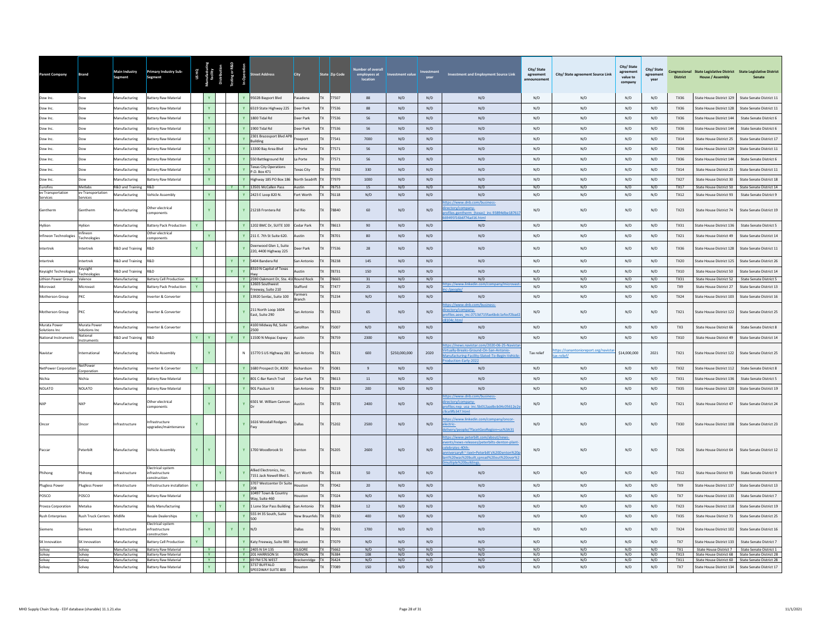| TX 77507<br>9502B Bayport Blvd<br>Dow Inc.<br>Manufacturing<br><b>Battery Raw Material</b><br>Pasadena<br>88<br>N/D<br>N/D<br>N/D<br>N/D<br>N/D<br>N/D<br>N/D<br>TX36<br>State House District 129<br>State Senate District 11<br>Dow<br>TX.<br><b>Aanufacturing</b><br><b>Battery Raw Material</b><br>Y.<br>6519 State Highway 225<br>Deer Park<br>77536<br>88<br>N/D<br>N/D<br>N/D<br>$\rm N/D$<br>N/D<br>N/D<br>N/D<br><b>TX36</b><br>State House District 128<br>State Senate District 11<br>Dow Inc.<br><b>Dow</b><br>$\mathbf{Y}^{\top}$ .<br>Aanufacturing<br>1800 Tidal Rd<br>77536<br>56<br>N/D<br>N/D<br>N/D<br>N/D<br>Jow Inc<br>attery Raw Material<br>eer Park<br><b>TX</b><br>N/D<br>N/D<br>N/D<br><b>TX36</b><br>State House District 144<br>State Senate District 6<br>Jow Inc.<br>Manufacturing<br>attery Raw Material<br>Y.<br>ha IshiT 00P1<br>Deer Park<br><b>TX</b><br>77536<br>56<br>N/D<br>N/D<br>N/D<br>N/D<br>N/D<br>N/D<br>N/D<br>TX36<br>State House District 144<br>State Senate District 6<br>Dow<br>2301 Brazosport Blvd APB<br>$\mathbf{Y}^{\top}$ .<br>Dow Inc<br>Manufacturing<br>attery Raw Material<br>77541<br>7000<br>N/D<br>N/D<br>N/D<br>N/D<br>N/D<br>N/D<br>N/D<br><b>TX14</b><br>State House District 25<br>State Senate District 17<br><b>Jow</b><br>reeport<br>TX<br>uilding<br>Y.<br>Dow Inc.<br>Dow<br>Manufacturing<br>attery Raw Material<br>13300 Bay Area Blyd<br>la Porte<br><b>TX</b><br>77571<br>56<br>N/D<br>N/D<br>N/D<br>N/D<br>N/D<br>N/D<br>N/D<br><b>TX36</b><br>State House District 129<br>State Senate District 11<br>$\mathbf{Y}^{\top}$ .<br>77571<br>56<br>N/D<br>N/D<br>Manufacturing<br>550 Battleground Rd<br>N/D<br>N/D<br>N/D<br>N/D<br>N/D<br>Dow Inc.<br>Dow<br>attery Raw Material<br>a Porte<br><b>TX</b><br>TX36<br>State House District 144<br>State Senate District 6<br>exas City Operations<br>Y.<br>77592<br>N/D<br>N/D<br>N/D<br>Manufacturing<br>330<br>N/D<br>N/D<br>N/D<br>N/D<br>Dow Inc.<br>attery Raw Material<br><b>Texas City</b><br><b>TX14</b><br>State House District 23<br>State Senate District 11<br><b>Dow</b><br>.O. Box 471<br>$\mathbf{Y}^{\top}$<br>77979<br>N/D<br>N/D<br>N/D<br>N/D<br>N/D<br>N/D<br>Manufacturing<br>attery Raw Material<br>Highway 185 PO Box 186<br>North Seadrift<br>1000<br>N/D<br><b>TX27</b><br>State Senate District 18<br>Dow Inc.<br>State House District 30<br><b>Jow</b><br>TX 78753<br><b>Furnfins</b><br>Metlahs<br>R&D and Training<br><b>R&amp;D</b><br>13501 McCallen Pass<br>Austin<br>15<br>N/D<br>N/D<br>N/D<br>N/D<br>N/D<br>N/D<br>N/D<br>TX17<br>State House District 50 State Senate District 14<br>YY<br>ev Transportation<br>ev Transportation<br><b>Aanufacturing</b><br>Y.<br>2423 E Loop 820 N.<br>Fort Worth<br><b>TX</b><br>76118<br>N/D<br>N/D<br>N/D<br>N/D<br>N/D<br>N/D<br>N/D<br>N/D<br>TX12<br>ehicle Assembly<br>State House District 93<br><b>State Senate District 9</b><br>Services<br>Services<br>ps://www.dnb.com/business<br>ther electrical<br>ectory/company-<br>Gentherm<br>Manufacturing<br>2121B Frontera Rd<br>Del Rio<br>78840<br>60<br>N/D<br>N/D<br>N/D<br>N/D<br>N/D<br>N/D<br>State House District 74<br>State Senate District 19<br>entherm<br><b>TX23</b><br>files.gentherm (texas) inc.93894dbe18761<br>omponents<br>Hyliion<br>tvlijon<br>Manufacturing<br>attery Pack Production<br>$\mathbf{v}$<br>1202 BMC Dr. SUITE 100<br>Cedar Park<br>78613<br>90<br>N/D<br>N/D<br>N/D<br>N/D<br>N/D<br>N/D<br>N/D<br>TX31<br>State House District 136<br><b>State Senate District 5</b><br>TY<br>Other electrical<br>nfineon<br>Y.<br>Infineon Technologies<br>Manufacturing<br>211 F. 7th St Suite 620.<br>Austin<br><b>TX</b><br>78701<br>80<br>N/D<br>N/D<br>N/D<br>N/D<br>N/D<br>N/D<br>N/D<br>TX21<br>State House District 49<br>State Senate District 14<br><b>Fechnologies</b><br>omponents<br>eerwood Glen 1. Suite<br>77536<br>N/D<br>N/D<br>ntertrek<br>itertrek<br>R&D and Training<br>&D<br>eer Park<br>28<br>N/D<br>N/D<br>N/D<br>N/D<br>N/D<br><b>TX36</b><br>State House District 128<br>State Senate District 11<br>220, 4400 Highway 225<br>R&D<br>Y.<br>$\mathbf{v}$<br>78238<br>145<br>N/D<br>N/D<br>N/D<br>N/D<br>N/D<br>N/D<br>R&D and Training<br>5404 Bandera Rd<br>N/D<br><b>TX20</b><br>State Senate District 26<br>Intertrek<br><b>stertrek</b><br>san Antonio<br>State House District 125<br>8310 N Capital of Texas<br>(eysight<br>Y.<br>78731<br>150<br>N/D<br>N/D<br>N/D<br>N/D<br>N/D<br>N/D<br>N/D<br><b>Keysight Technologies</b><br>R&D and Training<br>R&D<br>Austin<br><b>TX</b><br>TX10<br>State Senate District 14<br><b>State House District 50</b><br>echnologie<br>Lithion Power Group<br>Manufacturing<br>ttery Cell Production<br><b>I</b> Y<br>Y 2590 Oakmont Dr, Ste. 41<br>If Round Rock<br>78665<br>31<br>N/D<br>N/D<br>N/D<br>N/D<br>N/D<br>N/D<br>N/D<br>TX31<br>State House District 52<br>/alence<br><b>TX</b><br><b>State Senate District 5</b><br>12603 Southwest<br>ps://www.linkedin.com<br>Manufacturing<br>attery Pack Production<br>77477<br>N/D<br>N/D<br>N/D<br>Microvast<br>dicrovast<br>tafford<br>25<br>N/D<br>N/D<br>N/D<br>TX9<br>State House District 27<br>State Senate District 13<br>reeway, Suite 210<br>/neonle/<br>armers<br>Motherson Group<br>PKC<br>Manufacturing<br>verter & Converter<br>13920 Senlac, Suite 100<br>75234<br>N/D<br>N/D<br>N/D<br>N/D<br>N/D<br>N/D<br>N/D<br>N/D<br>State Senate District 16<br><b>TX24</b><br>State House District 103<br><b>Iranch</b><br>tps://www.dnb.com/business-<br>211 North Loop 1604<br>ctory/company-<br>Motherson Group<br>PKC<br>Manufacturing<br>verter & Converter<br>an Antonio<br>78232<br>65<br>N/D<br>N/D<br>N/D<br>N/D<br>N/D<br>N/D<br>TX21<br>State House District 122<br>State Senate District 25<br><b>TX</b><br>East, Suite 290<br>iles.aees_inc.0713d715fae6bdc1efecf2bad<br>Murata Power<br>Murata Power<br>4100 Midway Rd, Suite<br>75007<br>N/D<br>N/D<br>N/D<br>Manufacturing<br>verter & Converter<br>Caroliton<br>TX<br>N/D<br>N/D<br>N/D<br>N/D<br>N/D<br>TX3<br>State House District 66<br>State Senate District 8<br>olutions Inc.<br>Solutions Inc<br>500<br>lational<br>$\mathbf{v}$<br>N/D<br>R&D<br>Y.<br><b>Y</b><br>11500 N Mopac Expwy<br>78759<br>2300<br>N/D<br>N/D<br>N/D<br>N/D<br>N/D<br>N/D<br>National Instruments<br>R&D and Training<br>Austin<br><b>TX10</b><br><b>State House District 49</b><br>State Senate District 14<br>://news.navistar.com/2020-06-25-Nav<br>tually-Breaks-Ground-On-San-Antonio<br>tps://sanantonioreport.org/navist<br>78221<br>15770 S US Highway 281<br>600<br>\$250,000,000<br>2020<br>Tax relief<br>\$14,000,000<br>2021<br>State Senate District 25<br>Navistar<br>nternational<br>Manufacturing<br>ehicle Assembly<br>TX21<br>State House District 122<br>N<br>San Antonio<br>anufacturing-Facility-Slated-To-Begin-Vehic<br>ax-relief/<br>luction-Farly-2022<br>VetPowe<br>NetPower Corporation<br>Manufacturing<br>verter & Converter<br>Y.<br>1680 Prospect Dr, #200<br>tichardson<br>75081<br>$\overline{9}$<br>N/D<br>N/D<br>N/D<br>N/D<br>N/D<br>N/D<br>N/D<br><b>TX32</b><br>State House District 112<br><b>State Senate District 8</b><br>crporation.<br>Nichia<br>Manufacturing<br>attery Raw Material<br>801 C-Bar Ranch Trail<br>edar Park<br>78613<br>$11\,$<br>N/D<br>$\rm N/D$<br>N/D<br>N/D<br>N/D<br>N/D<br>N/D<br>State House District 136<br>lichia<br><b>TX31</b><br><b>State Senate District 5</b><br><b>NOLATO</b><br>NOLATO<br>Manufacturing<br>attery Raw Material<br>Y.<br>901 Paulsun St<br>78219<br>$200\,$<br>N/D<br>N/D<br>N/D<br>$\rm N/D$<br>N/D<br>$\mathrm{N}/\mathrm{D}$<br>$\mathsf{N}/\mathsf{D}$<br>an Antonic<br><b>TX35</b><br>State House District 120<br>State Senate District 19<br>tps://www.dnb.com/business-<br>6501 W. William Cannor<br>ther electrical<br>ectory/company-<br><b>NXP</b><br>Manufacturing<br>Austin<br>78735<br>2400<br>N/D<br>N/D<br>N/D<br>N/D<br>N/D<br>N/D<br>TX21<br>State House District 47<br>State Senate District 24<br>files.nxp usa inc.5b012aadbcb04c05612e2<br>mponents<br>ps://www.linkedin.com/company/oncor-<br>frastructure<br>1616 Woodall Rodgers<br>75202<br>N/D<br>N/D<br>N/D<br>N/D<br>N/D<br>State Senate District 23<br><b>nfrastructure</b><br>Dallas<br>2500<br>N/D<br><b>TX30</b><br>State House District 108<br>Oncor<br>Oncor<br>ectric-<br>pgrades/maintenance<br>ivery/people/?facetGeoRegion=us%3A31<br>tps://www.peterbilt.com/about/news-<br>nts/news-releases/peterbilts-denton-plan<br>lebrates-40th-<br>76205<br>N/D<br>Peterbilt<br>Aanufacturing<br>ehicle Assembly<br>1700 Woodbrook St<br>2600<br>N/D<br>N/D<br>N/D<br>N/D<br>N/D<br>TX26<br>State House District 64<br>State Senate District 12<br>Paccar<br>enton<br>iversary#:":text=Peterbilt's%20Denton%2<br>t%20was%20built,spread%20out%20over%<br>espliudings<br>lectrical system<br>Allied Electronics, Inc.<br>50<br>N/D<br>N/D<br>76118<br>N/D<br>N/D<br>N/D<br>N/D<br>N/D<br>TX12<br>ort Worth<br>State House District 93<br><b>State Senate District 9</b><br>Phihong<br>hihong<br>frastructure<br>ifrastructure<br>7151 Jack Newell Blvd S.<br>onstruction<br>3707 Westcenter Dr Suite<br><b>Plugless Power</b><br><b>Plugless Power</b><br>Infrastructure<br>nfrastructure installation<br>$\mathbf{Y}$<br>louston<br><b>TX</b><br>77042<br>20<br>N/D<br>N/D<br>N/D<br>N/D<br>N/D<br>N/D<br>N/D<br>TX9<br>State House District 137<br>State Senate District 13<br>10497 Town & Country<br>POSCO<br>OSCO<br>77024<br>N/D<br>N/D<br>N/D<br>N/D<br>Manufacturing<br><b>Battery Raw Material</b><br>ouston<br>TX<br>N/D<br>N/D<br>N/D<br>N/D<br>TX7<br>State House District 133<br>State Senate District 7<br>Vay, Suite 460<br>$12\,$<br>N/D<br>N/D<br>ody Manufacturing<br>Lone Star Pass Building<br>78264<br>N/D<br>N/D<br>N/D<br>N/D<br>N/D<br>State Senate District 19<br>Proeza Corporation<br>Aetalsa<br>Manufacturing<br>San Antonio<br><b>TX23</b><br>State House District 118<br>555 IH 35 South, Suite<br>N/D<br>Midlife<br>78130<br>400<br>N/D<br>N/D<br>N/D<br>N/D<br><b>Rush Enterprises</b><br><b>Rush Truck Centers</b><br>lesale Dealerships<br>Y.<br>lew Braunfels<br>N/D<br>N/D<br><b>TX35</b><br>State House District 73<br>State Senate District 25<br>500<br>lectrical system<br>$\mathbf{Y}$<br>$\mathbf{v}$<br>N/D<br>Siemens<br>nfrastructure<br><b>nfrastructure</b><br>Y.<br>N/D<br>allas<br>75001<br>1700<br>N/D<br>N/D<br>N/D<br>N/D<br>N/D<br>N/D<br><b>TX24</b><br>State House District 102<br>State Senate District 16<br>Siemens<br>nstruction<br>77079<br>N/D<br>N/D<br>N/D<br>N/D<br>N/D<br>N/D<br>SK Innovation<br>SK Innovation<br>Manufacturing<br>attery Cell Production<br>Katy Freeway, Suite 900<br>N/D<br>N/D<br>TX7<br>State House District 133<br>State Senate District 7<br>Y 2405 N SH 135<br>KILGORE<br>TX 75662<br>N/D<br>N/D<br>N/D<br>N/D<br>N/D<br>Solvav<br>Solvay<br>Manufacturing<br>Battery Raw Material<br><b>Y</b><br>N/D<br>N/D<br>N/D<br>TX1<br>State House District 7 State Senate District 1<br>VERNON<br>Solvay<br>Solvay<br>Manufacturing Battery Raw Material<br><b>Y</b><br>Y 201 HARRISON St<br>TX 76384<br>108<br>N/D<br>N/D<br>N/D<br>N/D<br>N/D<br>N/D<br>N/D<br><b>TX13</b><br>State House District 68   State Senate District 28<br>Y 69 FM 576 WEST<br>Breckenridge TX 76424<br>$-1$ Y $-$<br>N/D<br>N/D<br>N/D<br>N/D<br>N/D<br>N/D<br>N/D<br>N/D<br>State House District 60 State Senate District 28<br>Solvay<br>Solvay<br>Manufacturing<br><b>Battery Raw Material</b><br>TX11<br>3737 BUFFALO<br>$\mathbf{Y}$ .<br>$\mathbf{Y}$<br>Solvay<br>Solvay<br>Manufacturing<br>Battery Raw Material<br>louston<br>TX<br>77089<br>150<br>N/D<br>N/D<br>N/D<br>N/D<br>N/D<br>N/D<br>N/D<br>TX7<br>State House District 134<br>State Senate District 17<br>SPEEDWAY SUITE 800 | Parent Company | <b>Brand</b> | Main Industry<br>Segment | <b>Primary Industry Sub-</b><br>Segment | <b>USHQ</b> |  | treet Address | <b>City</b> | State Zip Code | employees at<br>location | stment value | <b>Investment and Employment Source Link</b> | City/State<br>$\!$<br>announcement | City/ State agreement Source Link | City/ State<br>agreement<br>value to<br>company | City/ State<br>age<br>ement<br>vear | <b>District</b> | Congressional State Legislative District State Legislative District<br><b>House / Assembly</b> | Senate |
|------------------------------------------------------------------------------------------------------------------------------------------------------------------------------------------------------------------------------------------------------------------------------------------------------------------------------------------------------------------------------------------------------------------------------------------------------------------------------------------------------------------------------------------------------------------------------------------------------------------------------------------------------------------------------------------------------------------------------------------------------------------------------------------------------------------------------------------------------------------------------------------------------------------------------------------------------------------------------------------------------------------------------------------------------------------------------------------------------------------------------------------------------------------------------------------------------------------------------------------------------------------------------------------------------------------------------------------------------------------------------------------------------------------------------------------------------------------------------------------------------------------------------------------------------------------------------------------------------------------------------------------------------------------------------------------------------------------------------------------------------------------------------------------------------------------------------------------------------------------------------------------------------------------------------------------------------------------------------------------------------------------------------------------------------------------------------------------------------------------------------------------------------------------------------------------------------------------------------------------------------------------------------------------------------------------------------------------------------------------------------------------------------------------------------------------------------------------------------------------------------------------------------------------------------------------------------------------------------------------------------------------------------------------------------------------------------------------------------------------------------------------------------------------------------------------------------------------------------------------------------------------------------------------------------------------------------------------------------------------------------------------------------------------------------------------------------------------------------------------------------------------------------------------------------------------------------------------------------------------------------------------------------------------------------------------------------------------------------------------------------------------------------------------------------------------------------------------------------------------------------------------------------------------------------------------------------------------------------------------------------------------------------------------------------------------------------------------------------------------------------------------------------------------------------------------------------------------------------------------------------------------------------------------------------------------------------------------------------------------------------------------------------------------------------------------------------------------------------------------------------------------------------------------------------------------------------------------------------------------------------------------------------------------------------------------------------------------------------------------------------------------------------------------------------------------------------------------------------------------------------------------------------------------------------------------------------------------------------------------------------------------------------------------------------------------------------------------------------------------------------------------------------------------------------------------------------------------------------------------------------------------------------------------------------------------------------------------------------------------------------------------------------------------------------------------------------------------------------------------------------------------------------------------------------------------------------------------------------------------------------------------------------------------------------------------------------------------------------------------------------------------------------------------------------------------------------------------------------------------------------------------------------------------------------------------------------------------------------------------------------------------------------------------------------------------------------------------------------------------------------------------------------------------------------------------------------------------------------------------------------------------------------------------------------------------------------------------------------------------------------------------------------------------------------------------------------------------------------------------------------------------------------------------------------------------------------------------------------------------------------------------------------------------------------------------------------------------------------------------------------------------------------------------------------------------------------------------------------------------------------------------------------------------------------------------------------------------------------------------------------------------------------------------------------------------------------------------------------------------------------------------------------------------------------------------------------------------------------------------------------------------------------------------------------------------------------------------------------------------------------------------------------------------------------------------------------------------------------------------------------------------------------------------------------------------------------------------------------------------------------------------------------------------------------------------------------------------------------------------------------------------------------------------------------------------------------------------------------------------------------------------------------------------------------------------------------------------------------------------------------------------------------------------------------------------------------------------------------------------------------------------------------------------------------------------------------------------------------------------------------------------------------------------------------------------------------------------------------------------------------------------------------------------------------------------------------------------------------------------------------------------------------------------------------------------------------------------------------------------------------------------------------------------------------------------------------------------------------------------------------------------------------------------------------------------------------------------------------------------------------------------------------------------------------------------------------------------------------------------------------------------------------------------------------------------------------------------------------------------------------------------------------------------------------------------------------------------------------------------------------------------------------------------------------------------------------------------------------------------------------------------------------------------------------------------------------------------------------------------------------------------------------------------------------------------------------------------------------------------------------------------------------------------------------------------------------------------------------------------------------------------------------------------------------------------------------------------------------------------------------------------------------------------------------------------------------------------------------------------------------------------------------------------------------------------------------------------------------------------------------------------------------------------------------------------------------------------------------------------------------------------------------------------------------------------------------------------------------------------------------------------------------------------------------------------------------------------------------------------------------------------------------------------------------------------------------------------------------------------------------------------------------------------------------------------------------------------------------------------------------------------------------------------------------------------------------------------------------------------------------------------------------------------------------------------------------------------------------------------------------------------------------------------------------------------------------------------------------------------------------------------------------------------------------------------------------------------------------------------------------------------------------------------------------------------------------------------------------------------------------------------------------------------------------------------------------------------------------------------------------------------------------------------------------------------------------------------------------------------------------------------------------------------------------------------------------------------------------------------------------------------------------------------------------------------------------------------------------------------------------------------------------------------------------------------------------------------------------------------------------------------------------------------------------------------------------------------------------------------------------------------------------------------------------------------------------------------------------------------------------------------------|----------------|--------------|--------------------------|-----------------------------------------|-------------|--|---------------|-------------|----------------|--------------------------|--------------|----------------------------------------------|------------------------------------|-----------------------------------|-------------------------------------------------|-------------------------------------|-----------------|------------------------------------------------------------------------------------------------|--------|
|                                                                                                                                                                                                                                                                                                                                                                                                                                                                                                                                                                                                                                                                                                                                                                                                                                                                                                                                                                                                                                                                                                                                                                                                                                                                                                                                                                                                                                                                                                                                                                                                                                                                                                                                                                                                                                                                                                                                                                                                                                                                                                                                                                                                                                                                                                                                                                                                                                                                                                                                                                                                                                                                                                                                                                                                                                                                                                                                                                                                                                                                                                                                                                                                                                                                                                                                                                                                                                                                                                                                                                                                                                                                                                                                                                                                                                                                                                                                                                                                                                                                                                                                                                                                                                                                                                                                                                                                                                                                                                                                                                                                                                                                                                                                                                                                                                                                                                                                                                                                                                                                                                                                                                                                                                                                                                                                                                                                                                                                                                                                                                                                                                                                                                                                                                                                                                                                                                                                                                                                                                                                                                                                                                                                                                                                                                                                                                                                                                                                                                                                                                                                                                                                                                                                                                                                                                                                                                                                                                                                                                                                                                                                                                                                                                                                                                                                                                                                                                                                                                                                                                                                                                                                                                                                                                                                                                                                                                                                                                                                                                                                                                                                                                                                                                                                                                                                                                                                                                                                                                                                                                                                                                                                                                                                                                                                                                                                                                                                                                                                                                                                                                                                                                                                                                                                                                                                                                                                                                                                                                                                                                                                                                                                                                                                                                                                                                                                                                                                                                                                                                                                                                                                                                                                                                                                                                                                                                                                                                                                                                                                                                                                                                                                                                                                                                                                                                                                                                                                                                                                                                                                                                                                                                                                                                                                                                                                                                                                                                                                                                                                                                                                                                                                                                                                                                                                                                                                                                |                |              |                          |                                         |             |  |               |             |                |                          |              |                                              |                                    |                                   |                                                 |                                     |                 |                                                                                                |        |
|                                                                                                                                                                                                                                                                                                                                                                                                                                                                                                                                                                                                                                                                                                                                                                                                                                                                                                                                                                                                                                                                                                                                                                                                                                                                                                                                                                                                                                                                                                                                                                                                                                                                                                                                                                                                                                                                                                                                                                                                                                                                                                                                                                                                                                                                                                                                                                                                                                                                                                                                                                                                                                                                                                                                                                                                                                                                                                                                                                                                                                                                                                                                                                                                                                                                                                                                                                                                                                                                                                                                                                                                                                                                                                                                                                                                                                                                                                                                                                                                                                                                                                                                                                                                                                                                                                                                                                                                                                                                                                                                                                                                                                                                                                                                                                                                                                                                                                                                                                                                                                                                                                                                                                                                                                                                                                                                                                                                                                                                                                                                                                                                                                                                                                                                                                                                                                                                                                                                                                                                                                                                                                                                                                                                                                                                                                                                                                                                                                                                                                                                                                                                                                                                                                                                                                                                                                                                                                                                                                                                                                                                                                                                                                                                                                                                                                                                                                                                                                                                                                                                                                                                                                                                                                                                                                                                                                                                                                                                                                                                                                                                                                                                                                                                                                                                                                                                                                                                                                                                                                                                                                                                                                                                                                                                                                                                                                                                                                                                                                                                                                                                                                                                                                                                                                                                                                                                                                                                                                                                                                                                                                                                                                                                                                                                                                                                                                                                                                                                                                                                                                                                                                                                                                                                                                                                                                                                                                                                                                                                                                                                                                                                                                                                                                                                                                                                                                                                                                                                                                                                                                                                                                                                                                                                                                                                                                                                                                                                                                                                                                                                                                                                                                                                                                                                                                                                                                                                                                |                |              |                          |                                         |             |  |               |             |                |                          |              |                                              |                                    |                                   |                                                 |                                     |                 |                                                                                                |        |
|                                                                                                                                                                                                                                                                                                                                                                                                                                                                                                                                                                                                                                                                                                                                                                                                                                                                                                                                                                                                                                                                                                                                                                                                                                                                                                                                                                                                                                                                                                                                                                                                                                                                                                                                                                                                                                                                                                                                                                                                                                                                                                                                                                                                                                                                                                                                                                                                                                                                                                                                                                                                                                                                                                                                                                                                                                                                                                                                                                                                                                                                                                                                                                                                                                                                                                                                                                                                                                                                                                                                                                                                                                                                                                                                                                                                                                                                                                                                                                                                                                                                                                                                                                                                                                                                                                                                                                                                                                                                                                                                                                                                                                                                                                                                                                                                                                                                                                                                                                                                                                                                                                                                                                                                                                                                                                                                                                                                                                                                                                                                                                                                                                                                                                                                                                                                                                                                                                                                                                                                                                                                                                                                                                                                                                                                                                                                                                                                                                                                                                                                                                                                                                                                                                                                                                                                                                                                                                                                                                                                                                                                                                                                                                                                                                                                                                                                                                                                                                                                                                                                                                                                                                                                                                                                                                                                                                                                                                                                                                                                                                                                                                                                                                                                                                                                                                                                                                                                                                                                                                                                                                                                                                                                                                                                                                                                                                                                                                                                                                                                                                                                                                                                                                                                                                                                                                                                                                                                                                                                                                                                                                                                                                                                                                                                                                                                                                                                                                                                                                                                                                                                                                                                                                                                                                                                                                                                                                                                                                                                                                                                                                                                                                                                                                                                                                                                                                                                                                                                                                                                                                                                                                                                                                                                                                                                                                                                                                                                                                                                                                                                                                                                                                                                                                                                                                                                                                                                                                |                |              |                          |                                         |             |  |               |             |                |                          |              |                                              |                                    |                                   |                                                 |                                     |                 |                                                                                                |        |
|                                                                                                                                                                                                                                                                                                                                                                                                                                                                                                                                                                                                                                                                                                                                                                                                                                                                                                                                                                                                                                                                                                                                                                                                                                                                                                                                                                                                                                                                                                                                                                                                                                                                                                                                                                                                                                                                                                                                                                                                                                                                                                                                                                                                                                                                                                                                                                                                                                                                                                                                                                                                                                                                                                                                                                                                                                                                                                                                                                                                                                                                                                                                                                                                                                                                                                                                                                                                                                                                                                                                                                                                                                                                                                                                                                                                                                                                                                                                                                                                                                                                                                                                                                                                                                                                                                                                                                                                                                                                                                                                                                                                                                                                                                                                                                                                                                                                                                                                                                                                                                                                                                                                                                                                                                                                                                                                                                                                                                                                                                                                                                                                                                                                                                                                                                                                                                                                                                                                                                                                                                                                                                                                                                                                                                                                                                                                                                                                                                                                                                                                                                                                                                                                                                                                                                                                                                                                                                                                                                                                                                                                                                                                                                                                                                                                                                                                                                                                                                                                                                                                                                                                                                                                                                                                                                                                                                                                                                                                                                                                                                                                                                                                                                                                                                                                                                                                                                                                                                                                                                                                                                                                                                                                                                                                                                                                                                                                                                                                                                                                                                                                                                                                                                                                                                                                                                                                                                                                                                                                                                                                                                                                                                                                                                                                                                                                                                                                                                                                                                                                                                                                                                                                                                                                                                                                                                                                                                                                                                                                                                                                                                                                                                                                                                                                                                                                                                                                                                                                                                                                                                                                                                                                                                                                                                                                                                                                                                                                                                                                                                                                                                                                                                                                                                                                                                                                                                                                                                |                |              |                          |                                         |             |  |               |             |                |                          |              |                                              |                                    |                                   |                                                 |                                     |                 |                                                                                                |        |
|                                                                                                                                                                                                                                                                                                                                                                                                                                                                                                                                                                                                                                                                                                                                                                                                                                                                                                                                                                                                                                                                                                                                                                                                                                                                                                                                                                                                                                                                                                                                                                                                                                                                                                                                                                                                                                                                                                                                                                                                                                                                                                                                                                                                                                                                                                                                                                                                                                                                                                                                                                                                                                                                                                                                                                                                                                                                                                                                                                                                                                                                                                                                                                                                                                                                                                                                                                                                                                                                                                                                                                                                                                                                                                                                                                                                                                                                                                                                                                                                                                                                                                                                                                                                                                                                                                                                                                                                                                                                                                                                                                                                                                                                                                                                                                                                                                                                                                                                                                                                                                                                                                                                                                                                                                                                                                                                                                                                                                                                                                                                                                                                                                                                                                                                                                                                                                                                                                                                                                                                                                                                                                                                                                                                                                                                                                                                                                                                                                                                                                                                                                                                                                                                                                                                                                                                                                                                                                                                                                                                                                                                                                                                                                                                                                                                                                                                                                                                                                                                                                                                                                                                                                                                                                                                                                                                                                                                                                                                                                                                                                                                                                                                                                                                                                                                                                                                                                                                                                                                                                                                                                                                                                                                                                                                                                                                                                                                                                                                                                                                                                                                                                                                                                                                                                                                                                                                                                                                                                                                                                                                                                                                                                                                                                                                                                                                                                                                                                                                                                                                                                                                                                                                                                                                                                                                                                                                                                                                                                                                                                                                                                                                                                                                                                                                                                                                                                                                                                                                                                                                                                                                                                                                                                                                                                                                                                                                                                                                                                                                                                                                                                                                                                                                                                                                                                                                                                                                                                |                |              |                          |                                         |             |  |               |             |                |                          |              |                                              |                                    |                                   |                                                 |                                     |                 |                                                                                                |        |
|                                                                                                                                                                                                                                                                                                                                                                                                                                                                                                                                                                                                                                                                                                                                                                                                                                                                                                                                                                                                                                                                                                                                                                                                                                                                                                                                                                                                                                                                                                                                                                                                                                                                                                                                                                                                                                                                                                                                                                                                                                                                                                                                                                                                                                                                                                                                                                                                                                                                                                                                                                                                                                                                                                                                                                                                                                                                                                                                                                                                                                                                                                                                                                                                                                                                                                                                                                                                                                                                                                                                                                                                                                                                                                                                                                                                                                                                                                                                                                                                                                                                                                                                                                                                                                                                                                                                                                                                                                                                                                                                                                                                                                                                                                                                                                                                                                                                                                                                                                                                                                                                                                                                                                                                                                                                                                                                                                                                                                                                                                                                                                                                                                                                                                                                                                                                                                                                                                                                                                                                                                                                                                                                                                                                                                                                                                                                                                                                                                                                                                                                                                                                                                                                                                                                                                                                                                                                                                                                                                                                                                                                                                                                                                                                                                                                                                                                                                                                                                                                                                                                                                                                                                                                                                                                                                                                                                                                                                                                                                                                                                                                                                                                                                                                                                                                                                                                                                                                                                                                                                                                                                                                                                                                                                                                                                                                                                                                                                                                                                                                                                                                                                                                                                                                                                                                                                                                                                                                                                                                                                                                                                                                                                                                                                                                                                                                                                                                                                                                                                                                                                                                                                                                                                                                                                                                                                                                                                                                                                                                                                                                                                                                                                                                                                                                                                                                                                                                                                                                                                                                                                                                                                                                                                                                                                                                                                                                                                                                                                                                                                                                                                                                                                                                                                                                                                                                                                                                                                |                |              |                          |                                         |             |  |               |             |                |                          |              |                                              |                                    |                                   |                                                 |                                     |                 |                                                                                                |        |
|                                                                                                                                                                                                                                                                                                                                                                                                                                                                                                                                                                                                                                                                                                                                                                                                                                                                                                                                                                                                                                                                                                                                                                                                                                                                                                                                                                                                                                                                                                                                                                                                                                                                                                                                                                                                                                                                                                                                                                                                                                                                                                                                                                                                                                                                                                                                                                                                                                                                                                                                                                                                                                                                                                                                                                                                                                                                                                                                                                                                                                                                                                                                                                                                                                                                                                                                                                                                                                                                                                                                                                                                                                                                                                                                                                                                                                                                                                                                                                                                                                                                                                                                                                                                                                                                                                                                                                                                                                                                                                                                                                                                                                                                                                                                                                                                                                                                                                                                                                                                                                                                                                                                                                                                                                                                                                                                                                                                                                                                                                                                                                                                                                                                                                                                                                                                                                                                                                                                                                                                                                                                                                                                                                                                                                                                                                                                                                                                                                                                                                                                                                                                                                                                                                                                                                                                                                                                                                                                                                                                                                                                                                                                                                                                                                                                                                                                                                                                                                                                                                                                                                                                                                                                                                                                                                                                                                                                                                                                                                                                                                                                                                                                                                                                                                                                                                                                                                                                                                                                                                                                                                                                                                                                                                                                                                                                                                                                                                                                                                                                                                                                                                                                                                                                                                                                                                                                                                                                                                                                                                                                                                                                                                                                                                                                                                                                                                                                                                                                                                                                                                                                                                                                                                                                                                                                                                                                                                                                                                                                                                                                                                                                                                                                                                                                                                                                                                                                                                                                                                                                                                                                                                                                                                                                                                                                                                                                                                                                                                                                                                                                                                                                                                                                                                                                                                                                                                                                                                |                |              |                          |                                         |             |  |               |             |                |                          |              |                                              |                                    |                                   |                                                 |                                     |                 |                                                                                                |        |
|                                                                                                                                                                                                                                                                                                                                                                                                                                                                                                                                                                                                                                                                                                                                                                                                                                                                                                                                                                                                                                                                                                                                                                                                                                                                                                                                                                                                                                                                                                                                                                                                                                                                                                                                                                                                                                                                                                                                                                                                                                                                                                                                                                                                                                                                                                                                                                                                                                                                                                                                                                                                                                                                                                                                                                                                                                                                                                                                                                                                                                                                                                                                                                                                                                                                                                                                                                                                                                                                                                                                                                                                                                                                                                                                                                                                                                                                                                                                                                                                                                                                                                                                                                                                                                                                                                                                                                                                                                                                                                                                                                                                                                                                                                                                                                                                                                                                                                                                                                                                                                                                                                                                                                                                                                                                                                                                                                                                                                                                                                                                                                                                                                                                                                                                                                                                                                                                                                                                                                                                                                                                                                                                                                                                                                                                                                                                                                                                                                                                                                                                                                                                                                                                                                                                                                                                                                                                                                                                                                                                                                                                                                                                                                                                                                                                                                                                                                                                                                                                                                                                                                                                                                                                                                                                                                                                                                                                                                                                                                                                                                                                                                                                                                                                                                                                                                                                                                                                                                                                                                                                                                                                                                                                                                                                                                                                                                                                                                                                                                                                                                                                                                                                                                                                                                                                                                                                                                                                                                                                                                                                                                                                                                                                                                                                                                                                                                                                                                                                                                                                                                                                                                                                                                                                                                                                                                                                                                                                                                                                                                                                                                                                                                                                                                                                                                                                                                                                                                                                                                                                                                                                                                                                                                                                                                                                                                                                                                                                                                                                                                                                                                                                                                                                                                                                                                                                                                                                                                |                |              |                          |                                         |             |  |               |             |                |                          |              |                                              |                                    |                                   |                                                 |                                     |                 |                                                                                                |        |
|                                                                                                                                                                                                                                                                                                                                                                                                                                                                                                                                                                                                                                                                                                                                                                                                                                                                                                                                                                                                                                                                                                                                                                                                                                                                                                                                                                                                                                                                                                                                                                                                                                                                                                                                                                                                                                                                                                                                                                                                                                                                                                                                                                                                                                                                                                                                                                                                                                                                                                                                                                                                                                                                                                                                                                                                                                                                                                                                                                                                                                                                                                                                                                                                                                                                                                                                                                                                                                                                                                                                                                                                                                                                                                                                                                                                                                                                                                                                                                                                                                                                                                                                                                                                                                                                                                                                                                                                                                                                                                                                                                                                                                                                                                                                                                                                                                                                                                                                                                                                                                                                                                                                                                                                                                                                                                                                                                                                                                                                                                                                                                                                                                                                                                                                                                                                                                                                                                                                                                                                                                                                                                                                                                                                                                                                                                                                                                                                                                                                                                                                                                                                                                                                                                                                                                                                                                                                                                                                                                                                                                                                                                                                                                                                                                                                                                                                                                                                                                                                                                                                                                                                                                                                                                                                                                                                                                                                                                                                                                                                                                                                                                                                                                                                                                                                                                                                                                                                                                                                                                                                                                                                                                                                                                                                                                                                                                                                                                                                                                                                                                                                                                                                                                                                                                                                                                                                                                                                                                                                                                                                                                                                                                                                                                                                                                                                                                                                                                                                                                                                                                                                                                                                                                                                                                                                                                                                                                                                                                                                                                                                                                                                                                                                                                                                                                                                                                                                                                                                                                                                                                                                                                                                                                                                                                                                                                                                                                                                                                                                                                                                                                                                                                                                                                                                                                                                                                                                                                |                |              |                          |                                         |             |  |               |             |                |                          |              |                                              |                                    |                                   |                                                 |                                     |                 |                                                                                                |        |
|                                                                                                                                                                                                                                                                                                                                                                                                                                                                                                                                                                                                                                                                                                                                                                                                                                                                                                                                                                                                                                                                                                                                                                                                                                                                                                                                                                                                                                                                                                                                                                                                                                                                                                                                                                                                                                                                                                                                                                                                                                                                                                                                                                                                                                                                                                                                                                                                                                                                                                                                                                                                                                                                                                                                                                                                                                                                                                                                                                                                                                                                                                                                                                                                                                                                                                                                                                                                                                                                                                                                                                                                                                                                                                                                                                                                                                                                                                                                                                                                                                                                                                                                                                                                                                                                                                                                                                                                                                                                                                                                                                                                                                                                                                                                                                                                                                                                                                                                                                                                                                                                                                                                                                                                                                                                                                                                                                                                                                                                                                                                                                                                                                                                                                                                                                                                                                                                                                                                                                                                                                                                                                                                                                                                                                                                                                                                                                                                                                                                                                                                                                                                                                                                                                                                                                                                                                                                                                                                                                                                                                                                                                                                                                                                                                                                                                                                                                                                                                                                                                                                                                                                                                                                                                                                                                                                                                                                                                                                                                                                                                                                                                                                                                                                                                                                                                                                                                                                                                                                                                                                                                                                                                                                                                                                                                                                                                                                                                                                                                                                                                                                                                                                                                                                                                                                                                                                                                                                                                                                                                                                                                                                                                                                                                                                                                                                                                                                                                                                                                                                                                                                                                                                                                                                                                                                                                                                                                                                                                                                                                                                                                                                                                                                                                                                                                                                                                                                                                                                                                                                                                                                                                                                                                                                                                                                                                                                                                                                                                                                                                                                                                                                                                                                                                                                                                                                                                                                                                |                |              |                          |                                         |             |  |               |             |                |                          |              |                                              |                                    |                                   |                                                 |                                     |                 |                                                                                                |        |
|                                                                                                                                                                                                                                                                                                                                                                                                                                                                                                                                                                                                                                                                                                                                                                                                                                                                                                                                                                                                                                                                                                                                                                                                                                                                                                                                                                                                                                                                                                                                                                                                                                                                                                                                                                                                                                                                                                                                                                                                                                                                                                                                                                                                                                                                                                                                                                                                                                                                                                                                                                                                                                                                                                                                                                                                                                                                                                                                                                                                                                                                                                                                                                                                                                                                                                                                                                                                                                                                                                                                                                                                                                                                                                                                                                                                                                                                                                                                                                                                                                                                                                                                                                                                                                                                                                                                                                                                                                                                                                                                                                                                                                                                                                                                                                                                                                                                                                                                                                                                                                                                                                                                                                                                                                                                                                                                                                                                                                                                                                                                                                                                                                                                                                                                                                                                                                                                                                                                                                                                                                                                                                                                                                                                                                                                                                                                                                                                                                                                                                                                                                                                                                                                                                                                                                                                                                                                                                                                                                                                                                                                                                                                                                                                                                                                                                                                                                                                                                                                                                                                                                                                                                                                                                                                                                                                                                                                                                                                                                                                                                                                                                                                                                                                                                                                                                                                                                                                                                                                                                                                                                                                                                                                                                                                                                                                                                                                                                                                                                                                                                                                                                                                                                                                                                                                                                                                                                                                                                                                                                                                                                                                                                                                                                                                                                                                                                                                                                                                                                                                                                                                                                                                                                                                                                                                                                                                                                                                                                                                                                                                                                                                                                                                                                                                                                                                                                                                                                                                                                                                                                                                                                                                                                                                                                                                                                                                                                                                                                                                                                                                                                                                                                                                                                                                                                                                                                                                                                |                |              |                          |                                         |             |  |               |             |                |                          |              |                                              |                                    |                                   |                                                 |                                     |                 |                                                                                                |        |
|                                                                                                                                                                                                                                                                                                                                                                                                                                                                                                                                                                                                                                                                                                                                                                                                                                                                                                                                                                                                                                                                                                                                                                                                                                                                                                                                                                                                                                                                                                                                                                                                                                                                                                                                                                                                                                                                                                                                                                                                                                                                                                                                                                                                                                                                                                                                                                                                                                                                                                                                                                                                                                                                                                                                                                                                                                                                                                                                                                                                                                                                                                                                                                                                                                                                                                                                                                                                                                                                                                                                                                                                                                                                                                                                                                                                                                                                                                                                                                                                                                                                                                                                                                                                                                                                                                                                                                                                                                                                                                                                                                                                                                                                                                                                                                                                                                                                                                                                                                                                                                                                                                                                                                                                                                                                                                                                                                                                                                                                                                                                                                                                                                                                                                                                                                                                                                                                                                                                                                                                                                                                                                                                                                                                                                                                                                                                                                                                                                                                                                                                                                                                                                                                                                                                                                                                                                                                                                                                                                                                                                                                                                                                                                                                                                                                                                                                                                                                                                                                                                                                                                                                                                                                                                                                                                                                                                                                                                                                                                                                                                                                                                                                                                                                                                                                                                                                                                                                                                                                                                                                                                                                                                                                                                                                                                                                                                                                                                                                                                                                                                                                                                                                                                                                                                                                                                                                                                                                                                                                                                                                                                                                                                                                                                                                                                                                                                                                                                                                                                                                                                                                                                                                                                                                                                                                                                                                                                                                                                                                                                                                                                                                                                                                                                                                                                                                                                                                                                                                                                                                                                                                                                                                                                                                                                                                                                                                                                                                                                                                                                                                                                                                                                                                                                                                                                                                                                                                                                |                |              |                          |                                         |             |  |               |             |                |                          |              |                                              |                                    |                                   |                                                 |                                     |                 |                                                                                                |        |
|                                                                                                                                                                                                                                                                                                                                                                                                                                                                                                                                                                                                                                                                                                                                                                                                                                                                                                                                                                                                                                                                                                                                                                                                                                                                                                                                                                                                                                                                                                                                                                                                                                                                                                                                                                                                                                                                                                                                                                                                                                                                                                                                                                                                                                                                                                                                                                                                                                                                                                                                                                                                                                                                                                                                                                                                                                                                                                                                                                                                                                                                                                                                                                                                                                                                                                                                                                                                                                                                                                                                                                                                                                                                                                                                                                                                                                                                                                                                                                                                                                                                                                                                                                                                                                                                                                                                                                                                                                                                                                                                                                                                                                                                                                                                                                                                                                                                                                                                                                                                                                                                                                                                                                                                                                                                                                                                                                                                                                                                                                                                                                                                                                                                                                                                                                                                                                                                                                                                                                                                                                                                                                                                                                                                                                                                                                                                                                                                                                                                                                                                                                                                                                                                                                                                                                                                                                                                                                                                                                                                                                                                                                                                                                                                                                                                                                                                                                                                                                                                                                                                                                                                                                                                                                                                                                                                                                                                                                                                                                                                                                                                                                                                                                                                                                                                                                                                                                                                                                                                                                                                                                                                                                                                                                                                                                                                                                                                                                                                                                                                                                                                                                                                                                                                                                                                                                                                                                                                                                                                                                                                                                                                                                                                                                                                                                                                                                                                                                                                                                                                                                                                                                                                                                                                                                                                                                                                                                                                                                                                                                                                                                                                                                                                                                                                                                                                                                                                                                                                                                                                                                                                                                                                                                                                                                                                                                                                                                                                                                                                                                                                                                                                                                                                                                                                                                                                                                                                                                |                |              |                          |                                         |             |  |               |             |                |                          |              |                                              |                                    |                                   |                                                 |                                     |                 |                                                                                                |        |
|                                                                                                                                                                                                                                                                                                                                                                                                                                                                                                                                                                                                                                                                                                                                                                                                                                                                                                                                                                                                                                                                                                                                                                                                                                                                                                                                                                                                                                                                                                                                                                                                                                                                                                                                                                                                                                                                                                                                                                                                                                                                                                                                                                                                                                                                                                                                                                                                                                                                                                                                                                                                                                                                                                                                                                                                                                                                                                                                                                                                                                                                                                                                                                                                                                                                                                                                                                                                                                                                                                                                                                                                                                                                                                                                                                                                                                                                                                                                                                                                                                                                                                                                                                                                                                                                                                                                                                                                                                                                                                                                                                                                                                                                                                                                                                                                                                                                                                                                                                                                                                                                                                                                                                                                                                                                                                                                                                                                                                                                                                                                                                                                                                                                                                                                                                                                                                                                                                                                                                                                                                                                                                                                                                                                                                                                                                                                                                                                                                                                                                                                                                                                                                                                                                                                                                                                                                                                                                                                                                                                                                                                                                                                                                                                                                                                                                                                                                                                                                                                                                                                                                                                                                                                                                                                                                                                                                                                                                                                                                                                                                                                                                                                                                                                                                                                                                                                                                                                                                                                                                                                                                                                                                                                                                                                                                                                                                                                                                                                                                                                                                                                                                                                                                                                                                                                                                                                                                                                                                                                                                                                                                                                                                                                                                                                                                                                                                                                                                                                                                                                                                                                                                                                                                                                                                                                                                                                                                                                                                                                                                                                                                                                                                                                                                                                                                                                                                                                                                                                                                                                                                                                                                                                                                                                                                                                                                                                                                                                                                                                                                                                                                                                                                                                                                                                                                                                                                                                                                |                |              |                          |                                         |             |  |               |             |                |                          |              |                                              |                                    |                                   |                                                 |                                     |                 |                                                                                                |        |
|                                                                                                                                                                                                                                                                                                                                                                                                                                                                                                                                                                                                                                                                                                                                                                                                                                                                                                                                                                                                                                                                                                                                                                                                                                                                                                                                                                                                                                                                                                                                                                                                                                                                                                                                                                                                                                                                                                                                                                                                                                                                                                                                                                                                                                                                                                                                                                                                                                                                                                                                                                                                                                                                                                                                                                                                                                                                                                                                                                                                                                                                                                                                                                                                                                                                                                                                                                                                                                                                                                                                                                                                                                                                                                                                                                                                                                                                                                                                                                                                                                                                                                                                                                                                                                                                                                                                                                                                                                                                                                                                                                                                                                                                                                                                                                                                                                                                                                                                                                                                                                                                                                                                                                                                                                                                                                                                                                                                                                                                                                                                                                                                                                                                                                                                                                                                                                                                                                                                                                                                                                                                                                                                                                                                                                                                                                                                                                                                                                                                                                                                                                                                                                                                                                                                                                                                                                                                                                                                                                                                                                                                                                                                                                                                                                                                                                                                                                                                                                                                                                                                                                                                                                                                                                                                                                                                                                                                                                                                                                                                                                                                                                                                                                                                                                                                                                                                                                                                                                                                                                                                                                                                                                                                                                                                                                                                                                                                                                                                                                                                                                                                                                                                                                                                                                                                                                                                                                                                                                                                                                                                                                                                                                                                                                                                                                                                                                                                                                                                                                                                                                                                                                                                                                                                                                                                                                                                                                                                                                                                                                                                                                                                                                                                                                                                                                                                                                                                                                                                                                                                                                                                                                                                                                                                                                                                                                                                                                                                                                                                                                                                                                                                                                                                                                                                                                                                                                                                                                |                |              |                          |                                         |             |  |               |             |                |                          |              |                                              |                                    |                                   |                                                 |                                     |                 |                                                                                                |        |
|                                                                                                                                                                                                                                                                                                                                                                                                                                                                                                                                                                                                                                                                                                                                                                                                                                                                                                                                                                                                                                                                                                                                                                                                                                                                                                                                                                                                                                                                                                                                                                                                                                                                                                                                                                                                                                                                                                                                                                                                                                                                                                                                                                                                                                                                                                                                                                                                                                                                                                                                                                                                                                                                                                                                                                                                                                                                                                                                                                                                                                                                                                                                                                                                                                                                                                                                                                                                                                                                                                                                                                                                                                                                                                                                                                                                                                                                                                                                                                                                                                                                                                                                                                                                                                                                                                                                                                                                                                                                                                                                                                                                                                                                                                                                                                                                                                                                                                                                                                                                                                                                                                                                                                                                                                                                                                                                                                                                                                                                                                                                                                                                                                                                                                                                                                                                                                                                                                                                                                                                                                                                                                                                                                                                                                                                                                                                                                                                                                                                                                                                                                                                                                                                                                                                                                                                                                                                                                                                                                                                                                                                                                                                                                                                                                                                                                                                                                                                                                                                                                                                                                                                                                                                                                                                                                                                                                                                                                                                                                                                                                                                                                                                                                                                                                                                                                                                                                                                                                                                                                                                                                                                                                                                                                                                                                                                                                                                                                                                                                                                                                                                                                                                                                                                                                                                                                                                                                                                                                                                                                                                                                                                                                                                                                                                                                                                                                                                                                                                                                                                                                                                                                                                                                                                                                                                                                                                                                                                                                                                                                                                                                                                                                                                                                                                                                                                                                                                                                                                                                                                                                                                                                                                                                                                                                                                                                                                                                                                                                                                                                                                                                                                                                                                                                                                                                                                                                                                                                |                |              |                          |                                         |             |  |               |             |                |                          |              |                                              |                                    |                                   |                                                 |                                     |                 |                                                                                                |        |
|                                                                                                                                                                                                                                                                                                                                                                                                                                                                                                                                                                                                                                                                                                                                                                                                                                                                                                                                                                                                                                                                                                                                                                                                                                                                                                                                                                                                                                                                                                                                                                                                                                                                                                                                                                                                                                                                                                                                                                                                                                                                                                                                                                                                                                                                                                                                                                                                                                                                                                                                                                                                                                                                                                                                                                                                                                                                                                                                                                                                                                                                                                                                                                                                                                                                                                                                                                                                                                                                                                                                                                                                                                                                                                                                                                                                                                                                                                                                                                                                                                                                                                                                                                                                                                                                                                                                                                                                                                                                                                                                                                                                                                                                                                                                                                                                                                                                                                                                                                                                                                                                                                                                                                                                                                                                                                                                                                                                                                                                                                                                                                                                                                                                                                                                                                                                                                                                                                                                                                                                                                                                                                                                                                                                                                                                                                                                                                                                                                                                                                                                                                                                                                                                                                                                                                                                                                                                                                                                                                                                                                                                                                                                                                                                                                                                                                                                                                                                                                                                                                                                                                                                                                                                                                                                                                                                                                                                                                                                                                                                                                                                                                                                                                                                                                                                                                                                                                                                                                                                                                                                                                                                                                                                                                                                                                                                                                                                                                                                                                                                                                                                                                                                                                                                                                                                                                                                                                                                                                                                                                                                                                                                                                                                                                                                                                                                                                                                                                                                                                                                                                                                                                                                                                                                                                                                                                                                                                                                                                                                                                                                                                                                                                                                                                                                                                                                                                                                                                                                                                                                                                                                                                                                                                                                                                                                                                                                                                                                                                                                                                                                                                                                                                                                                                                                                                                                                                                                                                |                |              |                          |                                         |             |  |               |             |                |                          |              |                                              |                                    |                                   |                                                 |                                     |                 |                                                                                                |        |
|                                                                                                                                                                                                                                                                                                                                                                                                                                                                                                                                                                                                                                                                                                                                                                                                                                                                                                                                                                                                                                                                                                                                                                                                                                                                                                                                                                                                                                                                                                                                                                                                                                                                                                                                                                                                                                                                                                                                                                                                                                                                                                                                                                                                                                                                                                                                                                                                                                                                                                                                                                                                                                                                                                                                                                                                                                                                                                                                                                                                                                                                                                                                                                                                                                                                                                                                                                                                                                                                                                                                                                                                                                                                                                                                                                                                                                                                                                                                                                                                                                                                                                                                                                                                                                                                                                                                                                                                                                                                                                                                                                                                                                                                                                                                                                                                                                                                                                                                                                                                                                                                                                                                                                                                                                                                                                                                                                                                                                                                                                                                                                                                                                                                                                                                                                                                                                                                                                                                                                                                                                                                                                                                                                                                                                                                                                                                                                                                                                                                                                                                                                                                                                                                                                                                                                                                                                                                                                                                                                                                                                                                                                                                                                                                                                                                                                                                                                                                                                                                                                                                                                                                                                                                                                                                                                                                                                                                                                                                                                                                                                                                                                                                                                                                                                                                                                                                                                                                                                                                                                                                                                                                                                                                                                                                                                                                                                                                                                                                                                                                                                                                                                                                                                                                                                                                                                                                                                                                                                                                                                                                                                                                                                                                                                                                                                                                                                                                                                                                                                                                                                                                                                                                                                                                                                                                                                                                                                                                                                                                                                                                                                                                                                                                                                                                                                                                                                                                                                                                                                                                                                                                                                                                                                                                                                                                                                                                                                                                                                                                                                                                                                                                                                                                                                                                                                                                                                                                                                |                |              |                          |                                         |             |  |               |             |                |                          |              |                                              |                                    |                                   |                                                 |                                     |                 |                                                                                                |        |
|                                                                                                                                                                                                                                                                                                                                                                                                                                                                                                                                                                                                                                                                                                                                                                                                                                                                                                                                                                                                                                                                                                                                                                                                                                                                                                                                                                                                                                                                                                                                                                                                                                                                                                                                                                                                                                                                                                                                                                                                                                                                                                                                                                                                                                                                                                                                                                                                                                                                                                                                                                                                                                                                                                                                                                                                                                                                                                                                                                                                                                                                                                                                                                                                                                                                                                                                                                                                                                                                                                                                                                                                                                                                                                                                                                                                                                                                                                                                                                                                                                                                                                                                                                                                                                                                                                                                                                                                                                                                                                                                                                                                                                                                                                                                                                                                                                                                                                                                                                                                                                                                                                                                                                                                                                                                                                                                                                                                                                                                                                                                                                                                                                                                                                                                                                                                                                                                                                                                                                                                                                                                                                                                                                                                                                                                                                                                                                                                                                                                                                                                                                                                                                                                                                                                                                                                                                                                                                                                                                                                                                                                                                                                                                                                                                                                                                                                                                                                                                                                                                                                                                                                                                                                                                                                                                                                                                                                                                                                                                                                                                                                                                                                                                                                                                                                                                                                                                                                                                                                                                                                                                                                                                                                                                                                                                                                                                                                                                                                                                                                                                                                                                                                                                                                                                                                                                                                                                                                                                                                                                                                                                                                                                                                                                                                                                                                                                                                                                                                                                                                                                                                                                                                                                                                                                                                                                                                                                                                                                                                                                                                                                                                                                                                                                                                                                                                                                                                                                                                                                                                                                                                                                                                                                                                                                                                                                                                                                                                                                                                                                                                                                                                                                                                                                                                                                                                                                                                                                |                |              |                          |                                         |             |  |               |             |                |                          |              |                                              |                                    |                                   |                                                 |                                     |                 |                                                                                                |        |
|                                                                                                                                                                                                                                                                                                                                                                                                                                                                                                                                                                                                                                                                                                                                                                                                                                                                                                                                                                                                                                                                                                                                                                                                                                                                                                                                                                                                                                                                                                                                                                                                                                                                                                                                                                                                                                                                                                                                                                                                                                                                                                                                                                                                                                                                                                                                                                                                                                                                                                                                                                                                                                                                                                                                                                                                                                                                                                                                                                                                                                                                                                                                                                                                                                                                                                                                                                                                                                                                                                                                                                                                                                                                                                                                                                                                                                                                                                                                                                                                                                                                                                                                                                                                                                                                                                                                                                                                                                                                                                                                                                                                                                                                                                                                                                                                                                                                                                                                                                                                                                                                                                                                                                                                                                                                                                                                                                                                                                                                                                                                                                                                                                                                                                                                                                                                                                                                                                                                                                                                                                                                                                                                                                                                                                                                                                                                                                                                                                                                                                                                                                                                                                                                                                                                                                                                                                                                                                                                                                                                                                                                                                                                                                                                                                                                                                                                                                                                                                                                                                                                                                                                                                                                                                                                                                                                                                                                                                                                                                                                                                                                                                                                                                                                                                                                                                                                                                                                                                                                                                                                                                                                                                                                                                                                                                                                                                                                                                                                                                                                                                                                                                                                                                                                                                                                                                                                                                                                                                                                                                                                                                                                                                                                                                                                                                                                                                                                                                                                                                                                                                                                                                                                                                                                                                                                                                                                                                                                                                                                                                                                                                                                                                                                                                                                                                                                                                                                                                                                                                                                                                                                                                                                                                                                                                                                                                                                                                                                                                                                                                                                                                                                                                                                                                                                                                                                                                                                                                |                |              |                          |                                         |             |  |               |             |                |                          |              |                                              |                                    |                                   |                                                 |                                     |                 |                                                                                                |        |
|                                                                                                                                                                                                                                                                                                                                                                                                                                                                                                                                                                                                                                                                                                                                                                                                                                                                                                                                                                                                                                                                                                                                                                                                                                                                                                                                                                                                                                                                                                                                                                                                                                                                                                                                                                                                                                                                                                                                                                                                                                                                                                                                                                                                                                                                                                                                                                                                                                                                                                                                                                                                                                                                                                                                                                                                                                                                                                                                                                                                                                                                                                                                                                                                                                                                                                                                                                                                                                                                                                                                                                                                                                                                                                                                                                                                                                                                                                                                                                                                                                                                                                                                                                                                                                                                                                                                                                                                                                                                                                                                                                                                                                                                                                                                                                                                                                                                                                                                                                                                                                                                                                                                                                                                                                                                                                                                                                                                                                                                                                                                                                                                                                                                                                                                                                                                                                                                                                                                                                                                                                                                                                                                                                                                                                                                                                                                                                                                                                                                                                                                                                                                                                                                                                                                                                                                                                                                                                                                                                                                                                                                                                                                                                                                                                                                                                                                                                                                                                                                                                                                                                                                                                                                                                                                                                                                                                                                                                                                                                                                                                                                                                                                                                                                                                                                                                                                                                                                                                                                                                                                                                                                                                                                                                                                                                                                                                                                                                                                                                                                                                                                                                                                                                                                                                                                                                                                                                                                                                                                                                                                                                                                                                                                                                                                                                                                                                                                                                                                                                                                                                                                                                                                                                                                                                                                                                                                                                                                                                                                                                                                                                                                                                                                                                                                                                                                                                                                                                                                                                                                                                                                                                                                                                                                                                                                                                                                                                                                                                                                                                                                                                                                                                                                                                                                                                                                                                                                                                |                |              |                          |                                         |             |  |               |             |                |                          |              |                                              |                                    |                                   |                                                 |                                     |                 |                                                                                                |        |
|                                                                                                                                                                                                                                                                                                                                                                                                                                                                                                                                                                                                                                                                                                                                                                                                                                                                                                                                                                                                                                                                                                                                                                                                                                                                                                                                                                                                                                                                                                                                                                                                                                                                                                                                                                                                                                                                                                                                                                                                                                                                                                                                                                                                                                                                                                                                                                                                                                                                                                                                                                                                                                                                                                                                                                                                                                                                                                                                                                                                                                                                                                                                                                                                                                                                                                                                                                                                                                                                                                                                                                                                                                                                                                                                                                                                                                                                                                                                                                                                                                                                                                                                                                                                                                                                                                                                                                                                                                                                                                                                                                                                                                                                                                                                                                                                                                                                                                                                                                                                                                                                                                                                                                                                                                                                                                                                                                                                                                                                                                                                                                                                                                                                                                                                                                                                                                                                                                                                                                                                                                                                                                                                                                                                                                                                                                                                                                                                                                                                                                                                                                                                                                                                                                                                                                                                                                                                                                                                                                                                                                                                                                                                                                                                                                                                                                                                                                                                                                                                                                                                                                                                                                                                                                                                                                                                                                                                                                                                                                                                                                                                                                                                                                                                                                                                                                                                                                                                                                                                                                                                                                                                                                                                                                                                                                                                                                                                                                                                                                                                                                                                                                                                                                                                                                                                                                                                                                                                                                                                                                                                                                                                                                                                                                                                                                                                                                                                                                                                                                                                                                                                                                                                                                                                                                                                                                                                                                                                                                                                                                                                                                                                                                                                                                                                                                                                                                                                                                                                                                                                                                                                                                                                                                                                                                                                                                                                                                                                                                                                                                                                                                                                                                                                                                                                                                                                                                                                                                |                |              |                          |                                         |             |  |               |             |                |                          |              |                                              |                                    |                                   |                                                 |                                     |                 |                                                                                                |        |
|                                                                                                                                                                                                                                                                                                                                                                                                                                                                                                                                                                                                                                                                                                                                                                                                                                                                                                                                                                                                                                                                                                                                                                                                                                                                                                                                                                                                                                                                                                                                                                                                                                                                                                                                                                                                                                                                                                                                                                                                                                                                                                                                                                                                                                                                                                                                                                                                                                                                                                                                                                                                                                                                                                                                                                                                                                                                                                                                                                                                                                                                                                                                                                                                                                                                                                                                                                                                                                                                                                                                                                                                                                                                                                                                                                                                                                                                                                                                                                                                                                                                                                                                                                                                                                                                                                                                                                                                                                                                                                                                                                                                                                                                                                                                                                                                                                                                                                                                                                                                                                                                                                                                                                                                                                                                                                                                                                                                                                                                                                                                                                                                                                                                                                                                                                                                                                                                                                                                                                                                                                                                                                                                                                                                                                                                                                                                                                                                                                                                                                                                                                                                                                                                                                                                                                                                                                                                                                                                                                                                                                                                                                                                                                                                                                                                                                                                                                                                                                                                                                                                                                                                                                                                                                                                                                                                                                                                                                                                                                                                                                                                                                                                                                                                                                                                                                                                                                                                                                                                                                                                                                                                                                                                                                                                                                                                                                                                                                                                                                                                                                                                                                                                                                                                                                                                                                                                                                                                                                                                                                                                                                                                                                                                                                                                                                                                                                                                                                                                                                                                                                                                                                                                                                                                                                                                                                                                                                                                                                                                                                                                                                                                                                                                                                                                                                                                                                                                                                                                                                                                                                                                                                                                                                                                                                                                                                                                                                                                                                                                                                                                                                                                                                                                                                                                                                                                                                                                                                |                |              |                          |                                         |             |  |               |             |                |                          |              |                                              |                                    |                                   |                                                 |                                     |                 |                                                                                                |        |
|                                                                                                                                                                                                                                                                                                                                                                                                                                                                                                                                                                                                                                                                                                                                                                                                                                                                                                                                                                                                                                                                                                                                                                                                                                                                                                                                                                                                                                                                                                                                                                                                                                                                                                                                                                                                                                                                                                                                                                                                                                                                                                                                                                                                                                                                                                                                                                                                                                                                                                                                                                                                                                                                                                                                                                                                                                                                                                                                                                                                                                                                                                                                                                                                                                                                                                                                                                                                                                                                                                                                                                                                                                                                                                                                                                                                                                                                                                                                                                                                                                                                                                                                                                                                                                                                                                                                                                                                                                                                                                                                                                                                                                                                                                                                                                                                                                                                                                                                                                                                                                                                                                                                                                                                                                                                                                                                                                                                                                                                                                                                                                                                                                                                                                                                                                                                                                                                                                                                                                                                                                                                                                                                                                                                                                                                                                                                                                                                                                                                                                                                                                                                                                                                                                                                                                                                                                                                                                                                                                                                                                                                                                                                                                                                                                                                                                                                                                                                                                                                                                                                                                                                                                                                                                                                                                                                                                                                                                                                                                                                                                                                                                                                                                                                                                                                                                                                                                                                                                                                                                                                                                                                                                                                                                                                                                                                                                                                                                                                                                                                                                                                                                                                                                                                                                                                                                                                                                                                                                                                                                                                                                                                                                                                                                                                                                                                                                                                                                                                                                                                                                                                                                                                                                                                                                                                                                                                                                                                                                                                                                                                                                                                                                                                                                                                                                                                                                                                                                                                                                                                                                                                                                                                                                                                                                                                                                                                                                                                                                                                                                                                                                                                                                                                                                                                                                                                                                                                                                |                |              |                          |                                         |             |  |               |             |                |                          |              |                                              |                                    |                                   |                                                 |                                     |                 |                                                                                                |        |
|                                                                                                                                                                                                                                                                                                                                                                                                                                                                                                                                                                                                                                                                                                                                                                                                                                                                                                                                                                                                                                                                                                                                                                                                                                                                                                                                                                                                                                                                                                                                                                                                                                                                                                                                                                                                                                                                                                                                                                                                                                                                                                                                                                                                                                                                                                                                                                                                                                                                                                                                                                                                                                                                                                                                                                                                                                                                                                                                                                                                                                                                                                                                                                                                                                                                                                                                                                                                                                                                                                                                                                                                                                                                                                                                                                                                                                                                                                                                                                                                                                                                                                                                                                                                                                                                                                                                                                                                                                                                                                                                                                                                                                                                                                                                                                                                                                                                                                                                                                                                                                                                                                                                                                                                                                                                                                                                                                                                                                                                                                                                                                                                                                                                                                                                                                                                                                                                                                                                                                                                                                                                                                                                                                                                                                                                                                                                                                                                                                                                                                                                                                                                                                                                                                                                                                                                                                                                                                                                                                                                                                                                                                                                                                                                                                                                                                                                                                                                                                                                                                                                                                                                                                                                                                                                                                                                                                                                                                                                                                                                                                                                                                                                                                                                                                                                                                                                                                                                                                                                                                                                                                                                                                                                                                                                                                                                                                                                                                                                                                                                                                                                                                                                                                                                                                                                                                                                                                                                                                                                                                                                                                                                                                                                                                                                                                                                                                                                                                                                                                                                                                                                                                                                                                                                                                                                                                                                                                                                                                                                                                                                                                                                                                                                                                                                                                                                                                                                                                                                                                                                                                                                                                                                                                                                                                                                                                                                                                                                                                                                                                                                                                                                                                                                                                                                                                                                                                                                                                |                |              |                          |                                         |             |  |               |             |                |                          |              |                                              |                                    |                                   |                                                 |                                     |                 |                                                                                                |        |
|                                                                                                                                                                                                                                                                                                                                                                                                                                                                                                                                                                                                                                                                                                                                                                                                                                                                                                                                                                                                                                                                                                                                                                                                                                                                                                                                                                                                                                                                                                                                                                                                                                                                                                                                                                                                                                                                                                                                                                                                                                                                                                                                                                                                                                                                                                                                                                                                                                                                                                                                                                                                                                                                                                                                                                                                                                                                                                                                                                                                                                                                                                                                                                                                                                                                                                                                                                                                                                                                                                                                                                                                                                                                                                                                                                                                                                                                                                                                                                                                                                                                                                                                                                                                                                                                                                                                                                                                                                                                                                                                                                                                                                                                                                                                                                                                                                                                                                                                                                                                                                                                                                                                                                                                                                                                                                                                                                                                                                                                                                                                                                                                                                                                                                                                                                                                                                                                                                                                                                                                                                                                                                                                                                                                                                                                                                                                                                                                                                                                                                                                                                                                                                                                                                                                                                                                                                                                                                                                                                                                                                                                                                                                                                                                                                                                                                                                                                                                                                                                                                                                                                                                                                                                                                                                                                                                                                                                                                                                                                                                                                                                                                                                                                                                                                                                                                                                                                                                                                                                                                                                                                                                                                                                                                                                                                                                                                                                                                                                                                                                                                                                                                                                                                                                                                                                                                                                                                                                                                                                                                                                                                                                                                                                                                                                                                                                                                                                                                                                                                                                                                                                                                                                                                                                                                                                                                                                                                                                                                                                                                                                                                                                                                                                                                                                                                                                                                                                                                                                                                                                                                                                                                                                                                                                                                                                                                                                                                                                                                                                                                                                                                                                                                                                                                                                                                                                                                                                                                |                |              |                          |                                         |             |  |               |             |                |                          |              |                                              |                                    |                                   |                                                 |                                     |                 |                                                                                                |        |
|                                                                                                                                                                                                                                                                                                                                                                                                                                                                                                                                                                                                                                                                                                                                                                                                                                                                                                                                                                                                                                                                                                                                                                                                                                                                                                                                                                                                                                                                                                                                                                                                                                                                                                                                                                                                                                                                                                                                                                                                                                                                                                                                                                                                                                                                                                                                                                                                                                                                                                                                                                                                                                                                                                                                                                                                                                                                                                                                                                                                                                                                                                                                                                                                                                                                                                                                                                                                                                                                                                                                                                                                                                                                                                                                                                                                                                                                                                                                                                                                                                                                                                                                                                                                                                                                                                                                                                                                                                                                                                                                                                                                                                                                                                                                                                                                                                                                                                                                                                                                                                                                                                                                                                                                                                                                                                                                                                                                                                                                                                                                                                                                                                                                                                                                                                                                                                                                                                                                                                                                                                                                                                                                                                                                                                                                                                                                                                                                                                                                                                                                                                                                                                                                                                                                                                                                                                                                                                                                                                                                                                                                                                                                                                                                                                                                                                                                                                                                                                                                                                                                                                                                                                                                                                                                                                                                                                                                                                                                                                                                                                                                                                                                                                                                                                                                                                                                                                                                                                                                                                                                                                                                                                                                                                                                                                                                                                                                                                                                                                                                                                                                                                                                                                                                                                                                                                                                                                                                                                                                                                                                                                                                                                                                                                                                                                                                                                                                                                                                                                                                                                                                                                                                                                                                                                                                                                                                                                                                                                                                                                                                                                                                                                                                                                                                                                                                                                                                                                                                                                                                                                                                                                                                                                                                                                                                                                                                                                                                                                                                                                                                                                                                                                                                                                                                                                                                                                                                                                |                |              |                          |                                         |             |  |               |             |                |                          |              |                                              |                                    |                                   |                                                 |                                     |                 |                                                                                                |        |
|                                                                                                                                                                                                                                                                                                                                                                                                                                                                                                                                                                                                                                                                                                                                                                                                                                                                                                                                                                                                                                                                                                                                                                                                                                                                                                                                                                                                                                                                                                                                                                                                                                                                                                                                                                                                                                                                                                                                                                                                                                                                                                                                                                                                                                                                                                                                                                                                                                                                                                                                                                                                                                                                                                                                                                                                                                                                                                                                                                                                                                                                                                                                                                                                                                                                                                                                                                                                                                                                                                                                                                                                                                                                                                                                                                                                                                                                                                                                                                                                                                                                                                                                                                                                                                                                                                                                                                                                                                                                                                                                                                                                                                                                                                                                                                                                                                                                                                                                                                                                                                                                                                                                                                                                                                                                                                                                                                                                                                                                                                                                                                                                                                                                                                                                                                                                                                                                                                                                                                                                                                                                                                                                                                                                                                                                                                                                                                                                                                                                                                                                                                                                                                                                                                                                                                                                                                                                                                                                                                                                                                                                                                                                                                                                                                                                                                                                                                                                                                                                                                                                                                                                                                                                                                                                                                                                                                                                                                                                                                                                                                                                                                                                                                                                                                                                                                                                                                                                                                                                                                                                                                                                                                                                                                                                                                                                                                                                                                                                                                                                                                                                                                                                                                                                                                                                                                                                                                                                                                                                                                                                                                                                                                                                                                                                                                                                                                                                                                                                                                                                                                                                                                                                                                                                                                                                                                                                                                                                                                                                                                                                                                                                                                                                                                                                                                                                                                                                                                                                                                                                                                                                                                                                                                                                                                                                                                                                                                                                                                                                                                                                                                                                                                                                                                                                                                                                                                                                                                |                |              |                          |                                         |             |  |               |             |                |                          |              |                                              |                                    |                                   |                                                 |                                     |                 |                                                                                                |        |
|                                                                                                                                                                                                                                                                                                                                                                                                                                                                                                                                                                                                                                                                                                                                                                                                                                                                                                                                                                                                                                                                                                                                                                                                                                                                                                                                                                                                                                                                                                                                                                                                                                                                                                                                                                                                                                                                                                                                                                                                                                                                                                                                                                                                                                                                                                                                                                                                                                                                                                                                                                                                                                                                                                                                                                                                                                                                                                                                                                                                                                                                                                                                                                                                                                                                                                                                                                                                                                                                                                                                                                                                                                                                                                                                                                                                                                                                                                                                                                                                                                                                                                                                                                                                                                                                                                                                                                                                                                                                                                                                                                                                                                                                                                                                                                                                                                                                                                                                                                                                                                                                                                                                                                                                                                                                                                                                                                                                                                                                                                                                                                                                                                                                                                                                                                                                                                                                                                                                                                                                                                                                                                                                                                                                                                                                                                                                                                                                                                                                                                                                                                                                                                                                                                                                                                                                                                                                                                                                                                                                                                                                                                                                                                                                                                                                                                                                                                                                                                                                                                                                                                                                                                                                                                                                                                                                                                                                                                                                                                                                                                                                                                                                                                                                                                                                                                                                                                                                                                                                                                                                                                                                                                                                                                                                                                                                                                                                                                                                                                                                                                                                                                                                                                                                                                                                                                                                                                                                                                                                                                                                                                                                                                                                                                                                                                                                                                                                                                                                                                                                                                                                                                                                                                                                                                                                                                                                                                                                                                                                                                                                                                                                                                                                                                                                                                                                                                                                                                                                                                                                                                                                                                                                                                                                                                                                                                                                                                                                                                                                                                                                                                                                                                                                                                                                                                                                                                                                                                |                |              |                          |                                         |             |  |               |             |                |                          |              |                                              |                                    |                                   |                                                 |                                     |                 |                                                                                                |        |
|                                                                                                                                                                                                                                                                                                                                                                                                                                                                                                                                                                                                                                                                                                                                                                                                                                                                                                                                                                                                                                                                                                                                                                                                                                                                                                                                                                                                                                                                                                                                                                                                                                                                                                                                                                                                                                                                                                                                                                                                                                                                                                                                                                                                                                                                                                                                                                                                                                                                                                                                                                                                                                                                                                                                                                                                                                                                                                                                                                                                                                                                                                                                                                                                                                                                                                                                                                                                                                                                                                                                                                                                                                                                                                                                                                                                                                                                                                                                                                                                                                                                                                                                                                                                                                                                                                                                                                                                                                                                                                                                                                                                                                                                                                                                                                                                                                                                                                                                                                                                                                                                                                                                                                                                                                                                                                                                                                                                                                                                                                                                                                                                                                                                                                                                                                                                                                                                                                                                                                                                                                                                                                                                                                                                                                                                                                                                                                                                                                                                                                                                                                                                                                                                                                                                                                                                                                                                                                                                                                                                                                                                                                                                                                                                                                                                                                                                                                                                                                                                                                                                                                                                                                                                                                                                                                                                                                                                                                                                                                                                                                                                                                                                                                                                                                                                                                                                                                                                                                                                                                                                                                                                                                                                                                                                                                                                                                                                                                                                                                                                                                                                                                                                                                                                                                                                                                                                                                                                                                                                                                                                                                                                                                                                                                                                                                                                                                                                                                                                                                                                                                                                                                                                                                                                                                                                                                                                                                                                                                                                                                                                                                                                                                                                                                                                                                                                                                                                                                                                                                                                                                                                                                                                                                                                                                                                                                                                                                                                                                                                                                                                                                                                                                                                                                                                                                                                                                                                                                |                |              |                          |                                         |             |  |               |             |                |                          |              |                                              |                                    |                                   |                                                 |                                     |                 |                                                                                                |        |
|                                                                                                                                                                                                                                                                                                                                                                                                                                                                                                                                                                                                                                                                                                                                                                                                                                                                                                                                                                                                                                                                                                                                                                                                                                                                                                                                                                                                                                                                                                                                                                                                                                                                                                                                                                                                                                                                                                                                                                                                                                                                                                                                                                                                                                                                                                                                                                                                                                                                                                                                                                                                                                                                                                                                                                                                                                                                                                                                                                                                                                                                                                                                                                                                                                                                                                                                                                                                                                                                                                                                                                                                                                                                                                                                                                                                                                                                                                                                                                                                                                                                                                                                                                                                                                                                                                                                                                                                                                                                                                                                                                                                                                                                                                                                                                                                                                                                                                                                                                                                                                                                                                                                                                                                                                                                                                                                                                                                                                                                                                                                                                                                                                                                                                                                                                                                                                                                                                                                                                                                                                                                                                                                                                                                                                                                                                                                                                                                                                                                                                                                                                                                                                                                                                                                                                                                                                                                                                                                                                                                                                                                                                                                                                                                                                                                                                                                                                                                                                                                                                                                                                                                                                                                                                                                                                                                                                                                                                                                                                                                                                                                                                                                                                                                                                                                                                                                                                                                                                                                                                                                                                                                                                                                                                                                                                                                                                                                                                                                                                                                                                                                                                                                                                                                                                                                                                                                                                                                                                                                                                                                                                                                                                                                                                                                                                                                                                                                                                                                                                                                                                                                                                                                                                                                                                                                                                                                                                                                                                                                                                                                                                                                                                                                                                                                                                                                                                                                                                                                                                                                                                                                                                                                                                                                                                                                                                                                                                                                                                                                                                                                                                                                                                                                                                                                                                                                                                                                                                |                |              |                          |                                         |             |  |               |             |                |                          |              |                                              |                                    |                                   |                                                 |                                     |                 |                                                                                                |        |
|                                                                                                                                                                                                                                                                                                                                                                                                                                                                                                                                                                                                                                                                                                                                                                                                                                                                                                                                                                                                                                                                                                                                                                                                                                                                                                                                                                                                                                                                                                                                                                                                                                                                                                                                                                                                                                                                                                                                                                                                                                                                                                                                                                                                                                                                                                                                                                                                                                                                                                                                                                                                                                                                                                                                                                                                                                                                                                                                                                                                                                                                                                                                                                                                                                                                                                                                                                                                                                                                                                                                                                                                                                                                                                                                                                                                                                                                                                                                                                                                                                                                                                                                                                                                                                                                                                                                                                                                                                                                                                                                                                                                                                                                                                                                                                                                                                                                                                                                                                                                                                                                                                                                                                                                                                                                                                                                                                                                                                                                                                                                                                                                                                                                                                                                                                                                                                                                                                                                                                                                                                                                                                                                                                                                                                                                                                                                                                                                                                                                                                                                                                                                                                                                                                                                                                                                                                                                                                                                                                                                                                                                                                                                                                                                                                                                                                                                                                                                                                                                                                                                                                                                                                                                                                                                                                                                                                                                                                                                                                                                                                                                                                                                                                                                                                                                                                                                                                                                                                                                                                                                                                                                                                                                                                                                                                                                                                                                                                                                                                                                                                                                                                                                                                                                                                                                                                                                                                                                                                                                                                                                                                                                                                                                                                                                                                                                                                                                                                                                                                                                                                                                                                                                                                                                                                                                                                                                                                                                                                                                                                                                                                                                                                                                                                                                                                                                                                                                                                                                                                                                                                                                                                                                                                                                                                                                                                                                                                                                                                                                                                                                                                                                                                                                                                                                                                                                                                                                                                |                |              |                          |                                         |             |  |               |             |                |                          |              |                                              |                                    |                                   |                                                 |                                     |                 |                                                                                                |        |
|                                                                                                                                                                                                                                                                                                                                                                                                                                                                                                                                                                                                                                                                                                                                                                                                                                                                                                                                                                                                                                                                                                                                                                                                                                                                                                                                                                                                                                                                                                                                                                                                                                                                                                                                                                                                                                                                                                                                                                                                                                                                                                                                                                                                                                                                                                                                                                                                                                                                                                                                                                                                                                                                                                                                                                                                                                                                                                                                                                                                                                                                                                                                                                                                                                                                                                                                                                                                                                                                                                                                                                                                                                                                                                                                                                                                                                                                                                                                                                                                                                                                                                                                                                                                                                                                                                                                                                                                                                                                                                                                                                                                                                                                                                                                                                                                                                                                                                                                                                                                                                                                                                                                                                                                                                                                                                                                                                                                                                                                                                                                                                                                                                                                                                                                                                                                                                                                                                                                                                                                                                                                                                                                                                                                                                                                                                                                                                                                                                                                                                                                                                                                                                                                                                                                                                                                                                                                                                                                                                                                                                                                                                                                                                                                                                                                                                                                                                                                                                                                                                                                                                                                                                                                                                                                                                                                                                                                                                                                                                                                                                                                                                                                                                                                                                                                                                                                                                                                                                                                                                                                                                                                                                                                                                                                                                                                                                                                                                                                                                                                                                                                                                                                                                                                                                                                                                                                                                                                                                                                                                                                                                                                                                                                                                                                                                                                                                                                                                                                                                                                                                                                                                                                                                                                                                                                                                                                                                                                                                                                                                                                                                                                                                                                                                                                                                                                                                                                                                                                                                                                                                                                                                                                                                                                                                                                                                                                                                                                                                                                                                                                                                                                                                                                                                                                                                                                                                                                                                |                |              |                          |                                         |             |  |               |             |                |                          |              |                                              |                                    |                                   |                                                 |                                     |                 |                                                                                                |        |
|                                                                                                                                                                                                                                                                                                                                                                                                                                                                                                                                                                                                                                                                                                                                                                                                                                                                                                                                                                                                                                                                                                                                                                                                                                                                                                                                                                                                                                                                                                                                                                                                                                                                                                                                                                                                                                                                                                                                                                                                                                                                                                                                                                                                                                                                                                                                                                                                                                                                                                                                                                                                                                                                                                                                                                                                                                                                                                                                                                                                                                                                                                                                                                                                                                                                                                                                                                                                                                                                                                                                                                                                                                                                                                                                                                                                                                                                                                                                                                                                                                                                                                                                                                                                                                                                                                                                                                                                                                                                                                                                                                                                                                                                                                                                                                                                                                                                                                                                                                                                                                                                                                                                                                                                                                                                                                                                                                                                                                                                                                                                                                                                                                                                                                                                                                                                                                                                                                                                                                                                                                                                                                                                                                                                                                                                                                                                                                                                                                                                                                                                                                                                                                                                                                                                                                                                                                                                                                                                                                                                                                                                                                                                                                                                                                                                                                                                                                                                                                                                                                                                                                                                                                                                                                                                                                                                                                                                                                                                                                                                                                                                                                                                                                                                                                                                                                                                                                                                                                                                                                                                                                                                                                                                                                                                                                                                                                                                                                                                                                                                                                                                                                                                                                                                                                                                                                                                                                                                                                                                                                                                                                                                                                                                                                                                                                                                                                                                                                                                                                                                                                                                                                                                                                                                                                                                                                                                                                                                                                                                                                                                                                                                                                                                                                                                                                                                                                                                                                                                                                                                                                                                                                                                                                                                                                                                                                                                                                                                                                                                                                                                                                                                                                                                                                                                                                                                                                                                                                |                |              |                          |                                         |             |  |               |             |                |                          |              |                                              |                                    |                                   |                                                 |                                     |                 |                                                                                                |        |
|                                                                                                                                                                                                                                                                                                                                                                                                                                                                                                                                                                                                                                                                                                                                                                                                                                                                                                                                                                                                                                                                                                                                                                                                                                                                                                                                                                                                                                                                                                                                                                                                                                                                                                                                                                                                                                                                                                                                                                                                                                                                                                                                                                                                                                                                                                                                                                                                                                                                                                                                                                                                                                                                                                                                                                                                                                                                                                                                                                                                                                                                                                                                                                                                                                                                                                                                                                                                                                                                                                                                                                                                                                                                                                                                                                                                                                                                                                                                                                                                                                                                                                                                                                                                                                                                                                                                                                                                                                                                                                                                                                                                                                                                                                                                                                                                                                                                                                                                                                                                                                                                                                                                                                                                                                                                                                                                                                                                                                                                                                                                                                                                                                                                                                                                                                                                                                                                                                                                                                                                                                                                                                                                                                                                                                                                                                                                                                                                                                                                                                                                                                                                                                                                                                                                                                                                                                                                                                                                                                                                                                                                                                                                                                                                                                                                                                                                                                                                                                                                                                                                                                                                                                                                                                                                                                                                                                                                                                                                                                                                                                                                                                                                                                                                                                                                                                                                                                                                                                                                                                                                                                                                                                                                                                                                                                                                                                                                                                                                                                                                                                                                                                                                                                                                                                                                                                                                                                                                                                                                                                                                                                                                                                                                                                                                                                                                                                                                                                                                                                                                                                                                                                                                                                                                                                                                                                                                                                                                                                                                                                                                                                                                                                                                                                                                                                                                                                                                                                                                                                                                                                                                                                                                                                                                                                                                                                                                                                                                                                                                                                                                                                                                                                                                                                                                                                                                                                                                                                |                |              |                          |                                         |             |  |               |             |                |                          |              |                                              |                                    |                                   |                                                 |                                     |                 |                                                                                                |        |
|                                                                                                                                                                                                                                                                                                                                                                                                                                                                                                                                                                                                                                                                                                                                                                                                                                                                                                                                                                                                                                                                                                                                                                                                                                                                                                                                                                                                                                                                                                                                                                                                                                                                                                                                                                                                                                                                                                                                                                                                                                                                                                                                                                                                                                                                                                                                                                                                                                                                                                                                                                                                                                                                                                                                                                                                                                                                                                                                                                                                                                                                                                                                                                                                                                                                                                                                                                                                                                                                                                                                                                                                                                                                                                                                                                                                                                                                                                                                                                                                                                                                                                                                                                                                                                                                                                                                                                                                                                                                                                                                                                                                                                                                                                                                                                                                                                                                                                                                                                                                                                                                                                                                                                                                                                                                                                                                                                                                                                                                                                                                                                                                                                                                                                                                                                                                                                                                                                                                                                                                                                                                                                                                                                                                                                                                                                                                                                                                                                                                                                                                                                                                                                                                                                                                                                                                                                                                                                                                                                                                                                                                                                                                                                                                                                                                                                                                                                                                                                                                                                                                                                                                                                                                                                                                                                                                                                                                                                                                                                                                                                                                                                                                                                                                                                                                                                                                                                                                                                                                                                                                                                                                                                                                                                                                                                                                                                                                                                                                                                                                                                                                                                                                                                                                                                                                                                                                                                                                                                                                                                                                                                                                                                                                                                                                                                                                                                                                                                                                                                                                                                                                                                                                                                                                                                                                                                                                                                                                                                                                                                                                                                                                                                                                                                                                                                                                                                                                                                                                                                                                                                                                                                                                                                                                                                                                                                                                                                                                                                                                                                                                                                                                                                                                                                                                                                                                                                                                                                |                |              |                          |                                         |             |  |               |             |                |                          |              |                                              |                                    |                                   |                                                 |                                     |                 |                                                                                                |        |
|                                                                                                                                                                                                                                                                                                                                                                                                                                                                                                                                                                                                                                                                                                                                                                                                                                                                                                                                                                                                                                                                                                                                                                                                                                                                                                                                                                                                                                                                                                                                                                                                                                                                                                                                                                                                                                                                                                                                                                                                                                                                                                                                                                                                                                                                                                                                                                                                                                                                                                                                                                                                                                                                                                                                                                                                                                                                                                                                                                                                                                                                                                                                                                                                                                                                                                                                                                                                                                                                                                                                                                                                                                                                                                                                                                                                                                                                                                                                                                                                                                                                                                                                                                                                                                                                                                                                                                                                                                                                                                                                                                                                                                                                                                                                                                                                                                                                                                                                                                                                                                                                                                                                                                                                                                                                                                                                                                                                                                                                                                                                                                                                                                                                                                                                                                                                                                                                                                                                                                                                                                                                                                                                                                                                                                                                                                                                                                                                                                                                                                                                                                                                                                                                                                                                                                                                                                                                                                                                                                                                                                                                                                                                                                                                                                                                                                                                                                                                                                                                                                                                                                                                                                                                                                                                                                                                                                                                                                                                                                                                                                                                                                                                                                                                                                                                                                                                                                                                                                                                                                                                                                                                                                                                                                                                                                                                                                                                                                                                                                                                                                                                                                                                                                                                                                                                                                                                                                                                                                                                                                                                                                                                                                                                                                                                                                                                                                                                                                                                                                                                                                                                                                                                                                                                                                                                                                                                                                                                                                                                                                                                                                                                                                                                                                                                                                                                                                                                                                                                                                                                                                                                                                                                                                                                                                                                                                                                                                                                                                                                                                                                                                                                                                                                                                                                                                                                                                                                                                |                |              |                          |                                         |             |  |               |             |                |                          |              |                                              |                                    |                                   |                                                 |                                     |                 |                                                                                                |        |
|                                                                                                                                                                                                                                                                                                                                                                                                                                                                                                                                                                                                                                                                                                                                                                                                                                                                                                                                                                                                                                                                                                                                                                                                                                                                                                                                                                                                                                                                                                                                                                                                                                                                                                                                                                                                                                                                                                                                                                                                                                                                                                                                                                                                                                                                                                                                                                                                                                                                                                                                                                                                                                                                                                                                                                                                                                                                                                                                                                                                                                                                                                                                                                                                                                                                                                                                                                                                                                                                                                                                                                                                                                                                                                                                                                                                                                                                                                                                                                                                                                                                                                                                                                                                                                                                                                                                                                                                                                                                                                                                                                                                                                                                                                                                                                                                                                                                                                                                                                                                                                                                                                                                                                                                                                                                                                                                                                                                                                                                                                                                                                                                                                                                                                                                                                                                                                                                                                                                                                                                                                                                                                                                                                                                                                                                                                                                                                                                                                                                                                                                                                                                                                                                                                                                                                                                                                                                                                                                                                                                                                                                                                                                                                                                                                                                                                                                                                                                                                                                                                                                                                                                                                                                                                                                                                                                                                                                                                                                                                                                                                                                                                                                                                                                                                                                                                                                                                                                                                                                                                                                                                                                                                                                                                                                                                                                                                                                                                                                                                                                                                                                                                                                                                                                                                                                                                                                                                                                                                                                                                                                                                                                                                                                                                                                                                                                                                                                                                                                                                                                                                                                                                                                                                                                                                                                                                                                                                                                                                                                                                                                                                                                                                                                                                                                                                                                                                                                                                                                                                                                                                                                                                                                                                                                                                                                                                                                                                                                                                                                                                                                                                                                                                                                                                                                                                                                                                                                                                |                |              |                          |                                         |             |  |               |             |                |                          |              |                                              |                                    |                                   |                                                 |                                     |                 |                                                                                                |        |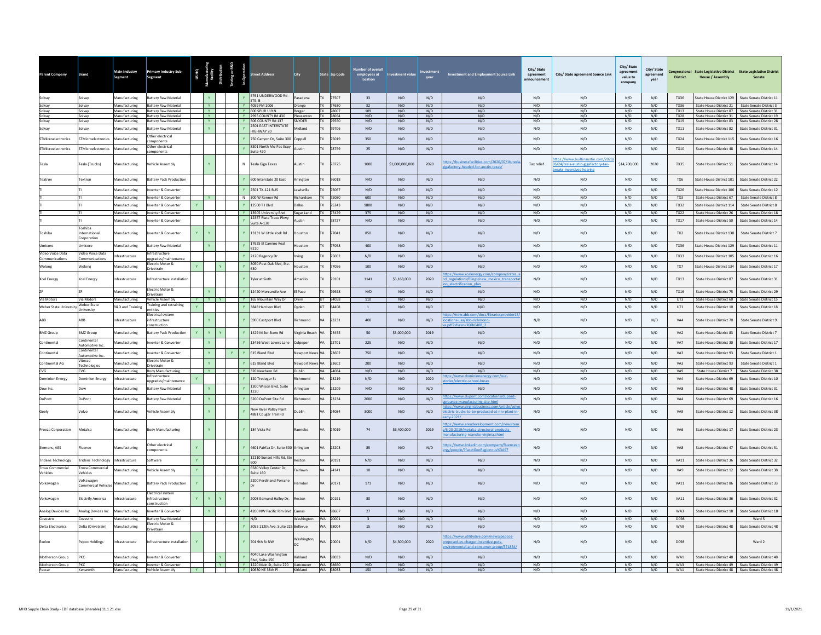| Parent Company                    | <b>Brand</b>                               | Main Industry<br>Segment       | Primary Industry Sub-<br><b>Segment</b>             | US HQ<br>nufacturin <sub>)</sub><br>facility<br>stribution |                | esting or R&D<br>and Coperation | <b>Street Address</b>                                  | <b>City</b>          |           | State Zip Code       | employees at<br>location | nent value      |                         | <b>Investment and Employment Source Link</b>                                                                       | City/ State<br>agreement<br>announcement | City/ State agreement Source Link                                                               | City/ State<br>agreement<br>value to<br>company | City/State<br>agreement<br>vear | <b>District</b>     | Congressional State Legislative District State Legislative District<br><b>House / Assembly</b> | Senate                                                                                               |
|-----------------------------------|--------------------------------------------|--------------------------------|-----------------------------------------------------|------------------------------------------------------------|----------------|---------------------------------|--------------------------------------------------------|----------------------|-----------|----------------------|--------------------------|-----------------|-------------------------|--------------------------------------------------------------------------------------------------------------------|------------------------------------------|-------------------------------------------------------------------------------------------------|-------------------------------------------------|---------------------------------|---------------------|------------------------------------------------------------------------------------------------|------------------------------------------------------------------------------------------------------|
| Solvay                            | Solvay                                     | Manufacturing                  | Battery Raw Material                                |                                                            |                |                                 | 5761 UNDERWOOD Rd<br>STE. B                            | Pasadena             |           | TX 77507             | 33                       | N/D             | N/D                     | N/D                                                                                                                | N/D                                      | N/D                                                                                             | N/D                                             | N/D                             | TX36                | State House District 129                                                                       | State Senate District 11                                                                             |
| Solvay                            | Solvay                                     | Manufacturing                  | <b>Battery Raw Material</b>                         | $\mathbf{v}$                                               |                |                                 | Y 4059 FM 1006                                         | Orange               |           | TX 77630             | 32                       | N/D             | N/D                     | N/D                                                                                                                | N/D                                      | N/D                                                                                             | N/D                                             | N/D                             | TX36                |                                                                                                | State House District 21 State Senate District 3                                                      |
| Solvay<br>Solvay                  | Solvay<br>Solvay                           | Manufacturing<br>Manufacturing | <b>Battery Raw Material</b><br>Battery Raw Material | <b>Y</b><br><b>Y</b>                                       |                |                                 | Y 600 SPUR 119 N<br>Y 2995 COUNTY Rd 430               | Borger<br>Pleasanton |           | TX 78007<br>TX 78064 | 109<br>N/D               | N/D<br>N/D      | N/D<br>N/D              | N/D<br>N/D                                                                                                         | N/D<br>N/D                               | N/D<br>N/D                                                                                      | N/D<br>N/D                                      | N/D<br>N/D                      | <b>TX13</b><br>TX28 |                                                                                                | State House District 87 State Senate District 31<br>State House District 31 State Senate District 19 |
| Solvay                            | Solvay                                     | Manufacturing                  | Battery Raw Material                                | Y                                                          |                |                                 | Y 506 COUNTY Rd 137                                    | <b>SNYDER</b>        |           | TX 79550             | N/D                      | N/D             | N/D                     | N/D                                                                                                                | N/D                                      | N/D                                                                                             | N/D                                             | N/D                             | <b>TX19</b>         |                                                                                                | State House District 83 State Senate District 28                                                     |
| Solvay                            | Solvay                                     | Manufacturing                  | <b>Sattery Raw Material</b>                         |                                                            | Y              | $\mathbf{Y}$                    | 2501 EAST INTERSTATE<br><b>IIGHWAY 20</b>              | Midland              | <b>TX</b> | 79706                | N/D                      | N/D             | N/D                     | N/D                                                                                                                | N/D                                      | N/D                                                                                             | N/D                                             | N/D                             | <b>TX11</b>         | <b>State House District 82</b>                                                                 | State Senate District 31                                                                             |
| STMicroelectronics                | STMicroelectronics                         | Manufacturing                  | ther electrical<br>mponents                         |                                                            |                | $\mathbf{v}$                    | 750 Canyon Dr, Suite 300                               | Coppell              | TX        | 75019                | 350                      | N/D             | N/D                     | N/D                                                                                                                | N/D                                      | N/D                                                                                             | N/D                                             | N/D                             | <b>TX24</b>         | State House District 115                                                                       | State Senate District 16                                                                             |
| <b>STMicroelectronics</b>         | <b>STMicroelectronics</b>                  | Manufacturing                  | ther electrical<br>omponents                        |                                                            |                |                                 | 3501 North Mo-Pac Expy<br>Suite 420                    | Austin               | <b>TX</b> | 78759                | 25                       | N/D             | N/D                     | N/D                                                                                                                | N/D                                      | N/D                                                                                             | N/D                                             | N/D                             | TX10                | State House District 48                                                                        | State Senate District 14                                                                             |
| Tesla                             | Fesla (Trucks)                             | Manufacturing                  | /ehicle Assembly                                    | $\mathbf{v}$                                               |                | $\overline{N}$                  | <b>Tesla Giga Texas</b>                                | Austin               | <b>TX</b> | 78725                | 1000                     | \$1,000,000,000 | 2020                    | facilities.com/2020/07/1b-te<br>afactory-headed-for-austin-texas/                                                  | Tax relief                               | ps://www.builtinaustin.com/202<br>6/24/tesla-austin-gigafactory-tax-<br>eaks-incentives-hearing | \$14,700,000                                    | 2020                            | <b>TX35</b>         | <b>State House District 51</b>                                                                 | State Senate District 14                                                                             |
| Textron                           | <b>Fextron</b>                             | Manufacturing                  | <b>Sattery Pack Production</b>                      |                                                            |                |                                 | 600 Interstate 20 East                                 | Arlington            |           | 76018                | N/D                      | N/D             | N/D                     | N/D                                                                                                                | N/D                                      | N/D                                                                                             | N/D                                             | N/D                             | TX6                 | State House District 101                                                                       | State Senate District 22                                                                             |
|                                   |                                            | Manufacturing                  | verter & Converter                                  |                                                            |                |                                 | 2501 TX-121 BUS                                        | ewisville            |           | 75067                | N/D                      | N/D             | N/D                     | N/D                                                                                                                | N/D                                      | N/D                                                                                             | N/D                                             | N/D                             | <b>TX26</b>         | State House District 106                                                                       | State Senate District 12                                                                             |
|                                   |                                            | Manufacturing                  | verter & Converter                                  | <b>Y</b>                                                   |                |                                 | N 300 W Renner Rd                                      | Richardson           |           | 75080                | 600                      | N/D             | N/D                     | N/D                                                                                                                | N/D                                      | N/D                                                                                             | N/D                                             | N/D                             | TX3                 | State House District 67                                                                        | State Senate District 8                                                                              |
|                                   |                                            | Manufacturing                  | erter & Converter                                   | Y.                                                         |                | $\mathbf{v}$                    | 12500 T   Blvd                                         | Dallas               |           | 75243                | 9800                     | N/D             | N/D                     | N/D                                                                                                                | N/D                                      | N/D                                                                                             | N/D                                             | N/D                             | <b>TX32</b>         | State House District 11                                                                        | <b>State Senate District 8</b>                                                                       |
|                                   |                                            | Manufacturing                  | werter & Converter                                  |                                                            |                |                                 | Y 13905 University Blyd                                | Sugar Land           |           | TX 77479             | 375                      | N/D             | N/D                     | N/D                                                                                                                | N/D                                      | N/D                                                                                             | N/D                                             | N/D                             | TX22                | State House District 26                                                                        | State Senate District 18                                                                             |
|                                   |                                            | Manufacturing                  | erter & Converter                                   |                                                            |                |                                 | 12357 Riata Trace Pkwy<br>Suite A-130                  | ustin                |           | 78727                | N/D                      | $\rm N/D$       | $\mathsf{N}/\mathsf{D}$ | N/D                                                                                                                | N/D                                      | $\rm N/D$                                                                                       | N/D                                             | $\rm N/D$                       | $TX17$              | State House District 50                                                                        | State Senate District 14                                                                             |
| Toshiba                           | oshiba<br>nternational<br>orporation       | Manufacturing                  | verter & Converter                                  | Ÿ                                                          |                |                                 | 13131 W Little York Rd                                 | uston                |           | 77041                | 850                      | N/D             | N/D                     | N/D                                                                                                                | N/D                                      | N/D                                                                                             | N/D                                             | N/D                             | TX <sub>2</sub>     | State House District 138                                                                       | State Senate District 7                                                                              |
| Umicore                           | <b>Jmicore</b>                             | Manufacturing                  | attery Raw Material                                 | Y.                                                         |                |                                 | 7625 El Camino Real<br>210                             | ouston               |           | 77058                | 400                      | N/D             | N/D                     | N/D                                                                                                                | N/D                                      | N/D                                                                                             | N/D                                             | N/D                             | TX36                | State House District 129                                                                       | State Senate District 11                                                                             |
| Video Voice Data<br>Communication | ideo Voice Data<br>mmunications            | nfrastructure                  | frastructure<br>pgrades/maintenance                 |                                                            |                |                                 | 2120 Regency Dr                                        | rving                |           | 75062                | N/D                      | N/D             | N/D                     | N/D                                                                                                                | N/D                                      | N/D                                                                                             | N/D                                             | N/D                             | <b>TX33</b>         | State House District 105                                                                       | State Senate District 16                                                                             |
| Wolong                            | Wolong                                     | Manufacturing                  | ectric Motor &<br>rivetrain                         |                                                            |                |                                 | 3050 Post Oak Blvd, Ste<br>630                         | ouston               |           | 77056                | 100                      | N/D             | N/D                     | N/D                                                                                                                | N/D                                      | N/D                                                                                             | N/D                                             | N/D                             | TX7                 | State House District 134                                                                       | State Senate District 17                                                                             |
| Xcel Energy                       | Cel Energy                                 | ifrastructure                  | nfrastructure installation                          |                                                            |                |                                 | <b>Tyler at Sixth</b>                                  | Amarillo             |           | 79101                | 1141                     | \$3,168,000     | 2020                    | s://www.xcelenergy.com/company/rates_<br>d regulations/filings/new mexico transporta<br>electrification plan       | N/D                                      | N/D                                                                                             | N/D                                             | N/D                             | TX13                | State House District 87                                                                        | State Senate District 31                                                                             |
|                                   |                                            | Manufacturing                  | Electric Motor &<br>rivetrain                       | V                                                          |                |                                 | 12420 Mercantile Ave                                   | El Paso              |           | 79928                | $\rm N/D$                | N/D             | N/D                     | N/D                                                                                                                | N/D                                      | $\rm N/D$                                                                                       | N/D                                             | $\rm N/D$                       | $TX16$              | State House District 75                                                                        | State Senate District 29                                                                             |
| Via Motors                        | Via Motors                                 | Manufacturing                  | ehicle Assembly                                     | Y Y Y                                                      |                |                                 | Y 165 Mountain Way Dr                                  | Orem                 |           | UT 84058             | 110                      | N/D             | N/D                     | N/D                                                                                                                | N/D                                      | N/D                                                                                             | N/D                                             | N/D                             | UT3                 | State House District 60                                                                        | State Senate District 15                                                                             |
| Weber State Universit             | <b>Neber State</b><br>Jniversity           | <b>R&amp;D and Training</b>    | raining and retraining<br>ntities                   |                                                            |                |                                 | 3848 Harrison Blyd                                     | gden                 |           | 84408                | $\,$ 1                   | $\rm N/D$       | N/D                     | N/D                                                                                                                | N/D                                      | $\mathrm{N}/\mathrm{D}$                                                                         | $\mathrm{N}/\mathrm{D}$                         | N/D                             | UT1                 | State House District 10                                                                        | State Senate District 18                                                                             |
|                                   | BB                                         | <b>nfrastructure</b>           | ectrical system<br>frastructure<br>nstruction       |                                                            |                |                                 | 5900 Eastport Blvd                                     | ichmond              | VA        | 23231                | 400                      | N/D             | N/D                     | ps://new.abb.com/docs/librariesprovider15<br>ations-usa/abb-richmond-                                              | N/D                                      | N/D                                                                                             | N/D                                             | N/D                             | VA4                 | State House District 70                                                                        | State Senate District 9                                                                              |
| <b>BMZ Group</b>                  | <b>BMZ Group</b>                           | Manufacturing                  | attery Pack Production                              | <b>Y</b>                                                   | $\mathbf{Y}$ . |                                 | 1429 Miller Store Rd                                   | Virginia Beach       | VA        | 23455                | 50                       | \$3,000,000     | 2019                    | N/D                                                                                                                | N/D                                      | N/D                                                                                             | N/D                                             | N/D                             | VA <sub>2</sub>     | State House District 83                                                                        | State Senate District 7                                                                              |
| Continental                       | Continental<br>utomotive In                | Manufacturing                  | verter & Converter                                  |                                                            |                |                                 | 3456 West Lovers Lane                                  | Culpeper             |           | 22701                | 225                      | N/D             | N/D                     | N/D                                                                                                                | N/D                                      | N/D                                                                                             | N/D                                             | N/D                             | VA7                 | State House District 30                                                                        | State Senate District 17                                                                             |
| Continental                       | Continental<br>tomotive Inc                | Manufacturing                  | verter & Converter                                  |                                                            | Y.             |                                 | 615 Bland Blvd                                         | lewport New          |           | 23602                | 750                      | N/D             | N/D                     | N/D                                                                                                                | N/D                                      | N/D                                                                                             | N/D                                             | N/D                             | VA3                 | State House District 93                                                                        | State Senate District 1                                                                              |
| Continental AG                    | itesco                                     | <b>Manufacturing</b>           | ectric Motor &                                      |                                                            |                |                                 | 15 Bland Blvd                                          | ewport New           |           | 23602                | 200                      | N/D             | N/D                     | N/D                                                                                                                | $\mathsf{N}/\mathsf{D}$                  | N/D                                                                                             | N/D                                             | N/D                             | VA3                 | State House District 93                                                                        | State Senate District 1                                                                              |
| CVG                               | echnologie<br>CVG                          | Manufacturing                  | rivetrain<br><b>Body Manufacturing</b>              | <b>Y</b>                                                   |                |                                 | Y 320 Newbern Rd                                       | <b>Dublin</b>        |           | VA 24084             | N/D                      | N/D             | N/D                     | N/D                                                                                                                | N/D                                      | N/D                                                                                             | N/D                                             | N/D                             | VA9                 | State House District 7                                                                         | State Senate District 38                                                                             |
| <b>Dominion Energy</b>            | ominion Energy                             | nfrastructure                  | frastructure<br>perades/maintenance                 | Y.                                                         |                | $\mathbf{v}$                    | 120 Tredegar St                                        | Richmond             | <b>VA</b> | 23219                | N/D                      | N/D             | 2020                    | ps://www <u>.dominionenergy.com/our-</u><br>inl-hu                                                                 | N/D                                      | $\rm N/D$                                                                                       | $\mathrm{N}/\mathrm{D}$                         | N/D                             | VA4                 | State House District 69                                                                        | State Senate District 10                                                                             |
| Dow Inc                           |                                            | Manufacturing                  | attery Raw Material                                 |                                                            | Y.             |                                 | 1300 Wilson Blvd, Suite<br>1220                        | Arlingtor            |           | 22209                | $\rm N/D$                | N/D             | N/D                     | $\rm N/D$                                                                                                          | N/D                                      | $\rm N/D$                                                                                       | $\rm N/D$                                       | N/D                             | VA8                 | <b>State House District 48</b>                                                                 | State Senate District 31                                                                             |
| DuPont                            | DuPont                                     | Manufacturing                  | attery Raw Material                                 |                                                            | Y              |                                 | 5200 DuPont Site Rd                                    | Richmond             | VA        | 23234                | 2000                     | N/D             | N/D                     | tps://www.dupont.com/locations/dupont-<br>ufacturing-site.htr                                                      | N/D                                      | N/D                                                                                             | N/D                                             | N/D                             | VA4                 | State House District 69                                                                        | State Senate District 16                                                                             |
| Geely                             | /olvo                                      | <b>Manufacturing</b>           | hicle Assembly                                      |                                                            |                |                                 | <b>Vew River Valley Plant</b><br>4881 Cougar Trail Rd  | ublin                |           | 24084                | 3000                     | $\rm N/D$       | N/D                     | os://www.virginiabusiness.com/article/vo<br>ctric-trucks-to-be-produced-at-nrv-plant-in                            | N/D                                      | $\rm N/D$                                                                                       | $\mathrm{N}/\mathrm{D}$                         | N/D                             | VA9                 | State House District 12                                                                        | State Senate District 38                                                                             |
| Proeza Corporation                | Aetalsa                                    | <b>Aanufacturing</b>           | ody Manufacturing                                   |                                                            |                |                                 | 184 Vista Rd                                           | aonoke               |           | 24019                | 74                       | \$6,400,000     | 2019                    | ps://www.areadevelopment.com/news<br>/6-20-2019/metalsa-structural-products-<br>nufacturing-roanoke-virginia.shtml | N/D                                      | N/D                                                                                             | N/D                                             | N/D                             | VA6                 | State House District 17                                                                        | <b>State Senate District 23</b>                                                                      |
| Siemens, AES                      | luence                                     | <b>Manufacturing</b>           | Other electrical<br>omponents                       |                                                            |                |                                 | 4601 Fairfax Dr, Suite 600 Arlington                   |                      |           | 22203                | 85                       | N/D             | N/D                     | ps://www.linkedin.com/company/fluence<br>ty/people/?facetGeoRegio<br>us%3A97                                       | N/D                                      | N/D                                                                                             | N/D                                             | N/D                             | VA <sub>8</sub>     | State House District 47                                                                        | State Senate District 31                                                                             |
| <b>Tridens Technology</b>         | ridens Technology                          | <b>nfrastructure</b>           | oftware                                             |                                                            |                |                                 | 12110 Sunset Hills Rd. Str                             | estor                |           | 20191                | N/D                      | N/D             | N/D                     | N/D                                                                                                                | N/D                                      | N/D                                                                                             | N/D                                             | N/D                             | <b>VA11</b>         | State House District 36                                                                        | <b>State Senate District 32</b>                                                                      |
| <b>Trova Commercial</b>           | rova Commercial                            | Anufacturing                   | ehicle Assembly                                     | Y.                                                         |                |                                 | 6580 Valley Center Dr.                                 | airlawn              |           | 24141                | 10                       | N/D             | N/D                     | N/D                                                                                                                | N/D                                      | N/D                                                                                             | N/D                                             | N/D                             | VA9                 | State House District 12                                                                        | <b>State Senate District 38</b>                                                                      |
| Vehicles<br>Volkswagen            | ehicles<br>/olkswagen<br>ommercial Vehicle | anufacturing                   | attery Pack Production                              |                                                            |                |                                 | Suite 160<br>2200 Ferdinand Porsche                    | erndor               |           | 20171                | 171                      | $\rm N/D$       | $\mathsf{N}/\mathsf{D}$ | N/D                                                                                                                | N/D                                      | N/D                                                                                             | N/D                                             | $\rm N/D$                       | VA11                | State House District 86                                                                        | State Senate District 33                                                                             |
| Volkswagen                        | lectrify America                           | frastructure                   | lectrical system<br>rastructure                     |                                                            |                |                                 | 2003 Edmund Halley Dr,                                 | estor                |           | 20191                | 80                       | N/D             | N/D                     | N/D                                                                                                                | N/D                                      | N/D                                                                                             | N/D                                             | N/D                             | VA11                | State House District 36                                                                        | State Senate District 32                                                                             |
| Analog Devices Inc.               | <b>Inalog Devices Inc</b>                  | Manufacturing                  | nstruction<br>verter & Converter                    |                                                            | Y.             | $\mathbf{Y}$                    | 4200 NW Pacific Rim Blvd                               | Camas                | <b>WA</b> | 98607                | 27                       | N/D             | N/D                     | N/D                                                                                                                | N/D                                      | N/D                                                                                             | N/D                                             | N/D                             | WA3                 | <b>State House District 18</b>                                                                 | <b>State Senate District 18</b>                                                                      |
| Covestro                          | ovestro                                    | Manufacturing                  | <b>Battery Raw Material</b>                         |                                                            |                | $\mathbf{Y}$                    | N/D                                                    | Washington           |           | WA 20001             | $\overline{3}$           | N/D             | N/D                     | N/D                                                                                                                | N/D                                      | N/D                                                                                             | N/D                                             | N/D                             | DC98                |                                                                                                | Ward 5                                                                                               |
| <b>Delta Electronics</b>          | Delta (Drivetrain)                         | Aanufacturing                  | lectric Motor &                                     |                                                            |                |                                 | 3055 112th Ave, Suite 225 Bellevue                     |                      | WA        | 98004                | 15                       | N/D             | N/D                     | N/D                                                                                                                | N/D                                      | N/D                                                                                             | N/D                                             | N/D                             | WA9                 | State House District 48                                                                        | State Senate District 48                                                                             |
| Exelon                            | epco Holdings                              | ifrastructure                  | rivetrain<br>ifrastructure installation             |                                                            |                |                                 | 701 9th St NW                                          | Washington           | <b>WA</b> | 20001                | N/D                      | \$4,300,000     | 2020                    | os://www.utilitydive.com/news/pepcos-<br>posed-ev-charger-incentive-puts-<br>mental-and-consumer-group/571854/     | N/D                                      | N/D                                                                                             | N/D                                             | N/D                             | <b>DC98</b>         |                                                                                                | Ward 2                                                                                               |
| Motherson Group                   | PKC                                        | Manufacturing                  | verter & Converter                                  |                                                            |                | $\mathbf{v}$                    | 4040 Lake Washington                                   | Kirkland             | <b>WA</b> | 98033                | N/D                      | N/D             | N/D                     | N/D                                                                                                                | N/D                                      | N/D                                                                                             | N/D                                             | N/D                             | WA1                 | State House District 48                                                                        | State Senate District 48                                                                             |
| Motherson Group                   | PKC                                        | Manufacturing                  | Inverter & Converter                                |                                                            | Y              |                                 | Blvd, Suite 150<br>Y 1220 Main St, Suite 270 Vancouver |                      |           | WA 98660             | N/D                      | N/D             | N/D                     | N/D                                                                                                                | N/D                                      | N/D                                                                                             | N/D                                             | N/D                             | WA3                 |                                                                                                | State House District 49 State Senate District 49                                                     |
| Paccar                            | Kenworth                                   | Manufacturing                  | Vehicle Assembly                                    |                                                            |                |                                 | Y 10630 NE 38th PI                                     | Kirkland             |           | WA 98033             | 150                      | N/D             | N/D                     | N/D                                                                                                                | N/D                                      | N/D                                                                                             | N/D                                             | N/D                             | WA1                 |                                                                                                | State House District 48 State Senate District 48                                                     |